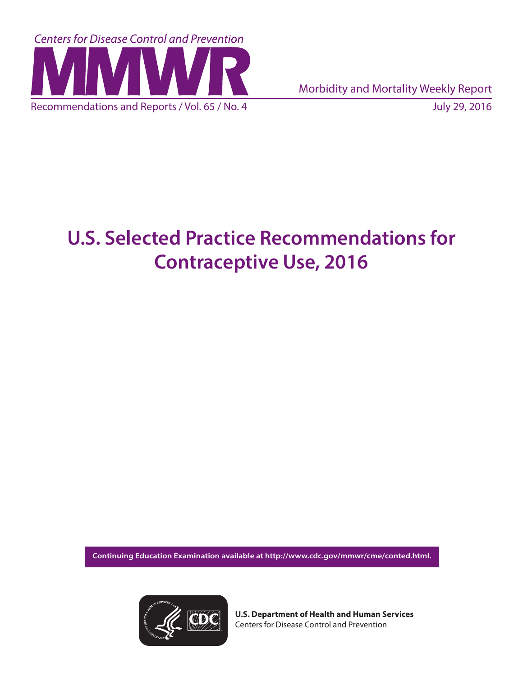

Morbidity and Mortality Weekly Report

# **U.S. Selected Practice Recommendations for Contraceptive Use, 2016**

**Continuing Education Examination available at [http://www.cdc.gov/mmwr/cme/conted.html.](http://www.cdc.gov/mmwr/cme/conted.html)** 



**U.S. Department of Health and Human Services** Centers for Disease Control and Prevention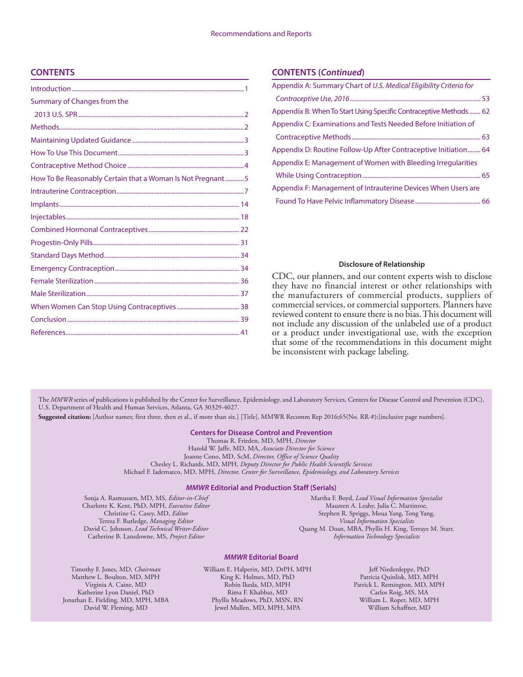#### **CONTENTS**

| Summary of Changes from the                                |  |
|------------------------------------------------------------|--|
|                                                            |  |
|                                                            |  |
|                                                            |  |
|                                                            |  |
|                                                            |  |
| How To Be Reasonably Certain that a Woman Is Not Pregnant5 |  |
|                                                            |  |
|                                                            |  |
|                                                            |  |
|                                                            |  |
|                                                            |  |
|                                                            |  |
|                                                            |  |
|                                                            |  |
|                                                            |  |
|                                                            |  |
|                                                            |  |
|                                                            |  |
|                                                            |  |

#### **CONTENTS (***Continued***)**

| Appendix A: Summary Chart of U.S. Medical Eligibility Criteria for |
|--------------------------------------------------------------------|
|                                                                    |
| Appendix B: When To Start Using Specific Contraceptive Methods  62 |
| Appendix C: Examinations and Tests Needed Before Initiation of     |
|                                                                    |
| Appendix D: Routine Follow-Up After Contraceptive Initiation 64    |
| Appendix E: Management of Women with Bleeding Irregularities       |
|                                                                    |
| Appendix F: Management of Intrauterine Devices When Users are      |
|                                                                    |

#### **Disclosure of Relationship**

CDC, our planners, and our content experts wish to disclose they have no financial interest or other relationships with the manufacturers of commercial products, suppliers of commercial services, or commercial supporters. Planners have reviewed content to ensure there is no bias. This document will not include any discussion of the unlabeled use of a product or a product under investigational use, with the exception that some of the recommendations in this document might be inconsistent with package labeling.

The *MMWR* series of publications is published by the Center for Surveillance, Epidemiology, and Laboratory Services, Centers for Disease Control and Prevention (CDC), U.S. Department of Health and Human Services, Atlanta, GA 30329-4027.

**Suggested citation:** [Author names; first three, then et al., if more than six.] [Title]. MMWR Recomm Rep 2016;65(No. RR-#):[inclusive page numbers].

#### **Centers for Disease Control and Prevention**

Thomas R. Frieden, MD, MPH, *Director* Harold W. Jaffe, MD, MA, *Associate Director for Science* Joanne Cono, MD, ScM, *Director, Office of Science Quality*  Chesley L. Richards, MD, MPH, *Deputy Director for Public Health Scientific Services* Michael F. Iademarco, MD, MPH, *Director, Center for Surveillance, Epidemiology, and Laboratory Services*

#### *MMWR* **Editorial and Production Staff (Serials)**

Sonja A. Rasmussen, MD, MS, *Editor-in-Chief* Charlotte K. Kent, PhD, MPH, *Executive Editor* Christine G. Casey, MD, *Editor* Teresa F. Rutledge, *Managing Editor* David C. Johnson, *Lead Technical Writer-Editor* Catherine B. Lansdowne, MS, *Project Editor*

Martha F. Boyd, *Lead Visual Information Specialist* Maureen A. Leahy, Julia C. Martinroe, Stephen R. Spriggs, Moua Yang, Tong Yang, *Visual Information Specialists* Quang M. Doan, MBA, Phyllis H. King, Terraye M. Starr, *Information Technology Specialists*

#### *MMWR* **Editorial Board**

Timothy F. Jones, MD, *Chairman* Matthew L. Boulton, MD, MPH Virginia A. Caine, MD Katherine Lyon Daniel, PhD Jonathan E. Fielding, MD, MPH, MBA David W. Fleming, MD

William E. Halperin, MD, DrPH, MPH King K. Holmes, MD, PhD Robin Ikeda, MD, MPH Rima F. Khabbaz, MD Phyllis Meadows, PhD, MSN, RN Jewel Mullen, MD, MPH, MPA

Jeff Niederdeppe, PhD Patricia Quinlisk, MD, MPH Patrick L. Remington, MD, MPH Carlos Roig, MS, MA William L. Roper, MD, MPH William Schaffner, MD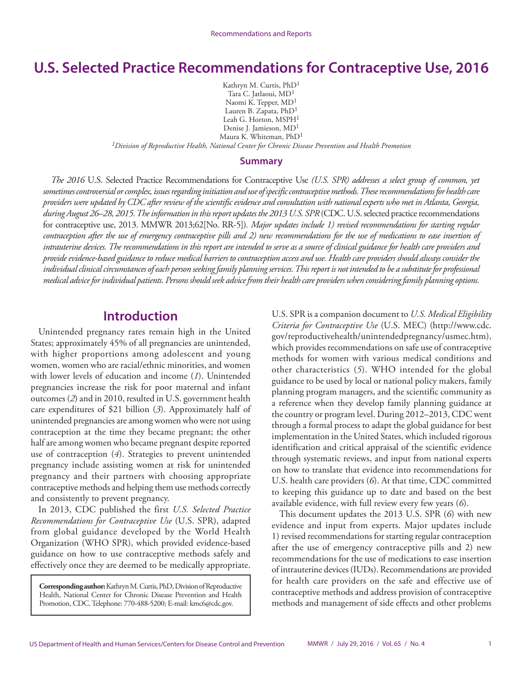# <span id="page-2-0"></span>**U.S. Selected Practice Recommendations for Contraceptive Use, 2016**

Kathryn M. Curtis, PhD1 Tara C. Jatlaoui, MD1 Naomi K. Tepper, MD1 Lauren B. Zapata, PhD<sup>1</sup> Leah G. Horton, MSPH<sup>1</sup> Denise J. Jamieson, MD1 Maura K. Whiteman, PhD1 *1Division of Reproductive Health, National Center for Chronic Disease Prevention and Health Promotion*

**Summary**

*The 2016* U.S. Selected Practice Recommendations for Contraceptive Use *(U.S. SPR) addresses a select group of common, yet sometimes controversial or complex, issues regarding initiation and use of specific contraceptive methods. These recommendations for health care providers were updated by CDC after review of the scientific evidence and consultation with national experts who met in Atlanta, Georgia, during August 26–28, 2015. The information in this report updates the 2013 U.S. SPR* (CDC. U.S. selected practice recommendations for contraceptive use, 2013. MMWR 2013;62[No. RR-5])*. Major updates include 1) revised recommendations for starting regular contraception after the use of emergency contraceptive pills and 2) new recommendations for the use of medications to ease insertion of intrauterine devices. The recommendations in this report are intended to serve as a source of clinical guidance for health care providers and provide evidence-based guidance to reduce medical barriers to contraception access and use. Health care providers should always consider the individual clinical circumstances of each person seeking family planning services. This report is not intended to be a substitute for professional medical advice for individual patients. Persons should seek advice from their health care providers when considering family planning options.*

### **Introduction**

Unintended pregnancy rates remain high in the United States; approximately 45% of all pregnancies are unintended, with higher proportions among adolescent and young women, women who are racial/ethnic minorities, and women with lower levels of education and income (*1*). Unintended pregnancies increase the risk for poor maternal and infant outcomes (*2*) and in 2010, resulted in U.S. government health care expenditures of \$21 billion (*3*). Approximately half of unintended pregnancies are among women who were not using contraception at the time they became pregnant; the other half are among women who became pregnant despite reported use of contraception (*4*). Strategies to prevent unintended pregnancy include assisting women at risk for unintended pregnancy and their partners with choosing appropriate contraceptive methods and helping them use methods correctly and consistently to prevent pregnancy.

In 2013, CDC published the first *U.S. Selected Practice Recommendations for Contraceptive Use* (U.S. SPR), adapted from global guidance developed by the World Health Organization (WHO SPR), which provided evidence-based guidance on how to use contraceptive methods safely and effectively once they are deemed to be medically appropriate.

**Corresponding author:** Kathryn M. Curtis, PhD, Division of Reproductive Health, National Center for Chronic Disease Prevention and Health Promotion, CDC. Telephone: 770-488-5200; E-mail: [kmc6@cdc.gov.](mailto:kmc6@cdc.gov)

U.S. SPR is a companion document to *U.S. Medical Eligibility Criteria for Contraceptive Use* (U.S. MEC) ([http://www.cdc.](http://www.cdc.gov/reproductivehealth/unintendedpregnancy/usmec.htm) [gov/reproductivehealth/unintendedpregnancy/usmec.htm](http://www.cdc.gov/reproductivehealth/unintendedpregnancy/usmec.htm)), which provides recommendations on safe use of contraceptive methods for women with various medical conditions and other characteristics (*5*). WHO intended for the global guidance to be used by local or national policy makers, family planning program managers, and the scientific community as a reference when they develop family planning guidance at the country or program level. During 2012–2013, CDC went through a formal process to adapt the global guidance for best implementation in the United States, which included rigorous identification and critical appraisal of the scientific evidence through systematic reviews, and input from national experts on how to translate that evidence into recommendations for U.S. health care providers (*6*). At that time, CDC committed to keeping this guidance up to date and based on the best available evidence, with full review every few years (*6*).

This document updates the 2013 U.S. SPR (*6*) with new evidence and input from experts. Major updates include 1) revised recommendations for starting regular contraception after the use of emergency contraceptive pills and 2) new recommendations for the use of medications to ease insertion of intrauterine devices (IUDs). Recommendations are provided for health care providers on the safe and effective use of contraceptive methods and address provision of contraceptive methods and management of side effects and other problems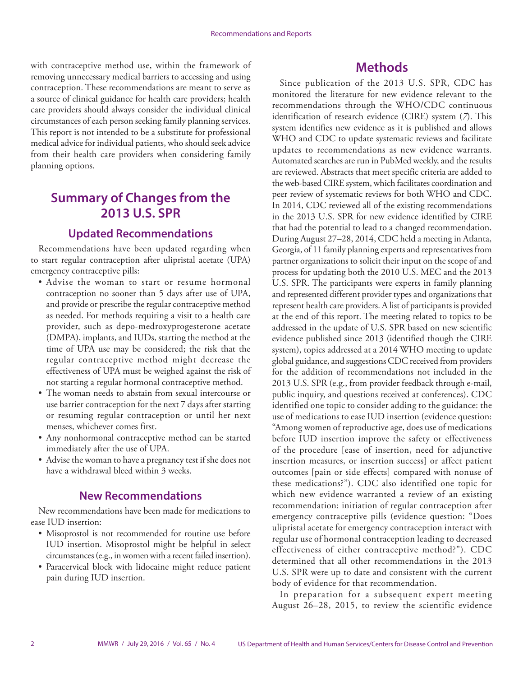<span id="page-3-0"></span>with contraceptive method use, within the framework of removing unnecessary medical barriers to accessing and using contraception. These recommendations are meant to serve as a source of clinical guidance for health care providers; health care providers should always consider the individual clinical circumstances of each person seeking family planning services. This report is not intended to be a substitute for professional medical advice for individual patients, who should seek advice from their health care providers when considering family planning options.

# **Summary of Changes from the 2013 U.S. SPR**

#### **Updated Recommendations**

Recommendations have been updated regarding when to start regular contraception after ulipristal acetate (UPA) emergency contraceptive pills:

- Advise the woman to start or resume hormonal contraception no sooner than 5 days after use of UPA, and provide or prescribe the regular contraceptive method as needed. For methods requiring a visit to a health care provider, such as depo-medroxyprogesterone acetate (DMPA), implants, and IUDs, starting the method at the time of UPA use may be considered; the risk that the regular contraceptive method might decrease the effectiveness of UPA must be weighed against the risk of not starting a regular hormonal contraceptive method.
- The woman needs to abstain from sexual intercourse or use barrier contraception for the next 7 days after starting or resuming regular contraception or until her next menses, whichever comes first.
- Any nonhormonal contraceptive method can be started immediately after the use of UPA.
- Advise the woman to have a pregnancy test if she does not have a withdrawal bleed within 3 weeks.

#### **New Recommendations**

New recommendations have been made for medications to ease IUD insertion:

- Misoprostol is not recommended for routine use before IUD insertion. Misoprostol might be helpful in select circumstances (e.g., in women with a recent failed insertion).
- Paracervical block with lidocaine might reduce patient pain during IUD insertion.

## **Methods**

Since publication of the 2013 U.S. SPR, CDC has monitored the literature for new evidence relevant to the recommendations through the WHO/CDC continuous identification of research evidence (CIRE) system (*7*). This system identifies new evidence as it is published and allows WHO and CDC to update systematic reviews and facilitate updates to recommendations as new evidence warrants. Automated searches are run in PubMed weekly, and the results are reviewed. Abstracts that meet specific criteria are added to the web-based CIRE system, which facilitates coordination and peer review of systematic reviews for both WHO and CDC. In 2014, CDC reviewed all of the existing recommendations in the 2013 U.S. SPR for new evidence identified by CIRE that had the potential to lead to a changed recommendation. During August 27–28, 2014, CDC held a meeting in Atlanta, Georgia, of 11 family planning experts and representatives from partner organizations to solicit their input on the scope of and process for updating both the 2010 U.S. MEC and the 2013 U.S. SPR. The participants were experts in family planning and represented different provider types and organizations that represent health care providers. A list of participants is provided at the end of this report. The meeting related to topics to be addressed in the update of U.S. SPR based on new scientific evidence published since 2013 (identified though the CIRE system), topics addressed at a 2014 WHO meeting to update global guidance, and suggestions CDC received from providers for the addition of recommendations not included in the 2013 U.S. SPR (e.g., from provider feedback through e-mail, public inquiry, and questions received at conferences). CDC identified one topic to consider adding to the guidance: the use of medications to ease IUD insertion (evidence question: "Among women of reproductive age, does use of medications before IUD insertion improve the safety or effectiveness of the procedure [ease of insertion, need for adjunctive insertion measures, or insertion success] or affect patient outcomes [pain or side effects] compared with nonuse of these medications?"). CDC also identified one topic for which new evidence warranted a review of an existing recommendation: initiation of regular contraception after emergency contraceptive pills (evidence question: "Does ulipristal acetate for emergency contraception interact with regular use of hormonal contraception leading to decreased effectiveness of either contraceptive method?"). CDC determined that all other recommendations in the 2013 U.S. SPR were up to date and consistent with the current body of evidence for that recommendation.

In preparation for a subsequent expert meeting August 26–28, 2015, to review the scientific evidence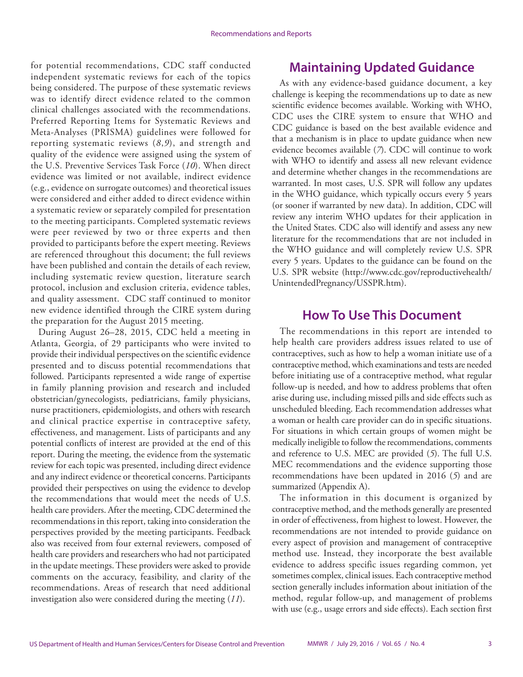<span id="page-4-0"></span>for potential recommendations, CDC staff conducted independent systematic reviews for each of the topics being considered. The purpose of these systematic reviews was to identify direct evidence related to the common clinical challenges associated with the recommendations. Preferred Reporting Items for Systematic Reviews and Meta-Analyses (PRISMA) guidelines were followed for reporting systematic reviews (*8*,*9*), and strength and quality of the evidence were assigned using the system of the U.S. Preventive Services Task Force (*10*). When direct evidence was limited or not available, indirect evidence (e.g., evidence on surrogate outcomes) and theoretical issues were considered and either added to direct evidence within a systematic review or separately compiled for presentation to the meeting participants. Completed systematic reviews were peer reviewed by two or three experts and then provided to participants before the expert meeting. Reviews are referenced throughout this document; the full reviews have been published and contain the details of each review, including systematic review question, literature search protocol, inclusion and exclusion criteria, evidence tables, and quality assessment. CDC staff continued to monitor new evidence identified through the CIRE system during the preparation for the August 2015 meeting.

During August 26–28, 2015, CDC held a meeting in Atlanta, Georgia, of 29 participants who were invited to provide their individual perspectives on the scientific evidence presented and to discuss potential recommendations that followed. Participants represented a wide range of expertise in family planning provision and research and included obstetrician/gynecologists, pediatricians, family physicians, nurse practitioners, epidemiologists, and others with research and clinical practice expertise in contraceptive safety, effectiveness, and management. Lists of participants and any potential conflicts of interest are provided at the end of this report. During the meeting, the evidence from the systematic review for each topic was presented, including direct evidence and any indirect evidence or theoretical concerns. Participants provided their perspectives on using the evidence to develop the recommendations that would meet the needs of U.S. health care providers. After the meeting, CDC determined the recommendations in this report, taking into consideration the perspectives provided by the meeting participants. Feedback also was received from four external reviewers, composed of health care providers and researchers who had not participated in the update meetings. These providers were asked to provide comments on the accuracy, feasibility, and clarity of the recommendations. Areas of research that need additional investigation also were considered during the meeting (*11*).

# **Maintaining Updated Guidance**

As with any evidence-based guidance document, a key challenge is keeping the recommendations up to date as new scientific evidence becomes available. Working with WHO, CDC uses the CIRE system to ensure that WHO and CDC guidance is based on the best available evidence and that a mechanism is in place to update guidance when new evidence becomes available (*7*). CDC will continue to work with WHO to identify and assess all new relevant evidence and determine whether changes in the recommendations are warranted. In most cases, U.S. SPR will follow any updates in the WHO guidance, which typically occurs every 5 years (or sooner if warranted by new data). In addition, CDC will review any interim WHO updates for their application in the United States. CDC also will identify and assess any new literature for the recommendations that are not included in the WHO guidance and will completely review U.S. SPR every 5 years. Updates to the guidance can be found on the U.S. SPR website [\(http://www.cdc.gov/reproductivehealth/](http://www.cdc.gov/reproductivehealth/UnintendedPregnancy/USSPR.htm) [UnintendedPregnancy/USSPR.htm\)](http://www.cdc.gov/reproductivehealth/UnintendedPregnancy/USSPR.htm).

# **How To Use This Document**

The recommendations in this report are intended to help health care providers address issues related to use of contraceptives, such as how to help a woman initiate use of a contraceptive method, which examinations and tests are needed before initiating use of a contraceptive method, what regular follow-up is needed, and how to address problems that often arise during use, including missed pills and side effects such as unscheduled bleeding. Each recommendation addresses what a woman or health care provider can do in specific situations. For situations in which certain groups of women might be medically ineligible to follow the recommendations, comments and reference to U.S. MEC are provided (*5*). The full U.S. MEC recommendations and the evidence supporting those recommendations have been updated in 2016 (*5*) and are summarized (Appendix A).

The information in this document is organized by contraceptive method, and the methods generally are presented in order of effectiveness, from highest to lowest. However, the recommendations are not intended to provide guidance on every aspect of provision and management of contraceptive method use. Instead, they incorporate the best available evidence to address specific issues regarding common, yet sometimes complex, clinical issues. Each contraceptive method section generally includes information about initiation of the method, regular follow-up, and management of problems with use (e.g., usage errors and side effects). Each section first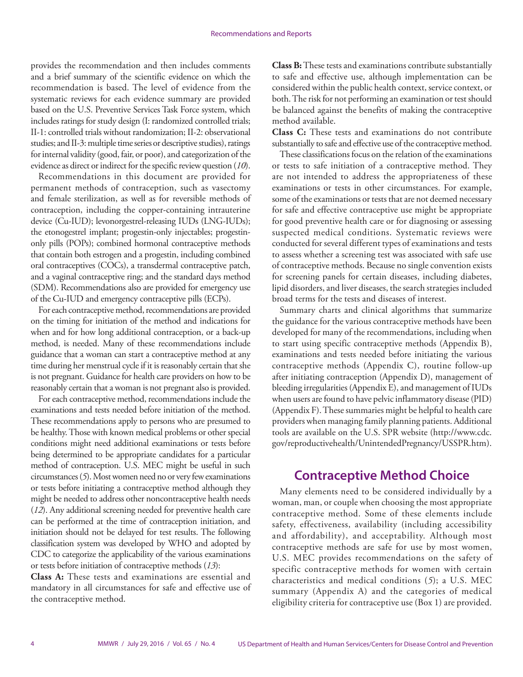<span id="page-5-0"></span>provides the recommendation and then includes comments and a brief summary of the scientific evidence on which the recommendation is based. The level of evidence from the systematic reviews for each evidence summary are provided based on the U.S. Preventive Services Task Force system, which includes ratings for study design (I: randomized controlled trials; II-1: controlled trials without randomization; II-2: observational studies; and II-3: multiple time series or descriptive studies), ratings for internal validity (good, fair, or poor), and categorization of the evidence as direct or indirect for the specific review question (*10*).

Recommendations in this document are provided for permanent methods of contraception, such as vasectomy and female sterilization, as well as for reversible methods of contraception, including the copper-containing intrauterine device (Cu-IUD); levonorgestrel-releasing IUDs (LNG-IUDs); the etonogestrel implant; progestin-only injectables; progestinonly pills (POPs); combined hormonal contraceptive methods that contain both estrogen and a progestin, including combined oral contraceptives (COCs), a transdermal contraceptive patch, and a vaginal contraceptive ring; and the standard days method (SDM). Recommendations also are provided for emergency use of the Cu-IUD and emergency contraceptive pills (ECPs).

For each contraceptive method, recommendations are provided on the timing for initiation of the method and indications for when and for how long additional contraception, or a back-up method, is needed. Many of these recommendations include guidance that a woman can start a contraceptive method at any time during her menstrual cycle if it is reasonably certain that she is not pregnant. Guidance for health care providers on how to be reasonably certain that a woman is not pregnant also is provided.

For each contraceptive method, recommendations include the examinations and tests needed before initiation of the method. These recommendations apply to persons who are presumed to be healthy. Those with known medical problems or other special conditions might need additional examinations or tests before being determined to be appropriate candidates for a particular method of contraception. U.S. MEC might be useful in such circumstances (*5*). Most women need no or very few examinations or tests before initiating a contraceptive method although they might be needed to address other noncontraceptive health needs (*12*). Any additional screening needed for preventive health care can be performed at the time of contraception initiation, and initiation should not be delayed for test results. The following classification system was developed by WHO and adopted by CDC to categorize the applicability of the various examinations or tests before initiation of contraceptive methods (*13*):

**Class A:** These tests and examinations are essential and mandatory in all circumstances for safe and effective use of the contraceptive method.

**Class B:** These tests and examinations contribute substantially to safe and effective use, although implementation can be considered within the public health context, service context, or both. The risk for not performing an examination or test should be balanced against the benefits of making the contraceptive method available.

**Class C:** These tests and examinations do not contribute substantially to safe and effective use of the contraceptive method.

These classifications focus on the relation of the examinations or tests to safe initiation of a contraceptive method. They are not intended to address the appropriateness of these examinations or tests in other circumstances. For example, some of the examinations or tests that are not deemed necessary for safe and effective contraceptive use might be appropriate for good preventive health care or for diagnosing or assessing suspected medical conditions. Systematic reviews were conducted for several different types of examinations and tests to assess whether a screening test was associated with safe use of contraceptive methods. Because no single convention exists for screening panels for certain diseases, including diabetes, lipid disorders, and liver diseases, the search strategies included broad terms for the tests and diseases of interest.

Summary charts and clinical algorithms that summarize the guidance for the various contraceptive methods have been developed for many of the recommendations, including when to start using specific contraceptive methods (Appendix B), examinations and tests needed before initiating the various contraceptive methods (Appendix C), routine follow-up after initiating contraception (Appendix D), management of bleeding irregularities (Appendix E), and management of IUDs when users are found to have pelvic inflammatory disease (PID) (Appendix F). These summaries might be helpful to health care providers when managing family planning patients. Additional tools are available on the U.S. SPR website [\(http://www.cdc.](http://www.cdc.gov/reproductivehealth/UnintendedPregnancy/USSPR.htm) [gov/reproductivehealth/UnintendedPregnancy/USSPR.htm\)](http://www.cdc.gov/reproductivehealth/UnintendedPregnancy/USSPR.htm).

# **Contraceptive Method Choice**

Many elements need to be considered individually by a woman, man, or couple when choosing the most appropriate contraceptive method. Some of these elements include safety, effectiveness, availability (including accessibility and affordability), and acceptability. Although most contraceptive methods are safe for use by most women, U.S. MEC provides recommendations on the safety of specific contraceptive methods for women with certain characteristics and medical conditions (*5*); a U.S. MEC summary (Appendix A) and the categories of medical eligibility criteria for contraceptive use (Box 1) are provided.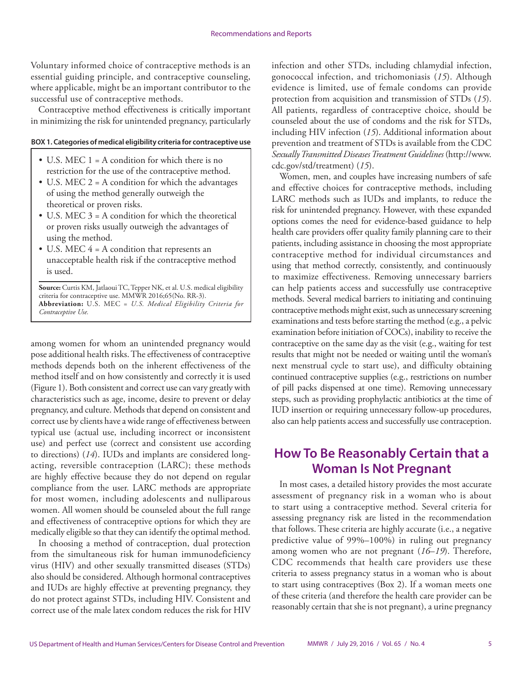<span id="page-6-0"></span>Voluntary informed choice of contraceptive methods is an essential guiding principle, and contraceptive counseling, where applicable, might be an important contributor to the successful use of contraceptive methods.

Contraceptive method effectiveness is critically important in minimizing the risk for unintended pregnancy, particularly

#### **BOX 1. Categories of medical eligibility criteria for contraceptive use**

- U.S. MEC 1 = A condition for which there is no restriction for the use of the contraceptive method.
- U.S. MEC  $2 = A$  condition for which the advantages of using the method generally outweigh the theoretical or proven risks.
- U.S. MEC  $3 = A$  condition for which the theoretical or proven risks usually outweigh the advantages of using the method.
- U.S. MEC 4 = A condition that represents an unacceptable health risk if the contraceptive method is used.

**Source:** Curtis KM, Jatlaoui TC, Tepper NK, et al. U.S. medical eligibility criteria for contraceptive use. MMWR 2016;65(No. RR-3). **Abbreviation:** U.S. MEC = *U.S. Medical Eligibility Criteria for Contraceptive Use.*

among women for whom an unintended pregnancy would pose additional health risks. The effectiveness of contraceptive methods depends both on the inherent effectiveness of the method itself and on how consistently and correctly it is used (Figure 1). Both consistent and correct use can vary greatly with characteristics such as age, income, desire to prevent or delay pregnancy, and culture. Methods that depend on consistent and correct use by clients have a wide range of effectiveness between typical use (actual use, including incorrect or inconsistent use) and perfect use (correct and consistent use according to directions) (*14*). IUDs and implants are considered longacting, reversible contraception (LARC); these methods are highly effective because they do not depend on regular compliance from the user. LARC methods are appropriate for most women, including adolescents and nulliparous women. All women should be counseled about the full range and effectiveness of contraceptive options for which they are medically eligible so that they can identify the optimal method.

In choosing a method of contraception, dual protection from the simultaneous risk for human immunodeficiency virus (HIV) and other sexually transmitted diseases (STDs) also should be considered. Although hormonal contraceptives and IUDs are highly effective at preventing pregnancy, they do not protect against STDs, including HIV. Consistent and correct use of the male latex condom reduces the risk for HIV

infection and other STDs, including chlamydial infection, gonococcal infection, and trichomoniasis (*15*). Although evidence is limited, use of female condoms can provide protection from acquisition and transmission of STDs (*15*). All patients, regardless of contraceptive choice, should be counseled about the use of condoms and the risk for STDs, including HIV infection (*15*). Additional information about prevention and treatment of STDs is available from the CDC *Sexually Transmitted Diseases Treatment Guidelines* [\(http://www.](http://www.cdc.gov/std/treatment) [cdc.gov/std/treatment](http://www.cdc.gov/std/treatment)) (*15*).

Women, men, and couples have increasing numbers of safe and effective choices for contraceptive methods, including LARC methods such as IUDs and implants, to reduce the risk for unintended pregnancy. However, with these expanded options comes the need for evidence-based guidance to help health care providers offer quality family planning care to their patients, including assistance in choosing the most appropriate contraceptive method for individual circumstances and using that method correctly, consistently, and continuously to maximize effectiveness. Removing unnecessary barriers can help patients access and successfully use contraceptive methods. Several medical barriers to initiating and continuing contraceptive methods might exist, such as unnecessary screening examinations and tests before starting the method (e.g., a pelvic examination before initiation of COCs), inability to receive the contraceptive on the same day as the visit (e.g., waiting for test results that might not be needed or waiting until the woman's next menstrual cycle to start use), and difficulty obtaining continued contraceptive supplies (e.g., restrictions on number of pill packs dispensed at one time). Removing unnecessary steps, such as providing prophylactic antibiotics at the time of IUD insertion or requiring unnecessary follow-up procedures, also can help patients access and successfully use contraception.

# **How To Be Reasonably Certain that a Woman Is Not Pregnant**

In most cases, a detailed history provides the most accurate assessment of pregnancy risk in a woman who is about to start using a contraceptive method. Several criteria for assessing pregnancy risk are listed in the recommendation that follows. These criteria are highly accurate (i.e., a negative predictive value of 99%–100%) in ruling out pregnancy among women who are not pregnant (*16*–*19*). Therefore, CDC recommends that health care providers use these criteria to assess pregnancy status in a woman who is about to start using contraceptives (Box 2). If a woman meets one of these criteria (and therefore the health care provider can be reasonably certain that she is not pregnant), a urine pregnancy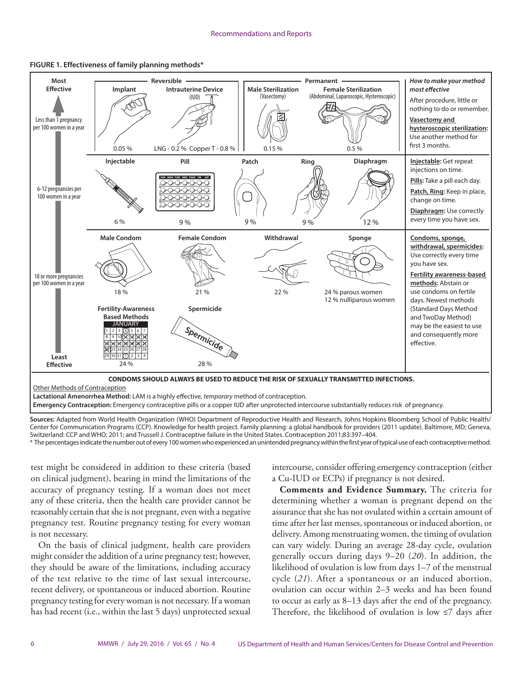



**Sources:** Adapted from World Health Organization (WHO) Department of Reproductive Health and Research, Johns Hopkins Bloomberg School of Public Health/ Center for Communication Programs (CCP). Knowledge for health project. Family planning: a global handbook for providers (2011 update). Baltimore, MD; Geneva, Switzerland: CCP and WHO; 2011; and Trussell J. Contraceptive failure in the United States. Contraception 2011;83:397–404.

\* The percentages indicate the number out of every 100 women who experienced an unintended pregnancy within the first year of typical use of each contraceptive method.

test might be considered in addition to these criteria (based on clinical judgment), bearing in mind the limitations of the accuracy of pregnancy testing. If a woman does not meet any of these criteria, then the health care provider cannot be reasonably certain that she is not pregnant, even with a negative pregnancy test. Routine pregnancy testing for every woman is not necessary.

On the basis of clinical judgment, health care providers might consider the addition of a urine pregnancy test; however, they should be aware of the limitations, including accuracy of the test relative to the time of last sexual intercourse, recent delivery, or spontaneous or induced abortion. Routine pregnancy testing for every woman is not necessary. If a woman has had recent (i.e., within the last 5 days) unprotected sexual intercourse, consider offering emergency contraception (either a Cu-IUD or ECPs) if pregnancy is not desired.

**Comments and Evidence Summary.** The criteria for determining whether a woman is pregnant depend on the assurance that she has not ovulated within a certain amount of time after her last menses, spontaneous or induced abortion, or delivery. Among menstruating women, the timing of ovulation can vary widely. During an average 28-day cycle, ovulation generally occurs during days 9–20 (*20*). In addition, the likelihood of ovulation is low from days 1–7 of the menstrual cycle (*21*). After a spontaneous or an induced abortion, ovulation can occur within 2–3 weeks and has been found to occur as early as 8–13 days after the end of the pregnancy. Therefore, the likelihood of ovulation is low  $\leq$  days after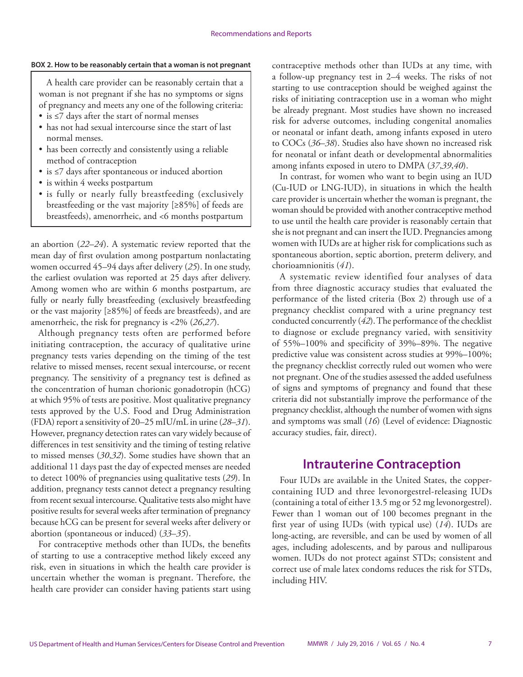#### <span id="page-8-0"></span>**BOX 2. How to be reasonably certain that a woman is not pregnant**

A health care provider can be reasonably certain that a woman is not pregnant if she has no symptoms or signs of pregnancy and meets any one of the following criteria:

- is ≤7 days after the start of normal menses
- has not had sexual intercourse since the start of last normal menses.
- has been correctly and consistently using a reliable method of contraception
- is ≤7 days after spontaneous or induced abortion
- is within 4 weeks postpartum
- is fully or nearly fully breastfeeding (exclusively breastfeeding or the vast majority [≥85%] of feeds are breastfeeds), amenorrheic, and <6 months postpartum

an abortion (*22*–*24*). A systematic review reported that the mean day of first ovulation among postpartum nonlactating women occurred 45–94 days after delivery (*25*). In one study, the earliest ovulation was reported at 25 days after delivery. Among women who are within 6 months postpartum, are fully or nearly fully breastfeeding (exclusively breastfeeding or the vast majority [≥85%] of feeds are breastfeeds), and are amenorrheic, the risk for pregnancy is <2% (*26*,*27*).

Although pregnancy tests often are performed before initiating contraception, the accuracy of qualitative urine pregnancy tests varies depending on the timing of the test relative to missed menses, recent sexual intercourse, or recent pregnancy. The sensitivity of a pregnancy test is defined as the concentration of human chorionic gonadotropin (hCG) at which 95% of tests are positive. Most qualitative pregnancy tests approved by the U.S. Food and Drug Administration (FDA) report a sensitivity of 20–25 mIU/mL in urine (*28*–*31*). However, pregnancy detection rates can vary widely because of differences in test sensitivity and the timing of testing relative to missed menses (*30*,*32*). Some studies have shown that an additional 11 days past the day of expected menses are needed to detect 100% of pregnancies using qualitative tests (*29*). In addition, pregnancy tests cannot detect a pregnancy resulting from recent sexual intercourse. Qualitative tests also might have positive results for several weeks after termination of pregnancy because hCG can be present for several weeks after delivery or abortion (spontaneous or induced) (*33*–*35*).

For contraceptive methods other than IUDs, the benefits of starting to use a contraceptive method likely exceed any risk, even in situations in which the health care provider is uncertain whether the woman is pregnant. Therefore, the health care provider can consider having patients start using contraceptive methods other than IUDs at any time, with a follow-up pregnancy test in 2–4 weeks. The risks of not starting to use contraception should be weighed against the risks of initiating contraception use in a woman who might be already pregnant. Most studies have shown no increased risk for adverse outcomes, including congenital anomalies or neonatal or infant death, among infants exposed in utero to COCs (*36*–*38*). Studies also have shown no increased risk for neonatal or infant death or developmental abnormalities among infants exposed in utero to DMPA (*37*,*39*,*40*).

In contrast, for women who want to begin using an IUD (Cu-IUD or LNG-IUD), in situations in which the health care provider is uncertain whether the woman is pregnant, the woman should be provided with another contraceptive method to use until the health care provider is reasonably certain that she is not pregnant and can insert the IUD. Pregnancies among women with IUDs are at higher risk for complications such as spontaneous abortion, septic abortion, preterm delivery, and chorioamnionitis (*41*).

A systematic review identified four analyses of data from three diagnostic accuracy studies that evaluated the performance of the listed criteria (Box 2) through use of a pregnancy checklist compared with a urine pregnancy test conducted concurrently (*42*). The performance of the checklist to diagnose or exclude pregnancy varied, with sensitivity of 55%–100% and specificity of 39%–89%. The negative predictive value was consistent across studies at 99%–100%; the pregnancy checklist correctly ruled out women who were not pregnant. One of the studies assessed the added usefulness of signs and symptoms of pregnancy and found that these criteria did not substantially improve the performance of the pregnancy checklist, although the number of women with signs and symptoms was small (*16*) (Level of evidence: Diagnostic accuracy studies, fair, direct).

### **Intrauterine Contraception**

Four IUDs are available in the United States, the coppercontaining IUD and three levonorgestrel-releasing IUDs (containing a total of either 13.5 mg or 52 mg levonorgestrel). Fewer than 1 woman out of 100 becomes pregnant in the first year of using IUDs (with typical use) (*14*). IUDs are long-acting, are reversible, and can be used by women of all ages, including adolescents, and by parous and nulliparous women. IUDs do not protect against STDs; consistent and correct use of male latex condoms reduces the risk for STDs, including HIV.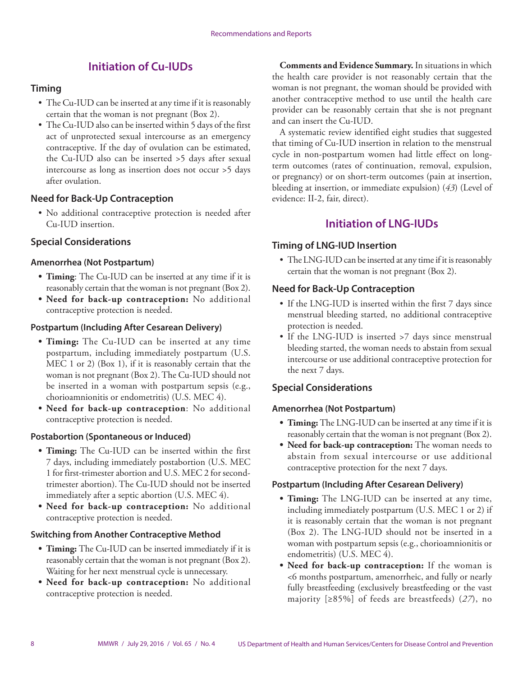### **Initiation of Cu-IUDs**

#### **Timing**

- The Cu-IUD can be inserted at any time if it is reasonably certain that the woman is not pregnant (Box 2).
- The Cu-IUD also can be inserted within 5 days of the first act of unprotected sexual intercourse as an emergency contraceptive. If the day of ovulation can be estimated, the Cu-IUD also can be inserted >5 days after sexual intercourse as long as insertion does not occur >5 days after ovulation.

#### **Need for Back-Up Contraception**

• No additional contraceptive protection is needed after Cu-IUD insertion.

### **Special Considerations**

#### **Amenorrhea (Not Postpartum)**

- **• Timing**: The Cu-IUD can be inserted at any time if it is reasonably certain that the woman is not pregnant (Box 2).
- **• Need for back-up contraception:** No additional contraceptive protection is needed.

#### **Postpartum (Including After Cesarean Delivery)**

- **• Timing:** The Cu-IUD can be inserted at any time postpartum, including immediately postpartum (U.S. MEC 1 or 2) (Box 1), if it is reasonably certain that the woman is not pregnant (Box 2). The Cu-IUD should not be inserted in a woman with postpartum sepsis (e.g., chorioamnionitis or endometritis) (U.S. MEC 4).
- **• Need for back-up contraception**: No additional contraceptive protection is needed.

#### **Postabortion (Spontaneous or Induced)**

- **• Timing:** The Cu-IUD can be inserted within the first 7 days, including immediately postabortion (U.S. MEC 1 for first-trimester abortion and U.S. MEC 2 for secondtrimester abortion). The Cu-IUD should not be inserted immediately after a septic abortion (U.S. MEC 4).
- **• Need for back-up contraception:** No additional contraceptive protection is needed.

#### **Switching from Another Contraceptive Method**

- **• Timing:** The Cu-IUD can be inserted immediately if it is reasonably certain that the woman is not pregnant (Box 2). Waiting for her next menstrual cycle is unnecessary.
- **• Need for back-up contraception:** No additional contraceptive protection is needed.

**Comments and Evidence Summary.** In situations in which the health care provider is not reasonably certain that the woman is not pregnant, the woman should be provided with another contraceptive method to use until the health care provider can be reasonably certain that she is not pregnant and can insert the Cu-IUD.

A systematic review identified eight studies that suggested that timing of Cu-IUD insertion in relation to the menstrual cycle in non-postpartum women had little effect on longterm outcomes (rates of continuation, removal, expulsion, or pregnancy) or on short-term outcomes (pain at insertion, bleeding at insertion, or immediate expulsion) (*43*) (Level of evidence: II-2, fair, direct).

### **Initiation of LNG-IUDs**

### **Timing of LNG-IUD Insertion**

• The LNG-IUD can be inserted at any time if it is reasonably certain that the woman is not pregnant (Box 2).

#### **Need for Back-Up Contraception**

- If the LNG-IUD is inserted within the first 7 days since menstrual bleeding started, no additional contraceptive protection is needed.
- If the LNG-IUD is inserted >7 days since menstrual bleeding started, the woman needs to abstain from sexual intercourse or use additional contraceptive protection for the next 7 days.

### **Special Considerations**

#### **Amenorrhea (Not Postpartum)**

- **• Timing:** The LNG-IUD can be inserted at any time if it is reasonably certain that the woman is not pregnant (Box 2).
- **• Need for back-up contraception:** The woman needs to abstain from sexual intercourse or use additional contraceptive protection for the next 7 days.

#### **Postpartum (Including After Cesarean Delivery)**

- **• Timing:** The LNG-IUD can be inserted at any time, including immediately postpartum (U.S. MEC 1 or 2) if it is reasonably certain that the woman is not pregnant (Box 2). The LNG-IUD should not be inserted in a woman with postpartum sepsis (e.g., chorioamnionitis or endometritis) (U.S. MEC 4).
- **• Need for back-up contraception:** If the woman is <6 months postpartum, amenorrheic, and fully or nearly fully breastfeeding (exclusively breastfeeding or the vast majority [≥85%] of feeds are breastfeeds) (*27*), no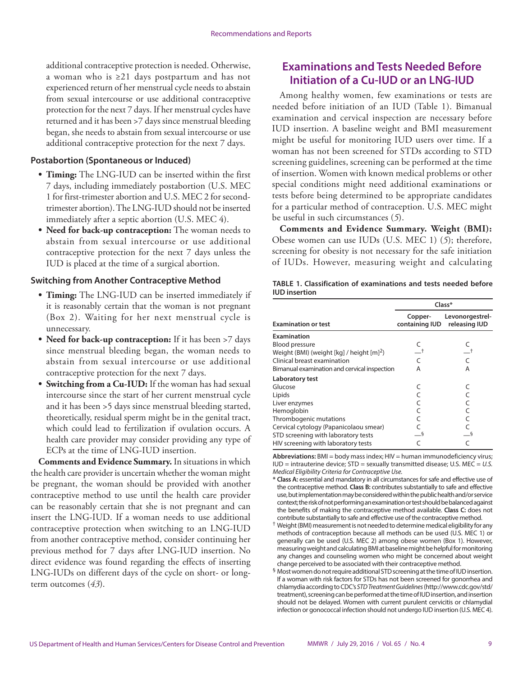additional contraceptive protection is needed. Otherwise, a woman who is ≥21 days postpartum and has not experienced return of her menstrual cycle needs to abstain from sexual intercourse or use additional contraceptive protection for the next 7 days. If her menstrual cycles have returned and it has been >7 days since menstrual bleeding began, she needs to abstain from sexual intercourse or use additional contraceptive protection for the next 7 days.

#### **Postabortion (Spontaneous or Induced)**

- **• Timing:** The LNG-IUD can be inserted within the first 7 days, including immediately postabortion (U.S. MEC 1 for first-trimester abortion and U.S. MEC 2 for secondtrimester abortion). The LNG-IUD should not be inserted immediately after a septic abortion (U.S. MEC 4).
- **• Need for back-up contraception:** The woman needs to abstain from sexual intercourse or use additional contraceptive protection for the next 7 days unless the IUD is placed at the time of a surgical abortion.

#### **Switching from Another Contraceptive Method**

- **• Timing:** The LNG-IUD can be inserted immediately if it is reasonably certain that the woman is not pregnant (Box 2). Waiting for her next menstrual cycle is unnecessary.
- **• Need for back-up contraception:** If it has been >7 days since menstrual bleeding began, the woman needs to abstain from sexual intercourse or use additional contraceptive protection for the next 7 days.
- **• Switching from a Cu-IUD:** If the woman has had sexual intercourse since the start of her current menstrual cycle and it has been >5 days since menstrual bleeding started, theoretically, residual sperm might be in the genital tract, which could lead to fertilization if ovulation occurs. A health care provider may consider providing any type of ECPs at the time of LNG-IUD insertion.

**Comments and Evidence Summary.** In situations in which the health care provider is uncertain whether the woman might be pregnant, the woman should be provided with another contraceptive method to use until the health care provider can be reasonably certain that she is not pregnant and can insert the LNG-IUD. If a woman needs to use additional contraceptive protection when switching to an LNG-IUD from another contraceptive method, consider continuing her previous method for 7 days after LNG-IUD insertion. No direct evidence was found regarding the effects of inserting LNG-IUDs on different days of the cycle on short- or longterm outcomes (*43*).

### **Examinations and Tests Needed Before Initiation of a Cu-IUD or an LNG-IUD**

Among healthy women, few examinations or tests are needed before initiation of an IUD (Table 1). Bimanual examination and cervical inspection are necessary before IUD insertion. A baseline weight and BMI measurement might be useful for monitoring IUD users over time. If a woman has not been screened for STDs according to STD screening guidelines, screening can be performed at the time of insertion. Women with known medical problems or other special conditions might need additional examinations or tests before being determined to be appropriate candidates for a particular method of contraception. U.S. MEC might be useful in such circumstances (*5*).

**Comments and Evidence Summary. Weight (BMI):** Obese women can use IUDs (U.S. MEC 1) (*5*); therefore, screening for obesity is not necessary for the safe initiation of IUDs. However, measuring weight and calculating

| TABLE 1. Classification of examinations and tests needed before<br><b>IUD</b> insertion |  |                |  |
|-----------------------------------------------------------------------------------------|--|----------------|--|
|                                                                                         |  | C <sub>2</sub> |  |

|                                                       | Class*                    |                                  |  |
|-------------------------------------------------------|---------------------------|----------------------------------|--|
| <b>Examination or test</b>                            | Copper-<br>containing IUD | Levonorgestrel-<br>releasing IUD |  |
| <b>Examination</b>                                    |                           |                                  |  |
| <b>Blood pressure</b>                                 | C                         |                                  |  |
| Weight (BMI) (weight [kg] / height [m] <sup>2</sup> ) |                           |                                  |  |
| Clinical breast examination                           |                           |                                  |  |
| Bimanual examination and cervical inspection          | Α                         | Α                                |  |
| Laboratory test                                       |                           |                                  |  |
| Glucose                                               |                           |                                  |  |
| Lipids                                                |                           |                                  |  |
| Liver enzymes                                         |                           |                                  |  |
| Hemoglobin                                            |                           |                                  |  |
| Thrombogenic mutations                                |                           |                                  |  |
| Cervical cytology (Papanicolaou smear)                |                           |                                  |  |
| STD screening with laboratory tests                   |                           |                                  |  |
| HIV screening with laboratory tests                   |                           |                                  |  |

**Abbreviations:** BMI = body mass index; HIV = human immunodeficiency virus; IUD = intrauterine device; STD = sexually transmitted disease; U.S. MEC = *U.S. Medical Eligibility Criteria for Contraceptive Use.*

- **\* Class A:** essential and mandatory in all circumstances for safe and effective use of the contraceptive method. **Class B:** contributes substantially to safe and effective use, but implementation may be considered within the public health and/or service context; the risk of not performing an examination or test should be balanced against the benefits of making the contraceptive method available. **Class C:** does not contribute substantially to safe and effective use of the contraceptive method.
- † Weight (BMI) measurement is not needed to determine medical eligibility for any methods of contraception because all methods can be used (U.S. MEC 1) or generally can be used (U.S. MEC 2) among obese women (Box 1). However, measuring weight and calculating BMI at baseline might be helpful for monitoring any changes and counseling women who might be concerned about weight change perceived to be associated with their contraceptive method.
- § Most women do not require additional STD screening at the time of IUD insertion. If a woman with risk factors for STDs has not been screened for gonorrhea and chlamydia according to CDC's *STD Treatment Guidelines* (http://www.cdc.gov/std/ treatment), screening can be performed at the time of IUD insertion, and insertion should not be delayed. Women with current purulent cervicitis or chlamydial infection or gonococcal infection should not undergo IUD insertion (U.S. MEC 4).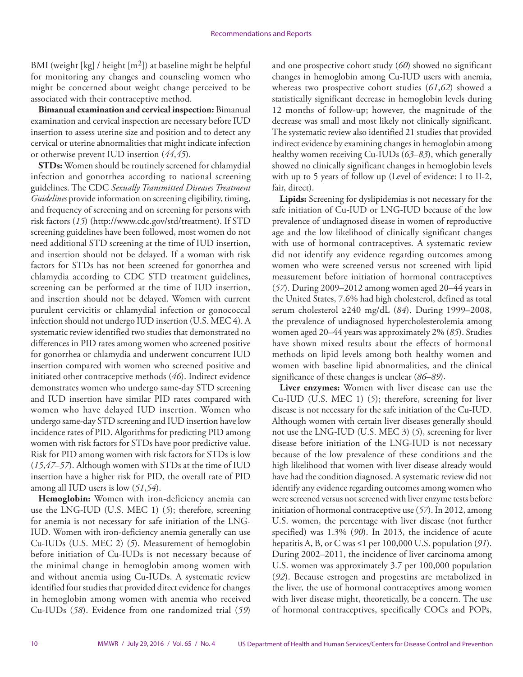BMI (weight [kg] / height [m2]) at baseline might be helpful for monitoring any changes and counseling women who might be concerned about weight change perceived to be associated with their contraceptive method.

**Bimanual examination and cervical inspection:** Bimanual examination and cervical inspection are necessary before IUD insertion to assess uterine size and position and to detect any cervical or uterine abnormalities that might indicate infection or otherwise prevent IUD insertion (*44*,*45*).

**STDs:** Women should be routinely screened for chlamydial infection and gonorrhea according to national screening guidelines. The CDC *Sexually Transmitted Diseases Treatment Guidelines* provide information on screening eligibility, timing, and frequency of screening and on screening for persons with risk factors (*15*) [\(http://www.cdc.gov/std/treatment\)](http://www.cdc.gov/std/treatment). If STD screening guidelines have been followed, most women do not need additional STD screening at the time of IUD insertion, and insertion should not be delayed. If a woman with risk factors for STDs has not been screened for gonorrhea and chlamydia according to CDC STD treatment guidelines, screening can be performed at the time of IUD insertion, and insertion should not be delayed. Women with current purulent cervicitis or chlamydial infection or gonococcal infection should not undergo IUD insertion (U.S. MEC 4). A systematic review identified two studies that demonstrated no differences in PID rates among women who screened positive for gonorrhea or chlamydia and underwent concurrent IUD insertion compared with women who screened positive and initiated other contraceptive methods (*46*). Indirect evidence demonstrates women who undergo same-day STD screening and IUD insertion have similar PID rates compared with women who have delayed IUD insertion. Women who undergo same-day STD screening and IUD insertion have low incidence rates of PID. Algorithms for predicting PID among women with risk factors for STDs have poor predictive value. Risk for PID among women with risk factors for STDs is low (*15*,*47*–*57*). Although women with STDs at the time of IUD insertion have a higher risk for PID, the overall rate of PID among all IUD users is low (*51*,*54*).

**Hemoglobin:** Women with iron-deficiency anemia can use the LNG-IUD (U.S. MEC 1) (*5*); therefore, screening for anemia is not necessary for safe initiation of the LNG-IUD. Women with iron-deficiency anemia generally can use Cu-IUDs (U.S. MEC 2) (*5*). Measurement of hemoglobin before initiation of Cu-IUDs is not necessary because of the minimal change in hemoglobin among women with and without anemia using Cu-IUDs. A systematic review identified four studies that provided direct evidence for changes in hemoglobin among women with anemia who received Cu-IUDs (*58*). Evidence from one randomized trial (*59*)

and one prospective cohort study (*60*) showed no significant changes in hemoglobin among Cu-IUD users with anemia, whereas two prospective cohort studies (*61*,*62*) showed a statistically significant decrease in hemoglobin levels during 12 months of follow-up; however, the magnitude of the decrease was small and most likely not clinically significant. The systematic review also identified 21 studies that provided indirect evidence by examining changes in hemoglobin among healthy women receiving Cu-IUDs (*63*–*83*), which generally showed no clinically significant changes in hemoglobin levels with up to 5 years of follow up (Level of evidence: I to II-2, fair, direct).

**Lipids:** Screening for dyslipidemias is not necessary for the safe initiation of Cu-IUD or LNG-IUD because of the low prevalence of undiagnosed disease in women of reproductive age and the low likelihood of clinically significant changes with use of hormonal contraceptives. A systematic review did not identify any evidence regarding outcomes among women who were screened versus not screened with lipid measurement before initiation of hormonal contraceptives (*57*). During 2009–2012 among women aged 20–44 years in the United States, 7.6% had high cholesterol, defined as total serum cholesterol ≥240 mg/dL (*84*). During 1999–2008, the prevalence of undiagnosed hypercholesterolemia among women aged 20–44 years was approximately 2% (*85*). Studies have shown mixed results about the effects of hormonal methods on lipid levels among both healthy women and women with baseline lipid abnormalities, and the clinical significance of these changes is unclear (*86*–*89*).

**Liver enzymes:** Women with liver disease can use the Cu-IUD (U.S. MEC 1) (*5*); therefore, screening for liver disease is not necessary for the safe initiation of the Cu-IUD. Although women with certain liver diseases generally should not use the LNG-IUD (U.S. MEC 3) (*5*), screening for liver disease before initiation of the LNG-IUD is not necessary because of the low prevalence of these conditions and the high likelihood that women with liver disease already would have had the condition diagnosed. A systematic review did not identify any evidence regarding outcomes among women who were screened versus not screened with liver enzyme tests before initiation of hormonal contraceptive use (*57*). In 2012, among U.S. women, the percentage with liver disease (not further specified) was 1.3% (*90*). In 2013, the incidence of acute hepatitis A, B, or C was ≤1 per 100,000 U.S. population (*91*). During 2002–2011, the incidence of liver carcinoma among U.S. women was approximately 3.7 per 100,000 population (*92*). Because estrogen and progestins are metabolized in the liver, the use of hormonal contraceptives among women with liver disease might, theoretically, be a concern. The use of hormonal contraceptives, specifically COCs and POPs,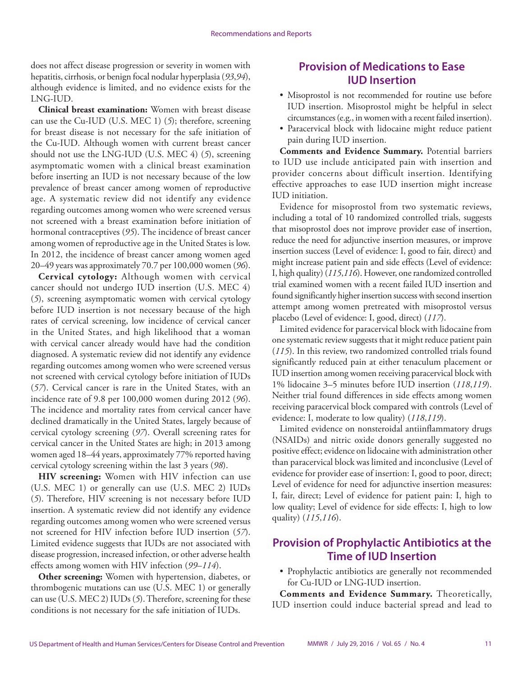does not affect disease progression or severity in women with hepatitis, cirrhosis, or benign focal nodular hyperplasia (*93*,*94*), although evidence is limited, and no evidence exists for the LNG-IUD.

**Clinical breast examination:** Women with breast disease can use the Cu-IUD (U.S. MEC 1) (*5*); therefore, screening for breast disease is not necessary for the safe initiation of the Cu-IUD. Although women with current breast cancer should not use the LNG-IUD (U.S. MEC 4) (*5*), screening asymptomatic women with a clinical breast examination before inserting an IUD is not necessary because of the low prevalence of breast cancer among women of reproductive age. A systematic review did not identify any evidence regarding outcomes among women who were screened versus not screened with a breast examination before initiation of hormonal contraceptives (*95*). The incidence of breast cancer among women of reproductive age in the United States is low. In 2012, the incidence of breast cancer among women aged 20–49 years was approximately 70.7 per 100,000 women (*96*).

**Cervical cytology:** Although women with cervical cancer should not undergo IUD insertion (U.S. MEC 4) (*5*), screening asymptomatic women with cervical cytology before IUD insertion is not necessary because of the high rates of cervical screening, low incidence of cervical cancer in the United States, and high likelihood that a woman with cervical cancer already would have had the condition diagnosed. A systematic review did not identify any evidence regarding outcomes among women who were screened versus not screened with cervical cytology before initiation of IUDs (*57*). Cervical cancer is rare in the United States, with an incidence rate of 9.8 per 100,000 women during 2012 (*96*). The incidence and mortality rates from cervical cancer have declined dramatically in the United States, largely because of cervical cytology screening (*97*). Overall screening rates for cervical cancer in the United States are high; in 2013 among women aged 18–44 years, approximately 77% reported having cervical cytology screening within the last 3 years (*98*).

**HIV screening:** Women with HIV infection can use (U.S. MEC 1) or generally can use (U.S. MEC 2) IUDs (*5*). Therefore, HIV screening is not necessary before IUD insertion. A systematic review did not identify any evidence regarding outcomes among women who were screened versus not screened for HIV infection before IUD insertion (*57*). Limited evidence suggests that IUDs are not associated with disease progression, increased infection, or other adverse health effects among women with HIV infection (*99*–*114*).

**Other screening:** Women with hypertension, diabetes, or thrombogenic mutations can use (U.S. MEC 1) or generally can use (U.S. MEC 2) IUDs (*5*). Therefore, screening for these conditions is not necessary for the safe initiation of IUDs.

### **Provision of Medications to Ease IUD Insertion**

- Misoprostol is not recommended for routine use before IUD insertion. Misoprostol might be helpful in select circumstances (e.g., in women with a recent failed insertion).
- Paracervical block with lidocaine might reduce patient pain during IUD insertion.

**Comments and Evidence Summary.** Potential barriers to IUD use include anticipated pain with insertion and provider concerns about difficult insertion. Identifying effective approaches to ease IUD insertion might increase IUD initiation.

Evidence for misoprostol from two systematic reviews, including a total of 10 randomized controlled trials, suggests that misoprostol does not improve provider ease of insertion, reduce the need for adjunctive insertion measures, or improve insertion success (Level of evidence: I, good to fair, direct) and might increase patient pain and side effects (Level of evidence: I, high quality) (*115*,*116*). However, one randomized controlled trial examined women with a recent failed IUD insertion and found significantly higher insertion success with second insertion attempt among women pretreated with misoprostol versus placebo (Level of evidence: I, good, direct) (*117*).

Limited evidence for paracervical block with lidocaine from one systematic review suggests that it might reduce patient pain (*115*). In this review, two randomized controlled trials found significantly reduced pain at either tenaculum placement or IUD insertion among women receiving paracervical block with 1% lidocaine 3–5 minutes before IUD insertion (*118*,*119*). Neither trial found differences in side effects among women receiving paracervical block compared with controls (Level of evidence: I, moderate to low quality) (*118*,*119*).

Limited evidence on nonsteroidal antiinflammatory drugs (NSAIDs) and nitric oxide donors generally suggested no positive effect; evidence on lidocaine with administration other than paracervical block was limited and inconclusive (Level of evidence for provider ease of insertion: I, good to poor, direct; Level of evidence for need for adjunctive insertion measures: I, fair, direct; Level of evidence for patient pain: I, high to low quality; Level of evidence for side effects: I, high to low quality) (*115*,*116*).

### **Provision of Prophylactic Antibiotics at the Time of IUD Insertion**

• Prophylactic antibiotics are generally not recommended for Cu-IUD or LNG-IUD insertion.

**Comments and Evidence Summary.** Theoretically, IUD insertion could induce bacterial spread and lead to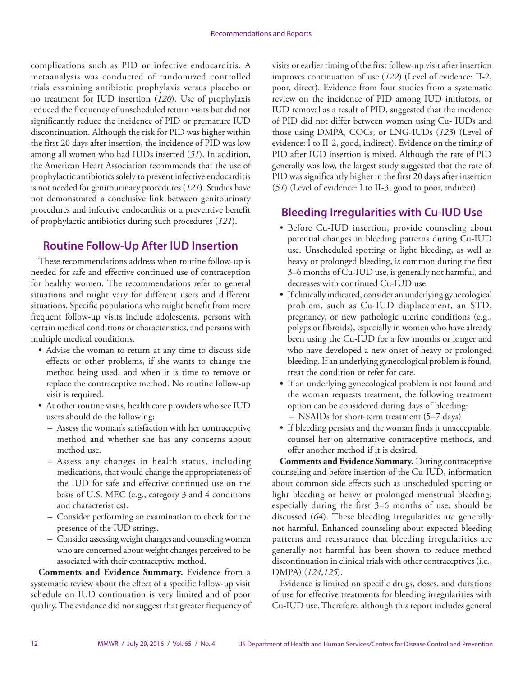complications such as PID or infective endocarditis. A metaanalysis was conducted of randomized controlled trials examining antibiotic prophylaxis versus placebo or no treatment for IUD insertion (*120*). Use of prophylaxis reduced the frequency of unscheduled return visits but did not significantly reduce the incidence of PID or premature IUD discontinuation. Although the risk for PID was higher within the first 20 days after insertion, the incidence of PID was low among all women who had IUDs inserted (*51*). In addition, the American Heart Association recommends that the use of prophylactic antibiotics solely to prevent infective endocarditis is not needed for genitourinary procedures (*121*). Studies have not demonstrated a conclusive link between genitourinary procedures and infective endocarditis or a preventive benefit of prophylactic antibiotics during such procedures (*121*).

### **Routine Follow-Up After IUD Insertion**

These recommendations address when routine follow-up is needed for safe and effective continued use of contraception for healthy women. The recommendations refer to general situations and might vary for different users and different situations. Specific populations who might benefit from more frequent follow-up visits include adolescents, persons with certain medical conditions or characteristics, and persons with multiple medical conditions.

- Advise the woman to return at any time to discuss side effects or other problems, if she wants to change the method being used, and when it is time to remove or replace the contraceptive method. No routine follow-up visit is required.
- At other routine visits, health care providers who see IUD users should do the following:
	- Assess the woman's satisfaction with her contraceptive method and whether she has any concerns about method use.
	- Assess any changes in health status, including medications, that would change the appropriateness of the IUD for safe and effective continued use on the basis of U.S. MEC (e.g., category 3 and 4 conditions and characteristics).
	- Consider performing an examination to check for the presence of the IUD strings.
	- Consider assessing weight changes and counseling women who are concerned about weight changes perceived to be associated with their contraceptive method.

**Comments and Evidence Summary.** Evidence from a systematic review about the effect of a specific follow-up visit schedule on IUD continuation is very limited and of poor quality. The evidence did not suggest that greater frequency of visits or earlier timing of the first follow-up visit after insertion improves continuation of use (*122*) (Level of evidence: II-2, poor, direct). Evidence from four studies from a systematic review on the incidence of PID among IUD initiators, or IUD removal as a result of PID, suggested that the incidence of PID did not differ between women using Cu- IUDs and those using DMPA, COCs, or LNG-IUDs (*123*) (Level of evidence: I to II-2, good, indirect). Evidence on the timing of PID after IUD insertion is mixed. Although the rate of PID generally was low, the largest study suggested that the rate of PID was significantly higher in the first 20 days after insertion (*51*) (Level of evidence: I to II-3, good to poor, indirect).

### **Bleeding Irregularities with Cu-IUD Use**

- Before Cu-IUD insertion, provide counseling about potential changes in bleeding patterns during Cu-IUD use. Unscheduled spotting or light bleeding, as well as heavy or prolonged bleeding, is common during the first 3–6 months of Cu-IUD use, is generally not harmful, and decreases with continued Cu-IUD use.
- If clinically indicated, consider an underlying gynecological problem, such as Cu-IUD displacement, an STD, pregnancy, or new pathologic uterine conditions (e.g., polyps or fibroids), especially in women who have already been using the Cu-IUD for a few months or longer and who have developed a new onset of heavy or prolonged bleeding. If an underlying gynecological problem is found, treat the condition or refer for care.
- If an underlying gynecological problem is not found and the woman requests treatment, the following treatment option can be considered during days of bleeding:
	- NSAIDs for short-term treatment (5–7 days)
- If bleeding persists and the woman finds it unacceptable, counsel her on alternative contraceptive methods, and offer another method if it is desired.

**Comments and Evidence Summary.** During contraceptive counseling and before insertion of the Cu-IUD, information about common side effects such as unscheduled spotting or light bleeding or heavy or prolonged menstrual bleeding, especially during the first 3–6 months of use, should be discussed (*64*). These bleeding irregularities are generally not harmful. Enhanced counseling about expected bleeding patterns and reassurance that bleeding irregularities are generally not harmful has been shown to reduce method discontinuation in clinical trials with other contraceptives (i.e., DMPA) (*124*,*125*).

Evidence is limited on specific drugs, doses, and durations of use for effective treatments for bleeding irregularities with Cu-IUD use. Therefore, although this report includes general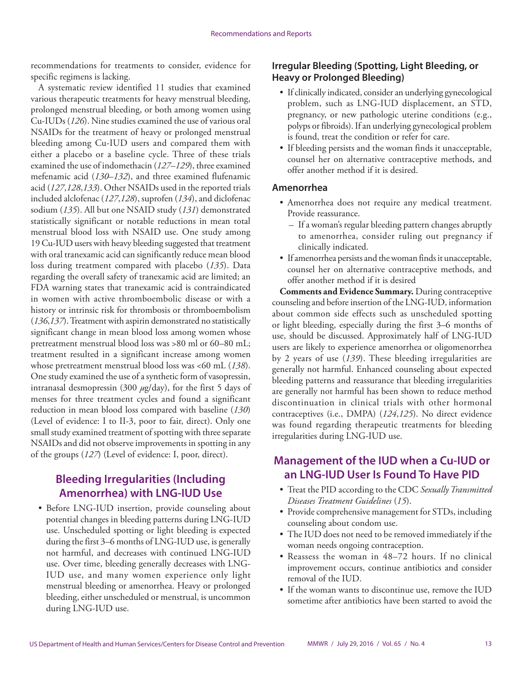recommendations for treatments to consider, evidence for specific regimens is lacking.

A systematic review identified 11 studies that examined various therapeutic treatments for heavy menstrual bleeding, prolonged menstrual bleeding, or both among women using Cu-IUDs (*126*). Nine studies examined the use of various oral NSAIDs for the treatment of heavy or prolonged menstrual bleeding among Cu-IUD users and compared them with either a placebo or a baseline cycle. Three of these trials examined the use of indomethacin (*127*–*129*), three examined mefenamic acid (*130*–*132*), and three examined flufenamic acid (*127*,*128*,*133*). Other NSAIDs used in the reported trials included alclofenac (*127*,*128*), suprofen (*134*), and diclofenac sodium (*135*). All but one NSAID study (*131*) demonstrated statistically significant or notable reductions in mean total menstrual blood loss with NSAID use. One study among 19 Cu-IUD users with heavy bleeding suggested that treatment with oral tranexamic acid can significantly reduce mean blood loss during treatment compared with placebo (*135*). Data regarding the overall safety of tranexamic acid are limited; an FDA warning states that tranexamic acid is contraindicated in women with active thromboembolic disease or with a history or intrinsic risk for thrombosis or thromboembolism (*136*,*137*). Treatment with aspirin demonstrated no statistically significant change in mean blood loss among women whose pretreatment menstrual blood loss was >80 ml or 60–80 mL; treatment resulted in a significant increase among women whose pretreatment menstrual blood loss was <60 mL (*138*). One study examined the use of a synthetic form of vasopressin, intranasal desmopressin (300 *µ*g/day), for the first 5 days of menses for three treatment cycles and found a significant reduction in mean blood loss compared with baseline (*130*) (Level of evidence: I to II-3, poor to fair, direct). Only one small study examined treatment of spotting with three separate NSAIDs and did not observe improvements in spotting in any of the groups (*127*) (Level of evidence: I, poor, direct).

## **Bleeding Irregularities (Including Amenorrhea) with LNG-IUD Use**

• Before LNG-IUD insertion, provide counseling about potential changes in bleeding patterns during LNG-IUD use. Unscheduled spotting or light bleeding is expected during the first 3–6 months of LNG-IUD use, is generally not harmful, and decreases with continued LNG-IUD use. Over time, bleeding generally decreases with LNG-IUD use, and many women experience only light menstrual bleeding or amenorrhea. Heavy or prolonged bleeding, either unscheduled or menstrual, is uncommon during LNG-IUD use.

### **Irregular Bleeding (Spotting, Light Bleeding, or Heavy or Prolonged Bleeding)**

- If clinically indicated, consider an underlying gynecological problem, such as LNG-IUD displacement, an STD, pregnancy, or new pathologic uterine conditions (e.g., polyps or fibroids). If an underlying gynecological problem is found, treat the condition or refer for care.
- If bleeding persists and the woman finds it unacceptable, counsel her on alternative contraceptive methods, and offer another method if it is desired.

#### **Amenorrhea**

- Amenorrhea does not require any medical treatment. Provide reassurance.
	- If a woman's regular bleeding pattern changes abruptly to amenorrhea, consider ruling out pregnancy if clinically indicated.
- If amenorrhea persists and the woman finds it unacceptable, counsel her on alternative contraceptive methods, and offer another method if it is desired

**Comments and Evidence Summary.** During contraceptive counseling and before insertion of the LNG-IUD, information about common side effects such as unscheduled spotting or light bleeding, especially during the first 3–6 months of use, should be discussed. Approximately half of LNG-IUD users are likely to experience amenorrhea or oligomenorrhea by 2 years of use (*139*). These bleeding irregularities are generally not harmful. Enhanced counseling about expected bleeding patterns and reassurance that bleeding irregularities are generally not harmful has been shown to reduce method discontinuation in clinical trials with other hormonal contraceptives (i.e., DMPA) (*124*,*125*). No direct evidence was found regarding therapeutic treatments for bleeding irregularities during LNG-IUD use.

### **Management of the IUD when a Cu-IUD or an LNG-IUD User Is Found To Have PID**

- Treat the PID according to the CDC *Sexually Transmitted Diseases Treatment Guidelines* (*15*).
- Provide comprehensive management for STDs, including counseling about condom use.
- The IUD does not need to be removed immediately if the woman needs ongoing contraception.
- Reassess the woman in 48–72 hours. If no clinical improvement occurs, continue antibiotics and consider removal of the IUD.
- If the woman wants to discontinue use, remove the IUD sometime after antibiotics have been started to avoid the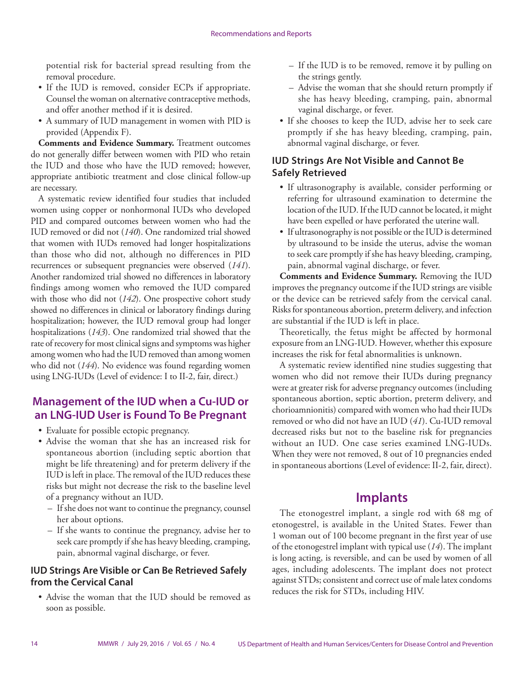<span id="page-15-0"></span>potential risk for bacterial spread resulting from the removal procedure.

- If the IUD is removed, consider ECPs if appropriate. Counsel the woman on alternative contraceptive methods, and offer another method if it is desired.
- A summary of IUD management in women with PID is provided (Appendix F).

**Comments and Evidence Summary.** Treatment outcomes do not generally differ between women with PID who retain the IUD and those who have the IUD removed; however, appropriate antibiotic treatment and close clinical follow-up are necessary.

A systematic review identified four studies that included women using copper or nonhormonal IUDs who developed PID and compared outcomes between women who had the IUD removed or did not (*140*). One randomized trial showed that women with IUDs removed had longer hospitalizations than those who did not, although no differences in PID recurrences or subsequent pregnancies were observed (*141*). Another randomized trial showed no differences in laboratory findings among women who removed the IUD compared with those who did not (*142*). One prospective cohort study showed no differences in clinical or laboratory findings during hospitalization; however, the IUD removal group had longer hospitalizations (*143*). One randomized trial showed that the rate of recovery for most clinical signs and symptoms was higher among women who had the IUD removed than among women who did not (*144*). No evidence was found regarding women using LNG-IUDs (Level of evidence: I to II-2, fair, direct.)

## **Management of the IUD when a Cu-IUD or an LNG-IUD User is Found To Be Pregnant**

- Evaluate for possible ectopic pregnancy.
- Advise the woman that she has an increased risk for spontaneous abortion (including septic abortion that might be life threatening) and for preterm delivery if the IUD is left in place. The removal of the IUD reduces these risks but might not decrease the risk to the baseline level of a pregnancy without an IUD.
	- If she does not want to continue the pregnancy, counsel her about options.
	- If she wants to continue the pregnancy, advise her to seek care promptly if she has heavy bleeding, cramping, pain, abnormal vaginal discharge, or fever.

### **IUD Strings Are Visible or Can Be Retrieved Safely from the Cervical Canal**

• Advise the woman that the IUD should be removed as soon as possible.

- If the IUD is to be removed, remove it by pulling on the strings gently.
- Advise the woman that she should return promptly if she has heavy bleeding, cramping, pain, abnormal vaginal discharge, or fever.
- If she chooses to keep the IUD, advise her to seek care promptly if she has heavy bleeding, cramping, pain, abnormal vaginal discharge, or fever.

### **IUD Strings Are Not Visible and Cannot Be Safely Retrieved**

- If ultrasonography is available, consider performing or referring for ultrasound examination to determine the location of the IUD. If the IUD cannot be located, it might have been expelled or have perforated the uterine wall.
- If ultrasonography is not possible or the IUD is determined by ultrasound to be inside the uterus, advise the woman to seek care promptly if she has heavy bleeding, cramping, pain, abnormal vaginal discharge, or fever.

**Comments and Evidence Summary.** Removing the IUD improves the pregnancy outcome if the IUD strings are visible or the device can be retrieved safely from the cervical canal. Risks for spontaneous abortion, preterm delivery, and infection are substantial if the IUD is left in place.

Theoretically, the fetus might be affected by hormonal exposure from an LNG-IUD. However, whether this exposure increases the risk for fetal abnormalities is unknown.

A systematic review identified nine studies suggesting that women who did not remove their IUDs during pregnancy were at greater risk for adverse pregnancy outcomes (including spontaneous abortion, septic abortion, preterm delivery, and chorioamnionitis) compared with women who had their IUDs removed or who did not have an IUD (*41*). Cu-IUD removal decreased risks but not to the baseline risk for pregnancies without an IUD. One case series examined LNG-IUDs. When they were not removed, 8 out of 10 pregnancies ended in spontaneous abortions (Level of evidence: II-2, fair, direct).

# **Implants**

The etonogestrel implant, a single rod with 68 mg of etonogestrel, is available in the United States. Fewer than 1 woman out of 100 become pregnant in the first year of use of the etonogestrel implant with typical use (*14*). The implant is long acting, is reversible, and can be used by women of all ages, including adolescents. The implant does not protect against STDs; consistent and correct use of male latex condoms reduces the risk for STDs, including HIV.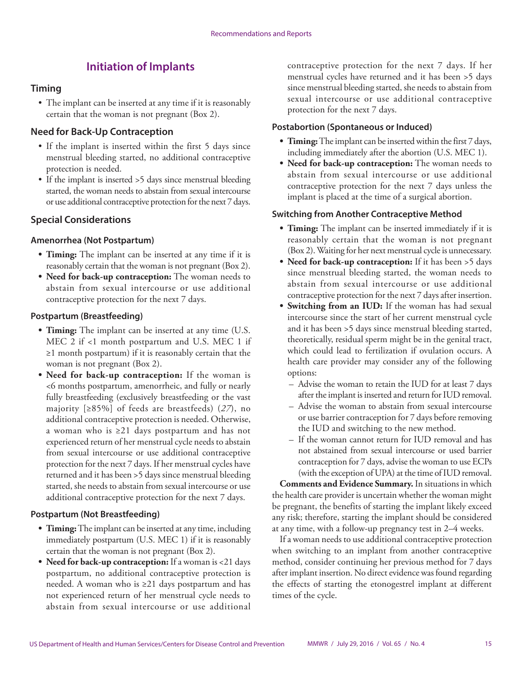# **Initiation of Implants**

#### **Timing**

• The implant can be inserted at any time if it is reasonably certain that the woman is not pregnant (Box 2).

### **Need for Back-Up Contraception**

- If the implant is inserted within the first 5 days since menstrual bleeding started, no additional contraceptive protection is needed.
- If the implant is inserted >5 days since menstrual bleeding started, the woman needs to abstain from sexual intercourse or use additional contraceptive protection for the next 7 days.

### **Special Considerations**

#### **Amenorrhea (Not Postpartum)**

- **• Timing:** The implant can be inserted at any time if it is reasonably certain that the woman is not pregnant (Box 2).
- **• Need for back-up contraception:** The woman needs to abstain from sexual intercourse or use additional contraceptive protection for the next 7 days.

#### **Postpartum (Breastfeeding)**

- **• Timing:** The implant can be inserted at any time (U.S. MEC 2 if <1 month postpartum and U.S. MEC 1 if ≥1 month postpartum) if it is reasonably certain that the woman is not pregnant (Box 2).
- **• Need for back-up contraception:** If the woman is <6 months postpartum, amenorrheic, and fully or nearly fully breastfeeding (exclusively breastfeeding or the vast majority [≥85%] of feeds are breastfeeds) (*27*), no additional contraceptive protection is needed. Otherwise, a woman who is ≥21 days postpartum and has not experienced return of her menstrual cycle needs to abstain from sexual intercourse or use additional contraceptive protection for the next 7 days. If her menstrual cycles have returned and it has been >5 days since menstrual bleeding started, she needs to abstain from sexual intercourse or use additional contraceptive protection for the next 7 days.

#### **Postpartum (Not Breastfeeding)**

- **• Timing:** The implant can be inserted at any time, including immediately postpartum (U.S. MEC 1) if it is reasonably certain that the woman is not pregnant (Box 2).
- **• Need for back-up contraception:** If a woman is <21 days postpartum, no additional contraceptive protection is needed. A woman who is ≥21 days postpartum and has not experienced return of her menstrual cycle needs to abstain from sexual intercourse or use additional

contraceptive protection for the next 7 days. If her menstrual cycles have returned and it has been >5 days since menstrual bleeding started, she needs to abstain from sexual intercourse or use additional contraceptive protection for the next 7 days.

#### **Postabortion (Spontaneous or Induced)**

- **• Timing:** The implant can be inserted within the first 7 days, including immediately after the abortion (U.S. MEC 1).
- **• Need for back-up contraception:** The woman needs to abstain from sexual intercourse or use additional contraceptive protection for the next 7 days unless the implant is placed at the time of a surgical abortion.

#### **Switching from Another Contraceptive Method**

- **• Timing:** The implant can be inserted immediately if it is reasonably certain that the woman is not pregnant (Box 2). Waiting for her next menstrual cycle is unnecessary.
- **• Need for back-up contraception:** If it has been >5 days since menstrual bleeding started, the woman needs to abstain from sexual intercourse or use additional contraceptive protection for the next 7 days after insertion.
- **• Switching from an IUD:** If the woman has had sexual intercourse since the start of her current menstrual cycle and it has been >5 days since menstrual bleeding started, theoretically, residual sperm might be in the genital tract, which could lead to fertilization if ovulation occurs. A health care provider may consider any of the following options:
	- Advise the woman to retain the IUD for at least 7 days after the implant is inserted and return for IUD removal.
	- Advise the woman to abstain from sexual intercourse or use barrier contraception for 7 days before removing the IUD and switching to the new method.
	- If the woman cannot return for IUD removal and has not abstained from sexual intercourse or used barrier contraception for 7 days, advise the woman to use ECPs (with the exception of UPA) at the time of IUD removal.

**Comments and Evidence Summary.** In situations in which the health care provider is uncertain whether the woman might be pregnant, the benefits of starting the implant likely exceed any risk; therefore, starting the implant should be considered at any time, with a follow-up pregnancy test in 2–4 weeks.

If a woman needs to use additional contraceptive protection when switching to an implant from another contraceptive method, consider continuing her previous method for 7 days after implant insertion. No direct evidence was found regarding the effects of starting the etonogestrel implant at different times of the cycle.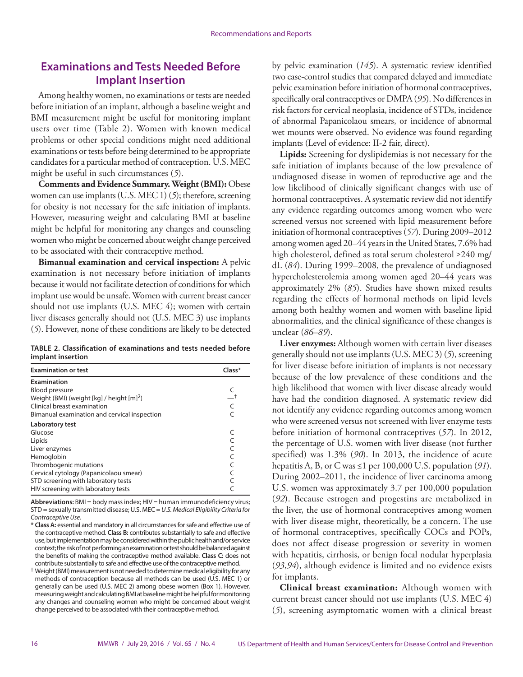### **Examinations and Tests Needed Before Implant Insertion**

Among healthy women, no examinations or tests are needed before initiation of an implant, although a baseline weight and BMI measurement might be useful for monitoring implant users over time (Table 2). Women with known medical problems or other special conditions might need additional examinations or tests before being determined to be appropriate candidates for a particular method of contraception. U.S. MEC might be useful in such circumstances (*5*).

**Comments and Evidence Summary. Weight (BMI):** Obese women can use implants (U.S. MEC 1) (*5*); therefore, screening for obesity is not necessary for the safe initiation of implants. However, measuring weight and calculating BMI at baseline might be helpful for monitoring any changes and counseling women who might be concerned about weight change perceived to be associated with their contraceptive method.

**Bimanual examination and cervical inspection:** A pelvic examination is not necessary before initiation of implants because it would not facilitate detection of conditions for which implant use would be unsafe. Women with current breast cancer should not use implants (U.S. MEC 4); women with certain liver diseases generally should not (U.S. MEC 3) use implants (*5*). However, none of these conditions are likely to be detected

#### **TABLE 2. Classification of examinations and tests needed before implant insertion**

| <b>Examination or test</b>                     | Class* |
|------------------------------------------------|--------|
| Examination                                    |        |
| <b>Blood pressure</b>                          |        |
| Weight (BMI) (weight $[kq]$ / height $[m]^2$ ) |        |
| Clinical breast examination                    |        |
| Bimanual examination and cervical inspection   |        |
| Laboratory test                                |        |
| Glucose                                        |        |
| Lipids                                         |        |
| Liver enzymes                                  |        |
| Hemoglobin                                     |        |
| Thrombogenic mutations                         |        |
| Cervical cytology (Papanicolaou smear)         |        |
| STD screening with laboratory tests            |        |
| HIV screening with laboratory tests            |        |

**Abbreviations:** BMI = body mass index; HIV = human immunodeficiency virus; STD = sexually transmitted disease; U.S. MEC = *U.S. Medical Eligibility Criteria for Contraceptive Use*.

by pelvic examination (*145*). A systematic review identified two case-control studies that compared delayed and immediate pelvic examination before initiation of hormonal contraceptives, specifically oral contraceptives or DMPA (*95*). No differences in risk factors for cervical neoplasia, incidence of STDs, incidence of abnormal Papanicolaou smears, or incidence of abnormal wet mounts were observed. No evidence was found regarding implants (Level of evidence: II-2 fair, direct).

**Lipids:** Screening for dyslipidemias is not necessary for the safe initiation of implants because of the low prevalence of undiagnosed disease in women of reproductive age and the low likelihood of clinically significant changes with use of hormonal contraceptives. A systematic review did not identify any evidence regarding outcomes among women who were screened versus not screened with lipid measurement before initiation of hormonal contraceptives (*57*). During 2009–2012 among women aged 20–44 years in the United States, 7.6% had high cholesterol, defined as total serum cholesterol ≥240 mg/ dL (*84*). During 1999–2008, the prevalence of undiagnosed hypercholesterolemia among women aged 20–44 years was approximately 2% (*85*). Studies have shown mixed results regarding the effects of hormonal methods on lipid levels among both healthy women and women with baseline lipid abnormalities, and the clinical significance of these changes is unclear (*86*–*89*).

**Liver enzymes:** Although women with certain liver diseases generally should not use implants (U.S. MEC 3) (*5*), screening for liver disease before initiation of implants is not necessary because of the low prevalence of these conditions and the high likelihood that women with liver disease already would have had the condition diagnosed. A systematic review did not identify any evidence regarding outcomes among women who were screened versus not screened with liver enzyme tests before initiation of hormonal contraceptives (*57*). In 2012, the percentage of U.S. women with liver disease (not further specified) was 1.3% (*90*). In 2013, the incidence of acute hepatitis A, B, or C was ≤1 per 100,000 U.S. population (*91*). During 2002–2011, the incidence of liver carcinoma among U.S. women was approximately 3.7 per 100,000 population (*92*). Because estrogen and progestins are metabolized in the liver, the use of hormonal contraceptives among women with liver disease might, theoretically, be a concern. The use of hormonal contraceptives, specifically COCs and POPs, does not affect disease progression or severity in women with hepatitis, cirrhosis, or benign focal nodular hyperplasia (*93*,*94*), although evidence is limited and no evidence exists for implants.

**Clinical breast examination:** Although women with current breast cancer should not use implants (U.S. MEC 4) (*5*), screening asymptomatic women with a clinical breast

**<sup>\*</sup> Class A:** essential and mandatory in all circumstances for safe and effective use of the contraceptive method. **Class B:** contributes substantially to safe and effective use, but implementation may be considered within the public health and/or service context; the risk of not performing an examination or test should be balanced against the benefits of making the contraceptive method available. **Class C:** does not contribute substantially to safe and effective use of the contraceptive method.

<sup>†</sup> Weight (BMI) measurement is not needed to determine medical eligibility for any methods of contraception because all methods can be used (U.S. MEC 1) or generally can be used (U.S. MEC 2) among obese women (Box 1). However, measuring weight and calculating BMI at baseline might be helpful for monitoring any changes and counseling women who might be concerned about weight change perceived to be associated with their contraceptive method.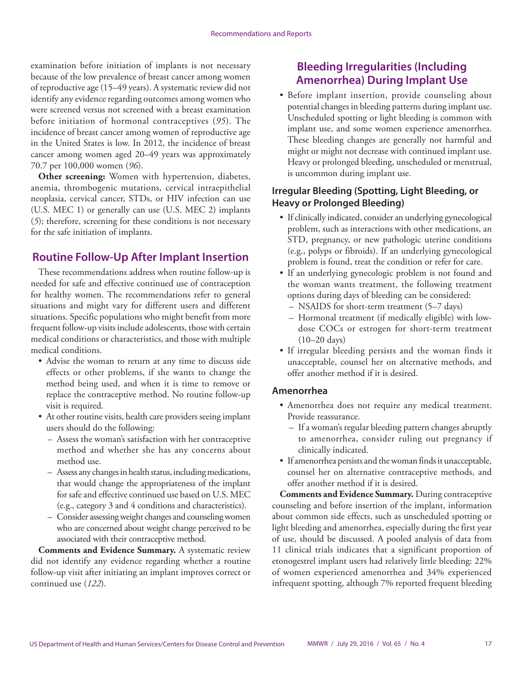examination before initiation of implants is not necessary because of the low prevalence of breast cancer among women of reproductive age (15–49 years). A systematic review did not identify any evidence regarding outcomes among women who were screened versus not screened with a breast examination before initiation of hormonal contraceptives (*95*). The incidence of breast cancer among women of reproductive age in the United States is low. In 2012, the incidence of breast cancer among women aged 20–49 years was approximately 70.7 per 100,000 women (*96*).

**Other screening:** Women with hypertension, diabetes, anemia, thrombogenic mutations, cervical intraepithelial neoplasia, cervical cancer, STDs, or HIV infection can use (U.S. MEC 1) or generally can use (U.S. MEC 2) implants (*5*); therefore, screening for these conditions is not necessary for the safe initiation of implants.

### **Routine Follow-Up After Implant Insertion**

These recommendations address when routine follow-up is needed for safe and effective continued use of contraception for healthy women. The recommendations refer to general situations and might vary for different users and different situations. Specific populations who might benefit from more frequent follow-up visits include adolescents, those with certain medical conditions or characteristics, and those with multiple medical conditions.

- Advise the woman to return at any time to discuss side effects or other problems, if she wants to change the method being used, and when it is time to remove or replace the contraceptive method. No routine follow-up visit is required.
- At other routine visits, health care providers seeing implant users should do the following:
	- Assess the woman's satisfaction with her contraceptive method and whether she has any concerns about method use.
	- Assess any changes in health status, including medications, that would change the appropriateness of the implant for safe and effective continued use based on U.S. MEC (e.g., category 3 and 4 conditions and characteristics).
	- Consider assessing weight changes and counseling women who are concerned about weight change perceived to be associated with their contraceptive method.

**Comments and Evidence Summary.** A systematic review did not identify any evidence regarding whether a routine follow-up visit after initiating an implant improves correct or continued use (*122*).

### **Bleeding Irregularities (Including Amenorrhea) During Implant Use**

• Before implant insertion, provide counseling about potential changes in bleeding patterns during implant use. Unscheduled spotting or light bleeding is common with implant use, and some women experience amenorrhea. These bleeding changes are generally not harmful and might or might not decrease with continued implant use. Heavy or prolonged bleeding, unscheduled or menstrual, is uncommon during implant use.

### **Irregular Bleeding (Spotting, Light Bleeding, or Heavy or Prolonged Bleeding)**

- If clinically indicated, consider an underlying gynecological problem, such as interactions with other medications, an STD, pregnancy, or new pathologic uterine conditions (e.g., polyps or fibroids). If an underlying gynecological problem is found, treat the condition or refer for care.
- If an underlying gynecologic problem is not found and the woman wants treatment, the following treatment options during days of bleeding can be considered:
	- NSAIDS for short-term treatment (5–7 days)
	- Hormonal treatment (if medically eligible) with lowdose COCs or estrogen for short-term treatment (10–20 days)
- If irregular bleeding persists and the woman finds it unacceptable, counsel her on alternative methods, and offer another method if it is desired.

#### **Amenorrhea**

- Amenorrhea does not require any medical treatment. Provide reassurance.
	- If a woman's regular bleeding pattern changes abruptly to amenorrhea, consider ruling out pregnancy if clinically indicated.
- If amenorrhea persists and the woman finds it unacceptable, counsel her on alternative contraceptive methods, and offer another method if it is desired.

**Comments and Evidence Summary.** During contraceptive counseling and before insertion of the implant, information about common side effects, such as unscheduled spotting or light bleeding and amenorrhea, especially during the first year of use, should be discussed. A pooled analysis of data from 11 clinical trials indicates that a significant proportion of etonogestrel implant users had relatively little bleeding: 22% of women experienced amenorrhea and 34% experienced infrequent spotting, although 7% reported frequent bleeding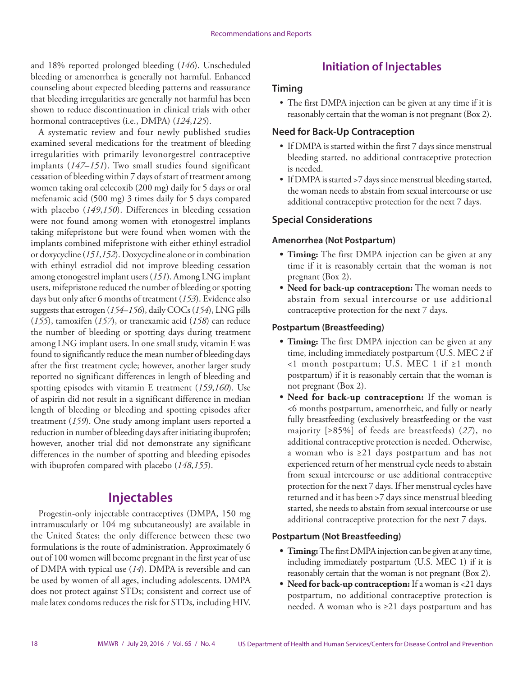<span id="page-19-0"></span>and 18% reported prolonged bleeding (*146*). Unscheduled bleeding or amenorrhea is generally not harmful. Enhanced counseling about expected bleeding patterns and reassurance that bleeding irregularities are generally not harmful has been shown to reduce discontinuation in clinical trials with other hormonal contraceptives (i.e., DMPA) (*124*,*125*).

A systematic review and four newly published studies examined several medications for the treatment of bleeding irregularities with primarily levonorgestrel contraceptive implants (*147*–*151*). Two small studies found significant cessation of bleeding within 7 days of start of treatment among women taking oral celecoxib (200 mg) daily for 5 days or oral mefenamic acid (500 mg) 3 times daily for 5 days compared with placebo (*149*,*150*). Differences in bleeding cessation were not found among women with etonogestrel implants taking mifepristone but were found when women with the implants combined mifepristone with either ethinyl estradiol or doxycycline (*151*,*152*). Doxycycline alone or in combination with ethinyl estradiol did not improve bleeding cessation among etonogestrel implant users (*151*). Among LNG implant users, mifepristone reduced the number of bleeding or spotting days but only after 6 months of treatment (*153*). Evidence also suggests that estrogen (*154*–*156*), daily COCs (*154*), LNG pills (*155*), tamoxifen (*157*), or tranexamic acid (*158*) can reduce the number of bleeding or spotting days during treatment among LNG implant users. In one small study, vitamin E was found to significantly reduce the mean number of bleeding days after the first treatment cycle; however, another larger study reported no significant differences in length of bleeding and spotting episodes with vitamin E treatment (*159*,*160*). Use of aspirin did not result in a significant difference in median length of bleeding or bleeding and spotting episodes after treatment (*159*). One study among implant users reported a reduction in number of bleeding days after initiating ibuprofen; however, another trial did not demonstrate any significant differences in the number of spotting and bleeding episodes with ibuprofen compared with placebo (*148*,*155*).

# **Injectables**

Progestin-only injectable contraceptives (DMPA, 150 mg intramuscularly or 104 mg subcutaneously) are available in the United States; the only difference between these two formulations is the route of administration. Approximately 6 out of 100 women will become pregnant in the first year of use of DMPA with typical use (*14*). DMPA is reversible and can be used by women of all ages, including adolescents. DMPA does not protect against STDs; consistent and correct use of male latex condoms reduces the risk for STDs, including HIV.

# **Initiation of Injectables**

#### **Timing**

• The first DMPA injection can be given at any time if it is reasonably certain that the woman is not pregnant (Box 2).

#### **Need for Back-Up Contraception**

- If DMPA is started within the first 7 days since menstrual bleeding started, no additional contraceptive protection is needed.
- If DMPA is started >7 days since menstrual bleeding started, the woman needs to abstain from sexual intercourse or use additional contraceptive protection for the next 7 days.

### **Special Considerations**

#### **Amenorrhea (Not Postpartum)**

- **• Timing:** The first DMPA injection can be given at any time if it is reasonably certain that the woman is not pregnant (Box 2).
- **• Need for back-up contraception:** The woman needs to abstain from sexual intercourse or use additional contraceptive protection for the next 7 days.

#### **Postpartum (Breastfeeding)**

- **• Timing:** The first DMPA injection can be given at any time, including immediately postpartum (U.S. MEC 2 if <1 month postpartum; U.S. MEC 1 if ≥1 month postpartum) if it is reasonably certain that the woman is not pregnant (Box 2).
- **• Need for back-up contraception:** If the woman is <6 months postpartum, amenorrheic, and fully or nearly fully breastfeeding (exclusively breastfeeding or the vast majority [≥85%] of feeds are breastfeeds) (*27*), no additional contraceptive protection is needed. Otherwise, a woman who is ≥21 days postpartum and has not experienced return of her menstrual cycle needs to abstain from sexual intercourse or use additional contraceptive protection for the next 7 days. If her menstrual cycles have returned and it has been >7 days since menstrual bleeding started, she needs to abstain from sexual intercourse or use additional contraceptive protection for the next 7 days.

#### **Postpartum (Not Breastfeeding)**

- **• Timing:** The first DMPA injection can be given at any time, including immediately postpartum (U.S. MEC 1) if it is reasonably certain that the woman is not pregnant (Box 2).
- **• Need for back-up contraception:** If a woman is <21 days postpartum, no additional contraceptive protection is needed. A woman who is ≥21 days postpartum and has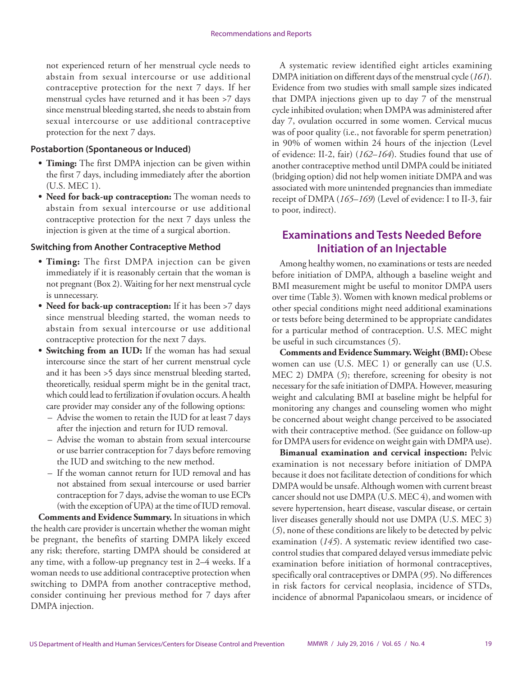not experienced return of her menstrual cycle needs to abstain from sexual intercourse or use additional contraceptive protection for the next 7 days. If her menstrual cycles have returned and it has been >7 days since menstrual bleeding started, she needs to abstain from sexual intercourse or use additional contraceptive protection for the next 7 days.

#### **Postabortion (Spontaneous or Induced)**

- **• Timing:** The first DMPA injection can be given within the first 7 days, including immediately after the abortion (U.S. MEC 1).
- **• Need for back-up contraception:** The woman needs to abstain from sexual intercourse or use additional contraceptive protection for the next 7 days unless the injection is given at the time of a surgical abortion.

#### **Switching from Another Contraceptive Method**

- **• Timing:** The first DMPA injection can be given immediately if it is reasonably certain that the woman is not pregnant (Box 2). Waiting for her next menstrual cycle is unnecessary.
- **• Need for back-up contraception:** If it has been >7 days since menstrual bleeding started, the woman needs to abstain from sexual intercourse or use additional contraceptive protection for the next 7 days.
- **• Switching from an IUD:** If the woman has had sexual intercourse since the start of her current menstrual cycle and it has been >5 days since menstrual bleeding started, theoretically, residual sperm might be in the genital tract, which could lead to fertilization if ovulation occurs. A health care provider may consider any of the following options:
	- Advise the women to retain the IUD for at least 7 days after the injection and return for IUD removal.
	- Advise the woman to abstain from sexual intercourse or use barrier contraception for 7 days before removing the IUD and switching to the new method.
	- If the woman cannot return for IUD removal and has not abstained from sexual intercourse or used barrier contraception for 7 days, advise the woman to use ECPs (with the exception of UPA) at the time of IUD removal.

**Comments and Evidence Summary.** In situations in which the health care provider is uncertain whether the woman might be pregnant, the benefits of starting DMPA likely exceed any risk; therefore, starting DMPA should be considered at any time, with a follow-up pregnancy test in 2–4 weeks. If a woman needs to use additional contraceptive protection when switching to DMPA from another contraceptive method, consider continuing her previous method for 7 days after DMPA injection.

A systematic review identified eight articles examining DMPA initiation on different days of the menstrual cycle (*161*). Evidence from two studies with small sample sizes indicated that DMPA injections given up to day 7 of the menstrual cycle inhibited ovulation; when DMPA was administered after day 7, ovulation occurred in some women. Cervical mucus was of poor quality (i.e., not favorable for sperm penetration) in 90% of women within 24 hours of the injection (Level of evidence: II-2, fair) (*162*–*164*). Studies found that use of another contraceptive method until DMPA could be initiated (bridging option) did not help women initiate DMPA and was associated with more unintended pregnancies than immediate receipt of DMPA (*165*–*169*) (Level of evidence: I to II-3, fair to poor, indirect).

### **Examinations and Tests Needed Before Initiation of an Injectable**

Among healthy women, no examinations or tests are needed before initiation of DMPA, although a baseline weight and BMI measurement might be useful to monitor DMPA users over time (Table 3). Women with known medical problems or other special conditions might need additional examinations or tests before being determined to be appropriate candidates for a particular method of contraception. U.S. MEC might be useful in such circumstances (*5*).

**Comments and Evidence Summary.Weight (BMI):** Obese women can use (U.S. MEC 1) or generally can use (U.S. MEC 2) DMPA (*5*); therefore, screening for obesity is not necessary for the safe initiation of DMPA. However, measuring weight and calculating BMI at baseline might be helpful for monitoring any changes and counseling women who might be concerned about weight change perceived to be associated with their contraceptive method. (See guidance on follow-up for DMPA users for evidence on weight gain with DMPA use).

**Bimanual examination and cervical inspection:** Pelvic examination is not necessary before initiation of DMPA because it does not facilitate detection of conditions for which DMPA would be unsafe. Although women with current breast cancer should not use DMPA (U.S. MEC 4), and women with severe hypertension, heart disease, vascular disease, or certain liver diseases generally should not use DMPA (U.S. MEC 3) (*5*), none of these conditions are likely to be detected by pelvic examination (*145*). A systematic review identified two casecontrol studies that compared delayed versus immediate pelvic examination before initiation of hormonal contraceptives, specifically oral contraceptives or DMPA (*95*). No differences in risk factors for cervical neoplasia, incidence of STDs, incidence of abnormal Papanicolaou smears, or incidence of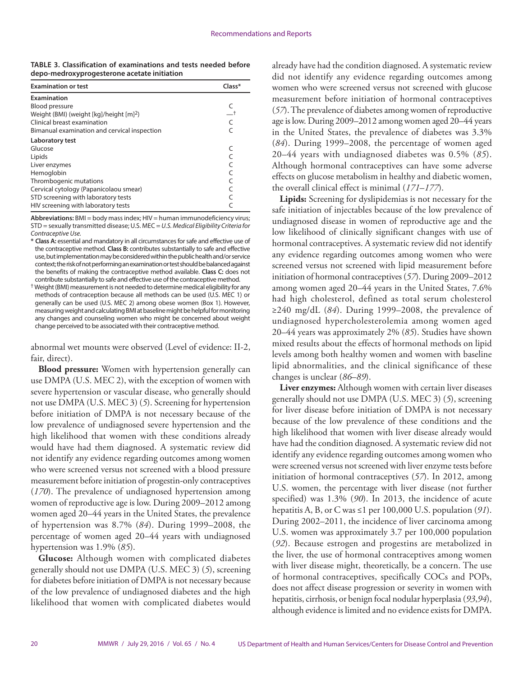**TABLE 3. Classification of examinations and tests needed before depo-medroxyprogesterone acetate initiation**

| <b>Examination or test</b>                          | Class* |
|-----------------------------------------------------|--------|
| Examination                                         |        |
| <b>Blood pressure</b>                               |        |
| Weight (BMI) (weight [kg]/height [m] <sup>2</sup> ) |        |
| Clinical breast examination                         |        |
| Bimanual examination and cervical inspection        |        |
| Laboratory test                                     |        |
| Glucose                                             |        |
| Lipids                                              |        |
| Liver enzymes                                       |        |
| Hemoglobin                                          |        |
| Thrombogenic mutations                              |        |
| Cervical cytology (Papanicolaou smear)              |        |
| STD screening with laboratory tests                 |        |
| HIV screening with laboratory tests                 |        |

**Abbreviations:** BMI = body mass index; HIV = human immunodeficiency virus; STD = sexually transmitted disease; U.S. MEC = *U.S. Medical Eligibility Criteria for Contraceptive Use.*

**\* Class A:** essential and mandatory in all circumstances for safe and effective use of the contraceptive method. **Class B:** contributes substantially to safe and effective use, but implementation may be considered within the public health and/or service context; the risk of not performing an examination or test should be balanced against the benefits of making the contraceptive method available. **Class C:** does not contribute substantially to safe and effective use of the contraceptive method.

 $^\dagger$  Weight (BMI) measurement is not needed to determine medical eligibility for any methods of contraception because all methods can be used (U.S. MEC 1) or generally can be used (U.S. MEC 2) among obese women (Box 1). However, measuring weight and calculating BMI at baseline might be helpful for monitoring any changes and counseling women who might be concerned about weight change perceived to be associated with their contraceptive method.

abnormal wet mounts were observed (Level of evidence: II-2, fair, direct).

**Blood pressure:** Women with hypertension generally can use DMPA (U.S. MEC 2), with the exception of women with severe hypertension or vascular disease, who generally should not use DMPA (U.S. MEC 3) (*5*). Screening for hypertension before initiation of DMPA is not necessary because of the low prevalence of undiagnosed severe hypertension and the high likelihood that women with these conditions already would have had them diagnosed. A systematic review did not identify any evidence regarding outcomes among women who were screened versus not screened with a blood pressure measurement before initiation of progestin-only contraceptives (*170*). The prevalence of undiagnosed hypertension among women of reproductive age is low. During 2009–2012 among women aged 20–44 years in the United States, the prevalence of hypertension was 8.7% (*84*). During 1999–2008, the percentage of women aged 20–44 years with undiagnosed hypertension was 1.9% (*85*).

**Glucose:** Although women with complicated diabetes generally should not use DMPA (U.S. MEC 3) (*5*), screening for diabetes before initiation of DMPA is not necessary because of the low prevalence of undiagnosed diabetes and the high likelihood that women with complicated diabetes would already have had the condition diagnosed. A systematic review did not identify any evidence regarding outcomes among women who were screened versus not screened with glucose measurement before initiation of hormonal contraceptives (*57*). The prevalence of diabetes among women of reproductive age is low. During 2009–2012 among women aged 20–44 years in the United States, the prevalence of diabetes was 3.3% (*84*). During 1999–2008, the percentage of women aged 20–44 years with undiagnosed diabetes was 0.5% (*85*). Although hormonal contraceptives can have some adverse effects on glucose metabolism in healthy and diabetic women, the overall clinical effect is minimal (*171*–*177*).

**Lipids:** Screening for dyslipidemias is not necessary for the safe initiation of injectables because of the low prevalence of undiagnosed disease in women of reproductive age and the low likelihood of clinically significant changes with use of hormonal contraceptives. A systematic review did not identify any evidence regarding outcomes among women who were screened versus not screened with lipid measurement before initiation of hormonal contraceptives (*57*). During 2009–2012 among women aged 20–44 years in the United States, 7.6% had high cholesterol, defined as total serum cholesterol ≥240 mg/dL (*84*). During 1999–2008, the prevalence of undiagnosed hypercholesterolemia among women aged 20–44 years was approximately 2% (*85*). Studies have shown mixed results about the effects of hormonal methods on lipid levels among both healthy women and women with baseline lipid abnormalities, and the clinical significance of these changes is unclear (*86*–*89*).

**Liver enzymes:** Although women with certain liver diseases generally should not use DMPA (U.S. MEC 3) (*5*), screening for liver disease before initiation of DMPA is not necessary because of the low prevalence of these conditions and the high likelihood that women with liver disease already would have had the condition diagnosed. A systematic review did not identify any evidence regarding outcomes among women who were screened versus not screened with liver enzyme tests before initiation of hormonal contraceptives (*57*). In 2012, among U.S. women, the percentage with liver disease (not further specified) was 1.3% (*90*). In 2013, the incidence of acute hepatitis A, B, or C was ≤1 per 100,000 U.S. population (*91*). During 2002–2011, the incidence of liver carcinoma among U.S. women was approximately 3.7 per 100,000 population (*92*). Because estrogen and progestins are metabolized in the liver, the use of hormonal contraceptives among women with liver disease might, theoretically, be a concern. The use of hormonal contraceptives, specifically COCs and POPs, does not affect disease progression or severity in women with hepatitis, cirrhosis, or benign focal nodular hyperplasia (*93*,*94*), although evidence is limited and no evidence exists for DMPA.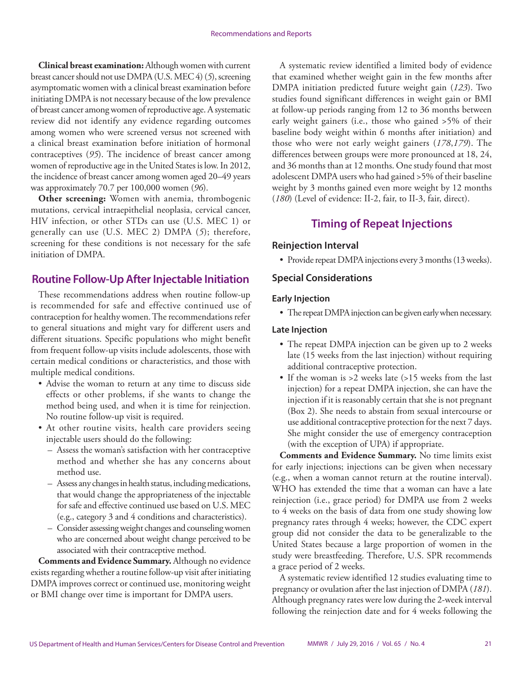**Clinical breast examination:** Although women with current breast cancer should not use DMPA (U.S. MEC 4) (*5*), screening asymptomatic women with a clinical breast examination before initiating DMPA is not necessary because of the low prevalence of breast cancer among women of reproductive age. A systematic review did not identify any evidence regarding outcomes among women who were screened versus not screened with a clinical breast examination before initiation of hormonal contraceptives (*95*). The incidence of breast cancer among women of reproductive age in the United States is low. In 2012, the incidence of breast cancer among women aged 20–49 years was approximately 70.7 per 100,000 women (*96*).

**Other screening:** Women with anemia, thrombogenic mutations, cervical intraepithelial neoplasia, cervical cancer, HIV infection, or other STDs can use (U.S. MEC 1) or generally can use (U.S. MEC 2) DMPA (*5*); therefore, screening for these conditions is not necessary for the safe initiation of DMPA.

### **Routine Follow-Up After Injectable Initiation**

These recommendations address when routine follow-up is recommended for safe and effective continued use of contraception for healthy women. The recommendations refer to general situations and might vary for different users and different situations. Specific populations who might benefit from frequent follow-up visits include adolescents, those with certain medical conditions or characteristics, and those with multiple medical conditions.

- Advise the woman to return at any time to discuss side effects or other problems, if she wants to change the method being used, and when it is time for reinjection. No routine follow-up visit is required.
- At other routine visits, health care providers seeing injectable users should do the following:
	- Assess the woman's satisfaction with her contraceptive method and whether she has any concerns about method use.
	- Assess any changes in health status, including medications, that would change the appropriateness of the injectable for safe and effective continued use based on U.S. MEC (e.g., category 3 and 4 conditions and characteristics).
	- Consider assessing weight changes and counseling women who are concerned about weight change perceived to be associated with their contraceptive method.

**Comments and Evidence Summary.** Although no evidence exists regarding whether a routine follow-up visit after initiating DMPA improves correct or continued use, monitoring weight or BMI change over time is important for DMPA users.

A systematic review identified a limited body of evidence that examined whether weight gain in the few months after DMPA initiation predicted future weight gain (*123*). Two studies found significant differences in weight gain or BMI at follow-up periods ranging from 12 to 36 months between early weight gainers (i.e., those who gained >5% of their baseline body weight within 6 months after initiation) and those who were not early weight gainers (*178*,*179*). The differences between groups were more pronounced at 18, 24, and 36 months than at 12 months. One study found that most adolescent DMPA users who had gained >5% of their baseline weight by 3 months gained even more weight by 12 months (*180*) (Level of evidence: II-2, fair, to II-3, fair, direct).

### **Timing of Repeat Injections**

#### **Reinjection Interval**

• Provide repeat DMPA injections every 3 months (13 weeks).

#### **Special Considerations**

#### **Early Injection**

• The repeat DMPA injection can be given early when necessary.

#### **Late Injection**

- The repeat DMPA injection can be given up to 2 weeks late (15 weeks from the last injection) without requiring additional contraceptive protection.
- If the woman is >2 weeks late (>15 weeks from the last injection) for a repeat DMPA injection, she can have the injection if it is reasonably certain that she is not pregnant (Box 2). She needs to abstain from sexual intercourse or use additional contraceptive protection for the next 7 days. She might consider the use of emergency contraception (with the exception of UPA) if appropriate.

**Comments and Evidence Summary.** No time limits exist for early injections; injections can be given when necessary (e.g., when a woman cannot return at the routine interval). WHO has extended the time that a woman can have a late reinjection (i.e., grace period) for DMPA use from 2 weeks to 4 weeks on the basis of data from one study showing low pregnancy rates through 4 weeks; however, the CDC expert group did not consider the data to be generalizable to the United States because a large proportion of women in the study were breastfeeding. Therefore, U.S. SPR recommends a grace period of 2 weeks.

A systematic review identified 12 studies evaluating time to pregnancy or ovulation after the last injection of DMPA (*181*). Although pregnancy rates were low during the 2-week interval following the reinjection date and for 4 weeks following the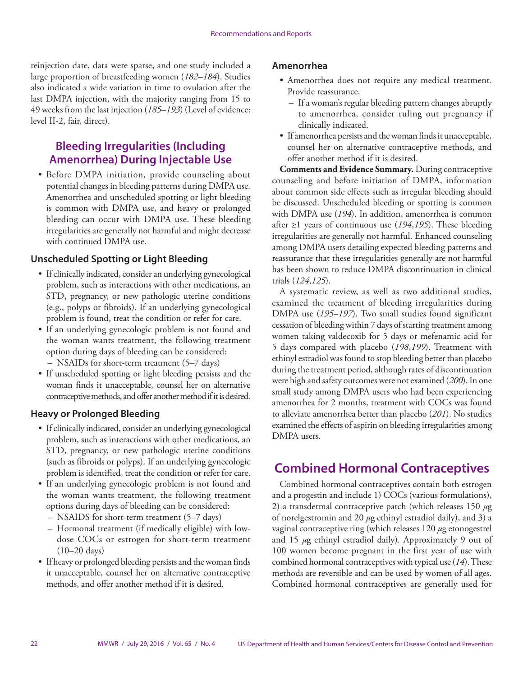<span id="page-23-0"></span>reinjection date, data were sparse, and one study included a large proportion of breastfeeding women (*182*–*184*). Studies also indicated a wide variation in time to ovulation after the last DMPA injection, with the majority ranging from 15 to 49 weeks from the last injection (*185*–*193*) (Level of evidence: level II-2, fair, direct).

### **Bleeding Irregularities (Including Amenorrhea) During Injectable Use**

• Before DMPA initiation, provide counseling about potential changes in bleeding patterns during DMPA use. Amenorrhea and unscheduled spotting or light bleeding is common with DMPA use, and heavy or prolonged bleeding can occur with DMPA use. These bleeding irregularities are generally not harmful and might decrease with continued DMPA use.

#### **Unscheduled Spotting or Light Bleeding**

- If clinically indicated, consider an underlying gynecological problem, such as interactions with other medications, an STD, pregnancy, or new pathologic uterine conditions (e.g., polyps or fibroids). If an underlying gynecological problem is found, treat the condition or refer for care.
- If an underlying gynecologic problem is not found and the woman wants treatment, the following treatment option during days of bleeding can be considered: – NSAIDs for short-term treatment (5–7 days)
- If unscheduled spotting or light bleeding persists and the woman finds it unacceptable, counsel her on alternative contraceptive methods, and offer another method if it is desired.

#### **Heavy or Prolonged Bleeding**

- If clinically indicated, consider an underlying gynecological problem, such as interactions with other medications, an STD, pregnancy, or new pathologic uterine conditions (such as fibroids or polyps). If an underlying gynecologic problem is identified, treat the condition or refer for care.
- If an underlying gynecologic problem is not found and the woman wants treatment, the following treatment options during days of bleeding can be considered:
	- NSAIDS for short-term treatment (5–7 days)
	- Hormonal treatment (if medically eligible) with lowdose COCs or estrogen for short-term treatment (10–20 days)
- If heavy or prolonged bleeding persists and the woman finds it unacceptable, counsel her on alternative contraceptive methods, and offer another method if it is desired.

#### **Amenorrhea**

- Amenorrhea does not require any medical treatment. Provide reassurance.
	- If a woman's regular bleeding pattern changes abruptly to amenorrhea, consider ruling out pregnancy if clinically indicated.
- If amenorrhea persists and the woman finds it unacceptable, counsel her on alternative contraceptive methods, and offer another method if it is desired.

**Comments and Evidence Summary.** During contraceptive counseling and before initiation of DMPA, information about common side effects such as irregular bleeding should be discussed. Unscheduled bleeding or spotting is common with DMPA use (*194*). In addition, amenorrhea is common after ≥1 years of continuous use (*194*,*195*). These bleeding irregularities are generally not harmful. Enhanced counseling among DMPA users detailing expected bleeding patterns and reassurance that these irregularities generally are not harmful has been shown to reduce DMPA discontinuation in clinical trials (*124*,*125*).

A systematic review, as well as two additional studies, examined the treatment of bleeding irregularities during DMPA use (*195*–*197*). Two small studies found significant cessation of bleeding within 7 days of starting treatment among women taking valdecoxib for 5 days or mefenamic acid for 5 days compared with placebo (*198*,*199*). Treatment with ethinyl estradiol was found to stop bleeding better than placebo during the treatment period, although rates of discontinuation were high and safety outcomes were not examined (*200*). In one small study among DMPA users who had been experiencing amenorrhea for 2 months, treatment with COCs was found to alleviate amenorrhea better than placebo (*201*). No studies examined the effects of aspirin on bleeding irregularities among DMPA users.

# **Combined Hormonal Contraceptives**

Combined hormonal contraceptives contain both estrogen and a progestin and include 1) COCs (various formulations), 2) a transdermal contraceptive patch (which releases 150 *µ*g of norelgestromin and 20 *µ*g ethinyl estradiol daily), and 3) a vaginal contraceptive ring (which releases 120 *µ*g etonogestrel and 15 *µ*g ethinyl estradiol daily). Approximately 9 out of 100 women become pregnant in the first year of use with combined hormonal contraceptives with typical use (*14*). These methods are reversible and can be used by women of all ages. Combined hormonal contraceptives are generally used for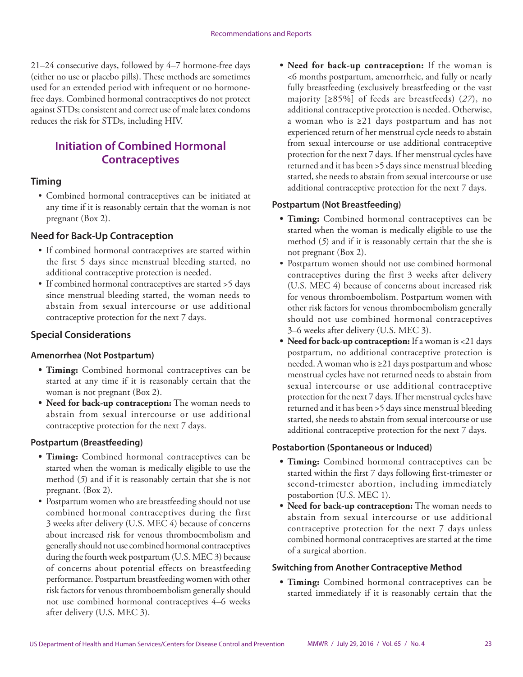21–24 consecutive days, followed by 4–7 hormone-free days (either no use or placebo pills). These methods are sometimes used for an extended period with infrequent or no hormonefree days. Combined hormonal contraceptives do not protect against STDs; consistent and correct use of male latex condoms reduces the risk for STDs, including HIV.

# **Initiation of Combined Hormonal Contraceptives**

### **Timing**

• Combined hormonal contraceptives can be initiated at any time if it is reasonably certain that the woman is not pregnant (Box 2).

### **Need for Back-Up Contraception**

- If combined hormonal contraceptives are started within the first 5 days since menstrual bleeding started, no additional contraceptive protection is needed.
- If combined hormonal contraceptives are started >5 days since menstrual bleeding started, the woman needs to abstain from sexual intercourse or use additional contraceptive protection for the next 7 days.

### **Special Considerations**

#### **Amenorrhea (Not Postpartum)**

- **• Timing:** Combined hormonal contraceptives can be started at any time if it is reasonably certain that the woman is not pregnant (Box 2).
- **• Need for back-up contraception:** The woman needs to abstain from sexual intercourse or use additional contraceptive protection for the next 7 days.

#### **Postpartum (Breastfeeding)**

- **• Timing:** Combined hormonal contraceptives can be started when the woman is medically eligible to use the method (*5*) and if it is reasonably certain that she is not pregnant. (Box 2).
- Postpartum women who are breastfeeding should not use combined hormonal contraceptives during the first 3 weeks after delivery (U.S. MEC 4) because of concerns about increased risk for venous thromboembolism and generally should not use combined hormonal contraceptives during the fourth week postpartum (U.S. MEC 3) because of concerns about potential effects on breastfeeding performance. Postpartum breastfeeding women with other risk factors for venous thromboembolism generally should not use combined hormonal contraceptives 4–6 weeks after delivery (U.S. MEC 3).

**• Need for back-up contraception:** If the woman is <6 months postpartum, amenorrheic, and fully or nearly fully breastfeeding (exclusively breastfeeding or the vast majority [≥85%] of feeds are breastfeeds) (*27*), no additional contraceptive protection is needed. Otherwise, a woman who is ≥21 days postpartum and has not experienced return of her menstrual cycle needs to abstain from sexual intercourse or use additional contraceptive protection for the next 7 days. If her menstrual cycles have returned and it has been >5 days since menstrual bleeding started, she needs to abstain from sexual intercourse or use additional contraceptive protection for the next 7 days.

#### **Postpartum (Not Breastfeeding)**

- **• Timing:** Combined hormonal contraceptives can be started when the woman is medically eligible to use the method (*5*) and if it is reasonably certain that the she is not pregnant (Box 2).
- Postpartum women should not use combined hormonal contraceptives during the first 3 weeks after delivery (U.S. MEC 4) because of concerns about increased risk for venous thromboembolism. Postpartum women with other risk factors for venous thromboembolism generally should not use combined hormonal contraceptives 3–6 weeks after delivery (U.S. MEC 3).
- **• Need for back-up contraception:** If a woman is <21 days postpartum, no additional contraceptive protection is needed. A woman who is ≥21 days postpartum and whose menstrual cycles have not returned needs to abstain from sexual intercourse or use additional contraceptive protection for the next 7 days. If her menstrual cycles have returned and it has been >5 days since menstrual bleeding started, she needs to abstain from sexual intercourse or use additional contraceptive protection for the next 7 days.

#### **Postabortion (Spontaneous or Induced)**

- **• Timing:** Combined hormonal contraceptives can be started within the first 7 days following first-trimester or second-trimester abortion, including immediately postabortion (U.S. MEC 1).
- **• Need for back-up contraception:** The woman needs to abstain from sexual intercourse or use additional contraceptive protection for the next 7 days unless combined hormonal contraceptives are started at the time of a surgical abortion.

#### **Switching from Another Contraceptive Method**

**• Timing:** Combined hormonal contraceptives can be started immediately if it is reasonably certain that the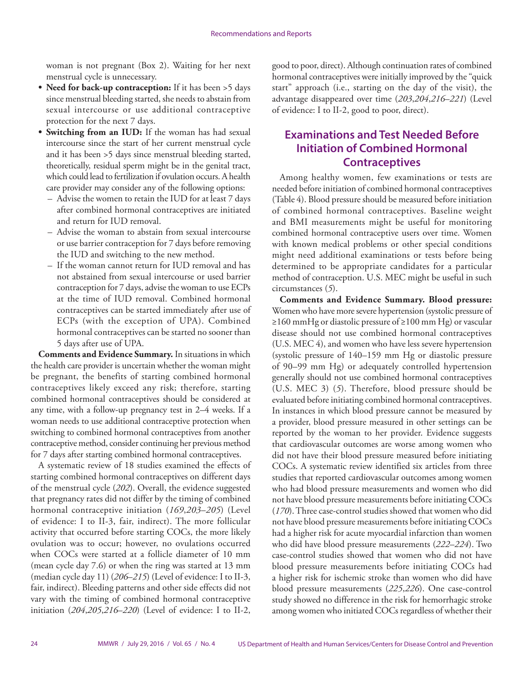woman is not pregnant (Box 2). Waiting for her next menstrual cycle is unnecessary.

- **• Need for back-up contraception:** If it has been >5 days since menstrual bleeding started, she needs to abstain from sexual intercourse or use additional contraceptive protection for the next 7 days.
- **• Switching from an IUD:** If the woman has had sexual intercourse since the start of her current menstrual cycle and it has been >5 days since menstrual bleeding started, theoretically, residual sperm might be in the genital tract, which could lead to fertilization if ovulation occurs. A health care provider may consider any of the following options:
	- Advise the women to retain the IUD for at least 7 days after combined hormonal contraceptives are initiated and return for IUD removal.
	- Advise the woman to abstain from sexual intercourse or use barrier contraception for 7 days before removing the IUD and switching to the new method.
	- If the woman cannot return for IUD removal and has not abstained from sexual intercourse or used barrier contraception for 7 days, advise the woman to use ECPs at the time of IUD removal. Combined hormonal contraceptives can be started immediately after use of ECPs (with the exception of UPA). Combined hormonal contraceptives can be started no sooner than 5 days after use of UPA.

**Comments and Evidence Summary.** In situations in which the health care provider is uncertain whether the woman might be pregnant, the benefits of starting combined hormonal contraceptives likely exceed any risk; therefore, starting combined hormonal contraceptives should be considered at any time, with a follow-up pregnancy test in 2–4 weeks. If a woman needs to use additional contraceptive protection when switching to combined hormonal contraceptives from another contraceptive method, consider continuing her previous method for 7 days after starting combined hormonal contraceptives.

A systematic review of 18 studies examined the effects of starting combined hormonal contraceptives on different days of the menstrual cycle (*202*). Overall, the evidence suggested that pregnancy rates did not differ by the timing of combined hormonal contraceptive initiation (*169*,*203*–*205*) (Level of evidence: I to II-3, fair, indirect). The more follicular activity that occurred before starting COCs, the more likely ovulation was to occur; however, no ovulations occurred when COCs were started at a follicle diameter of 10 mm (mean cycle day 7.6) or when the ring was started at 13 mm (median cycle day 11) (*206*–*215*) (Level of evidence: I to II-3, fair, indirect). Bleeding patterns and other side effects did not vary with the timing of combined hormonal contraceptive initiation (*204*,*205*,*216*–*220*) (Level of evidence: I to II-2,

good to poor, direct). Although continuation rates of combined hormonal contraceptives were initially improved by the "quick start" approach (i.e., starting on the day of the visit), the advantage disappeared over time (*203*,*204*,*216*–*221*) (Level of evidence: I to II-2, good to poor, direct).

### **Examinations and Test Needed Before Initiation of Combined Hormonal Contraceptives**

Among healthy women, few examinations or tests are needed before initiation of combined hormonal contraceptives (Table 4). Blood pressure should be measured before initiation of combined hormonal contraceptives. Baseline weight and BMI measurements might be useful for monitoring combined hormonal contraceptive users over time. Women with known medical problems or other special conditions might need additional examinations or tests before being determined to be appropriate candidates for a particular method of contraception. U.S. MEC might be useful in such circumstances (*5*).

**Comments and Evidence Summary. Blood pressure:** Women who have more severe hypertension (systolic pressure of ≥160 mmHg or diastolic pressure of ≥100 mm Hg) or vascular disease should not use combined hormonal contraceptives (U.S. MEC 4), and women who have less severe hypertension (systolic pressure of 140–159 mm Hg or diastolic pressure of 90–99 mm Hg) or adequately controlled hypertension generally should not use combined hormonal contraceptives (U.S. MEC 3) (*5*). Therefore, blood pressure should be evaluated before initiating combined hormonal contraceptives. In instances in which blood pressure cannot be measured by a provider, blood pressure measured in other settings can be reported by the woman to her provider. Evidence suggests that cardiovascular outcomes are worse among women who did not have their blood pressure measured before initiating COCs. A systematic review identified six articles from three studies that reported cardiovascular outcomes among women who had blood pressure measurements and women who did not have blood pressure measurements before initiating COCs (*170*). Three case-control studies showed that women who did not have blood pressure measurements before initiating COCs had a higher risk for acute myocardial infarction than women who did have blood pressure measurements (*222*–*224*). Two case-control studies showed that women who did not have blood pressure measurements before initiating COCs had a higher risk for ischemic stroke than women who did have blood pressure measurements (*225*,*226*). One case-control study showed no difference in the risk for hemorrhagic stroke among women who initiated COCs regardless of whether their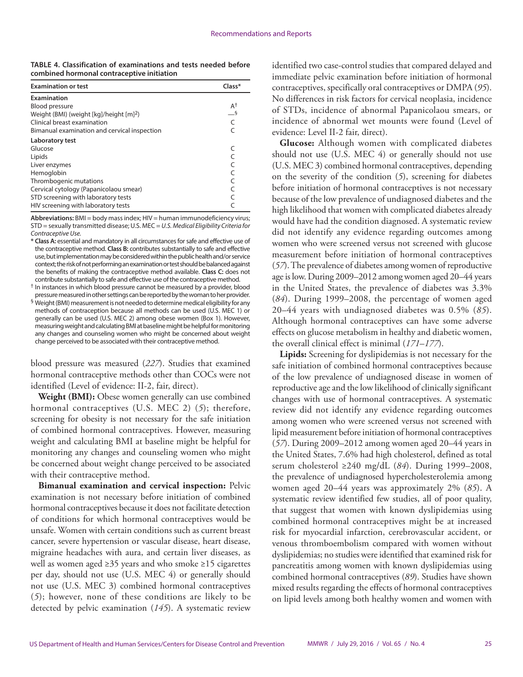**TABLE 4. Classification of examinations and tests needed before combined hormonal contraceptive initiation**

| <b>Examination or test</b>                          | Class*         |
|-----------------------------------------------------|----------------|
| <b>Examination</b>                                  |                |
| <b>Blood pressure</b>                               | A <sup>†</sup> |
| Weight (BMI) (weight [kg]/height [m] <sup>2</sup> ) | $-\xi$         |
| Clinical breast examination                         | $\subset$      |
| Bimanual examination and cervical inspection        |                |
| Laboratory test                                     |                |
| Glucose                                             |                |
| Lipids                                              |                |
| Liver enzymes                                       |                |
| Hemoglobin                                          |                |
| Thrombogenic mutations                              |                |
| Cervical cytology (Papanicolaou smear)              |                |
| STD screening with laboratory tests                 |                |
| HIV screening with laboratory tests                 |                |

**Abbreviations:** BMI = body mass index; HIV = human immunodeficiency virus; STD = sexually transmitted disease; U.S. MEC = *U.S. Medical Eligibility Criteria for Contraceptive Use.*

**\* Class A:** essential and mandatory in all circumstances for safe and effective use of the contraceptive method. **Class B:** contributes substantially to safe and effective use, but implementation may be considered within the public health and/or service context; the risk of not performing an examination or test should be balanced against the benefits of making the contraceptive method available. **Class C:** does not contribute substantially to safe and effective use of the contraceptive method.

- † In instances in which blood pressure cannot be measured by a provider, blood pressure measured in other settings can be reported by the woman to her provider.
- § Weight (BMI) measurement is not needed to determine medical eligibility for any methods of contraception because all methods can be used (U.S. MEC 1) or generally can be used (U.S. MEC 2) among obese women (Box 1). However, measuring weight and calculating BMI at baseline might be helpful for monitoring any changes and counseling women who might be concerned about weight change perceived to be associated with their contraceptive method.

blood pressure was measured (*227*). Studies that examined hormonal contraceptive methods other than COCs were not identified (Level of evidence: II-2, fair, direct).

**Weight (BMI):** Obese women generally can use combined hormonal contraceptives (U.S. MEC 2) (*5*); therefore, screening for obesity is not necessary for the safe initiation of combined hormonal contraceptives. However, measuring weight and calculating BMI at baseline might be helpful for monitoring any changes and counseling women who might be concerned about weight change perceived to be associated with their contraceptive method.

**Bimanual examination and cervical inspection:** Pelvic examination is not necessary before initiation of combined hormonal contraceptives because it does not facilitate detection of conditions for which hormonal contraceptives would be unsafe. Women with certain conditions such as current breast cancer, severe hypertension or vascular disease, heart disease, migraine headaches with aura, and certain liver diseases, as well as women aged ≥35 years and who smoke ≥15 cigarettes per day, should not use (U.S. MEC 4) or generally should not use (U.S. MEC 3) combined hormonal contraceptives (*5*); however, none of these conditions are likely to be detected by pelvic examination (*145*). A systematic review

identified two case-control studies that compared delayed and immediate pelvic examination before initiation of hormonal contraceptives, specifically oral contraceptives or DMPA (*95*). No differences in risk factors for cervical neoplasia, incidence of STDs, incidence of abnormal Papanicolaou smears, or incidence of abnormal wet mounts were found (Level of evidence: Level II-2 fair, direct).

**Glucose:** Although women with complicated diabetes should not use (U.S. MEC 4) or generally should not use (U.S. MEC 3) combined hormonal contraceptives, depending on the severity of the condition (*5*), screening for diabetes before initiation of hormonal contraceptives is not necessary because of the low prevalence of undiagnosed diabetes and the high likelihood that women with complicated diabetes already would have had the condition diagnosed. A systematic review did not identify any evidence regarding outcomes among women who were screened versus not screened with glucose measurement before initiation of hormonal contraceptives (*57*). The prevalence of diabetes among women of reproductive age is low. During 2009–2012 among women aged 20–44 years in the United States, the prevalence of diabetes was 3.3% (*84*). During 1999–2008, the percentage of women aged 20–44 years with undiagnosed diabetes was 0.5% (*85*). Although hormonal contraceptives can have some adverse effects on glucose metabolism in healthy and diabetic women, the overall clinical effect is minimal (*171*–*177*).

**Lipids:** Screening for dyslipidemias is not necessary for the safe initiation of combined hormonal contraceptives because of the low prevalence of undiagnosed disease in women of reproductive age and the low likelihood of clinically significant changes with use of hormonal contraceptives. A systematic review did not identify any evidence regarding outcomes among women who were screened versus not screened with lipid measurement before initiation of hormonal contraceptives (*57*). During 2009–2012 among women aged 20–44 years in the United States, 7.6% had high cholesterol, defined as total serum cholesterol ≥240 mg/dL (*84*). During 1999–2008, the prevalence of undiagnosed hypercholesterolemia among women aged 20–44 years was approximately 2% (*85*). A systematic review identified few studies, all of poor quality, that suggest that women with known dyslipidemias using combined hormonal contraceptives might be at increased risk for myocardial infarction, cerebrovascular accident, or venous thromboembolism compared with women without dyslipidemias; no studies were identified that examined risk for pancreatitis among women with known dyslipidemias using combined hormonal contraceptives (*89*). Studies have shown mixed results regarding the effects of hormonal contraceptives on lipid levels among both healthy women and women with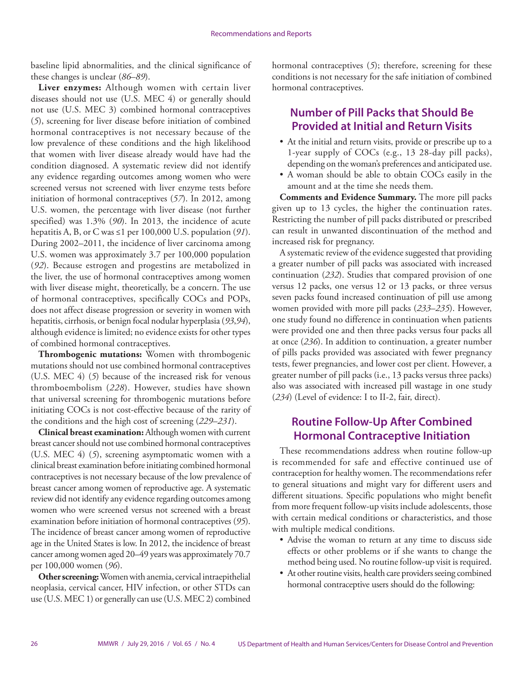baseline lipid abnormalities, and the clinical significance of these changes is unclear (*86*–*89*).

**Liver enzymes:** Although women with certain liver diseases should not use (U.S. MEC 4) or generally should not use (U.S. MEC 3) combined hormonal contraceptives (*5*), screening for liver disease before initiation of combined hormonal contraceptives is not necessary because of the low prevalence of these conditions and the high likelihood that women with liver disease already would have had the condition diagnosed. A systematic review did not identify any evidence regarding outcomes among women who were screened versus not screened with liver enzyme tests before initiation of hormonal contraceptives (*57*). In 2012, among U.S. women, the percentage with liver disease (not further specified) was 1.3% (*90*). In 2013, the incidence of acute hepatitis A, B, or C was ≤1 per 100,000 U.S. population (*91*). During 2002–2011, the incidence of liver carcinoma among U.S. women was approximately 3.7 per 100,000 population (*92*). Because estrogen and progestins are metabolized in the liver, the use of hormonal contraceptives among women with liver disease might, theoretically, be a concern. The use of hormonal contraceptives, specifically COCs and POPs, does not affect disease progression or severity in women with hepatitis, cirrhosis, or benign focal nodular hyperplasia (*93*,*94*), although evidence is limited; no evidence exists for other types of combined hormonal contraceptives.

**Thrombogenic mutations:** Women with thrombogenic mutations should not use combined hormonal contraceptives (U.S. MEC 4) (*5*) because of the increased risk for venous thromboembolism (*228*). However, studies have shown that universal screening for thrombogenic mutations before initiating COCs is not cost-effective because of the rarity of the conditions and the high cost of screening (*229*–*231*).

**Clinical breast examination:** Although women with current breast cancer should not use combined hormonal contraceptives (U.S. MEC 4) (*5*), screening asymptomatic women with a clinical breast examination before initiating combined hormonal contraceptives is not necessary because of the low prevalence of breast cancer among women of reproductive age. A systematic review did not identify any evidence regarding outcomes among women who were screened versus not screened with a breast examination before initiation of hormonal contraceptives (*95*). The incidence of breast cancer among women of reproductive age in the United States is low. In 2012, the incidence of breast cancer among women aged 20–49 years was approximately 70.7 per 100,000 women (*96*).

**Other screening:** Women with anemia, cervical intraepithelial neoplasia, cervical cancer, HIV infection, or other STDs can use (U.S. MEC 1) or generally can use (U.S. MEC 2) combined hormonal contraceptives (*5*); therefore, screening for these conditions is not necessary for the safe initiation of combined hormonal contraceptives.

### **Number of Pill Packs that Should Be Provided at Initial and Return Visits**

- At the initial and return visits, provide or prescribe up to a 1-year supply of COCs (e.g., 13 28-day pill packs), depending on the woman's preferences and anticipated use.
- A woman should be able to obtain COCs easily in the amount and at the time she needs them.

**Comments and Evidence Summary.** The more pill packs given up to 13 cycles, the higher the continuation rates. Restricting the number of pill packs distributed or prescribed can result in unwanted discontinuation of the method and increased risk for pregnancy.

A systematic review of the evidence suggested that providing a greater number of pill packs was associated with increased continuation (*232*). Studies that compared provision of one versus 12 packs, one versus 12 or 13 packs, or three versus seven packs found increased continuation of pill use among women provided with more pill packs (*233*–*235*). However, one study found no difference in continuation when patients were provided one and then three packs versus four packs all at once (*236*). In addition to continuation, a greater number of pills packs provided was associated with fewer pregnancy tests, fewer pregnancies, and lower cost per client. However, a greater number of pill packs (i.e., 13 packs versus three packs) also was associated with increased pill wastage in one study (*234*) (Level of evidence: I to II-2, fair, direct).

### **Routine Follow-Up After Combined Hormonal Contraceptive Initiation**

These recommendations address when routine follow-up is recommended for safe and effective continued use of contraception for healthy women. The recommendations refer to general situations and might vary for different users and different situations. Specific populations who might benefit from more frequent follow-up visits include adolescents, those with certain medical conditions or characteristics, and those with multiple medical conditions.

- Advise the woman to return at any time to discuss side effects or other problems or if she wants to change the method being used. No routine follow-up visit is required.
- At other routine visits, health care providers seeing combined hormonal contraceptive users should do the following: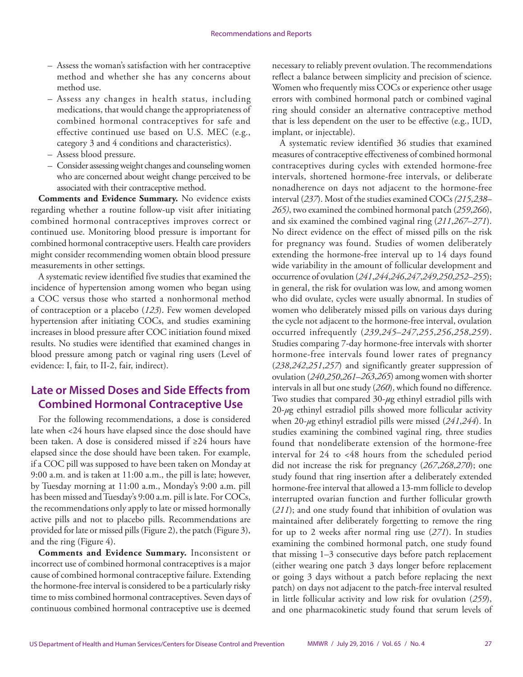- Assess the woman's satisfaction with her contraceptive method and whether she has any concerns about method use.
- Assess any changes in health status, including medications, that would change the appropriateness of combined hormonal contraceptives for safe and effective continued use based on U.S. MEC (e.g., category 3 and 4 conditions and characteristics).
- Assess blood pressure.
- Consider assessing weight changes and counseling women who are concerned about weight change perceived to be associated with their contraceptive method.

**Comments and Evidence Summary.** No evidence exists regarding whether a routine follow-up visit after initiating combined hormonal contraceptives improves correct or continued use. Monitoring blood pressure is important for combined hormonal contraceptive users. Health care providers might consider recommending women obtain blood pressure measurements in other settings.

A systematic review identified five studies that examined the incidence of hypertension among women who began using a COC versus those who started a nonhormonal method of contraception or a placebo (*123*). Few women developed hypertension after initiating COCs, and studies examining increases in blood pressure after COC initiation found mixed results. No studies were identified that examined changes in blood pressure among patch or vaginal ring users (Level of evidence: I, fair, to II-2, fair, indirect).

# **Late or Missed Doses and Side Effects from Combined Hormonal Contraceptive Use**

For the following recommendations, a dose is considered late when <24 hours have elapsed since the dose should have been taken. A dose is considered missed if ≥24 hours have elapsed since the dose should have been taken. For example, if a COC pill was supposed to have been taken on Monday at 9:00 a.m. and is taken at 11:00 a.m., the pill is late; however, by Tuesday morning at 11:00 a.m., Monday's 9:00 a.m. pill has been missed and Tuesday's 9:00 a.m. pill is late. For COCs, the recommendations only apply to late or missed hormonally active pills and not to placebo pills. Recommendations are provided for late or missed pills (Figure 2), the patch (Figure 3), and the ring (Figure 4).

**Comments and Evidence Summary.** Inconsistent or incorrect use of combined hormonal contraceptives is a major cause of combined hormonal contraceptive failure. Extending the hormone-free interval is considered to be a particularly risky time to miss combined hormonal contraceptives. Seven days of continuous combined hormonal contraceptive use is deemed

necessary to reliably prevent ovulation. The recommendations reflect a balance between simplicity and precision of science. Women who frequently miss COCs or experience other usage errors with combined hormonal patch or combined vaginal ring should consider an alternative contraceptive method that is less dependent on the user to be effective (e.g., IUD, implant, or injectable).

A systematic review identified 36 studies that examined measures of contraceptive effectiveness of combined hormonal contraceptives during cycles with extended hormone-free intervals, shortened hormone-free intervals, or deliberate nonadherence on days not adjacent to the hormone-free interval (*237*). Most of the studies examined COCs *(215*,*238*– *265)*, two examined the combined hormonal patch (*259*,*266*), and six examined the combined vaginal ring (*211*,*267*–*271*). No direct evidence on the effect of missed pills on the risk for pregnancy was found. Studies of women deliberately extending the hormone-free interval up to 14 days found wide variability in the amount of follicular development and occurrence of ovulation (*241*,*244*,*246*,*247*,*249*,*250*,*252*–*255*); in general, the risk for ovulation was low, and among women who did ovulate, cycles were usually abnormal. In studies of women who deliberately missed pills on various days during the cycle not adjacent to the hormone-free interval, ovulation occurred infrequently (*239*,*245*–*247*,*255*,*256*,*258*,*259*). Studies comparing 7-day hormone-free intervals with shorter hormone-free intervals found lower rates of pregnancy (*238*,*242*,*251*,*257*) and significantly greater suppression of ovulation (*240*,*250*,*261*–*263*,*265*) among women with shorter intervals in all but one study (*260*), which found no difference. Two studies that compared 30-*µ*g ethinyl estradiol pills with 20-*µ*g ethinyl estradiol pills showed more follicular activity when 20-*µ*g ethinyl estradiol pills were missed (*241*,*244*). In studies examining the combined vaginal ring, three studies found that nondeliberate extension of the hormone-free interval for 24 to <48 hours from the scheduled period did not increase the risk for pregnancy (*267*,*268*,*270*); one study found that ring insertion after a deliberately extended hormone-free interval that allowed a 13-mm follicle to develop interrupted ovarian function and further follicular growth (*211*); and one study found that inhibition of ovulation was maintained after deliberately forgetting to remove the ring for up to 2 weeks after normal ring use (*271*). In studies examining the combined hormonal patch, one study found that missing 1–3 consecutive days before patch replacement (either wearing one patch 3 days longer before replacement or going 3 days without a patch before replacing the next patch) on days not adjacent to the patch-free interval resulted in little follicular activity and low risk for ovulation (*259*), and one pharmacokinetic study found that serum levels of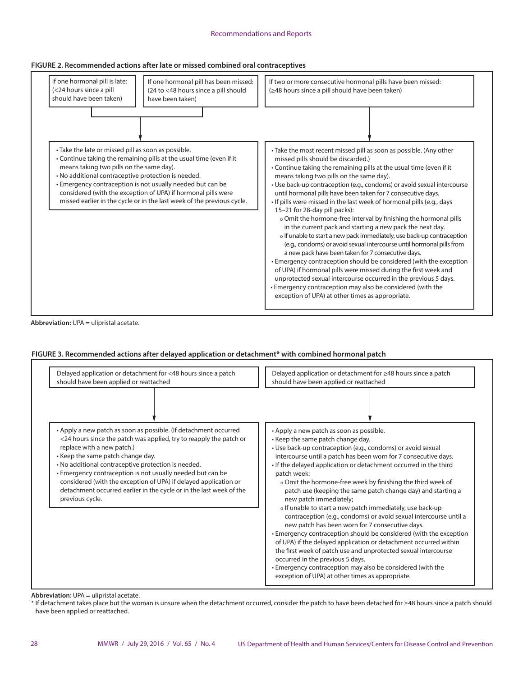#### Recommendations and Reports

#### **FIGURE 2. Recommended actions after late or missed combined oral contraceptives**



**Abbreviation:** UPA = ulipristal acetate.

#### **FIGURE 3. Recommended actions after delayed application or detachment\* with combined hormonal patch**

| Delayed application or detachment for <48 hours since a patch<br>should have been applied or reattached                                                                                                                                                                                                                                                                                                                                                                                      | Delayed application or detachment for ≥48 hours since a patch<br>should have been applied or reattached                                                                                                                                                                                                                                                                                                                                                                                                                                                                                                                                                                                                                                                                                                                                                                                                                                                                                                            |  |
|----------------------------------------------------------------------------------------------------------------------------------------------------------------------------------------------------------------------------------------------------------------------------------------------------------------------------------------------------------------------------------------------------------------------------------------------------------------------------------------------|--------------------------------------------------------------------------------------------------------------------------------------------------------------------------------------------------------------------------------------------------------------------------------------------------------------------------------------------------------------------------------------------------------------------------------------------------------------------------------------------------------------------------------------------------------------------------------------------------------------------------------------------------------------------------------------------------------------------------------------------------------------------------------------------------------------------------------------------------------------------------------------------------------------------------------------------------------------------------------------------------------------------|--|
|                                                                                                                                                                                                                                                                                                                                                                                                                                                                                              |                                                                                                                                                                                                                                                                                                                                                                                                                                                                                                                                                                                                                                                                                                                                                                                                                                                                                                                                                                                                                    |  |
| • Apply a new patch as soon as possible. (If detachment occurred<br><24 hours since the patch was applied, try to reapply the patch or<br>replace with a new patch.)<br>• Keep the same patch change day.<br>. No additional contraceptive protection is needed.<br>• Emergency contraception is not usually needed but can be<br>considered (with the exception of UPA) if delayed application or<br>detachment occurred earlier in the cycle or in the last week of the<br>previous cycle. | • Apply a new patch as soon as possible.<br>• Keep the same patch change day.<br>• Use back-up contraception (e.g., condoms) or avoid sexual<br>intercourse until a patch has been worn for 7 consecutive days.<br>• If the delayed application or detachment occurred in the third<br>patch week:<br>o Omit the hormone-free week by finishing the third week of<br>patch use (keeping the same patch change day) and starting a<br>new patch immediately;<br>o If unable to start a new patch immediately, use back-up<br>contraception (e.g., condoms) or avoid sexual intercourse until a<br>new patch has been worn for 7 consecutive days.<br>• Emergency contraception should be considered (with the exception<br>of UPA) if the delayed application or detachment occurred within<br>the first week of patch use and unprotected sexual intercourse<br>occurred in the previous 5 days.<br>• Emergency contraception may also be considered (with the<br>exception of UPA) at other times as appropriate. |  |

**Abbreviation:** UPA = ulipristal acetate.

\* If detachment takes place but the woman is unsure when the detachment occurred, consider the patch to have been detached for ≥48 hours since a patch should have been applied or reattached.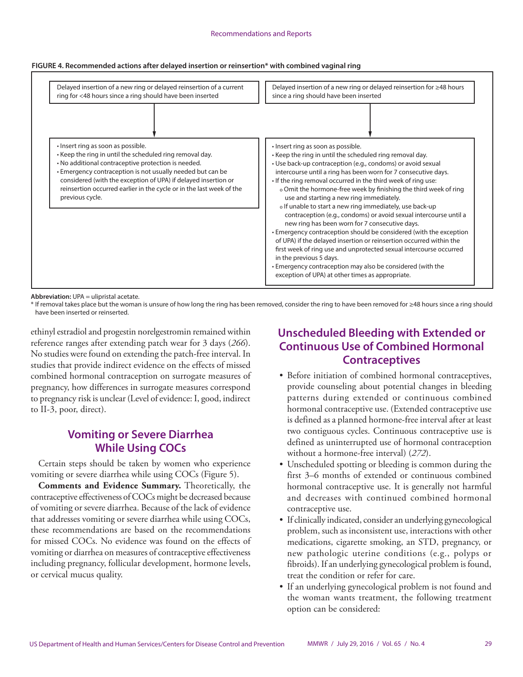#### Recommendations and Reports

#### **FIGURE 4. Recommended actions after delayed insertion or reinsertion\* with combined vaginal ring**



**Abbreviation:** UPA = ulipristal acetate.

\* If removal takes place but the woman is unsure of how long the ring has been removed, consider the ring to have been removed for ≥48 hours since a ring should have been inserted or reinserted.

ethinyl estradiol and progestin norelgestromin remained within reference ranges after extending patch wear for 3 days (*266*). No studies were found on extending the patch-free interval. In studies that provide indirect evidence on the effects of missed combined hormonal contraception on surrogate measures of pregnancy, how differences in surrogate measures correspond to pregnancy risk is unclear (Level of evidence: I, good, indirect to II-3, poor, direct).

### **Vomiting or Severe Diarrhea While Using COCs**

Certain steps should be taken by women who experience vomiting or severe diarrhea while using COCs (Figure 5).

**Comments and Evidence Summary.** Theoretically, the contraceptive effectiveness of COCs might be decreased because of vomiting or severe diarrhea. Because of the lack of evidence that addresses vomiting or severe diarrhea while using COCs, these recommendations are based on the recommendations for missed COCs. No evidence was found on the effects of vomiting or diarrhea on measures of contraceptive effectiveness including pregnancy, follicular development, hormone levels, or cervical mucus quality.

### **Unscheduled Bleeding with Extended or Continuous Use of Combined Hormonal Contraceptives**

- Before initiation of combined hormonal contraceptives, provide counseling about potential changes in bleeding patterns during extended or continuous combined hormonal contraceptive use. (Extended contraceptive use is defined as a planned hormone-free interval after at least two contiguous cycles. Continuous contraceptive use is defined as uninterrupted use of hormonal contraception without a hormone-free interval) (*272*).
- Unscheduled spotting or bleeding is common during the first 3–6 months of extended or continuous combined hormonal contraceptive use. It is generally not harmful and decreases with continued combined hormonal contraceptive use.
- If clinically indicated, consider an underlying gynecological problem, such as inconsistent use, interactions with other medications, cigarette smoking, an STD, pregnancy, or new pathologic uterine conditions (e.g., polyps or fibroids). If an underlying gynecological problem is found, treat the condition or refer for care.
- If an underlying gynecological problem is not found and the woman wants treatment, the following treatment option can be considered: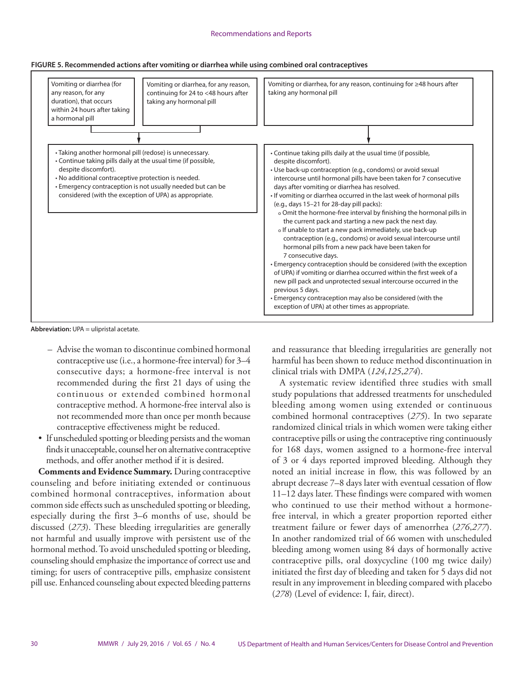



**Abbreviation:** UPA = ulipristal acetate.

- Advise the woman to discontinue combined hormonal contraceptive use (i.e., a hormone-free interval) for 3–4 consecutive days; a hormone-free interval is not recommended during the first 21 days of using the continuous or extended combined hormonal contraceptive method. A hormone-free interval also is not recommended more than once per month because contraceptive effectiveness might be reduced.
- If unscheduled spotting or bleeding persists and the woman finds it unacceptable, counsel her on alternative contraceptive methods, and offer another method if it is desired.

**Comments and Evidence Summary.** During contraceptive counseling and before initiating extended or continuous combined hormonal contraceptives, information about common side effects such as unscheduled spotting or bleeding, especially during the first 3–6 months of use, should be discussed (*273*). These bleeding irregularities are generally not harmful and usually improve with persistent use of the hormonal method. To avoid unscheduled spotting or bleeding, counseling should emphasize the importance of correct use and timing; for users of contraceptive pills, emphasize consistent pill use. Enhanced counseling about expected bleeding patterns

and reassurance that bleeding irregularities are generally not harmful has been shown to reduce method discontinuation in clinical trials with DMPA (*124*,*125*,*274*).

A systematic review identified three studies with small study populations that addressed treatments for unscheduled bleeding among women using extended or continuous combined hormonal contraceptives (*275*). In two separate randomized clinical trials in which women were taking either contraceptive pills or using the contraceptive ring continuously for 168 days, women assigned to a hormone-free interval of 3 or 4 days reported improved bleeding. Although they noted an initial increase in flow, this was followed by an abrupt decrease 7–8 days later with eventual cessation of flow 11–12 days later. These findings were compared with women who continued to use their method without a hormonefree interval, in which a greater proportion reported either treatment failure or fewer days of amenorrhea (*276*,*277*). In another randomized trial of 66 women with unscheduled bleeding among women using 84 days of hormonally active contraceptive pills, oral doxycycline (100 mg twice daily) initiated the first day of bleeding and taken for 5 days did not result in any improvement in bleeding compared with placebo (*278*) (Level of evidence: I, fair, direct).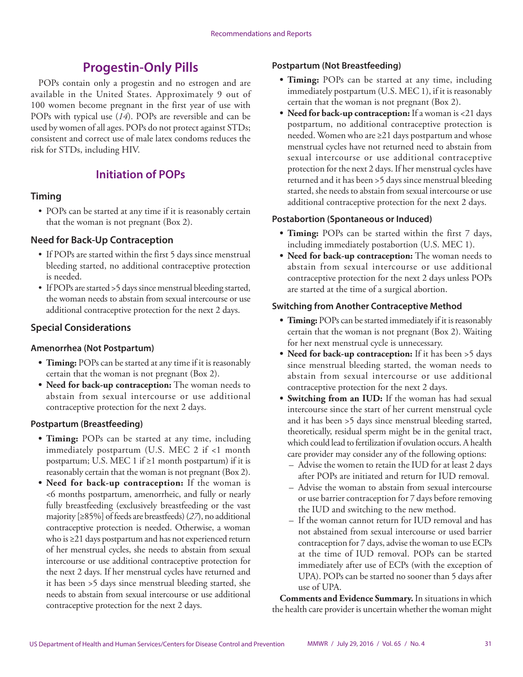# **Progestin-Only Pills**

<span id="page-32-0"></span>POPs contain only a progestin and no estrogen and are available in the United States. Approximately 9 out of 100 women become pregnant in the first year of use with POPs with typical use (*14*). POPs are reversible and can be used by women of all ages. POPs do not protect against STDs; consistent and correct use of male latex condoms reduces the risk for STDs, including HIV.

# **Initiation of POPs**

### **Timing**

• POPs can be started at any time if it is reasonably certain that the woman is not pregnant (Box 2).

### **Need for Back-Up Contraception**

- If POPs are started within the first 5 days since menstrual bleeding started, no additional contraceptive protection is needed.
- If POPs are started > 5 days since menstrual bleeding started, the woman needs to abstain from sexual intercourse or use additional contraceptive protection for the next 2 days.

### **Special Considerations**

#### **Amenorrhea (Not Postpartum)**

- **• Timing:** POPs can be started at any time if it is reasonably certain that the woman is not pregnant (Box 2).
- **• Need for back-up contraception:** The woman needs to abstain from sexual intercourse or use additional contraceptive protection for the next 2 days.

#### **Postpartum (Breastfeeding)**

- **• Timing:** POPs can be started at any time, including immediately postpartum (U.S. MEC 2 if <1 month postpartum; U.S. MEC 1 if ≥1 month postpartum) if it is reasonably certain that the woman is not pregnant (Box 2).
- **• Need for back-up contraception:** If the woman is <6 months postpartum, amenorrheic, and fully or nearly fully breastfeeding (exclusively breastfeeding or the vast majority [≥85%] of feeds are breastfeeds) (*27*), no additional contraceptive protection is needed. Otherwise, a woman who is ≥21 days postpartum and has not experienced return of her menstrual cycles, she needs to abstain from sexual intercourse or use additional contraceptive protection for the next 2 days. If her menstrual cycles have returned and it has been >5 days since menstrual bleeding started, she needs to abstain from sexual intercourse or use additional contraceptive protection for the next 2 days.

#### **Postpartum (Not Breastfeeding)**

- **• Timing:** POPs can be started at any time, including immediately postpartum (U.S. MEC 1), if it is reasonably certain that the woman is not pregnant (Box 2).
- **• Need for back-up contraception:** If a woman is <21 days postpartum, no additional contraceptive protection is needed. Women who are ≥21 days postpartum and whose menstrual cycles have not returned need to abstain from sexual intercourse or use additional contraceptive protection for the next 2 days. If her menstrual cycles have returned and it has been >5 days since menstrual bleeding started, she needs to abstain from sexual intercourse or use additional contraceptive protection for the next 2 days.

### **Postabortion (Spontaneous or Induced)**

- **• Timing:** POPs can be started within the first 7 days, including immediately postabortion (U.S. MEC 1).
- **• Need for back-up contraception:** The woman needs to abstain from sexual intercourse or use additional contraceptive protection for the next 2 days unless POPs are started at the time of a surgical abortion.

### **Switching from Another Contraceptive Method**

- **• Timing:** POPs can be started immediately if it is reasonably certain that the woman is not pregnant (Box 2). Waiting for her next menstrual cycle is unnecessary.
- **• Need for back-up contraception:** If it has been >5 days since menstrual bleeding started, the woman needs to abstain from sexual intercourse or use additional contraceptive protection for the next 2 days.
- **• Switching from an IUD:** If the woman has had sexual intercourse since the start of her current menstrual cycle and it has been >5 days since menstrual bleeding started, theoretically, residual sperm might be in the genital tract, which could lead to fertilization if ovulation occurs. A health care provider may consider any of the following options:
	- Advise the women to retain the IUD for at least 2 days after POPs are initiated and return for IUD removal.
	- Advise the woman to abstain from sexual intercourse or use barrier contraception for 7 days before removing the IUD and switching to the new method.
	- If the woman cannot return for IUD removal and has not abstained from sexual intercourse or used barrier contraception for 7 days, advise the woman to use ECPs at the time of IUD removal. POPs can be started immediately after use of ECPs (with the exception of UPA). POPs can be started no sooner than 5 days after use of UPA.

**Comments and Evidence Summary.** In situations in which the health care provider is uncertain whether the woman might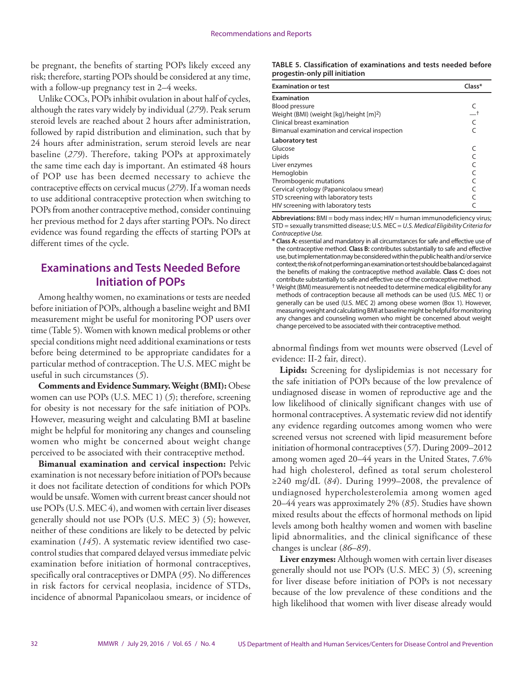be pregnant, the benefits of starting POPs likely exceed any risk; therefore, starting POPs should be considered at any time, with a follow-up pregnancy test in 2–4 weeks.

Unlike COCs, POPs inhibit ovulation in about half of cycles, although the rates vary widely by individual (*279*). Peak serum steroid levels are reached about 2 hours after administration, followed by rapid distribution and elimination, such that by 24 hours after administration, serum steroid levels are near baseline (*279*). Therefore, taking POPs at approximately the same time each day is important. An estimated 48 hours of POP use has been deemed necessary to achieve the contraceptive effects on cervical mucus (*279*). If a woman needs to use additional contraceptive protection when switching to POPs from another contraceptive method, consider continuing her previous method for 2 days after starting POPs. No direct evidence was found regarding the effects of starting POPs at different times of the cycle.

### **Examinations and Tests Needed Before Initiation of POPs**

Among healthy women, no examinations or tests are needed before initiation of POPs, although a baseline weight and BMI measurement might be useful for monitoring POP users over time (Table 5). Women with known medical problems or other special conditions might need additional examinations or tests before being determined to be appropriate candidates for a particular method of contraception. The U.S. MEC might be useful in such circumstances (*5*).

**Comments and Evidence Summary. Weight (BMI):** Obese women can use POPs (U.S. MEC 1) (*5*); therefore, screening for obesity is not necessary for the safe initiation of POPs. However, measuring weight and calculating BMI at baseline might be helpful for monitoring any changes and counseling women who might be concerned about weight change perceived to be associated with their contraceptive method.

**Bimanual examination and cervical inspection:** Pelvic examination is not necessary before initiation of POPs because it does not facilitate detection of conditions for which POPs would be unsafe. Women with current breast cancer should not use POPs (U.S. MEC 4), and women with certain liver diseases generally should not use POPs (U.S. MEC 3) (*5*); however, neither of these conditions are likely to be detected by pelvic examination (*145*). A systematic review identified two casecontrol studies that compared delayed versus immediate pelvic examination before initiation of hormonal contraceptives, specifically oral contraceptives or DMPA (*95*). No differences in risk factors for cervical neoplasia, incidence of STDs, incidence of abnormal Papanicolaou smears, or incidence of

#### **TABLE 5. Classification of examinations and tests needed before progestin-only pill initiation**

| <b>Examination or test</b>                          | Class* |
|-----------------------------------------------------|--------|
| Examination                                         |        |
| Blood pressure                                      |        |
| Weight (BMI) (weight [kg]/height [m] <sup>2</sup> ) |        |
| Clinical breast examination                         |        |
| Bimanual examination and cervical inspection        |        |
| Laboratory test                                     |        |
| Glucose                                             |        |
| Lipids                                              |        |
| Liver enzymes                                       |        |
| Hemoglobin                                          |        |
| Thrombogenic mutations                              |        |
| Cervical cytology (Papanicolaou smear)              |        |
| STD screening with laboratory tests                 |        |
| HIV screening with laboratory tests                 |        |

**Abbreviations:** BMI = body mass index; HIV = human immunodeficiency virus; STD = sexually transmitted disease; U.S. MEC = *U.S. Medical Eligibility Criteria for Contraceptive Use.*

- **\* Class A:** essential and mandatory in all circumstances for safe and effective use of the contraceptive method. **Class B:** contributes substantially to safe and effective use, but implementation may be considered within the public health and/or service context; the risk of not performing an examination or test should be balanced against the benefits of making the contraceptive method available. **Class C:** does not contribute substantially to safe and effective use of the contraceptive method.
- † Weight (BMI) measurement is not needed to determine medical eligibility for any methods of contraception because all methods can be used (U.S. MEC 1) or generally can be used (U.S. MEC 2) among obese women (Box 1). However, measuring weight and calculating BMI at baseline might be helpful for monitoring any changes and counseling women who might be concerned about weight change perceived to be associated with their contraceptive method.

abnormal findings from wet mounts were observed (Level of evidence: II-2 fair, direct).

**Lipids:** Screening for dyslipidemias is not necessary for the safe initiation of POPs because of the low prevalence of undiagnosed disease in women of reproductive age and the low likelihood of clinically significant changes with use of hormonal contraceptives. A systematic review did not identify any evidence regarding outcomes among women who were screened versus not screened with lipid measurement before initiation of hormonal contraceptives (*57*). During 2009–2012 among women aged 20–44 years in the United States, 7.6% had high cholesterol, defined as total serum cholesterol ≥240 mg/dL (*84*). During 1999–2008, the prevalence of undiagnosed hypercholesterolemia among women aged 20–44 years was approximately 2% (*85*). Studies have shown mixed results about the effects of hormonal methods on lipid levels among both healthy women and women with baseline lipid abnormalities, and the clinical significance of these changes is unclear (*86*–*89*).

**Liver enzymes:** Although women with certain liver diseases generally should not use POPs (U.S. MEC 3) (*5*), screening for liver disease before initiation of POPs is not necessary because of the low prevalence of these conditions and the high likelihood that women with liver disease already would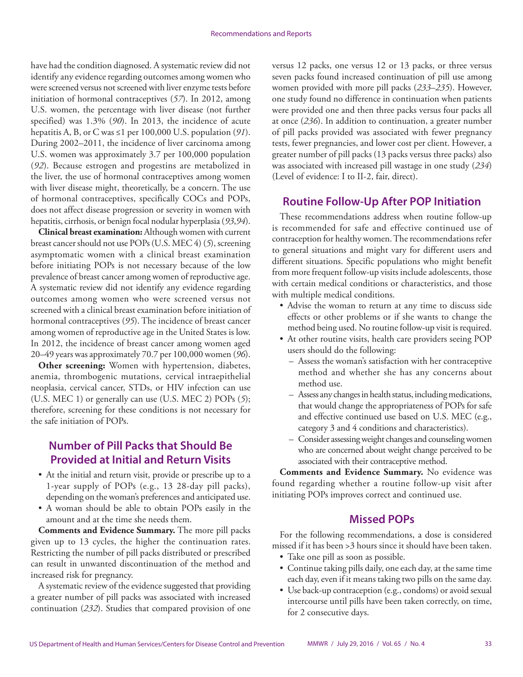have had the condition diagnosed. A systematic review did not identify any evidence regarding outcomes among women who were screened versus not screened with liver enzyme tests before initiation of hormonal contraceptives (*57*). In 2012, among U.S. women, the percentage with liver disease (not further specified) was 1.3% (*90*). In 2013, the incidence of acute hepatitis A, B, or C was ≤1 per 100,000 U.S. population (*91*). During 2002–2011, the incidence of liver carcinoma among U.S. women was approximately 3.7 per 100,000 population (*92*). Because estrogen and progestins are metabolized in the liver, the use of hormonal contraceptives among women with liver disease might, theoretically, be a concern. The use of hormonal contraceptives, specifically COCs and POPs, does not affect disease progression or severity in women with hepatitis, cirrhosis, or benign focal nodular hyperplasia (*93*,*94*).

**Clinical breast examination:** Although women with current breast cancer should not use POPs (U.S. MEC 4) (*5*), screening asymptomatic women with a clinical breast examination before initiating POPs is not necessary because of the low prevalence of breast cancer among women of reproductive age. A systematic review did not identify any evidence regarding outcomes among women who were screened versus not screened with a clinical breast examination before initiation of hormonal contraceptives (*95*). The incidence of breast cancer among women of reproductive age in the United States is low. In 2012, the incidence of breast cancer among women aged 20–49 years was approximately 70.7 per 100,000 women (*96*).

**Other screening:** Women with hypertension, diabetes, anemia, thrombogenic mutations, cervical intraepithelial neoplasia, cervical cancer, STDs, or HIV infection can use (U.S. MEC 1) or generally can use (U.S. MEC 2) POPs (*5*); therefore, screening for these conditions is not necessary for the safe initiation of POPs.

### **Number of Pill Packs that Should Be Provided at Initial and Return Visits**

- At the initial and return visit, provide or prescribe up to a 1-year supply of POPs (e.g., 13 28-day pill packs), depending on the woman's preferences and anticipated use.
- A woman should be able to obtain POPs easily in the amount and at the time she needs them.

**Comments and Evidence Summary.** The more pill packs given up to 13 cycles, the higher the continuation rates. Restricting the number of pill packs distributed or prescribed can result in unwanted discontinuation of the method and increased risk for pregnancy.

A systematic review of the evidence suggested that providing a greater number of pill packs was associated with increased continuation (*232*). Studies that compared provision of one

versus 12 packs, one versus 12 or 13 packs, or three versus seven packs found increased continuation of pill use among women provided with more pill packs (*233*–*235*). However, one study found no difference in continuation when patients were provided one and then three packs versus four packs all at once (*236*). In addition to continuation, a greater number of pill packs provided was associated with fewer pregnancy tests, fewer pregnancies, and lower cost per client. However, a greater number of pill packs (13 packs versus three packs) also was associated with increased pill wastage in one study (*234*) (Level of evidence: I to II-2, fair, direct).

### **Routine Follow-Up After POP Initiation**

These recommendations address when routine follow-up is recommended for safe and effective continued use of contraception for healthy women. The recommendations refer to general situations and might vary for different users and different situations. Specific populations who might benefit from more frequent follow-up visits include adolescents, those with certain medical conditions or characteristics, and those with multiple medical conditions.

- Advise the woman to return at any time to discuss side effects or other problems or if she wants to change the method being used. No routine follow-up visit is required.
- At other routine visits, health care providers seeing POP users should do the following:
	- Assess the woman's satisfaction with her contraceptive method and whether she has any concerns about method use.
	- Assess any changes in health status, including medications, that would change the appropriateness of POPs for safe and effective continued use based on U.S. MEC (e.g., category 3 and 4 conditions and characteristics).
	- Consider assessing weight changes and counseling women who are concerned about weight change perceived to be associated with their contraceptive method.

**Comments and Evidence Summary.** No evidence was found regarding whether a routine follow-up visit after initiating POPs improves correct and continued use.

#### **Missed POPs**

For the following recommendations, a dose is considered missed if it has been >3 hours since it should have been taken.

- Take one pill as soon as possible.
- Continue taking pills daily, one each day, at the same time each day, even if it means taking two pills on the same day.
- Use back-up contraception (e.g., condoms) or avoid sexual intercourse until pills have been taken correctly, on time, for 2 consecutive days.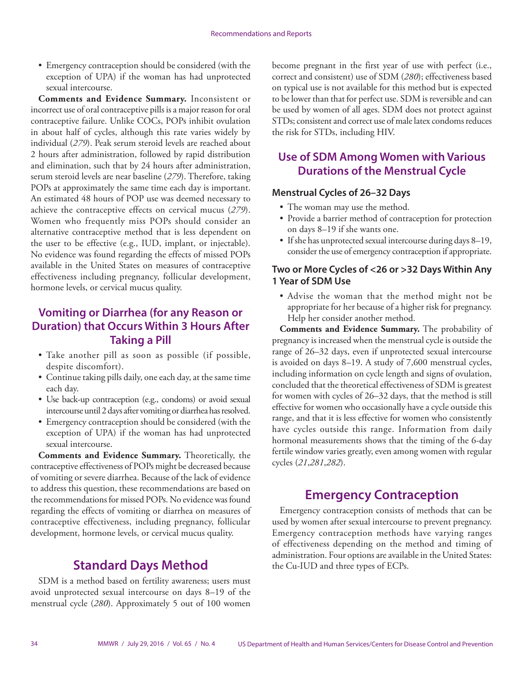<span id="page-35-0"></span>• Emergency contraception should be considered (with the exception of UPA) if the woman has had unprotected sexual intercourse.

**Comments and Evidence Summary.** Inconsistent or incorrect use of oral contraceptive pills is a major reason for oral contraceptive failure. Unlike COCs, POPs inhibit ovulation in about half of cycles, although this rate varies widely by individual (*279*). Peak serum steroid levels are reached about 2 hours after administration, followed by rapid distribution and elimination, such that by 24 hours after administration, serum steroid levels are near baseline (*279*). Therefore, taking POPs at approximately the same time each day is important. An estimated 48 hours of POP use was deemed necessary to achieve the contraceptive effects on cervical mucus (*279*). Women who frequently miss POPs should consider an alternative contraceptive method that is less dependent on the user to be effective (e.g., IUD, implant, or injectable). No evidence was found regarding the effects of missed POPs available in the United States on measures of contraceptive effectiveness including pregnancy, follicular development, hormone levels, or cervical mucus quality.

### **Vomiting or Diarrhea (for any Reason or Duration) that Occurs Within 3 Hours After Taking a Pill**

- Take another pill as soon as possible (if possible, despite discomfort).
- Continue taking pills daily, one each day, at the same time each day.
- Use back-up contraception (e.g., condoms) or avoid sexual intercourse until 2 days after vomiting or diarrhea has resolved.
- Emergency contraception should be considered (with the exception of UPA) if the woman has had unprotected sexual intercourse.

**Comments and Evidence Summary.** Theoretically, the contraceptive effectiveness of POPs might be decreased because of vomiting or severe diarrhea. Because of the lack of evidence to address this question, these recommendations are based on the recommendations for missed POPs. No evidence was found regarding the effects of vomiting or diarrhea on measures of contraceptive effectiveness, including pregnancy, follicular development, hormone levels, or cervical mucus quality.

# **Standard Days Method**

SDM is a method based on fertility awareness; users must avoid unprotected sexual intercourse on days 8–19 of the menstrual cycle (*280*). Approximately 5 out of 100 women become pregnant in the first year of use with perfect (i.e., correct and consistent) use of SDM (*280*); effectiveness based on typical use is not available for this method but is expected to be lower than that for perfect use. SDM is reversible and can be used by women of all ages. SDM does not protect against STDs; consistent and correct use of male latex condoms reduces the risk for STDs, including HIV.

# **Use of SDM Among Women with Various Durations of the Menstrual Cycle**

#### **Menstrual Cycles of 26–32 Days**

- The woman may use the method.
- Provide a barrier method of contraception for protection on days 8–19 if she wants one.
- If she has unprotected sexual intercourse during days 8–19, consider the use of emergency contraception if appropriate.

### **Two or More Cycles of <26 or >32 Days Within Any 1 Year of SDM Use**

• Advise the woman that the method might not be appropriate for her because of a higher risk for pregnancy. Help her consider another method.

**Comments and Evidence Summary.** The probability of pregnancy is increased when the menstrual cycle is outside the range of 26–32 days, even if unprotected sexual intercourse is avoided on days 8–19. A study of 7,600 menstrual cycles, including information on cycle length and signs of ovulation, concluded that the theoretical effectiveness of SDM is greatest for women with cycles of 26–32 days, that the method is still effective for women who occasionally have a cycle outside this range, and that it is less effective for women who consistently have cycles outside this range. Information from daily hormonal measurements shows that the timing of the 6-day fertile window varies greatly, even among women with regular cycles (*21*,*281*,*282*).

# **Emergency Contraception**

Emergency contraception consists of methods that can be used by women after sexual intercourse to prevent pregnancy. Emergency contraception methods have varying ranges of effectiveness depending on the method and timing of administration. Four options are available in the United States: the Cu-IUD and three types of ECPs.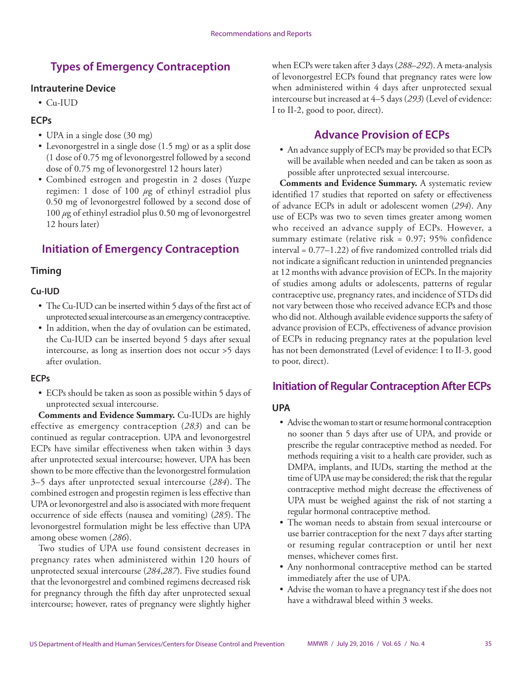# **Types of Emergency Contraception**

### **Intrauterine Device**

• Cu-IUD

### **ECPs**

- UPA in a single dose (30 mg)
- Levonorgestrel in a single dose (1.5 mg) or as a split dose (1 dose of 0.75 mg of levonorgestrel followed by a second dose of 0.75 mg of levonorgestrel 12 hours later)
- Combined estrogen and progestin in 2 doses (Yuzpe regimen: 1 dose of 100 *µ*g of ethinyl estradiol plus 0.50 mg of levonorgestrel followed by a second dose of 100 *µ*g of ethinyl estradiol plus 0.50 mg of levonorgestrel 12 hours later)

# **Initiation of Emergency Contraception**

## **Timing**

### **Cu-IUD**

- The Cu-IUD can be inserted within 5 days of the first act of unprotected sexual intercourse as an emergency contraceptive.
- In addition, when the day of ovulation can be estimated, the Cu-IUD can be inserted beyond 5 days after sexual intercourse, as long as insertion does not occur >5 days after ovulation.

### **ECPs**

• ECPs should be taken as soon as possible within 5 days of unprotected sexual intercourse.

**Comments and Evidence Summary.** Cu-IUDs are highly effective as emergency contraception (*283*) and can be continued as regular contraception. UPA and levonorgestrel ECPs have similar effectiveness when taken within 3 days after unprotected sexual intercourse; however, UPA has been shown to be more effective than the levonorgestrel formulation 3–5 days after unprotected sexual intercourse (*284*). The combined estrogen and progestin regimen is less effective than UPA or levonorgestrel and also is associated with more frequent occurrence of side effects (nausea and vomiting) (*285*). The levonorgestrel formulation might be less effective than UPA among obese women (*286*).

Two studies of UPA use found consistent decreases in pregnancy rates when administered within 120 hours of unprotected sexual intercourse (*284*,*287*). Five studies found that the levonorgestrel and combined regimens decreased risk for pregnancy through the fifth day after unprotected sexual intercourse; however, rates of pregnancy were slightly higher

when ECPs were taken after 3 days (*288*–*292*). A meta-analysis of levonorgestrel ECPs found that pregnancy rates were low when administered within 4 days after unprotected sexual intercourse but increased at 4–5 days (*293*) (Level of evidence: I to II-2, good to poor, direct).

# **Advance Provision of ECPs**

• An advance supply of ECPs may be provided so that ECPs will be available when needed and can be taken as soon as possible after unprotected sexual intercourse.

**Comments and Evidence Summary.** A systematic review identified 17 studies that reported on safety or effectiveness of advance ECPs in adult or adolescent women (*294*). Any use of ECPs was two to seven times greater among women who received an advance supply of ECPs. However, a summary estimate (relative risk = 0.97; 95% confidence interval = 0.77–1.22) of five randomized controlled trials did not indicate a significant reduction in unintended pregnancies at 12 months with advance provision of ECPs. In the majority of studies among adults or adolescents, patterns of regular contraceptive use, pregnancy rates, and incidence of STDs did not vary between those who received advance ECPs and those who did not. Although available evidence supports the safety of advance provision of ECPs, effectiveness of advance provision of ECPs in reducing pregnancy rates at the population level has not been demonstrated (Level of evidence: I to II-3, good to poor, direct).

## **Initiation of Regular Contraception After ECPs**

### **UPA**

- Advise the woman to start or resume hormonal contraception no sooner than 5 days after use of UPA, and provide or prescribe the regular contraceptive method as needed. For methods requiring a visit to a health care provider, such as DMPA, implants, and IUDs, starting the method at the time of UPA use may be considered; the risk that the regular contraceptive method might decrease the effectiveness of UPA must be weighed against the risk of not starting a regular hormonal contraceptive method.
- The woman needs to abstain from sexual intercourse or use barrier contraception for the next 7 days after starting or resuming regular contraception or until her next menses, whichever comes first.
- Any nonhormonal contraceptive method can be started immediately after the use of UPA.
- Advise the woman to have a pregnancy test if she does not have a withdrawal bleed within 3 weeks.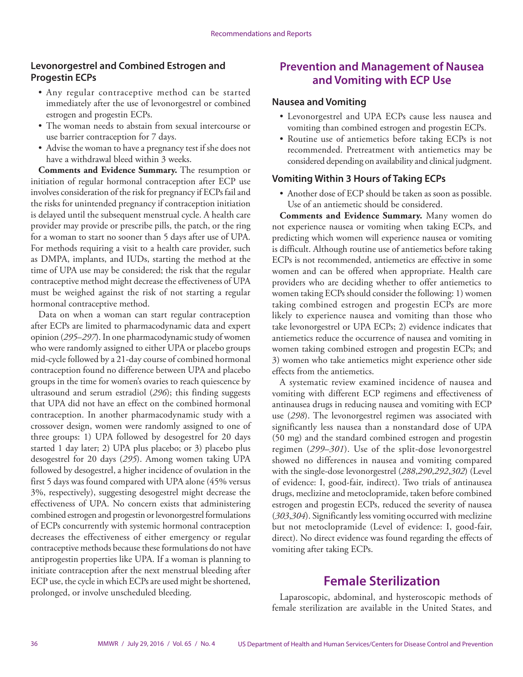### **Levonorgestrel and Combined Estrogen and Progestin ECPs**

- Any regular contraceptive method can be started immediately after the use of levonorgestrel or combined estrogen and progestin ECPs.
- The woman needs to abstain from sexual intercourse or use barrier contraception for 7 days.
- Advise the woman to have a pregnancy test if she does not have a withdrawal bleed within 3 weeks.

**Comments and Evidence Summary.** The resumption or initiation of regular hormonal contraception after ECP use involves consideration of the risk for pregnancy if ECPs fail and the risks for unintended pregnancy if contraception initiation is delayed until the subsequent menstrual cycle. A health care provider may provide or prescribe pills, the patch, or the ring for a woman to start no sooner than 5 days after use of UPA. For methods requiring a visit to a health care provider, such as DMPA, implants, and IUDs, starting the method at the time of UPA use may be considered; the risk that the regular contraceptive method might decrease the effectiveness of UPA must be weighed against the risk of not starting a regular hormonal contraceptive method.

Data on when a woman can start regular contraception after ECPs are limited to pharmacodynamic data and expert opinion (*295*–*297*). In one pharmacodynamic study of women who were randomly assigned to either UPA or placebo groups mid-cycle followed by a 21-day course of combined hormonal contraception found no difference between UPA and placebo groups in the time for women's ovaries to reach quiescence by ultrasound and serum estradiol (*296*); this finding suggests that UPA did not have an effect on the combined hormonal contraception. In another pharmacodynamic study with a crossover design, women were randomly assigned to one of three groups: 1) UPA followed by desogestrel for 20 days started 1 day later; 2) UPA plus placebo; or 3) placebo plus desogestrel for 20 days (*295*). Among women taking UPA followed by desogestrel, a higher incidence of ovulation in the first 5 days was found compared with UPA alone (45% versus 3%, respectively), suggesting desogestrel might decrease the effectiveness of UPA. No concern exists that administering combined estrogen and progestin or levonorgestrel formulations of ECPs concurrently with systemic hormonal contraception decreases the effectiveness of either emergency or regular contraceptive methods because these formulations do not have antiprogestin properties like UPA. If a woman is planning to initiate contraception after the next menstrual bleeding after ECP use, the cycle in which ECPs are used might be shortened, prolonged, or involve unscheduled bleeding.

## **Prevention and Management of Nausea and Vomiting with ECP Use**

#### **Nausea and Vomiting**

- Levonorgestrel and UPA ECPs cause less nausea and vomiting than combined estrogen and progestin ECPs.
- Routine use of antiemetics before taking ECPs is not recommended. Pretreatment with antiemetics may be considered depending on availability and clinical judgment.

### **Vomiting Within 3 Hours of Taking ECPs**

• Another dose of ECP should be taken as soon as possible. Use of an antiemetic should be considered.

**Comments and Evidence Summary.** Many women do not experience nausea or vomiting when taking ECPs, and predicting which women will experience nausea or vomiting is difficult. Although routine use of antiemetics before taking ECPs is not recommended, antiemetics are effective in some women and can be offered when appropriate. Health care providers who are deciding whether to offer antiemetics to women taking ECPs should consider the following: 1) women taking combined estrogen and progestin ECPs are more likely to experience nausea and vomiting than those who take levonorgestrel or UPA ECPs; 2) evidence indicates that antiemetics reduce the occurrence of nausea and vomiting in women taking combined estrogen and progestin ECPs; and 3) women who take antiemetics might experience other side effects from the antiemetics.

A systematic review examined incidence of nausea and vomiting with different ECP regimens and effectiveness of antinausea drugs in reducing nausea and vomiting with ECP use (*298*). The levonorgestrel regimen was associated with significantly less nausea than a nonstandard dose of UPA (50 mg) and the standard combined estrogen and progestin regimen (*299*–*301*). Use of the split-dose levonorgestrel showed no differences in nausea and vomiting compared with the single-dose levonorgestrel (*288*,*290*,*292*,*302*) (Level of evidence: I, good-fair, indirect). Two trials of antinausea drugs, meclizine and metoclopramide, taken before combined estrogen and progestin ECPs, reduced the severity of nausea (*303*,*304*). Significantly less vomiting occurred with meclizine but not metoclopramide (Level of evidence: I, good-fair, direct). No direct evidence was found regarding the effects of vomiting after taking ECPs.

## **Female Sterilization**

Laparoscopic, abdominal, and hysteroscopic methods of female sterilization are available in the United States, and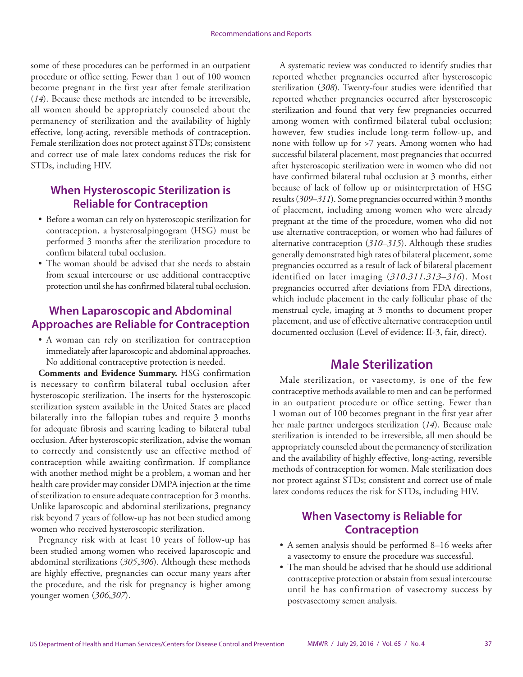some of these procedures can be performed in an outpatient procedure or office setting. Fewer than 1 out of 100 women become pregnant in the first year after female sterilization (*14*). Because these methods are intended to be irreversible, all women should be appropriately counseled about the permanency of sterilization and the availability of highly effective, long-acting, reversible methods of contraception. Female sterilization does not protect against STDs; consistent and correct use of male latex condoms reduces the risk for STDs, including HIV.

## **When Hysteroscopic Sterilization is Reliable for Contraception**

- Before a woman can rely on hysteroscopic sterilization for contraception, a hysterosalpingogram (HSG) must be performed 3 months after the sterilization procedure to confirm bilateral tubal occlusion.
- The woman should be advised that she needs to abstain from sexual intercourse or use additional contraceptive protection until she has confirmed bilateral tubal occlusion.

## **When Laparoscopic and Abdominal Approaches are Reliable for Contraception**

• A woman can rely on sterilization for contraception immediately after laparoscopic and abdominal approaches. No additional contraceptive protection is needed.

**Comments and Evidence Summary.** HSG confirmation is necessary to confirm bilateral tubal occlusion after hysteroscopic sterilization. The inserts for the hysteroscopic sterilization system available in the United States are placed bilaterally into the fallopian tubes and require 3 months for adequate fibrosis and scarring leading to bilateral tubal occlusion. After hysteroscopic sterilization, advise the woman to correctly and consistently use an effective method of contraception while awaiting confirmation. If compliance with another method might be a problem, a woman and her health care provider may consider DMPA injection at the time of sterilization to ensure adequate contraception for 3 months. Unlike laparoscopic and abdominal sterilizations, pregnancy risk beyond 7 years of follow-up has not been studied among women who received hysteroscopic sterilization.

Pregnancy risk with at least 10 years of follow-up has been studied among women who received laparoscopic and abdominal sterilizations (*305*,*306*). Although these methods are highly effective, pregnancies can occur many years after the procedure, and the risk for pregnancy is higher among younger women (*306*,*307*).

A systematic review was conducted to identify studies that reported whether pregnancies occurred after hysteroscopic sterilization (*308*). Twenty-four studies were identified that reported whether pregnancies occurred after hysteroscopic sterilization and found that very few pregnancies occurred among women with confirmed bilateral tubal occlusion; however, few studies include long-term follow-up, and none with follow up for >7 years. Among women who had successful bilateral placement, most pregnancies that occurred after hysteroscopic sterilization were in women who did not have confirmed bilateral tubal occlusion at 3 months, either because of lack of follow up or misinterpretation of HSG results (*309*–*311*). Some pregnancies occurred within 3 months of placement, including among women who were already pregnant at the time of the procedure, women who did not use alternative contraception, or women who had failures of alternative contraception (*310*–*315*). Although these studies generally demonstrated high rates of bilateral placement, some pregnancies occurred as a result of lack of bilateral placement identified on later imaging (*310*,*311*,*313*–*316*). Most pregnancies occurred after deviations from FDA directions, which include placement in the early follicular phase of the menstrual cycle, imaging at 3 months to document proper placement, and use of effective alternative contraception until documented occlusion (Level of evidence: II-3, fair, direct).

## **Male Sterilization**

Male sterilization, or vasectomy, is one of the few contraceptive methods available to men and can be performed in an outpatient procedure or office setting. Fewer than 1 woman out of 100 becomes pregnant in the first year after her male partner undergoes sterilization (*14*). Because male sterilization is intended to be irreversible, all men should be appropriately counseled about the permanency of sterilization and the availability of highly effective, long-acting, reversible methods of contraception for women. Male sterilization does not protect against STDs; consistent and correct use of male latex condoms reduces the risk for STDs, including HIV.

## **When Vasectomy is Reliable for Contraception**

- A semen analysis should be performed 8–16 weeks after a vasectomy to ensure the procedure was successful.
- The man should be advised that he should use additional contraceptive protection or abstain from sexual intercourse until he has confirmation of vasectomy success by postvasectomy semen analysis.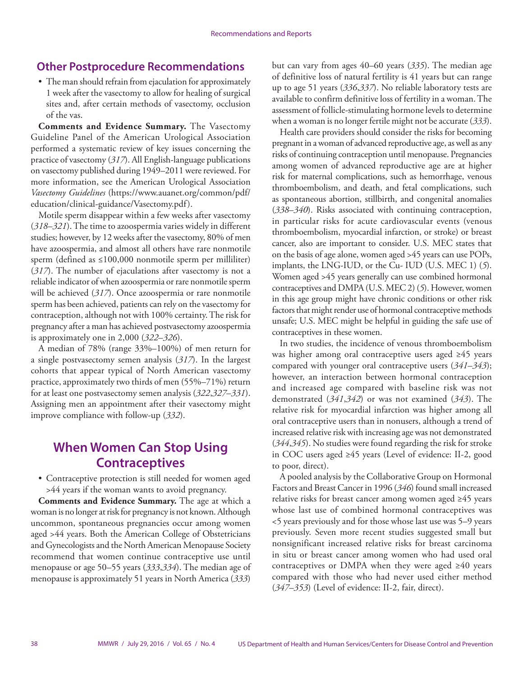### **Other Postprocedure Recommendations**

• The man should refrain from ejaculation for approximately 1 week after the vasectomy to allow for healing of surgical sites and, after certain methods of vasectomy, occlusion of the vas.

**Comments and Evidence Summary.** The Vasectomy Guideline Panel of the American Urological Association performed a systematic review of key issues concerning the practice of vasectomy (*317*). All English-language publications on vasectomy published during 1949–2011 were reviewed. For more information, see the American Urological Association *Vasectomy Guidelines* [\(https://www.auanet.org/common/pdf/](https://www.auanet.org/common/pdf/education/clinical-guidance/Vasectomy.pdf) [education/clinical-guidance/Vasectomy.pdf](https://www.auanet.org/common/pdf/education/clinical-guidance/Vasectomy.pdf)).

Motile sperm disappear within a few weeks after vasectomy (*318*–*321*). The time to azoospermia varies widely in different studies; however, by 12 weeks after the vasectomy, 80% of men have azoospermia, and almost all others have rare nonmotile sperm (defined as ≤100,000 nonmotile sperm per milliliter) (*317*). The number of ejaculations after vasectomy is not a reliable indicator of when azoospermia or rare nonmotile sperm will be achieved (*317*). Once azoospermia or rare nonmotile sperm has been achieved, patients can rely on the vasectomy for contraception, although not with 100% certainty. The risk for pregnancy after a man has achieved postvasectomy azoospermia is approximately one in 2,000 (*322*–*326*).

A median of 78% (range 33%–100%) of men return for a single postvasectomy semen analysis (*317*). In the largest cohorts that appear typical of North American vasectomy practice, approximately two thirds of men (55%–71%) return for at least one postvasectomy semen analysis (*322*,*327*–*331*). Assigning men an appointment after their vasectomy might improve compliance with follow-up (*332*).

# **When Women Can Stop Using Contraceptives**

• Contraceptive protection is still needed for women aged >44 years if the woman wants to avoid pregnancy.

**Comments and Evidence Summary.** The age at which a woman is no longer at risk for pregnancy is not known. Although uncommon, spontaneous pregnancies occur among women aged >44 years. Both the American College of Obstetricians and Gynecologists and the North American Menopause Society recommend that women continue contraceptive use until menopause or age 50–55 years (*333*,*334*). The median age of menopause is approximately 51 years in North America (*333*)

but can vary from ages 40–60 years (*335*). The median age of definitive loss of natural fertility is 41 years but can range up to age 51 years (*336*,*337*). No reliable laboratory tests are available to confirm definitive loss of fertility in a woman. The assessment of follicle-stimulating hormone levels to determine when a woman is no longer fertile might not be accurate (*333*).

Health care providers should consider the risks for becoming pregnant in a woman of advanced reproductive age, as well as any risks of continuing contraception until menopause. Pregnancies among women of advanced reproductive age are at higher risk for maternal complications, such as hemorrhage, venous thromboembolism, and death, and fetal complications, such as spontaneous abortion, stillbirth, and congenital anomalies (*338*–*340*). Risks associated with continuing contraception, in particular risks for acute cardiovascular events (venous thromboembolism, myocardial infarction, or stroke) or breast cancer, also are important to consider. U.S. MEC states that on the basis of age alone, women aged >45 years can use POPs, implants, the LNG-IUD, or the Cu- IUD (U.S. MEC 1) (*5*). Women aged >45 years generally can use combined hormonal contraceptives and DMPA (U.S. MEC 2) (*5*). However, women in this age group might have chronic conditions or other risk factors that might render use of hormonal contraceptive methods unsafe; U.S. MEC might be helpful in guiding the safe use of contraceptives in these women.

In two studies, the incidence of venous thromboembolism was higher among oral contraceptive users aged ≥45 years compared with younger oral contraceptive users (*341*–*343*); however, an interaction between hormonal contraception and increased age compared with baseline risk was not demonstrated (*341*,*342*) or was not examined (*343*). The relative risk for myocardial infarction was higher among all oral contraceptive users than in nonusers, although a trend of increased relative risk with increasing age was not demonstrated (*344*,*345*). No studies were found regarding the risk for stroke in COC users aged ≥45 years (Level of evidence: II-2, good to poor, direct).

A pooled analysis by the Collaborative Group on Hormonal Factors and Breast Cancer in 1996 (*346*) found small increased relative risks for breast cancer among women aged ≥45 years whose last use of combined hormonal contraceptives was <5 years previously and for those whose last use was 5–9 years previously. Seven more recent studies suggested small but nonsignificant increased relative risks for breast carcinoma in situ or breast cancer among women who had used oral contraceptives or DMPA when they were aged  $\geq 40$  years compared with those who had never used either method (*347*–*353*) (Level of evidence: II-2, fair, direct).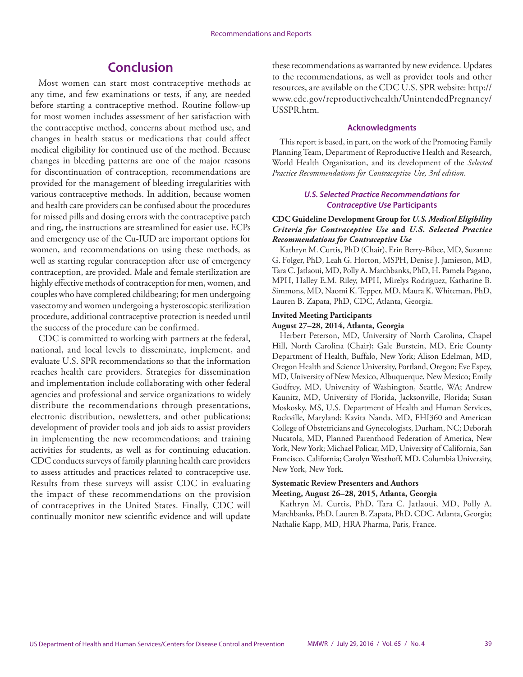# **Conclusion**

Most women can start most contraceptive methods at any time, and few examinations or tests, if any, are needed before starting a contraceptive method. Routine follow-up for most women includes assessment of her satisfaction with the contraceptive method, concerns about method use, and changes in health status or medications that could affect medical eligibility for continued use of the method. Because changes in bleeding patterns are one of the major reasons for discontinuation of contraception, recommendations are provided for the management of bleeding irregularities with various contraceptive methods. In addition, because women and health care providers can be confused about the procedures for missed pills and dosing errors with the contraceptive patch and ring, the instructions are streamlined for easier use. ECPs and emergency use of the Cu-IUD are important options for women, and recommendations on using these methods, as well as starting regular contraception after use of emergency contraception, are provided. Male and female sterilization are highly effective methods of contraception for men, women, and couples who have completed childbearing; for men undergoing vasectomy and women undergoing a hysteroscopic sterilization procedure, additional contraceptive protection is needed until the success of the procedure can be confirmed.

CDC is committed to working with partners at the federal, national, and local levels to disseminate, implement, and evaluate U.S. SPR recommendations so that the information reaches health care providers. Strategies for dissemination and implementation include collaborating with other federal agencies and professional and service organizations to widely distribute the recommendations through presentations, electronic distribution, newsletters, and other publications; development of provider tools and job aids to assist providers in implementing the new recommendations; and training activities for students, as well as for continuing education. CDC conducts surveys of family planning health care providers to assess attitudes and practices related to contraceptive use. Results from these surveys will assist CDC in evaluating the impact of these recommendations on the provision of contraceptives in the United States. Finally, CDC will continually monitor new scientific evidence and will update these recommendations as warranted by new evidence. Updates to the recommendations, as well as provider tools and other resources, are available on the CDC U.S. SPR website: [http://](http://www.cdc.gov/reproductivehealth/UnintendedPregnancy/USSPR.htm) [www.cdc.gov/reproductivehealth/UnintendedPregnancy/](http://www.cdc.gov/reproductivehealth/UnintendedPregnancy/USSPR.htm) [USSPR.htm](http://www.cdc.gov/reproductivehealth/UnintendedPregnancy/USSPR.htm).

#### **Acknowledgments**

This report is based, in part, on the work of the Promoting Family Planning Team, Department of Reproductive Health and Research, World Health Organization, and its development of the *Selected Practice Recommendations for Contraceptive Use, 3rd edition*.

#### *U.S. Selected Practice Recommendations for Contraceptive Use* **Participants**

#### **CDC Guideline Development Group for** *U.S. Medical Eligibility Criteria for Contraceptive Use* **and** *U.S. Selected Practice Recommendations for Contraceptive Use*

Kathryn M. Curtis, PhD (Chair), Erin Berry-Bibee, MD, Suzanne G. Folger, PhD, Leah G. Horton, MSPH, Denise J. Jamieson, MD, Tara C. Jatlaoui, MD, Polly A. Marchbanks, PhD, H. Pamela Pagano, MPH, Halley E.M. Riley, MPH, Mirelys Rodriguez, Katharine B. Simmons, MD, Naomi K. Tepper, MD, Maura K. Whiteman, PhD, Lauren B. Zapata, PhD, CDC, Atlanta, Georgia.

#### **Invited Meeting Participants**

#### **August 27–28, 2014, Atlanta, Georgia**

Herbert Peterson, MD, University of North Carolina, Chapel Hill, North Carolina (Chair); Gale Burstein, MD, Erie County Department of Health, Buffalo, New York; Alison Edelman, MD, Oregon Health and Science University, Portland, Oregon; Eve Espey, MD, University of New Mexico, Albuquerque, New Mexico; Emily Godfrey, MD, University of Washington, Seattle, WA; Andrew Kaunitz, MD, University of Florida, Jacksonville, Florida; Susan Moskosky, MS, U.S. Department of Health and Human Services, Rockville, Maryland; Kavita Nanda, MD, FHI360 and American College of Obstetricians and Gynecologists, Durham, NC; Deborah Nucatola, MD, Planned Parenthood Federation of America, New York, New York; Michael Policar, MD, University of California, San Francisco, California; Carolyn Westhoff, MD, Columbia University, New York, New York.

#### **Systematic Review Presenters and Authors Meeting, August 26–28, 2015, Atlanta, Georgia**

Kathryn M. Curtis, PhD, Tara C. Jatlaoui, MD, Polly A. Marchbanks, PhD, Lauren B. Zapata, PhD, CDC, Atlanta, Georgia; Nathalie Kapp, MD, HRA Pharma, Paris, France.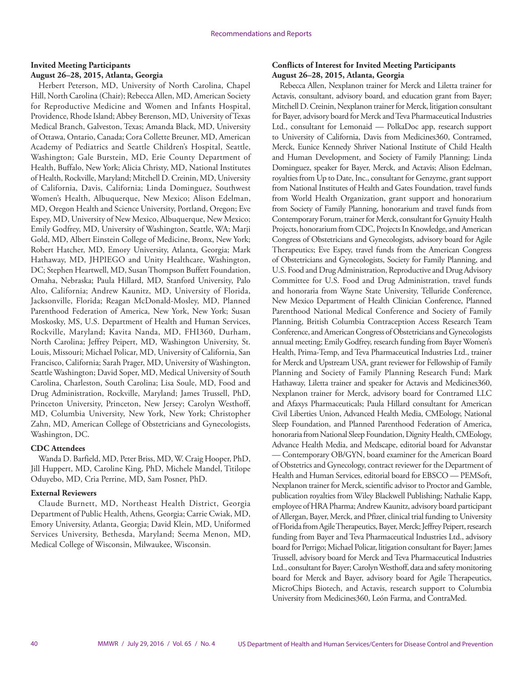#### **Invited Meeting Participants August 26–28, 2015, Atlanta, Georgia**

Herbert Peterson, MD, University of North Carolina, Chapel Hill, North Carolina (Chair); Rebecca Allen, MD, American Society for Reproductive Medicine and Women and Infants Hospital, Providence, Rhode Island; Abbey Berenson, MD, University of Texas Medical Branch, Galveston, Texas; Amanda Black, MD, University of Ottawa, Ontario, Canada; Cora Collette Breuner, MD, American Academy of Pediatrics and Seattle Children's Hospital, Seattle, Washington; Gale Burstein, MD, Erie County Department of Health, Buffalo, New York; Alicia Christy, MD, National Institutes of Health, Rockville, Maryland; Mitchell D. Creinin, MD, University of California, Davis, California; Linda Dominguez, Southwest Women's Health, Albuquerque, New Mexico; Alison Edelman, MD, Oregon Health and Science University, Portland, Oregon; Eve Espey, MD, University of New Mexico, Albuquerque, New Mexico; Emily Godfrey, MD, University of Washington, Seattle, WA; Marji Gold, MD, Albert Einstein College of Medicine, Bronx, New York; Robert Hatcher, MD, Emory University, Atlanta, Georgia; Mark Hathaway, MD, JHPIEGO and Unity Healthcare, Washington, DC; Stephen Heartwell, MD, Susan Thompson Buffett Foundation, Omaha, Nebraska; Paula Hillard, MD, Stanford University, Palo Alto, California; Andrew Kaunitz, MD, University of Florida, Jacksonville, Florida; Reagan McDonald-Mosley, MD, Planned Parenthood Federation of America, New York, New York; Susan Moskosky, MS, U.S. Department of Health and Human Services, Rockville, Maryland; Kavita Nanda, MD, FHI360, Durham, North Carolina; Jeffrey Peipert, MD, Washington University, St. Louis, Missouri; Michael Policar, MD, University of California, San Francisco, California; Sarah Prager, MD, University of Washington, Seattle Washington; David Soper, MD, Medical University of South Carolina, Charleston, South Carolina; Lisa Soule, MD, Food and Drug Administration, Rockville, Maryland; James Trussell, PhD, Princeton University, Princeton, New Jersey; Carolyn Westhoff, MD, Columbia University, New York, New York; Christopher Zahn, MD, American College of Obstetricians and Gynecologists, Washington, DC.

#### **CDC Attendees**

Wanda D. Barfield, MD, Peter Briss, MD, W. Craig Hooper, PhD, Jill Huppert, MD, Caroline King, PhD, Michele Mandel, Titilope Oduyebo, MD, Cria Perrine, MD, Sam Posner, PhD.

#### **External Reviewers**

Claude Burnett, MD, Northeast Health District, Georgia Department of Public Health, Athens, Georgia; Carrie Cwiak, MD, Emory University, Atlanta, Georgia; David Klein, MD, Uniformed Services University, Bethesda, Maryland; Seema Menon, MD, Medical College of Wisconsin, Milwaukee, Wisconsin.

#### **Conflicts of Interest for Invited Meeting Participants August 26–28, 2015, Atlanta, Georgia**

Rebecca Allen, Nexplanon trainer for Merck and Liletta trainer for Actavis, consultant, advisory board, and education grant from Bayer; Mitchell D. Creinin, Nexplanon trainer for Merck, litigation consultant for Bayer, advisory board for Merck and Teva Pharmaceutical Industries Ltd., consultant for Lemonaid — PolkaDoc app, research support to University of California, Davis from Medicines360, Contramed, Merck, Eunice Kennedy Shriver National Institute of Child Health and Human Development, and Society of Family Planning; Linda Dominguez, speaker for Bayer, Merck, and Actavis; Alison Edelman, royalties from Up to Date, Inc., consultant for Genzyme, grant support from National Institutes of Health and Gates Foundation, travel funds from World Health Organization, grant support and honorarium from Society of Family Planning, honorarium and travel funds from Contemporary Forum, trainer for Merck, consultant for Gynuity Health Projects, honorarium from CDC, Projects In Knowledge, and American Congress of Obstetricians and Gynecologists, advisory board for Agile Therapeutics; Eve Espey, travel funds from the American Congress of Obstetricians and Gynecologists, Society for Family Planning, and U.S. Food and Drug Administration, Reproductive and Drug Advisory Committee for U.S. Food and Drug Administration, travel funds and honoraria from Wayne State University, Telluride Conference, New Mexico Department of Health Clinician Conference, Planned Parenthood National Medical Conference and Society of Family Planning, British Columbia Contraception Access Research Team Conference, and American Congress of Obstetricians and Gynecologists annual meeting; Emily Godfrey, research funding from Bayer Women's Health, Prima-Temp, and Teva Pharmaceutical Industries Ltd., trainer for Merck and Upstream USA, grant reviewer for Fellowship of Family Planning and Society of Family Planning Research Fund; Mark Hathaway, Liletta trainer and speaker for Actavis and Medicines360, Nexplanon trainer for Merck, advisory board for Contramed LLC and Afaxys Pharmaceuticals; Paula Hillard consultant for American Civil Liberties Union, Advanced Health Media, CMEology, National Sleep Foundation, and Planned Parenthood Federation of America, honoraria from National Sleep Foundation, Dignity Health, CMEology, Advance Health Media, and Medscape, editorial board for Advanstar — Contemporary OB/GYN, board examiner for the American Board of Obstetrics and Gynecology, contract reviewer for the Department of Health and Human Services, editorial board for EBSCO — PEMSoft, Nexplanon trainer for Merck, scientific advisor to Proctor and Gamble, publication royalties from Wiley Blackwell Publishing; Nathalie Kapp, employee of HRA Pharma; Andrew Kaunitz, advisory board participant of Allergan, Bayer, Merck, and Pfizer, clinical trial funding to University of Florida from Agile Therapeutics, Bayer, Merck; Jeffrey Peipert, research funding from Bayer and Teva Pharmaceutical Industries Ltd., advisory board for Perrigo; Michael Policar, litigation consultant for Bayer; James Trussell, advisory board for Merck and Teva Pharmaceutical Industries Ltd., consultant for Bayer; Carolyn Westhoff, data and safety monitoring board for Merck and Bayer, advisory board for Agile Therapeutics, MicroChips Biotech, and Actavis, research support to Columbia University from Medicines360, León Farma, and ContraMed.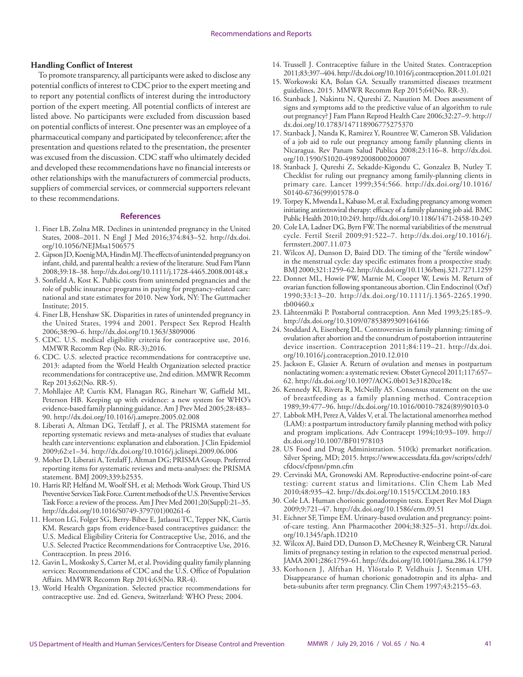#### **Handling Conflict of Interest**

To promote transparency, all participants were asked to disclose any potential conflicts of interest to CDC prior to the expert meeting and to report any potential conflicts of interest during the introductory portion of the expert meeting. All potential conflicts of interest are listed above. No participants were excluded from discussion based on potential conflicts of interest. One presenter was an employee of a pharmaceutical company and participated by teleconference; after the presentation and questions related to the presentation, the presenter was excused from the discussion. CDC staff who ultimately decided and developed these recommendations have no financial interests or other relationships with the manufacturers of commercial products, suppliers of commercial services, or commercial supporters relevant to these recommendations.

#### **References**

- 1. Finer LB, Zolna MR. Declines in unintended pregnancy in the United States, 2008–2011. N Engl J Med 2016;374:843–52. [http://dx.doi.](http://dx.doi.org/10.1056/NEJMsa1506575) [org/10.1056/NEJMsa1506575](http://dx.doi.org/10.1056/NEJMsa1506575)
- 2. Gipson JD, Koenig MA, Hindin MJ. The effects of unintended pregnancy on infant, child, and parental health: a review of the literature. Stud Fam Plann 2008;39:18–38. <http://dx.doi.org/10.1111/j.1728-4465.2008.00148.x>
- 3. Sonfield A, Kost K. Public costs from unintended pregnancies and the role of public insurance programs in paying for pregnancy-related care: national and state estimates for 2010. New York, NY: The Guttmacher Institute; 2015.
- 4. Finer LB, Henshaw SK. Disparities in rates of unintended pregnancy in the United States, 1994 and 2001. Perspect Sex Reprod Health 2006;38:90–6. <http://dx.doi.org/10.1363/3809006>
- 5. CDC. U.S. medical eligibility criteria for contraceptive use, 2016. MMWR Recomm Rep (No. RR-3);2016.
- 6. CDC. U.S. selected practice recommendations for contraceptive use, 2013: adapted from the World Health Organization selected practice recommendations for contraceptive use, 2nd edition. MMWR Recomm Rep 2013;62(No. RR-5).
- 7. Mohllajee AP, Curtis KM, Flanagan RG, Rinehart W, Gaffield ML, Peterson HB. Keeping up with evidence: a new system for WHO's evidence-based family planning guidance. Am J Prev Med 2005;28:483– 90. <http://dx.doi.org/10.1016/j.amepre.2005.02.008>
- 8. Liberati A, Altman DG, Tetzlaff J, et al. The PRISMA statement for reporting systematic reviews and meta-analyses of studies that evaluate health care interventions: explanation and elaboration. J Clin Epidemiol 2009;62:e1–34.<http://dx.doi.org/10.1016/j.jclinepi.2009.06.006>
- 9. Moher D, Liberati A, Tetzlaff J, Altman DG; PRISMA Group. Preferred reporting items for systematic reviews and meta-analyses: the PRISMA statement. BMJ 2009;339:b2535.
- 10. Harris RP, Helfand M, Woolf SH, et al; Methods Work Group, Third US Preventive Services Task Force. Current methods of the U.S. Preventive Services Task Force: a review of the process. Am J Prev Med 2001;20(Suppl):21–35. [http://dx.doi.org/10.1016/S0749-3797\(01\)00261-6](http://dx.doi.org/10.1016/S0749-3797(01)00261-6)
- 11. Horton LG, Folger SG, Berry-Bibee E, Jatlaoui TC, Tepper NK, Curtis KM. Research gaps from evidence-based contraceptives guidance: the U.S. Medical Eligibility Criteria for Contraceptive Use, 2016, and the U.S. Selected Practice Recommendations for Contraceptive Use, 2016. Contraception. In press 2016.
- 12. Gavin L, Moskosky S, Carter M, et al. Providing quality family planning services: Recommendations of CDC and the U.S. Office of Population Affairs. MMWR Recomm Rep 2014;63(No. RR-4).
- 13. World Health Organization. Selected practice recommendations for contraceptive use. 2nd ed. Geneva, Switzerland: WHO Press; 2004.
- 14. Trussell J. Contraceptive failure in the United States. Contraception 2011;83:397–404.<http://dx.doi.org/10.1016/j.contraception.2011.01.021>
- 15. Workowski KA, Bolan GA. Sexually transmitted diseases treatment guidelines, 2015. MMWR Recomm Rep 2015;64(No. RR-3).
- 16. Stanback J, Nakintu N, Qureshi Z, Nasution M. Does assessment of signs and symptoms add to the predictive value of an algorithm to rule out pregnancy? J Fam Plann Reprod Health Care 2006;32:27–9. [http://](http://dx.doi.org/10.1783/147118906775275370) [dx.doi.org/10.1783/147118906775275370](http://dx.doi.org/10.1783/147118906775275370)
- 17. Stanback J, Nanda K, Ramirez Y, Rountree W, Cameron SB. Validation of a job aid to rule out pregnancy among family planning clients in Nicaragua. Rev Panam Salud Publica 2008;23:116–8. [http://dx.doi.](http://dx.doi.org/10.1590/S1020-49892008000200007) [org/10.1590/S1020-49892008000200007](http://dx.doi.org/10.1590/S1020-49892008000200007)
- 18. Stanback J, Qureshi Z, Sekadde-Kigondu C, Gonzalez B, Nutley T. Checklist for ruling out pregnancy among family-planning clients in primary care. Lancet 1999;354:566. [http://dx.doi.org/10.1016/](http://dx.doi.org/10.1016/S0140-6736(99)01578-0) [S0140-6736\(99\)01578-0](http://dx.doi.org/10.1016/S0140-6736(99)01578-0)
- 19. Torpey K, Mwenda L, Kabaso M, et al. Excluding pregnancy among women initiating antiretroviral therapy: efficacy of a family planning job aid. BMC Public Health 2010;10:249.<http://dx.doi.org/10.1186/1471-2458-10-249>
- 20. Cole LA, Ladner DG, Byrn FW. The normal variabilities of the menstrual cycle. Fertil Steril 2009;91:522–7. [http://dx.doi.org/10.1016/j.](http://dx.doi.org/10.1016/j.fertnstert.2007.11.073) [fertnstert.2007.11.073](http://dx.doi.org/10.1016/j.fertnstert.2007.11.073)
- 21. Wilcox AJ, Dunson D, Baird DD. The timing of the "fertile window" in the menstrual cycle: day specific estimates from a prospective study. BMJ 2000;321:1259–62.<http://dx.doi.org/10.1136/bmj.321.7271.1259>
- 22. Donnet ML, Howie PW, Marnie M, Cooper W, Lewis M. Return of ovarian function following spontaneous abortion. Clin Endocrinol (Oxf) 1990;33:13–20. [http://dx.doi.org/10.1111/j.1365-2265.1990.](http://dx.doi.org/10.1111/j.1365-2265.1990.tb00460.x) [tb00460.x](http://dx.doi.org/10.1111/j.1365-2265.1990.tb00460.x)
- 23. Lähteenmäki P. Postabortal contraception. Ann Med 1993;25:185–9. <http://dx.doi.org/10.3109/07853899309164166>
- 24. Stoddard A, Eisenberg DL. Controversies in family planning: timing of ovulation after abortion and the conundrum of postabortion intrauterine device insertion. Contraception 2011;84:119–21. [http://dx.doi.](http://dx.doi.org/10.1016/j.contraception.2010.12.010) [org/10.1016/j.contraception.2010.12.010](http://dx.doi.org/10.1016/j.contraception.2010.12.010)
- 25. Jackson E, Glasier A. Return of ovulation and menses in postpartum nonlactating women: a systematic review. Obstet Gynecol 2011;117:657– 62. <http://dx.doi.org/10.1097/AOG.0b013e31820ce18c>
- 26. Kennedy KI, Rivera R, McNeilly AS. Consensus statement on the use of breastfeeding as a family planning method. Contraception 1989;39:477–96. [http://dx.doi.org/10.1016/0010-7824\(89\)90103-0](http://dx.doi.org/10.1016/0010-7824(89)90103-0)
- 27. Labbok MH, Perez A, Valdes V, et al. The lactational amenorrhea method (LAM): a postpartum introductory family planning method with policy and program implications. Adv Contracept 1994;10:93–109. [http://](http://dx.doi.org/10.1007/BF01978103) [dx.doi.org/10.1007/BF01978103](http://dx.doi.org/10.1007/BF01978103)
- 28. US Food and Drug Administration. 510(k) premarket notification. Silver Spring, MD; 2015. [https://www.accessdata.fda.gov/scripts/cdrh/](https://www.accessdata.fda.gov/scripts/cdrh/cfdocs/cfpmn/pmn.cfm) [cfdocs/cfpmn/pmn.cfm](https://www.accessdata.fda.gov/scripts/cdrh/cfdocs/cfpmn/pmn.cfm)
- 29. Cervinski MA, Gronowski AM. Reproductive-endocrine point-of-care testing: current status and limitations. Clin Chem Lab Med 2010;48:935–42.<http://dx.doi.org/10.1515/CCLM.2010.183>
- 30. Cole LA. Human chorionic gonadotropin tests. Expert Rev Mol Diagn 2009;9:721–47. <http://dx.doi.org/10.1586/erm.09.51>
- 31. Eichner SF, Timpe EM. Urinary-based ovulation and pregnancy: pointof-care testing. Ann Pharmacother 2004;38:325–31. [http://dx.doi.](http://dx.doi.org/10.1345/aph.1D210) [org/10.1345/aph.1D210](http://dx.doi.org/10.1345/aph.1D210)
- 32. Wilcox AJ, Baird DD, Dunson D, McChesney R, Weinberg CR. Natural limits of pregnancy testing in relation to the expected menstrual period. JAMA 2001;286:1759–61.<http://dx.doi.org/10.1001/jama.286.14.1759>
- 33. Korhonen J, Alfthan H, Ylöstalo P, Veldhuis J, Stenman UH. Disappearance of human chorionic gonadotropin and its alpha- and beta-subunits after term pregnancy. Clin Chem 1997;43:2155–63.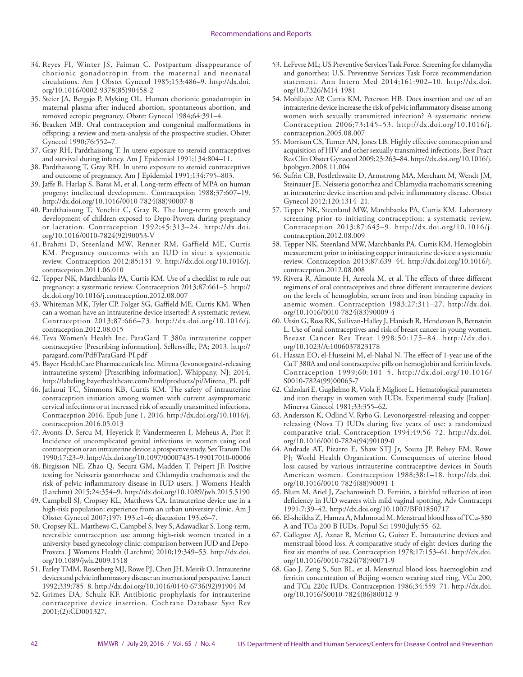- 34. Reyes FI, Winter JS, Faiman C. Postpartum disappearance of chorionic gonadotropin from the maternal and neonatal circulations. Am J Obstet Gynecol 1985;153:486–9. [http://dx.doi.](http://dx.doi.org/10.1016/0002-9378(85)90458-2) [org/10.1016/0002-9378\(85\)90458-2](http://dx.doi.org/10.1016/0002-9378(85)90458-2)
- 35. Steier JA, Bergsjø P, Myking OL. Human chorionic gonadotropin in maternal plasma after induced abortion, spontaneous abortion, and removed ectopic pregnancy. Obstet Gynecol 1984;64:391–4.
- 36. Bracken MB. Oral contraception and congenital malformations in offspring: a review and meta-analysis of the prospective studies. Obstet Gynecol 1990;76:552–7.
- 37. Gray RH, Pardthaisong T. In utero exposure to steroid contraceptives and survival during infancy. Am J Epidemiol 1991;134:804–11.
- 38. Pardthaisong T, Gray RH. In utero exposure to steroid contraceptives and outcome of pregnancy. Am J Epidemiol 1991;134:795–803.
- 39. Jaffe B, Harlap S, Baras M, et al. Long-term effects of MPA on human progeny: intellectual development. Contraception 1988;37:607–19. [http://dx.doi.org/10.1016/0010-7824\(88\)90007-8](http://dx.doi.org/10.1016/0010-7824(88)90007-8)
- 40. Pardthaisong T, Yenchit C, Gray R. The long-term growth and development of children exposed to Depo-Provera during pregnancy or lactation. Contraception 1992;45:313–24. [http://dx.doi.](http://dx.doi.org/10.1016/0010-7824(92)90053-V) [org/10.1016/0010-7824\(92\)90053-V](http://dx.doi.org/10.1016/0010-7824(92)90053-V)
- 41. Brahmi D, Steenland MW, Renner RM, Gaffield ME, Curtis KM. Pregnancy outcomes with an IUD in situ: a systematic review. Contraception 2012;85:131–9. [http://dx.doi.org/10.1016/j.](http://dx.doi.org/10.1016/j.contraception.2011.06.010) [contraception.2011.06.010](http://dx.doi.org/10.1016/j.contraception.2011.06.010)
- 42. Tepper NK, Marchbanks PA, Curtis KM. Use of a checklist to rule out pregnancy: a systematic review. Contraception 2013;87:661–5. [http://](http://dx.doi.org/10.1016/j.contraception.2012.08.007) [dx.doi.org/10.1016/j.contraception.2012.08.007](http://dx.doi.org/10.1016/j.contraception.2012.08.007)
- 43. Whiteman MK, Tyler CP, Folger SG, Gaffield ME, Curtis KM. When can a woman have an intrauterine device inserted? A systematic review. Contraception 2013;87:666–73. [http://dx.doi.org/10.1016/j.](http://dx.doi.org/10.1016/j.contraception.2012.08.015) [contraception.2012.08.015](http://dx.doi.org/10.1016/j.contraception.2012.08.015)
- 44. Teva Women's Health Inc. ParaGard T 380a intrauterine copper contraceptive [Prescribing information]. Sellersville, PA; 2013. [http://](http://paragard.com/Pdf/ParaGard-PI.pdf ) [paragard.com/Pdf/ParaGard-PI.pdf](http://paragard.com/Pdf/ParaGard-PI.pdf )
- 45. Bayer HealthCare Pharmaceuticals Inc. Mirena (levonorgestrel-releasing intrauterine system) [Prescribing information]. Whippany, NJ; 2014. [http://labeling.bayerhealthcare.com/html/products/pi/Mirena\\_PI. pdf](http://labeling.bayerhealthcare.com/html/products/pi/Mirena_PI. pdf)
- 46. Jatlaoui TC, Simmons KB, Curtis KM. The safety of intrauterine contraception initiation among women with current asymptomatic cervical infections or at increased risk of sexually transmitted infections. Contraception 2016. Epub June 1, 2016. [http://dx.doi.org/10.1016/j.](http://dx.doi.org/10.1016/j.contraception.2016.05.013) [contraception.2016.05.013](http://dx.doi.org/10.1016/j.contraception.2016.05.013)
- 47. Avonts D, Sercu M, Heyerick P, Vandermeeren I, Meheus A, Piot P. Incidence of uncomplicated genital infections in women using oral contraception or an intrauterine device: a prospective study. Sex Transm Dis 1990;17:23–9.<http://dx.doi.org/10.1097/00007435-199017010-00006>
- 48. Birgisson NE, Zhao Q, Secura GM, Madden T, Peipert JF. Positive testing for Neisseria gonorrhoeae and Chlamydia trachomatis and the risk of pelvic inflammatory disease in IUD users. J Womens Health (Larchmt) 2015;24:354–9. <http://dx.doi.org/10.1089/jwh.2015.5190>
- 49. Campbell SJ, Cropsey KL, Matthews CA. Intrauterine device use in a high-risk population: experience from an urban university clinic. Am J Obstet Gynecol 2007;197: 193.e1–6; discussion 193.e6–7.
- 50. Cropsey KL, Matthews C, Campbel S, Ivey S, Adawadkar S. Long-term, reversible contraception use among high-risk women treated in a university-based gynecology clinic: comparison between IUD and Depo-Provera. J Womens Health (Larchmt) 2010;19:349–53. [http://dx.doi.](http://dx.doi.org/10.1089/jwh.2009.1518) [org/10.1089/jwh.2009.1518](http://dx.doi.org/10.1089/jwh.2009.1518)
- 51. Farley TMM, Rosenberg MJ, Rowe PJ, Chen JH, Meirik O. Intrauterine devices and pelvic inflammatory disease: an international perspective. Lancet 1992;339:785–8. [http://dx.doi.org/10.1016/0140-6736\(92\)91904-M](http://dx.doi.org/10.1016/0140-6736(92)91904-M)
- 52. Grimes DA, Schulz KF. Antibiotic prophylaxis for intrauterine contraceptive device insertion. Cochrane Database Syst Rev 2001;(2):CD001327.
- 53. LeFevre ML; US Preventive Services Task Force. Screening for chlamydia and gonorrhea: U.S. Preventive Services Task Force recommendation statement. Ann Intern Med 2014;161:902–10. [http://dx.doi.](http://dx.doi.org/10.7326/M14-1981) [org/10.7326/M14-1981](http://dx.doi.org/10.7326/M14-1981)
- 54. Mohllajee AP, Curtis KM, Peterson HB. Does insertion and use of an intrauterine device increase the risk of pelvic inflammatory disease among women with sexually transmitted infection? A systematic review. Contraception 2006;73:145–53. [http://dx.doi.org/10.1016/j.](http://dx.doi.org/10.1016/j.contraception.2005.08.007) [contraception.2005.08.007](http://dx.doi.org/10.1016/j.contraception.2005.08.007)
- 55. Morrison CS, Turner AN, Jones LB. Highly effective contraception and acquisition of HIV and other sexually transmitted infections. Best Pract Res Clin Obstet Gynaecol 2009;23:263–84. [http://dx.doi.org/10.1016/j.](http://dx.doi.org/10.1016/j.bpobgyn.2008.11.004) [bpobgyn.2008.11.004](http://dx.doi.org/10.1016/j.bpobgyn.2008.11.004)
- 56. Sufrin CB, Postlethwaite D, Armstrong MA, Merchant M, Wendt JM, Steinauer JE. Neisseria gonorrhea and Chlamydia trachomatis screening at intrauterine device insertion and pelvic inflammatory disease. Obstet Gynecol 2012;120:1314–21.
- 57. Tepper NK, Steenland MW, Marchbanks PA, Curtis KM. Laboratory screening prior to initiating contraception: a systematic review. Contraception 2013;87:645–9. [http://dx.doi.org/10.1016/j.](http://dx.doi.org/10.1016/j.contraception.2012.08.009) [contraception.2012.08.009](http://dx.doi.org/10.1016/j.contraception.2012.08.009)
- 58. Tepper NK, Steenland MW, Marchbanks PA, Curtis KM. Hemoglobin measurement prior to initiating copper intrauterine devices: a systematic review. Contraception 2013;87:639–44. [http://dx.doi.org/10.1016/j.](http://dx.doi.org/10.1016/j.contraception.2012.08.008) [contraception.2012.08.008](http://dx.doi.org/10.1016/j.contraception.2012.08.008)
- 59. Rivera R, Almonte H, Arreola M, et al. The effects of three different regimens of oral contraceptives and three different intrauterine devices on the levels of hemoglobin, serum iron and iron binding capacity in anemic women. Contraception 1983;27:311–27. [http://dx.doi.](http://dx.doi.org/10.1016/0010-7824(83)90009-4) [org/10.1016/0010-7824\(83\)90009-4](http://dx.doi.org/10.1016/0010-7824(83)90009-4)
- 60. Ursin G, Ross RK, Sullivan-Halley J, Hanisch R, Henderson B, Bernstein L. Use of oral contraceptives and risk of breast cancer in young women. Breast Cancer Res Treat 1998;50:175–84. [http://dx.doi.](http://dx.doi.org/10.1023/A:1006037823178) [org/10.1023/A:1006037823178](http://dx.doi.org/10.1023/A:1006037823178)
- 61. Hassan EO, el-Husseini M, el-Nahal N. The effect of 1-year use of the CuT 380A and oral contraceptive pills on hemoglobin and ferritin levels. Contraception 1999;60:101–5. [http://dx.doi.org/10.1016/](http://dx.doi.org/10.1016/S0010-7824(99)00065-7) [S0010-7824\(99\)00065-7](http://dx.doi.org/10.1016/S0010-7824(99)00065-7)
- 62. Calzolari E, Guglielmo R, Viola F, Migliore L. Hematological parameters and iron therapy in women with IUDs. Experimental study [Italian]. Minerva Ginecol 1981;33:355–62.
- 63. Andersson K, Odlind V, Rybo G. Levonorgestrel-releasing and copperreleasing (Nova T) IUDs during five years of use: a randomized comparative trial. Contraception 1994;49:56–72. [http://dx.doi.](http://dx.doi.org/10.1016/0010-7824(94)90109-0) [org/10.1016/0010-7824\(94\)90109-0](http://dx.doi.org/10.1016/0010-7824(94)90109-0)
- 64. Andrade AT, Pizarro E, Shaw STJ Jr, Souza JP, Belsey EM, Rowe PJ; World Health Organization. Consequences of uterine blood loss caused by various intrauterine contraceptive devices in South American women. Contraception 1988;38:1–18. [http://dx.doi.](http://dx.doi.org/10.1016/0010-7824(88)90091-1) [org/10.1016/0010-7824\(88\)90091-1](http://dx.doi.org/10.1016/0010-7824(88)90091-1)
- 65. Blum M, Ariel J, Zacharowitch D. Ferritin, a faithful reflection of iron deficiency in IUD wearers with mild vaginal spotting. Adv Contracept 1991;7:39–42.<http://dx.doi.org/10.1007/BF01850717>
- 66. El-sheikha Z, Hamza A, Mahmoud M. Menstrual blood loss of TCu-380 A and TCu-200 B IUDs. Popul Sci 1990;July:55–62.
- 67. Gallegost AJ, Aznar R, Merino G, Guizer E. Intrauterine devices and menstrual blood loss. A comparative study of eight devices during the first six months of use. Contraception 1978;17:153–61. [http://dx.doi.](http://dx.doi.org/10.1016/0010-7824(78)90071-9) [org/10.1016/0010-7824\(78\)90071-9](http://dx.doi.org/10.1016/0010-7824(78)90071-9)
- 68. Gao J, Zeng S, Sun BL, et al. Menstrual blood loss, haemoglobin and ferritin concentration of Beijing women wearing steel ring, VCu 200, and TCu 220c IUDs. Contraception 1986;34:559–71. [http://dx.doi.](http://dx.doi.org/10.1016/S0010-7824(86)80012-9) [org/10.1016/S0010-7824\(86\)80012-9](http://dx.doi.org/10.1016/S0010-7824(86)80012-9)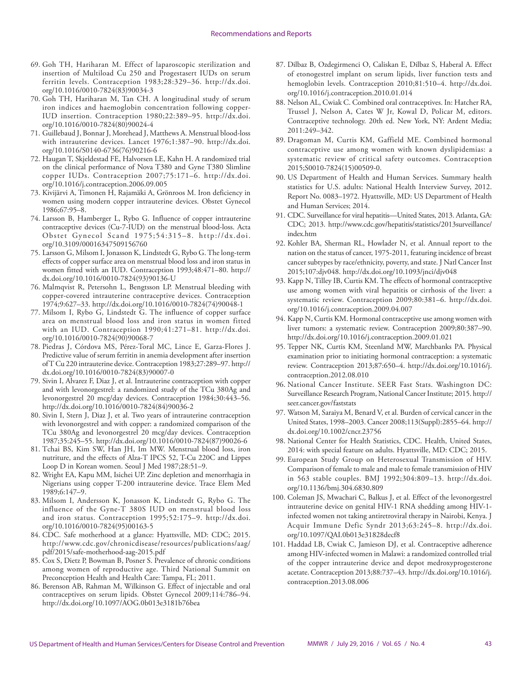- 69. Goh TH, Hariharan M. Effect of laparoscopic sterilization and insertion of Multiload Cu 250 and Progestasert IUDs on serum ferritin levels. Contraception 1983;28:329–36. [http://dx.doi.](http://dx.doi.org/10.1016/0010-7824(83)90034-3) [org/10.1016/0010-7824\(83\)90034-3](http://dx.doi.org/10.1016/0010-7824(83)90034-3)
- 70. Goh TH, Hariharan M, Tan CH. A longitudinal study of serum iron indices and haemoglobin concentration following copper-IUD insertion. Contraception 1980;22:389–95. [http://dx.doi.](http://dx.doi.org/10.1016/0010-7824(80)90024-4) [org/10.1016/0010-7824\(80\)90024-4](http://dx.doi.org/10.1016/0010-7824(80)90024-4)
- 71. Guillebaud J, Bonnar J, Morehead J, Matthews A. Menstrual blood-loss with intrauterine devices. Lancet 1976;1:387–90. [http://dx.doi.](http://dx.doi.org/10.1016/S0140-6736(76)90216-6) [org/10.1016/S0140-6736\(76\)90216-6](http://dx.doi.org/10.1016/S0140-6736(76)90216-6)
- 72. Haugan T, Skjeldestad FE, Halvorsen LE, Kahn H. A randomized trial on the clinical performance of Nova T380 and Gyne T380 Slimline copper IUDs. Contraception 2007;75:171–6. [http://dx.doi.](http://dx.doi.org/10.1016/j.contraception.2006.09.005) [org/10.1016/j.contraception.2006.09.005](http://dx.doi.org/10.1016/j.contraception.2006.09.005)
- 73. Kivijärvi A, Timonen H, Rajamäki A, Grönroos M. Iron deficiency in women using modern copper intrauterine devices. Obstet Gynecol 1986;67:95–8.
- 74. Larsson B, Hamberger L, Rybo G. Influence of copper intrauterine contraceptive devices (Cu-7-IUD) on the menstrual blood-loss. Acta Obstet Gynecol Scand 1975;54:315–8. [http://dx.doi.](http://dx.doi.org/10.3109/00016347509156760) [org/10.3109/00016347509156760](http://dx.doi.org/10.3109/00016347509156760)
- 75. Larsson G, Milsom I, Jonasson K, Lindstedt G, Rybo G. The long-term effects of copper surface area on menstrual blood loss and iron status in women fitted with an IUD. Contraception 1993;48:471–80. [http://](http://dx.doi.org/10.1016/0010-7824(93)90136-U) [dx.doi.org/10.1016/0010-7824\(93\)90136-U](http://dx.doi.org/10.1016/0010-7824(93)90136-U)
- 76. Malmqvist R, Petersohn L, Bengtsson LP. Menstrual bleeding with copper-covered intrauterine contraceptive devices. Contraception 1974;9:627–33. [http://dx.doi.org/10.1016/0010-7824\(74\)90048-1](http://dx.doi.org/10.1016/0010-7824(74)90048-1)
- 77. Milsom I, Rybo G, Lindstedt G. The influence of copper surface area on menstrual blood loss and iron status in women fitted with an IUD. Contraception 1990;41:271–81. [http://dx.doi.](http://dx.doi.org/10.1016/0010-7824(90)90068-7) [org/10.1016/0010-7824\(90\)90068-7](http://dx.doi.org/10.1016/0010-7824(90)90068-7)
- 78. Piedras J, Córdova MS, Pérez-Toral MC, Lince E, Garza-Flores J. Predictive value of serum ferritin in anemia development after insertion of T Cu 220 intrauterine device. Contraception 1983;27:289–97. [http://](http://dx.doi.org/10.1016/0010-7824(83)90007-0) [dx.doi.org/10.1016/0010-7824\(83\)90007-0](http://dx.doi.org/10.1016/0010-7824(83)90007-0)
- 79. Sivin I, Alvarez F, Diaz J, et al. Intrauterine contraception with copper and with levonorgestrel: a randomized study of the TCu 380Ag and levonorgestrel 20 mcg/day devices. Contraception 1984;30:443–56. [http://dx.doi.org/10.1016/0010-7824\(84\)90036-2](http://dx.doi.org/10.1016/0010-7824(84)90036-2)
- 80. Sivin I, Stern J, Diaz J, et al. Two years of intrauterine contraception with levonorgestrel and with copper: a randomized comparison of the TCu 380Ag and levonorgestrel 20 mcg/day devices. Contraception 1987;35:245–55. [http://dx.doi.org/10.1016/0010-7824\(87\)90026-6](http://dx.doi.org/10.1016/0010-7824(87)90026-6)
- 81. Tchai BS, Kim SW, Han JH, Im MW. Menstrual blood loss, iron nutriture, and the effects of Alza-T IPCS 52, T-Cu 220C and Lippes Loop D in Korean women. Seoul J Med 1987;28:51–9.
- 82. Wright EA, Kapu MM, Isichei UP. Zinc depletion and menorrhagia in Nigerians using copper T-200 intrauterine device. Trace Elem Med 1989;6:147–9.
- 83. Milsom I, Andersson K, Jonasson K, Lindstedt G, Rybo G. The influence of the Gyne-T 380S IUD on menstrual blood loss and iron status. Contraception 1995;52:175–9. [http://dx.doi.](http://dx.doi.org/10.1016/0010-7824(95)00163-5) [org/10.1016/0010-7824\(95\)00163-5](http://dx.doi.org/10.1016/0010-7824(95)00163-5)
- 84. CDC. Safe motherhood at a glance: Hyattsville, MD: CDC; 2015. [http://www.cdc.gov/chronicdisease/resources/publications/aag/](http://www.cdc.gov/chronicdisease/resources/publications/aag/pdf/2015/safe-motherhood-aag-2015.pdf) [pdf/2015/safe-motherhood-aag-2015.pdf](http://www.cdc.gov/chronicdisease/resources/publications/aag/pdf/2015/safe-motherhood-aag-2015.pdf)
- 85. Cox S, Dietz P, Bowman B, Posner S. Prevalence of chronic conditions among women of reproductive age. Third National Summit on Preconception Health and Health Care: Tampa, FL; 2011.
- 86. Berenson AB, Rahman M, Wilkinson G. Effect of injectable and oral contraceptives on serum lipids. Obstet Gynecol 2009;114:786–94. <http://dx.doi.org/10.1097/AOG.0b013e3181b76bea>
- 87. Dilbaz B, Ozdegirmenci O, Caliskan E, Dilbaz S, Haberal A. Effect of etonogestrel implant on serum lipids, liver function tests and hemoglobin levels. Contraception 2010;81:510–4. [http://dx.doi.](http://dx.doi.org/10.1016/j.contraception.2010.01.014) [org/10.1016/j.contraception.2010.01.014](http://dx.doi.org/10.1016/j.contraception.2010.01.014)
- 88. Nelson AL, Cwiak C. Combined oral contraceptives. In: Hatcher RA, Trussel J, Nelson A, Cates W Jr, Kowal D, Policar M, editors. Contraceptive technology. 20th ed. New York, NY: Ardent Media; 2011:249–342.
- 89. Dragoman M, Curtis KM, Gaffield ME. Combined hormonal contraceptive use among women with known dyslipidemias: a systematic review of critical safety outcomes. Contraception 2015;S0010-7824(15)00509-0.
- 90. US Department of Health and Human Services. Summary health statistics for U.S. adults: National Health Interview Survey, 2012. Report No. 0083–1972. Hyattsville, MD: US Department of Health and Human Services; 2014.
- 91. CDC. Surveillance for viral hepatitis—United States, 2013. Atlanta, GA: CDC; 2013. [http://www.cdc.gov/hepatitis/statistics/2013surveillance/](http://www.cdc.gov/hepatitis/statistics/2013surveillance/index.htm) [index.htm](http://www.cdc.gov/hepatitis/statistics/2013surveillance/index.htm)
- 92. Kohler BA, Sherman RL, Howlader N, et al. Annual report to the nation on the status of cancer, 1975-2011, featuring incidence of breast cancer subtypes by race/ethnicity, poverty, and state. J Natl Cancer Inst 2015;107:djv048.<http://dx.doi.org/10.1093/jnci/djv048>
- 93. Kapp N, Tilley IB, Curtis KM. The effects of hormonal contraceptive use among women with viral hepatitis or cirrhosis of the liver: a systematic review. Contraception 2009;80:381–6. [http://dx.doi.](http://dx.doi.org/10.1016/j.contraception.2009.04.007) [org/10.1016/j.contraception.2009.04.007](http://dx.doi.org/10.1016/j.contraception.2009.04.007)
- 94. Kapp N, Curtis KM. Hormonal contraceptive use among women with liver tumors: a systematic review. Contraception 2009;80:387–90. <http://dx.doi.org/10.1016/j.contraception.2009.01.021>
- 95. Tepper NK, Curtis KM, Steenland MW, Marchbanks PA. Physical examination prior to initiating hormonal contraception: a systematic review. Contraception 2013;87:650–4. [http://dx.doi.org/10.1016/j.](http://dx.doi.org/10.1016/j.contraception.2012.08.010) [contraception.2012.08.010](http://dx.doi.org/10.1016/j.contraception.2012.08.010)
- 96. National Cancer Institute. SEER Fast Stats. Washington DC: Surveillance Research Program, National Cancer Institute; 2015. [http://](http://seer.cancer.gov/faststats) [seer.cancer.gov/faststats](http://seer.cancer.gov/faststats)
- 97. Watson M, Saraiya M, Benard V, et al. Burden of cervical cancer in the United States, 1998–2003. Cancer 2008;113(Suppl):2855–64. [http://](http://dx.doi.org/10.1002/cncr.23756) [dx.doi.org/10.1002/cncr.23756](http://dx.doi.org/10.1002/cncr.23756)
- 98. National Center for Health Statistics, CDC. Health, United States, 2014: with special feature on adults. Hyattsville, MD: CDC; 2015.
- 99. European Study Group on Heterosexual Transmission of HIV. Comparison of female to male and male to female transmission of HIV in 563 stable couples. BMJ 1992;304:809–13. [http://dx.doi.](http://dx.doi.org/10.1136/bmj.304.6830.809) [org/10.1136/bmj.304.6830.809](http://dx.doi.org/10.1136/bmj.304.6830.809)
- 100. Coleman JS, Mwachari C, Balkus J, et al. Effect of the levonorgestrel intrauterine device on genital HIV-1 RNA shedding among HIV-1 infected women not taking antiretroviral therapy in Nairobi, Kenya. J Acquir Immune Defic Syndr 2013;63:245–8. [http://dx.doi.](http://dx.doi.org/10.1097/QAI.0b013e31828decf8) [org/10.1097/QAI.0b013e31828decf8](http://dx.doi.org/10.1097/QAI.0b013e31828decf8)
- 101. Haddad LB, Cwiak C, Jamieson DJ, et al. Contraceptive adherence among HIV-infected women in Malawi: a randomized controlled trial of the copper intrauterine device and depot medroxyprogesterone acetate. Contraception 2013;88:737–43. [http://dx.doi.org/10.1016/j.](http://dx.doi.org/10.1016/j.contraception.2013.08.006) [contraception.2013.08.006](http://dx.doi.org/10.1016/j.contraception.2013.08.006)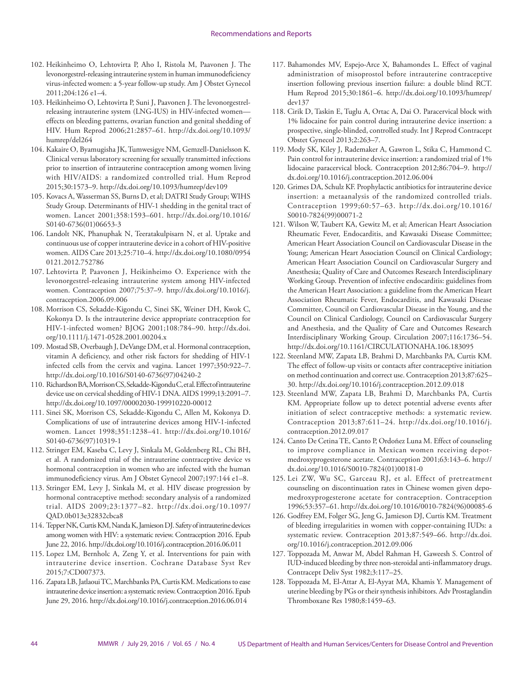- 102. Heikinheimo O, Lehtovirta P, Aho I, Ristola M, Paavonen J. The levonorgestrel-releasing intrauterine system in human immunodeficiency virus-infected women: a 5-year follow-up study. Am J Obstet Gynecol 2011;204:126 e1–4.
- 103. Heikinheimo O, Lehtovirta P, Suni J, Paavonen J. The levonorgestrelreleasing intrauterine system (LNG-IUS) in HIV-infected women effects on bleeding patterns, ovarian function and genital shedding of HIV. Hum Reprod 2006;21:2857–61. [http://dx.doi.org/10.1093/](http://dx.doi.org/10.1093/humrep/del264) [humrep/del264](http://dx.doi.org/10.1093/humrep/del264)
- 104. Kakaire O, Byamugisha JK, Tumwesigye NM, Gemzell-Danielsson K. Clinical versus laboratory screening for sexually transmitted infections prior to insertion of intrauterine contraception among women living with HIV/AIDS: a randomized controlled trial. Hum Reprod 2015;30:1573–9. <http://dx.doi.org/10.1093/humrep/dev109>
- 105. Kovacs A, Wasserman SS, Burns D, et al; DATRI Study Group; WIHS Study Group. Determinants of HIV-1 shedding in the genital tract of women. Lancet 2001;358:1593–601. [http://dx.doi.org/10.1016/](http://dx.doi.org/10.1016/S0140-6736(01)06653-3) [S0140-6736\(01\)06653-3](http://dx.doi.org/10.1016/S0140-6736(01)06653-3)
- 106. Landolt NK, Phanuphak N, Teeratakulpisarn N, et al. Uptake and continuous use of copper intrauterine device in a cohort of HIV-positive women. AIDS Care 2013;25:710–4. [http://dx.doi.org/10.1080/0954](http://dx.doi.org/10.1080/09540121.2012.752786) [0121.2012.752786](http://dx.doi.org/10.1080/09540121.2012.752786)
- 107. Lehtovirta P, Paavonen J, Heikinheimo O. Experience with the levonorgestrel-releasing intrauterine system among HIV-infected women. Contraception 2007;75:37–9. [http://dx.doi.org/10.1016/j.](http://dx.doi.org/10.1016/j.contraception.2006.09.006) [contraception.2006.09.006](http://dx.doi.org/10.1016/j.contraception.2006.09.006)
- 108. Morrison CS, Sekadde-Kigondu C, Sinei SK, Weiner DH, Kwok C, Kokonya D. Is the intrauterine device appropriate contraception for HIV-1-infected women? BJOG 2001;108:784–90. [http://dx.doi.](http://dx.doi.org/10.1111/j.1471-0528.2001.00204.x) [org/10.1111/j.1471-0528.2001.00204.x](http://dx.doi.org/10.1111/j.1471-0528.2001.00204.x)
- 109. Mostad SB, Overbaugh J, DeVange DM, et al. Hormonal contraception, vitamin A deficiency, and other risk factors for shedding of HIV-1 infected cells from the cervix and vagina. Lancet 1997;350:922–7. [http://dx.doi.org/10.1016/S0140-6736\(97\)04240-2](http://dx.doi.org/10.1016/S0140-6736(97)04240-2)
- 110. Richardson BA, Morrison CS, Sekadde-Kigondu C, et al. Effect of intrauterine device use on cervical shedding of HIV-1 DNA. AIDS 1999;13:2091–7. <http://dx.doi.org/10.1097/00002030-199910220-00012>
- 111. Sinei SK, Morrison CS, Sekadde-Kigondu C, Allen M, Kokonya D. Complications of use of intrauterine devices among HIV-1-infected women. Lancet 1998;351:1238–41. [http://dx.doi.org/10.1016/](http://dx.doi.org/10.1016/S0140-6736(97)10319-1) [S0140-6736\(97\)10319-1](http://dx.doi.org/10.1016/S0140-6736(97)10319-1)
- 112. Stringer EM, Kaseba C, Levy J, Sinkala M, Goldenberg RL, Chi BH, et al. A randomized trial of the intrauterine contraceptive device vs hormonal contraception in women who are infected with the human immunodeficiency virus. Am J Obstet Gynecol 2007;197:144 e1–8.
- 113. Stringer EM, Levy J, Sinkala M, et al. HIV disease progression by hormonal contraceptive method: secondary analysis of a randomized trial. AIDS 2009;23:1377–82. [http://dx.doi.org/10.1097/](http://dx.doi.org/10.1097/QAD.0b013e32832cbca8) [QAD.0b013e32832cbca8](http://dx.doi.org/10.1097/QAD.0b013e32832cbca8)
- 114. Tepper NK, Curtis KM, Nanda K, Jamieson DJ. Safety of intrauterine devices among women with HIV: a systematic review. Contraception 2016. Epub June 22, 2016.<http://dx.doi.org/10.1016/j.contraception.2016.06.011>
- 115. Lopez LM, Bernholc A, Zeng Y, et al. Interventions for pain with intrauterine device insertion. Cochrane Database Syst Rev 2015;7:CD007373.
- 116. Zapata LB, Jatlaoui TC, Marchbanks PA, Curtis KM. Medications to ease intrauterine device insertion: a systematic review. Contraception 2016. Epub June 29, 2016.<http://dx.doi.org/10.1016/j.contraception.2016.06.014>
- 117. Bahamondes MV, Espejo-Arce X, Bahamondes L. Effect of vaginal administration of misoprostol before intrauterine contraceptive insertion following previous insertion failure: a double blind RCT. Hum Reprod 2015;30:1861–6. [http://dx.doi.org/10.1093/humrep/](http://dx.doi.org/10.1093/humrep/dev137) [dev137](http://dx.doi.org/10.1093/humrep/dev137)
- 118. Cirik D, Taskin E, Tuglu A, Ortac A, Dai O. Paracervical block with 1% lidocaine for pain control during intrauterine device insertion: a prospective, single-blinded, controlled study. Int J Reprod Contracept Obstet Gynecol 2013;2:263–7.
- 119. Mody SK, Kiley J, Rademaker A, Gawron L, Stika C, Hammond C. Pain control for intrauterine device insertion: a randomized trial of 1% lidocaine paracervical block. Contraception 2012;86:704–9. [http://](http://dx.doi.org/10.1016/j.contraception.2012.06.004) [dx.doi.org/10.1016/j.contraception.2012.06.004](http://dx.doi.org/10.1016/j.contraception.2012.06.004)
- 120. Grimes DA, Schulz KF. Prophylactic antibiotics for intrauterine device insertion: a metaanalysis of the randomized controlled trials. Contraception 1999;60:57–63. [http://dx.doi.org/10.1016/](http://dx.doi.org/10.1016/S0010-7824(99)00071-2) [S0010-7824\(99\)00071-2](http://dx.doi.org/10.1016/S0010-7824(99)00071-2)
- 121. Wilson W, Taubert KA, Gewitz M, et al; American Heart Association Rheumatic Fever, Endocarditis, and Kawasaki Disease Committee; American Heart Association Council on Cardiovascular Disease in the Young; American Heart Association Council on Clinical Cardiology; American Heart Association Council on Cardiovascular Surgery and Anesthesia; Quality of Care and Outcomes Research Interdisciplinary Working Group. Prevention of infective endocarditis: guidelines from the American Heart Association: a guideline from the American Heart Association Rheumatic Fever, Endocarditis, and Kawasaki Disease Committee, Council on Cardiovascular Disease in the Young, and the Council on Clinical Cardiology, Council on Cardiovascular Surgery and Anesthesia, and the Quality of Care and Outcomes Research Interdisciplinary Working Group. Circulation 2007;116:1736–54. <http://dx.doi.org/10.1161/CIRCULATIONAHA.106.183095>
- 122. Steenland MW, Zapata LB, Brahmi D, Marchbanks PA, Curtis KM. The effect of follow-up visits or contacts after contraceptive initiation on method continuation and correct use. Contraception 2013;87:625– 30.<http://dx.doi.org/10.1016/j.contraception.2012.09.018>
- 123. Steenland MW, Zapata LB, Brahmi D, Marchbanks PA, Curtis KM. Appropriate follow up to detect potential adverse events after initiation of select contraceptive methods: a systematic review. Contraception 2013;87:611–24. [http://dx.doi.org/10.1016/j.](http://dx.doi.org/10.1016/j.contraception.2012.09.017) [contraception.2012.09.017](http://dx.doi.org/10.1016/j.contraception.2012.09.017)
- 124. Canto De Cetina TE, Canto P, Ordoñez Luna M. Effect of counseling to improve compliance in Mexican women receiving depotmedroxyprogesterone acetate. Contraception 2001;63:143–6. [http://](http://dx.doi.org/10.1016/S0010-7824(01)00181-0
) [dx.doi.org/10.1016/S0010-7824\(01\)00181-0](http://dx.doi.org/10.1016/S0010-7824(01)00181-0
)
- 125. Lei ZW, Wu SC, Garceau RJ, et al. Effect of pretreatment counseling on discontinuation rates in Chinese women given depomedroxyprogesterone acetate for contraception. Contraception 1996;53:357–61. [http://dx.doi.org/10.1016/0010-7824\(96\)00085-6](http://dx.doi.org/10.1016/0010-7824(96)00085-6)
- 126. Godfrey EM, Folger SG, Jeng G, Jamieson DJ, Curtis KM. Treatment of bleeding irregularities in women with copper-containing IUDs: a systematic review. Contraception 2013;87:549–66. [http://dx.doi.](http://dx.doi.org/10.1016/j.contraception.2012.09.006) [org/10.1016/j.contraception.2012.09.006](http://dx.doi.org/10.1016/j.contraception.2012.09.006)
- 127. Toppozada M, Anwar M, Abdel Rahman H, Gaweesh S. Control of IUD-induced bleeding by three non-steroidal anti-inflammatory drugs. Contracept Deliv Syst 1982;3:117–25.
- 128. Toppozada M, El-Attar A, El-Ayyat MA, Khamis Y. Management of uterine bleeding by PGs or their synthesis inhibitors. Adv Prostaglandin Thromboxane Res 1980;8:1459–63.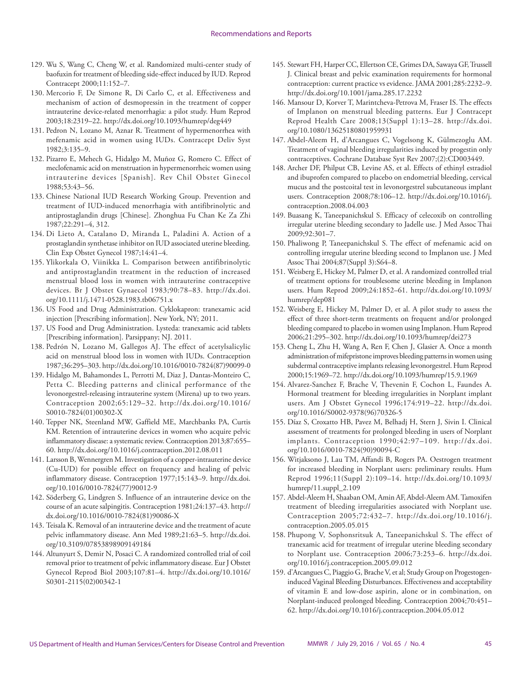- 129. Wu S, Wang C, Cheng W, et al. Randomized multi-center study of baofuxin for treatment of bleeding side-effect induced by IUD. Reprod Contracept 2000;11:152–7.
- 130. Mercorio F, De Simone R, Di Carlo C, et al. Effectiveness and mechanism of action of desmopressin in the treatment of copper intrauterine device-related menorrhagia: a pilot study. Hum Reprod 2003;18:2319–22. <http://dx.doi.org/10.1093/humrep/deg449>
- 131. Pedron N, Lozano M, Aznar R. Treatment of hypermenorrhea with mefenamic acid in women using IUDs. Contracept Deliv Syst 1982;3:135–9.
- 132. Pizarro E, Mehech G, Hidalgo M, Muñoz G, Romero C. Effect of meclofenamic acid on menstruation in hypermenorrheic women using intrauterine devices [Spanish]. Rev Chil Obstet Ginecol 1988;53:43–56.
- 133. Chinese National IUD Research Working Group. Prevention and treatment of IUD-induced menorrhagia with antifibrinolytic and antiprostaglandin drugs [Chinese]. Zhonghua Fu Chan Ke Za Zhi 1987;22:291–4, 312.
- 134. Di Lieto A, Catalano D, Miranda L, Paladini A. Action of a prostaglandin synthetase inhibitor on IUD associated uterine bleeding. Clin Exp Obstet Gynecol 1987;14:41–4.
- 135. Ylikorkala O, Viinikka L. Comparison between antifibrinolytic and antiprostaglandin treatment in the reduction of increased menstrual blood loss in women with intrauterine contraceptive devices. Br J Obstet Gynaecol 1983;90:78–83. [http://dx.doi.](http://dx.doi.org/10.1111/j.1471-0528.1983.tb06751.x) [org/10.1111/j.1471-0528.1983.tb06751.x](http://dx.doi.org/10.1111/j.1471-0528.1983.tb06751.x)
- 136. US Food and Drug Administration. Cyklokapron: tranexamic acid injection [Prescribing information]. New York, NY; 2011.
- 137. US Food and Drug Administration. Lysteda: tranexamic acid tablets [Prescribing information]. Parsippany; NJ. 2011.
- 138. Pedrón N, Lozano M, Gallegos AJ. The effect of acetylsalicylic acid on menstrual blood loss in women with IUDs. Contraception 1987;36:295–303. [http://dx.doi.org/10.1016/0010-7824\(87\)90099-0](http://dx.doi.org/10.1016/0010-7824(87)90099-0)
- 139. Hidalgo M, Bahamondes L, Perrotti M, Diaz J, Dantas-Monteiro C, Petta C. Bleeding patterns and clinical performance of the levonorgestrel-releasing intrauterine system (Mirena) up to two years. Contraception 2002;65:129–32. [http://dx.doi.org/10.1016/](http://dx.doi.org/10.1016/S0010-7824(01)00302-X) [S0010-7824\(01\)00302-X](http://dx.doi.org/10.1016/S0010-7824(01)00302-X)
- 140. Tepper NK, Steenland MW, Gaffield ME, Marchbanks PA, Curtis KM. Retention of intrauterine devices in women who acquire pelvic inflammatory disease: a systematic review. Contraception 2013;87:655– 60. <http://dx.doi.org/10.1016/j.contraception.2012.08.011>
- 141. Larsson B, Wennergren M. Investigation of a copper-intrauterine device (Cu-IUD) for possible effect on frequency and healing of pelvic inflammatory disease. Contraception 1977;15:143–9. [http://dx.doi.](http://dx.doi.org/10.1016/0010-7824(77)90012-9
) [org/10.1016/0010-7824\(77\)90012-9](http://dx.doi.org/10.1016/0010-7824(77)90012-9
)
- 142. Söderberg G, Lindgren S. Influence of an intrauterine device on the course of an acute salpingitis. Contraception 1981;24:137–43. [http://](http://dx.doi.org/10.1016/0010-7824(81)90086-X) [dx.doi.org/10.1016/0010-7824\(81\)90086-X](http://dx.doi.org/10.1016/0010-7824(81)90086-X)
- 143. Teisala K. Removal of an intrauterine device and the treatment of acute pelvic inflammatory disease. Ann Med 1989;21:63–5. [http://dx.doi.](http://dx.doi.org/10.3109/07853898909149184) [org/10.3109/07853898909149184](http://dx.doi.org/10.3109/07853898909149184)
- 144. Altunyurt S, Demir N, Posaci C. A randomized controlled trial of coil removal prior to treatment of pelvic inflammatory disease. Eur J Obstet Gynecol Reprod Biol 2003;107:81–4. [http://dx.doi.org/10.1016/](http://dx.doi.org/10.1016/S0301-2115(02)00342-1) [S0301-2115\(02\)00342-1](http://dx.doi.org/10.1016/S0301-2115(02)00342-1)
- 145. Stewart FH, Harper CC, Ellertson CE, Grimes DA, Sawaya GF, Trussell J. Clinical breast and pelvic examination requirements for hormonal contraception: current practice vs evidence. JAMA 2001;285:2232–9. [http://dx.doi.org/10.1001/jama.285.17.2232](http://dx.doi.org/10.1001/jama.285.17.2232
)
- 146. Mansour D, Korver T, Marintcheva-Petrova M, Fraser IS. The effects of Implanon on menstrual bleeding patterns. Eur J Contracept Reprod Health Care 2008;13(Suppl 1):13–28. [http://dx.doi.](http://dx.doi.org/10.1080/13625180801959931) [org/10.1080/13625180801959931](http://dx.doi.org/10.1080/13625180801959931)
- 147. Abdel-Aleem H, d'Arcangues C, Vogelsong K, Gülmezoglu AM. Treatment of vaginal bleeding irregularities induced by progestin only contraceptives. Cochrane Database Syst Rev 2007;(2):CD003449.
- 148. Archer DF, Philput CB, Levine AS, et al. Effects of ethinyl estradiol and ibuprofen compared to placebo on endometrial bleeding, cervical mucus and the postcoital test in levonorgestrel subcutaneous implant users. Contraception 2008;78:106–12. [http://dx.doi.org/10.1016/j.](http://dx.doi.org/10.1016/j.contraception.2008.04.003) [contraception.2008.04.003](http://dx.doi.org/10.1016/j.contraception.2008.04.003)
- 149. Buasang K, Taneepanichskul S. Efficacy of celecoxib on controlling irregular uterine bleeding secondary to Jadelle use. J Med Assoc Thai 2009;92:301–7.
- 150. Phaliwong P, Taneepanichskul S. The effect of mefenamic acid on controlling irregular uterine bleeding second to Implanon use. J Med Assoc Thai 2004;87(Suppl 3):S64–8.
- 151. Weisberg E, Hickey M, Palmer D, et al. A randomized controlled trial of treatment options for troublesome uterine bleeding in Implanon users. Hum Reprod 2009;24:1852–61. [http://dx.doi.org/10.1093/](http://dx.doi.org/10.1093/humrep/dep081) [humrep/dep081](http://dx.doi.org/10.1093/humrep/dep081)
- 152. Weisberg E, Hickey M, Palmer D, et al. A pilot study to assess the effect of three short-term treatments on frequent and/or prolonged bleeding compared to placebo in women using Implanon. Hum Reprod 2006;21:295–302.<http://dx.doi.org/10.1093/humrep/dei273>
- 153. Cheng L, Zhu H, Wang A, Ren F, Chen J, Glasier A. Once a month administration of mifepristone improves bleeding patterns in women using subdermal contraceptive implants releasing levonorgestrel. Hum Reprod 2000;15:1969–72. <http://dx.doi.org/10.1093/humrep/15.9.1969>
- 154. Alvarez-Sanchez F, Brache V, Thevenin F, Cochon L, Faundes A. Hormonal treatment for bleeding irregularities in Norplant implant users. Am J Obstet Gynecol 1996;174:919–22. [http://dx.doi.](http://dx.doi.org/10.1016/S0002-9378(96)70326-5) [org/10.1016/S0002-9378\(96\)70326-5](http://dx.doi.org/10.1016/S0002-9378(96)70326-5)
- 155. Díaz S, Croxatto HB, Pavez M, Belhadj H, Stern J, Sivin I. Clinical assessment of treatments for prolonged bleeding in users of Norplant implants. Contraception 1990;42:97–109. [http://dx.doi.](http://dx.doi.org/10.1016/0010-7824(90)90094-C) [org/10.1016/0010-7824\(90\)90094-C](http://dx.doi.org/10.1016/0010-7824(90)90094-C)
- 156. Witjaksono J, Lau TM, Affandi B, Rogers PA. Oestrogen treatment for increased bleeding in Norplant users: preliminary results. Hum Reprod 1996;11(Suppl 2):109–14. [http://dx.doi.org/10.1093/](http://dx.doi.org/10.1093/humrep/11.suppl_2.109) [humrep/11.suppl\\_2.109](http://dx.doi.org/10.1093/humrep/11.suppl_2.109)
- 157. Abdel-Aleem H, Shaaban OM, Amin AF, Abdel-Aleem AM. Tamoxifen treatment of bleeding irregularities associated with Norplant use. Contraception 2005;72:432–7. [http://dx.doi.org/10.1016/j.](http://dx.doi.org/10.1016/j.contraception.2005.05.015) [contraception.2005.05.015](http://dx.doi.org/10.1016/j.contraception.2005.05.015)
- 158. Phupong V, Sophonsritsuk A, Taneepanichskul S. The effect of tranexamic acid for treatment of irregular uterine bleeding secondary to Norplant use. Contraception 2006;73:253–6. [http://dx.doi.](http://dx.doi.org/10.1016/j.contraception.2005.09.012) [org/10.1016/j.contraception.2005.09.012](http://dx.doi.org/10.1016/j.contraception.2005.09.012)
- 159. d'Arcangues C, Piaggio G, Brache V, et al; Study Group on Progestogeninduced Vaginal Bleeding Disturbances. Effectiveness and acceptability of vitamin E and low-dose aspirin, alone or in combination, on Norplant-induced prolonged bleeding. Contraception 2004;70:451– 62.<http://dx.doi.org/10.1016/j.contraception.2004.05.012>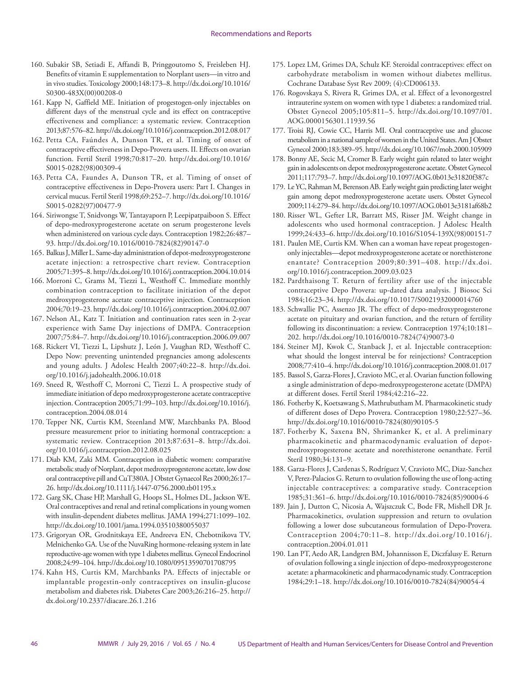- 160. Subakir SB, Setiadi E, Affandi B, Pringgoutomo S, Freisleben HJ. Benefits of vitamin E supplementation to Norplant users—in vitro and in vivo studies. Toxicology 2000;148:173–8. [http://dx.doi.org/10.1016/](http://dx.doi.org/10.1016/S0300-483X(00)00208-0) [S0300-483X\(00\)00208-0](http://dx.doi.org/10.1016/S0300-483X(00)00208-0)
- 161. Kapp N, Gaffield ME. Initiation of progestogen-only injectables on different days of the menstrual cycle and its effect on contraceptive effectiveness and compliance: a systematic review. Contraception 2013;87:576–82.<http://dx.doi.org/10.1016/j.contraception.2012.08.017>
- 162. Petta CA, Faúndes A, Dunson TR, et al. Timing of onset of contraceptive effectiveness in Depo-Provera users. II. Effects on ovarian function. Fertil Steril 1998;70:817–20. [http://dx.doi.org/10.1016/](http://dx.doi.org/10.1016/S0015-0282(98)00309-4) [S0015-0282\(98\)00309-4](http://dx.doi.org/10.1016/S0015-0282(98)00309-4)
- 163. Petta CA, Faundes A, Dunson TR, et al. Timing of onset of contraceptive effectiveness in Depo-Provera users: Part I. Changes in cervical mucus. Fertil Steril 1998;69:252–7. [http://dx.doi.org/10.1016/](http://dx.doi.org/10.1016/S0015-0282(97)00477-9) [S0015-0282\(97\)00477-9](http://dx.doi.org/10.1016/S0015-0282(97)00477-9)
- 164. Siriwongse T, Snidvongs W, Tantayaporn P, Leepipatpaiboon S. Effect of depo-medroxyprogesterone acetate on serum progesterone levels when administered on various cycle days. Contraception 1982;26:487– 93. [http://dx.doi.org/10.1016/0010-7824\(82\)90147-0](http://dx.doi.org/10.1016/0010-7824(82)90147-0)
- 165. Balkus J, Miller L. Same-day administration of depot-medroxyprogesterone acetate injection: a retrospective chart review. Contraception 2005;71:395–8.<http://dx.doi.org/10.1016/j.contraception.2004.10.014>
- 166. Morroni C, Grams M, Tiezzi L, Westhoff C. Immediate monthly combination contraception to facilitate initiation of the depot medroxyprogesterone acetate contraceptive injection. Contraception 2004;70:19–23.<http://dx.doi.org/10.1016/j.contraception.2004.02.007>
- 167. Nelson AL, Katz T. Initiation and continuation rates seen in 2-year experience with Same Day injections of DMPA. Contraception 2007;75:84–7. [http://dx.doi.org/10.1016/j.contraception.2006.09.007](http://dx.doi.org/10.1016/j.contraception.2006.09.007 )
- 168. Rickert VI, Tiezzi L, Lipshutz J, León J, Vaughan RD, Westhoff C. Depo Now: preventing unintended pregnancies among adolescents and young adults. J Adolesc Health 2007;40:22–8. [http://dx.doi.](http://dx.doi.org/10.1016/j.jadohealth.2006.10.018) [org/10.1016/j.jadohealth.2006.10.018](http://dx.doi.org/10.1016/j.jadohealth.2006.10.018)
- 169. Sneed R, Westhoff C, Morroni C, Tiezzi L. A prospective study of immediate initiation of depo medroxyprogesterone acetate contraceptive injection. Contraception 2005;71:99–103. [http://dx.doi.org/10.1016/j.](http://dx.doi.org/10.1016/j.contraception.2004.08.014) [contraception.2004.08.014](http://dx.doi.org/10.1016/j.contraception.2004.08.014)
- 170. Tepper NK, Curtis KM, Steenland MW, Marchbanks PA. Blood pressure measurement prior to initiating hormonal contraception: a systematic review. Contraception 2013;87:631–8. [http://dx.doi.](http://dx.doi.org/10.1016/j.contraception.2012.08.025) [org/10.1016/j.contraception.2012.08.025](http://dx.doi.org/10.1016/j.contraception.2012.08.025)
- 171. Diab KM, Zaki MM. Contraception in diabetic women: comparative metabolic study of Norplant, depot medroxyprogesterone acetate, low dose oral contraceptive pill and CuT380A. J Obstet Gynaecol Res 2000;26:17– 26. <http://dx.doi.org/10.1111/j.1447-0756.2000.tb01195.x>
- 172. Garg SK, Chase HP, Marshall G, Hoops SL, Holmes DL, Jackson WE. Oral contraceptives and renal and retinal complications in young women with insulin-dependent diabetes mellitus. JAMA 1994;271:1099–102. <http://dx.doi.org/10.1001/jama.1994.03510380055037>
- 173. Grigoryan OR, Grodnitskaya EE, Andreeva EN, Chebotnikova TV, Melnichenko GA. Use of the NuvaRing hormone-releasing system in late reproductive-age women with type 1 diabetes mellitus. Gynecol Endocrinol 2008;24:99–104.<http://dx.doi.org/10.1080/09513590701708795>
- 174. Kahn HS, Curtis KM, Marchbanks PA. Effects of injectable or implantable progestin-only contraceptives on insulin-glucose metabolism and diabetes risk. Diabetes Care 2003;26:216–25. [http://](http://dx.doi.org/10.2337/diacare.26.1.216) [dx.doi.org/10.2337/diacare.26.1.216](http://dx.doi.org/10.2337/diacare.26.1.216)
- 175. Lopez LM, Grimes DA, Schulz KF. Steroidal contraceptives: effect on carbohydrate metabolism in women without diabetes mellitus. Cochrane Database Syst Rev 2009; (4):CD006133.
- 176. Rogovskaya S, Rivera R, Grimes DA, et al. Effect of a levonorgestrel intrauterine system on women with type 1 diabetes: a randomized trial. Obstet Gynecol 2005;105:811–5. [http://dx.doi.org/10.1097/01.](http://dx.doi.org/10.1097/01.AOG.0000156301.11939.56) [AOG.0000156301.11939.56](http://dx.doi.org/10.1097/01.AOG.0000156301.11939.56)
- 177. Troisi RJ, Cowie CC, Harris MI. Oral contraceptive use and glucose metabolism in a national sample of women in the United States. Am J Obstet Gynecol 2000;183:389–95.<http://dx.doi.org/10.1067/mob.2000.105909>
- 178. Bonny AE, Secic M, Cromer B. Early weight gain related to later weight gain in adolescents on depot medroxyprogesterone acetate. Obstet Gynecol 2011;117:793–7. <http://dx.doi.org/10.1097/AOG.0b013e31820f387c>
- 179. Le YC, Rahman M, Berenson AB. Early weight gain predicting later weight gain among depot medroxyprogesterone acetate users. Obstet Gynecol 2009;114:279–84.<http://dx.doi.org/10.1097/AOG.0b013e3181af68b2>
- 180. Risser WL, Gefter LR, Barratt MS, Risser JM. Weight change in adolescents who used hormonal contraception. J Adolesc Health 1999;24:433–6. [http://dx.doi.org/10.1016/S1054-139X\(98\)00151-7](http://dx.doi.org/10.1016/S1054-139X(98)00151-7)
- 181. Paulen ME, Curtis KM. When can a woman have repeat progestogenonly injectables—depot medroxyprogesterone acetate or norethisterone enantate? Contraception 2009;80:391–408. [http://dx.doi.](http://dx.doi.org/10.1016/j.contraception.2009.03.023) [org/10.1016/j.contraception.2009.03.023](http://dx.doi.org/10.1016/j.contraception.2009.03.023)
- 182. Pardthaisong T. Return of fertility after use of the injectable contraceptive Depo Provera: up-dated data analysis. J Biosoc Sci 1984;16:23–34.<http://dx.doi.org/10.1017/S0021932000014760>
- 183. Schwallie PC, Assenzo JR. The effect of depo-medroxyprogesterone acetate on pituitary and ovarian function, and the return of fertility following its discontinuation: a review. Contraception 1974;10:181– 202. [http://dx.doi.org/10.1016/0010-7824\(74\)90073-0](http://dx.doi.org/10.1016/0010-7824(74)90073-0)
- 184. Steiner MJ, Kwok C, Stanback J, et al. Injectable contraception: what should the longest interval be for reinjections? Contraception 2008;77:410–4.<http://dx.doi.org/10.1016/j.contraception.2008.01.017>
- 185. Bassol S, Garza-Flores J, Cravioto MC, et al. Ovarian function following a single administration of depo-medroxyprogesterone acetate (DMPA) at different doses. Fertil Steril 1984;42:216–22.
- 186. Fotherby K, Koetsawang S, Mathrubutham M. Pharmacokinetic study of different doses of Depo Provera. Contraception 1980;22:527–36. [http://dx.doi.org/10.1016/0010-7824\(80\)90105-5](http://dx.doi.org/10.1016/0010-7824(80)90105-5)
- 187. Fotherby K, Saxena BN, Shrimanker K, et al. A preliminary pharmacokinetic and pharmacodynamic evaluation of depotmedroxyprogesterone acetate and norethisterone oenanthate. Fertil Steril 1980;34:131–9.
- 188. Garza-Flores J, Cardenas S, Rodríguez V, Cravioto MC, Diaz-Sanchez V, Perez-Palacios G. Return to ovulation following the use of long-acting injectable contraceptives: a comparative study. Contraception 1985;31:361–6. [http://dx.doi.org/10.1016/0010-7824\(85\)90004-6](http://dx.doi.org/10.1016/0010-7824(85)90004-6)
- 189. Jain J, Dutton C, Nicosia A, Wajszczuk C, Bode FR, Mishell DR Jr. Pharmacokinetics, ovulation suppression and return to ovulation following a lower dose subcutaneous formulation of Depo-Provera. Contraception 2004;70:11–8. [http://dx.doi.org/10.1016/j.](http://dx.doi.org/10.1016/j.contraception.2004.01.011) [contraception.2004.01.011](http://dx.doi.org/10.1016/j.contraception.2004.01.011)
- 190. Lan PT, Aedo AR, Landgren BM, Johannisson E, Diczfalusy E. Return of ovulation following a single injection of depo-medroxyprogesterone acetate: a pharmacokinetic and pharmacodynamic study. Contraception 1984;29:1–18. [http://dx.doi.org/10.1016/0010-7824\(84\)90054-4](http://dx.doi.org/10.1016/0010-7824(84)90054-4)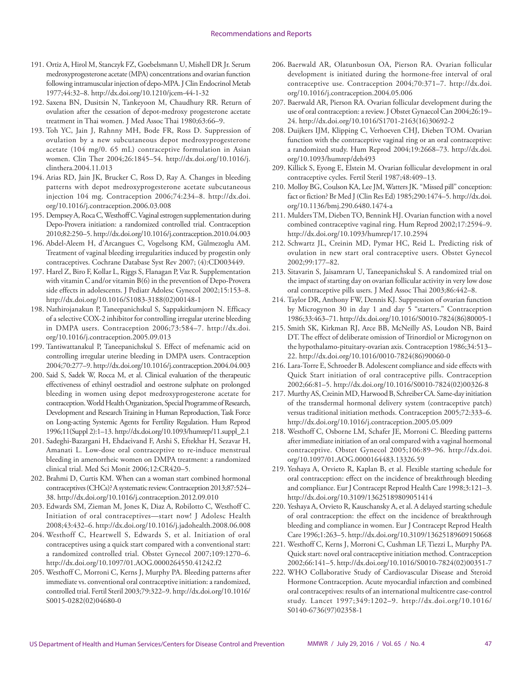- 191. Ortiz A, Hirol M, Stanczyk FZ, Goebelsmann U, Mishell DR Jr. Serum medroxyprogesterone acetate (MPA) concentrations and ovarian function following intramuscular injection of depo-MPA. J Clin Endocrinol Metab 1977;44:32–8. <http://dx.doi.org/10.1210/jcem-44-1-32>
- 192. Saxena BN, Dusitsin N, Tankeyoon M, Chaudhury RR. Return of ovulation after the cessation of depot-medroxy progesterone acetate treatment in Thai women. J Med Assoc Thai 1980;63:66–9.
- 193. Toh YC, Jain J, Rahnny MH, Bode FR, Ross D. Suppression of ovulation by a new subcutaneous depot medroxyprogesterone acetate (104 mg/0. 65 mL) contraceptive formulation in Asian women. Clin Ther 2004;26:1845–54. [http://dx.doi.org/10.1016/j.](http://dx.doi.org/10.1016/j.clinthera.2004.11.013) [clinthera.2004.11.013](http://dx.doi.org/10.1016/j.clinthera.2004.11.013)
- 194. Arias RD, Jain JK, Brucker C, Ross D, Ray A. Changes in bleeding patterns with depot medroxyprogesterone acetate subcutaneous injection 104 mg. Contraception 2006;74:234–8. [http://dx.doi.](http://dx.doi.org/10.1016/j.contraception.2006.03.008) [org/10.1016/j.contraception.2006.03.008](http://dx.doi.org/10.1016/j.contraception.2006.03.008)
- 195. Dempsey A, Roca C, Westhoff C. Vaginal estrogen supplementation during Depo-Provera initiation: a randomized controlled trial. Contraception 2010;82:250–5.<http://dx.doi.org/10.1016/j.contraception.2010.04.003>
- 196. Abdel-Aleem H, d'Arcangues C, Vogelsong KM, Gülmezoglu AM. Treatment of vaginal bleeding irregularities induced by progestin only contraceptives. Cochrane Database Syst Rev 2007; (4):CD003449.
- 197. Harel Z, Biro F, Kollar L, Riggs S, Flanagan P, Vaz R. Supplementation with vitamin C and/or vitamin B(6) in the prevention of Depo-Provera side effects in adolescents. J Pediatr Adolesc Gynecol 2002;15:153–8. [http://dx.doi.org/10.1016/S1083-3188\(02\)00148-1](http://dx.doi.org/10.1016/S1083-3188(02)00148-1)
- 198. Nathirojanakun P, Taneepanichskul S, Sappakitkumjorn N. Efficacy of a selective COX-2 inhibitor for controlling irregular uterine bleeding in DMPA users. Contraception 2006;73:584–7. [http://dx.doi.](http://dx.doi.org/10.1016/j.contraception.2005.09.013) [org/10.1016/j.contraception.2005.09.013](http://dx.doi.org/10.1016/j.contraception.2005.09.013)
- 199. Tantiwattanakul P, Taneepanichskul S. Effect of mefenamic acid on controlling irregular uterine bleeding in DMPA users. Contraception 2004;70:277–9.<http://dx.doi.org/10.1016/j.contraception.2004.04.003>
- 200. Said S, Sadek W, Rocca M, et al. Clinical evaluation of the therapeutic effectiveness of ethinyl oestradiol and oestrone sulphate on prolonged bleeding in women using depot medroxyprogesterone acetate for contraception. World Health Organization, Special Programme of Research, Development and Research Training in Human Reproduction, Task Force on Long-acting Systemic Agents for Fertility Regulation. Hum Reprod 1996;11(Suppl 2):1–13. [http://dx.doi.org/10.1093/humrep/11.suppl\\_2.1](http://dx.doi.org/10.1093/humrep/11.suppl_2.1)
- 201. Sadeghi-Bazargani H, Ehdaeivand F, Arshi S, Eftekhar H, Sezavar H, Amanati L. Low-dose oral contraceptive to re-induce menstrual bleeding in amenorrheic women on DMPA treatment: a randomized clinical trial. Med Sci Monit 2006;12:CR420–5.
- 202. Brahmi D, Curtis KM. When can a woman start combined hormonal contraceptives (CHCs)? A systematic review. Contraception 2013;87:524– 38.<http://dx.doi.org/10.1016/j.contraception.2012.09.010>
- 203. Edwards SM, Zieman M, Jones K, Diaz A, Robilotto C, Westhoff C. Initiation of oral contraceptives—start now! J Adolesc Health 2008;43:432–6.<http://dx.doi.org/10.1016/j.jadohealth.2008.06.008>
- 204. Westhoff C, Heartwell S, Edwards S, et al. Initiation of oral contraceptives using a quick start compared with a conventional start: a randomized controlled trial. Obstet Gynecol 2007;109:1270–6. <http://dx.doi.org/10.1097/01.AOG.0000264550.41242.f2>
- 205. Westhoff C, Morroni C, Kerns J, Murphy PA. Bleeding patterns after immediate vs. conventional oral contraceptive initiation: a randomized, controlled trial. Fertil Steril 2003;79:322–9. [http://dx.doi.org/10.1016/](http://dx.doi.org/10.1016/S0015-0282(02)04680-0) [S0015-0282\(02\)04680-0](http://dx.doi.org/10.1016/S0015-0282(02)04680-0)
- 206. Baerwald AR, Olatunbosun OA, Pierson RA. Ovarian follicular development is initiated during the hormone-free interval of oral contraceptive use. Contraception 2004;70:371–7. [http://dx.doi.](http://dx.doi.org/10.1016/j.contraception.2004.05.006) [org/10.1016/j.contraception.2004.05.006](http://dx.doi.org/10.1016/j.contraception.2004.05.006)
- 207. Baerwald AR, Pierson RA. Ovarian follicular development during the use of oral contraception: a review. J Obstet Gynaecol Can 2004;26:19– 24. [http://dx.doi.org/10.1016/S1701-2163\(16\)30692-2](http://dx.doi.org/10.1016/S1701-2163(16)30692-2)
- 208. Duijkers IJM, Klipping C, Verhoeven CHJ, Dieben TOM. Ovarian function with the contraceptive vaginal ring or an oral contraceptive: a randomized study. Hum Reprod 2004;19:2668–73. [http://dx.doi.](http://dx.doi.org/10.1093/humrep/deh493) [org/10.1093/humrep/deh493](http://dx.doi.org/10.1093/humrep/deh493)
- 209. Killick S, Eyong E, Elstein M. Ovarian follicular development in oral contraceptive cycles. Fertil Steril 1987;48:409–13.
- 210. Molloy BG, Coulson KA, Lee JM, Watters JK. "Missed pill" conception: fact or fiction? Br Med J (Clin Res Ed) 1985;290:1474–5. [http://dx.doi.](http://dx.doi.org/10.1136/bmj.290.6480.1474-a) [org/10.1136/bmj.290.6480.1474-a](http://dx.doi.org/10.1136/bmj.290.6480.1474-a)
- 211. Mulders TM, Dieben TO, Bennink HJ. Ovarian function with a novel combined contraceptive vaginal ring. Hum Reprod 2002;17:2594–9. <http://dx.doi.org/10.1093/humrep/17.10.2594>
- 212. Schwartz JL, Creinin MD, Pymar HC, Reid L. Predicting risk of ovulation in new start oral contraceptive users. Obstet Gynecol 2002;99:177–82.
- 213. Sitavarin S, Jaisamrarn U, Taneepanichskul S. A randomized trial on the impact of starting day on ovarian follicular activity in very low dose oral contraceptive pills users. J Med Assoc Thai 2003;86:442–8.
- 214. Taylor DR, Anthony FW, Dennis KJ. Suppression of ovarian function by Microgynon 30 in day 1 and day 5 "starters." Contraception 1986;33:463–71. [http://dx.doi.org/10.1016/S0010-7824\(86\)80005-1](http://dx.doi.org/10.1016/S0010-7824(86)80005-1)
- 215. Smith SK, Kirkman RJ, Arce BB, McNeilly AS, Loudon NB, Baird DT. The effect of deliberate omission of Trinordiol or Microgynon on the hypothalamo-pituitary-ovarian axis. Contraception 1986;34:513– 22. [http://dx.doi.org/10.1016/0010-7824\(86\)90060-0](http://dx.doi.org/10.1016/0010-7824(86)90060-0)
- 216. Lara-Torre E, Schroeder B. Adolescent compliance and side effects with Quick Start initiation of oral contraceptive pills. Contraception 2002;66:81–5. [http://dx.doi.org/10.1016/S0010-7824\(02\)00326-8](http://dx.doi.org/10.1016/S0010-7824(02)00326-8)
- 217. Murthy AS, Creinin MD, Harwood B, Schreiber CA. Same-day initiation of the transdermal hormonal delivery system (contraceptive patch) versus traditional initiation methods. Contraception 2005;72:333–6. <http://dx.doi.org/10.1016/j.contraception.2005.05.009>
- 218. Westhoff C, Osborne LM, Schafer JE, Morroni C. Bleeding patterns after immediate initiation of an oral compared with a vaginal hormonal contraceptive. Obstet Gynecol 2005;106:89–96. [http://dx.doi.](http://dx.doi.org/10.1097/01.AOG.0000164483.13326.59) [org/10.1097/01.AOG.0000164483.13326.59](http://dx.doi.org/10.1097/01.AOG.0000164483.13326.59)
- 219. Yeshaya A, Orvieto R, Kaplan B, et al. Flexible starting schedule for oral contraception: effect on the incidence of breakthrough bleeding and compliance. Eur J Contracept Reprod Health Care 1998;3:121–3. <http://dx.doi.org/10.3109/13625189809051414>
- 220. Yeshaya A, Orvieto R, Kauschansky A, et al. A delayed starting schedule of oral contraception: the effect on the incidence of breakthrough bleeding and compliance in women. Eur J Contracept Reprod Health Care 1996;1:263–5.<http://dx.doi.org/10.3109/13625189609150668>
- 221. Westhoff C, Kerns J, Morroni C, Cushman LF, Tiezzi L, Murphy PA. Quick start: novel oral contraceptive initiation method. Contraception 2002;66:141–5. [http://dx.doi.org/10.1016/S0010-7824\(02\)00351-7](http://dx.doi.org/10.1016/S0010-7824(02)00351-7)
- 222. WHO Collaborative Study of Cardiovascular Disease and Steroid Hormone Contraception. Acute myocardial infarction and combined oral contraceptives: results of an international multicentre case-control study. Lancet 1997;349:1202–9. [http://dx.doi.org/10.1016/](http://dx.doi.org/10.1016/S0140-6736(97)02358-1) [S0140-6736\(97\)02358-1](http://dx.doi.org/10.1016/S0140-6736(97)02358-1)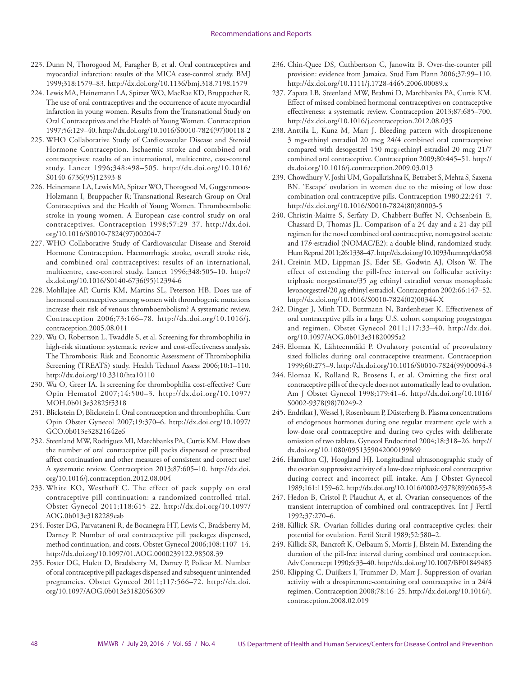- 223. Dunn N, Thorogood M, Faragher B, et al. Oral contraceptives and myocardial infarction: results of the MICA case-control study. BMJ 1999;318:1579–83. <http://dx.doi.org/10.1136/bmj.318.7198.1579>
- 224. Lewis MA, Heinemann LA, Spitzer WO, MacRae KD, Bruppacher R. The use of oral contraceptives and the occurrence of acute myocardial infarction in young women. Results from the Transnational Study on Oral Contraceptives and the Health of Young Women. Contraception 1997;56:129–40. [http://dx.doi.org/10.1016/S0010-7824\(97\)00118-2](http://dx.doi.org/10.1016/S0010-7824(97)00118-2)
- 225. WHO Collaborative Study of Cardiovascular Disease and Steroid Hormone Contraception. Ischaemic stroke and combined oral contraceptives: results of an international, multicentre, case-control study. Lancet 1996;348:498–505. [http://dx.doi.org/10.1016/](http://dx.doi.org/10.1016/S0140-6736(95)12393-8) [S0140-6736\(95\)12393-8](http://dx.doi.org/10.1016/S0140-6736(95)12393-8)
- 226. Heinemann LA, Lewis MA, Spitzer WO, Thorogood M, Guggenmoos-Holzmann I, Bruppacher R; Transnational Research Group on Oral Contraceptives and the Health of Young Women. Thromboembolic stroke in young women. A European case-control study on oral contraceptives. Contraception 1998;57:29–37. [http://dx.doi.](http://dx.doi.org/10.1016/S0010-7824(97)00204-7) [org/10.1016/S0010-7824\(97\)00204-7](http://dx.doi.org/10.1016/S0010-7824(97)00204-7)
- 227. WHO Collaborative Study of Cardiovascular Disease and Steroid Hormone Contraception. Haemorrhagic stroke, overall stroke risk, and combined oral contraceptives: results of an international, multicentre, case-control study. Lancet 1996;348:505–10. [http://](http://dx.doi.org/10.1016/S0140-6736(95)12394-6) [dx.doi.org/10.1016/S0140-6736\(95\)12394-6](http://dx.doi.org/10.1016/S0140-6736(95)12394-6)
- 228. Mohllajee AP, Curtis KM, Martins SL, Peterson HB. Does use of hormonal contraceptives among women with thrombogenic mutations increase their risk of venous thromboembolism? A systematic review. Contraception 2006;73:166–78. [http://dx.doi.org/10.1016/j.](http://dx.doi.org/10.1016/j.contraception.2005.08.011) [contraception.2005.08.011](http://dx.doi.org/10.1016/j.contraception.2005.08.011)
- 229. Wu O, Robertson L, Twaddle S, et al. Screening for thrombophilia in high-risk situations: systematic review and cost-effectiveness analysis. The Thrombosis: Risk and Economic Assessment of Thrombophilia Screening (TREATS) study. Health Technol Assess 2006;10:1–110. <http://dx.doi.org/10.3310/hta10110>
- 230. Wu O, Greer IA. Is screening for thrombophilia cost-effective? Curr Opin Hematol 2007;14:500–3. [http://dx.doi.org/10.1097/](http://dx.doi.org/10.1097/MOH.0b013e32825f5318) [MOH.0b013e32825f5318](http://dx.doi.org/10.1097/MOH.0b013e32825f5318)
- 231. Blickstein D, Blickstein I. Oral contraception and thrombophilia. Curr Opin Obstet Gynecol 2007;19:370–6. [http://dx.doi.org/10.1097/](http://dx.doi.org/10.1097/GCO.0b013e32821642e6) [GCO.0b013e32821642e6](http://dx.doi.org/10.1097/GCO.0b013e32821642e6)
- 232. Steenland MW, Rodriguez MI, Marchbanks PA, Curtis KM. How does the number of oral contraceptive pill packs dispensed or prescribed affect continuation and other measures of consistent and correct use? A systematic review. Contraception 2013;87:605–10. [http://dx.doi.](http://dx.doi.org/10.1016/j.contraception.2012.08.004) [org/10.1016/j.contraception.2012.08.004](http://dx.doi.org/10.1016/j.contraception.2012.08.004)
- 233. White KO, Westhoff C. The effect of pack supply on oral contraceptive pill continuation: a randomized controlled trial. Obstet Gynecol 2011;118:615–22. [http://dx.doi.org/10.1097/](http://dx.doi.org/10.1097/AOG.0b013e3182289eab) [AOG.0b013e3182289eab](http://dx.doi.org/10.1097/AOG.0b013e3182289eab)
- 234. Foster DG, Parvataneni R, de Bocanegra HT, Lewis C, Bradsberry M, Darney P. Number of oral contraceptive pill packages dispensed, method continuation, and costs. Obstet Gynecol 2006;108:1107–14. <http://dx.doi.org/10.1097/01.AOG.0000239122.98508.39>
- 235. Foster DG, Hulett D, Bradsberry M, Darney P, Policar M. Number of oral contraceptive pill packages dispensed and subsequent unintended pregnancies. Obstet Gynecol 2011;117:566–72. [http://dx.doi.](http://dx.doi.org/10.1097/AOG.0b013e3182056309) [org/10.1097/AOG.0b013e3182056309](http://dx.doi.org/10.1097/AOG.0b013e3182056309)
- 236. Chin-Quee DS, Cuthbertson C, Janowitz B. Over-the-counter pill provision: evidence from Jamaica. Stud Fam Plann 2006;37:99–110. <http://dx.doi.org/10.1111/j.1728-4465.2006.00089.x>
- 237. Zapata LB, Steenland MW, Brahmi D, Marchbanks PA, Curtis KM. Effect of missed combined hormonal contraceptives on contraceptive effectiveness: a systematic review. Contraception 2013;87:685–700. <http://dx.doi.org/10.1016/j.contraception.2012.08.035>
- 238. Anttila L, Kunz M, Marr J. Bleeding pattern with drospirenone 3 mg+ethinyl estradiol 20 mcg 24/4 combined oral contraceptive compared with desogestrel 150 mcg+ethinyl estradiol 20 mcg 21/7 combined oral contraceptive. Contraception 2009;80:445–51. [http://](http://dx.doi.org/10.1016/j.contraception.2009.03.013) [dx.doi.org/10.1016/j.contraception.2009.03.013](http://dx.doi.org/10.1016/j.contraception.2009.03.013)
- 239. Chowdhury V, Joshi UM, Gopalkrishna K, Betrabet S, Mehta S, Saxena BN. 'Escape' ovulation in women due to the missing of low dose combination oral contraceptive pills. Contraception 1980;22:241–7. [http://dx.doi.org/10.1016/S0010-7824\(80\)80003-5](http://dx.doi.org/10.1016/S0010-7824(80)80003-5)
- 240. Christin-Maitre S, Serfaty D, Chabbert-Buffet N, Ochsenbein E, Chassard D, Thomas JL. Comparison of a 24-day and a 21-day pill regimen for the novel combined oral contraceptive, nomegestrol acetate and 17*b*-estradiol (NOMAC/E2): a double-blind, randomized study. Hum Reprod 2011;26:1338–47.<http://dx.doi.org/10.1093/humrep/der058>
- 241. Creinin MD, Lippman JS, Eder SE, Godwin AJ, Olson W. The effect of extending the pill-free interval on follicular activity: triphasic norgestimate/35 *µ*g ethinyl estradiol versus monophasic levonorgestrel/20 *µ*g ethinyl estradiol. Contraception 2002;66:147–52. [http://dx.doi.org/10.1016/S0010-7824\(02\)00344-X](http://dx.doi.org/10.1016/S0010-7824(02)00344-X)
- 242. Dinger J, Minh TD, Buttmann N, Bardenheuer K. Effectiveness of oral contraceptive pills in a large U.S. cohort comparing progestogen and regimen. Obstet Gynecol 2011;117:33–40. [http://dx.doi.](http://dx.doi.org/10.1097/AOG.0b013e31820095a2) [org/10.1097/AOG.0b013e31820095a2](http://dx.doi.org/10.1097/AOG.0b013e31820095a2)
- 243. Elomaa K, Lähteenmäki P. Ovulatory potential of preovulatory sized follicles during oral contraceptive treatment. Contraception 1999;60:275–9. [http://dx.doi.org/10.1016/S0010-7824\(99\)00094-3](http://dx.doi.org/10.1016/S0010-7824(99)00094-3)
- 244. Elomaa K, Rolland R, Brosens I, et al. Omitting the first oral contraceptive pills of the cycle does not automatically lead to ovulation. Am J Obstet Gynecol 1998;179:41–6. [http://dx.doi.org/10.1016/](http://dx.doi.org/10.1016/S0002-9378(98)70249-2) [S0002-9378\(98\)70249-2](http://dx.doi.org/10.1016/S0002-9378(98)70249-2)
- 245. Endrikat J, Wessel J, Rosenbaum P, Düsterberg B. Plasma concentrations of endogenous hormones during one regular treatment cycle with a low-dose oral contraceptive and during two cycles with deliberate omission of two tablets. Gynecol Endocrinol 2004;18:318–26. [http://](http://dx.doi.org/10.1080/0951359042000199869) [dx.doi.org/10.1080/0951359042000199869](http://dx.doi.org/10.1080/0951359042000199869)
- 246. Hamilton CJ, Hoogland HJ. Longitudinal ultrasonographic study of the ovarian suppressive activity of a low-dose triphasic oral contraceptive during correct and incorrect pill intake. Am J Obstet Gynecol 1989;161:1159–62. [http://dx.doi.org/10.1016/0002-9378\(89\)90655-8](http://dx.doi.org/10.1016/0002-9378(89)90655-8)
- 247. Hedon B, Cristol P, Plauchut A, et al. Ovarian consequences of the transient interruption of combined oral contraceptives. Int J Fertil 1992;37:270–6.
- 248. Killick SR. Ovarian follicles during oral contraceptive cycles: their potential for ovulation. Fertil Steril 1989;52:580–2.
- 249. Killick SR, Bancroft K, Oelbaum S, Morris J, Elstein M. Extending the duration of the pill-free interval during combined oral contraception. Adv Contracept 1990;6:33–40.<http://dx.doi.org/10.1007/BF01849485>
- 250. Klipping C, Duijkers I, Trummer D, Marr J. Suppression of ovarian activity with a drospirenone-containing oral contraceptive in a 24/4 regimen. Contraception 2008;78:16–25. [http://dx.doi.org/10.1016/j.](http://dx.doi.org/10.1016/j.contraception.2008.02.019) [contraception.2008.02.019](http://dx.doi.org/10.1016/j.contraception.2008.02.019)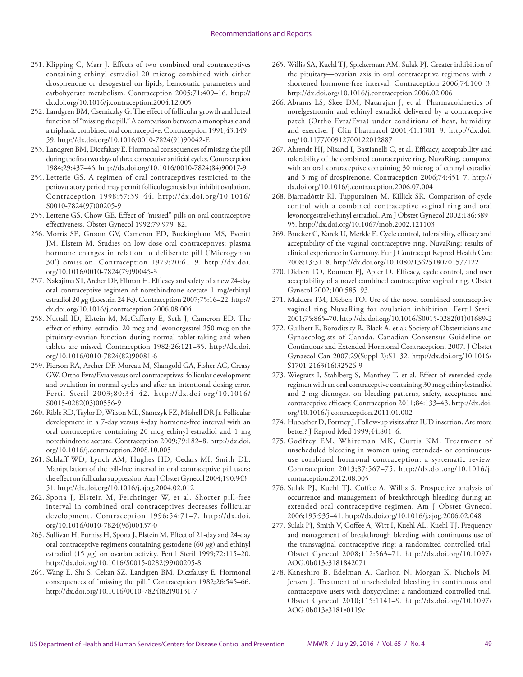- 251. Klipping C, Marr J. Effects of two combined oral contraceptives containing ethinyl estradiol 20 microg combined with either drospirenone or desogestrel on lipids, hemostatic parameters and carbohydrate metabolism. Contraception 2005;71:409–16. [http://](http://dx.doi.org/10.1016/j.contraception.2004.12.005) [dx.doi.org/10.1016/j.contraception.2004.12.005](http://dx.doi.org/10.1016/j.contraception.2004.12.005)
- 252. Landgren BM, Csemiczky G. The effect of follicular growth and luteal function of "missing the pill." A comparison between a monophasic and a triphasic combined oral contraceptive. Contraception 1991;43:149– 59. [http://dx.doi.org/10.1016/0010-7824\(91\)90042-E](http://dx.doi.org/10.1016/0010-7824(91)90042-E)
- 253. Landgren BM, Diczfalusy E. Hormonal consequences of missing the pill during the first two days of three consecutive artificial cycles. Contraception 1984;29:437–46. [http://dx.doi.org/10.1016/0010-7824\(84\)90017-9](http://dx.doi.org/10.1016/0010-7824(84)90017-9)
- 254. Letterie GS. A regimen of oral contraceptives restricted to the periovulatory period may permit folliculogenesis but inhibit ovulation. Contraception 1998;57:39–44. [http://dx.doi.org/10.1016/](http://dx.doi.org/10.1016/S0010-7824(97)00205-9) [S0010-7824\(97\)00205-9](http://dx.doi.org/10.1016/S0010-7824(97)00205-9)
- 255. Letterie GS, Chow GE. Effect of "missed" pills on oral contraceptive effectiveness. Obstet Gynecol 1992;79:979–82.
- 256. Morris SE, Groom GV, Cameron ED, Buckingham MS, Everitt JM, Elstein M. Studies on low dose oral contraceptives: plasma hormone changes in relation to deliberate pill ('Microgynon 30') omission. Contraception 1979;20:61–9. [http://dx.doi.](http://dx.doi.org/10.1016/0010-7824(79)90045-3) [org/10.1016/0010-7824\(79\)90045-3](http://dx.doi.org/10.1016/0010-7824(79)90045-3)
- 257. Nakajima ST, Archer DF, Ellman H. Efficacy and safety of a new 24-day oral contraceptive regimen of norethindrone acetate 1 mg/ethinyl estradiol 20 *µ*g (Loestrin 24 Fe). Contraception 2007;75:16–22. [http://](http://dx.doi.org/10.1016/j.contraception.2006.08.004) [dx.doi.org/10.1016/j.contraception.2006.08.004](http://dx.doi.org/10.1016/j.contraception.2006.08.004)
- 258. Nuttall ID, Elstein M, McCafferty E, Seth J, Cameron ED. The effect of ethinyl estradiol 20 mcg and levonorgestrel 250 mcg on the pituitary-ovarian function during normal tablet-taking and when tablets are missed. Contraception 1982;26:121–35. [http://dx.doi.](http://dx.doi.org/10.1016/0010-7824(82)90081-6) [org/10.1016/0010-7824\(82\)90081-6](http://dx.doi.org/10.1016/0010-7824(82)90081-6)
- 259. Pierson RA, Archer DF, Moreau M, Shangold GA, Fisher AC, Creasy GW. Ortho Evra/Evra versus oral contraceptives: follicular development and ovulation in normal cycles and after an intentional dosing error. Fertil Steril 2003;80:34–42. [http://dx.doi.org/10.1016/](http://dx.doi.org/10.1016/S0015-0282(03)00556-9) [S0015-0282\(03\)00556-9](http://dx.doi.org/10.1016/S0015-0282(03)00556-9)
- 260. Rible RD, Taylor D, Wilson ML, Stanczyk FZ, Mishell DR Jr. Follicular development in a 7-day versus 4-day hormone-free interval with an oral contraceptive containing 20 mcg ethinyl estradiol and 1 mg norethindrone acetate. Contraception 2009;79:182–8. [http://dx.doi.](http://dx.doi.org/10.1016/j.contraception.2008.10.005) [org/10.1016/j.contraception.2008.10.005](http://dx.doi.org/10.1016/j.contraception.2008.10.005)
- 261. Schlaff WD, Lynch AM, Hughes HD, Cedars MI, Smith DL. Manipulation of the pill-free interval in oral contraceptive pill users: the effect on follicular suppression. Am J Obstet Gynecol 2004;190:943– 51. <http://dx.doi.org/10.1016/j.ajog.2004.02.012>
- 262. Spona J, Elstein M, Feichtinger W, et al. Shorter pill-free interval in combined oral contraceptives decreases follicular development. Contraception 1996;54:71–7. [http://dx.doi.](http://dx.doi.org/10.1016/0010-7824(96)00137-0) [org/10.1016/0010-7824\(96\)00137-0](http://dx.doi.org/10.1016/0010-7824(96)00137-0)
- 263. Sullivan H, Furniss H, Spona J, Elstein M. Effect of 21-day and 24-day oral contraceptive regimens containing gestodene (60 *µ*g) and ethinyl estradiol (15 *µ*g) on ovarian activity. Fertil Steril 1999;72:115–20. [http://dx.doi.org/10.1016/S0015-0282\(99\)00205-8](http://dx.doi.org/10.1016/S0015-0282(99)00205-8)
- 264. Wang E, Shi S, Cekan SZ, Landgren BM, Diczfalusy E. Hormonal consequences of "missing the pill." Contraception 1982;26:545–66. [http://dx.doi.org/10.1016/0010-7824\(82\)90131-7](http://dx.doi.org/10.1016/0010-7824(82)90131-7)
- 265. Willis SA, Kuehl TJ, Spiekerman AM, Sulak PJ. Greater inhibition of the pituitary—ovarian axis in oral contraceptive regimens with a shortened hormone-free interval. Contraception 2006;74:100–3. <http://dx.doi.org/10.1016/j.contraception.2006.02.006>
- 266. Abrams LS, Skee DM, Natarajan J, et al. Pharmacokinetics of norelgestromin and ethinyl estradiol delivered by a contraceptive patch (Ortho Evra/Evra) under conditions of heat, humidity, and exercise. J Clin Pharmacol 2001;41:1301–9. [http://dx.doi.](http://dx.doi.org/10.1177/00912700122012887) [org/10.1177/00912700122012887](http://dx.doi.org/10.1177/00912700122012887)
- 267. Ahrendt HJ, Nisand I, Bastianelli C, et al. Efficacy, acceptability and tolerability of the combined contraceptive ring, NuvaRing, compared with an oral contraceptive containing 30 microg of ethinyl estradiol and 3 mg of drospirenone. Contraception 2006;74:451–7. [http://](http://dx.doi.org/10.1016/j.contraception.2006.07.004) [dx.doi.org/10.1016/j.contraception.2006.07.004](http://dx.doi.org/10.1016/j.contraception.2006.07.004)
- 268. Bjarnadóttir RI, Tuppurainen M, Killick SR. Comparison of cycle control with a combined contraceptive vaginal ring and oral levonorgestrel/ethinyl estradiol. Am J Obstet Gynecol 2002;186:389– 95.<http://dx.doi.org/10.1067/mob.2002.121103>
- 269. Brucker C, Karck U, Merkle E. Cycle control, tolerability, efficacy and acceptability of the vaginal contraceptive ring, NuvaRing: results of clinical experience in Germany. Eur J Contracept Reprod Health Care 2008;13:31–8. <http://dx.doi.org/10.1080/13625180701577122>
- 270. Dieben TO, Roumen FJ, Apter D. Efficacy, cycle control, and user acceptability of a novel combined contraceptive vaginal ring. Obstet Gynecol 2002;100:585–93.
- 271. Mulders TM, Dieben TO. Use of the novel combined contraceptive vaginal ring NuvaRing for ovulation inhibition. Fertil Steril 2001;75:865–70. [http://dx.doi.org/10.1016/S0015-0282\(01\)01689-2](http://dx.doi.org/10.1016/S0015-0282(01)01689-2)
- 272. Guilbert E, Boroditsky R, Black A, et al; Society of Obstetricians and Gynaecologists of Canada. Canadian Consensus Guideline on Continuous and Extended Hormonal Contraception, 2007. J Obstet Gynaecol Can 2007;29(Suppl 2):S1–32. [http://dx.doi.org/10.1016/](http://dx.doi.org/10.1016/S1701-2163(16)32526-9) [S1701-2163\(16\)32526-9](http://dx.doi.org/10.1016/S1701-2163(16)32526-9)
- 273. Wiegratz I, Stahlberg S, Manthey T, et al. Effect of extended-cycle regimen with an oral contraceptive containing 30 mcg ethinylestradiol and 2 mg dienogest on bleeding patterns, safety, acceptance and contraceptive efficacy. Contraception 2011;84:133–43. [http://dx.doi.](http://dx.doi.org/10.1016/j.contraception.2011.01.002) [org/10.1016/j.contraception.2011.01.002](http://dx.doi.org/10.1016/j.contraception.2011.01.002)
- 274. Hubacher D, Fortney J. Follow-up visits after IUD insertion. Are more better? J Reprod Med 1999;44:801–6.
- 275. Godfrey EM, Whiteman MK, Curtis KM. Treatment of unscheduled bleeding in women using extended- or continuoususe combined hormonal contraception: a systematic review. Contraception 2013;87:567–75. [http://dx.doi.org/10.1016/j.](http://dx.doi.org/10.1016/j.contraception.2012.08.005) [contraception.2012.08.005](http://dx.doi.org/10.1016/j.contraception.2012.08.005)
- 276. Sulak PJ, Kuehl TJ, Coffee A, Willis S. Prospective analysis of occurrence and management of breakthrough bleeding during an extended oral contraceptive regimen. Am J Obstet Gynecol 2006;195:935–41.<http://dx.doi.org/10.1016/j.ajog.2006.02.048>
- 277. Sulak PJ, Smith V, Coffee A, Witt I, Kuehl AL, Kuehl TJ. Frequency and management of breakthrough bleeding with continuous use of the transvaginal contraceptive ring: a randomized controlled trial. Obstet Gynecol 2008;112:563–71. [http://dx.doi.org/10.1097/](http://dx.doi.org/10.1097/AOG.0b013e3181842071) [AOG.0b013e3181842071](http://dx.doi.org/10.1097/AOG.0b013e3181842071)
- 278. Kaneshiro B, Edelman A, Carlson N, Morgan K, Nichols M, Jensen J. Treatment of unscheduled bleeding in continuous oral contraceptive users with doxycycline: a randomized controlled trial. Obstet Gynecol 2010;115:1141–9. [http://dx.doi.org/10.1097/](http://dx.doi.org/10.1097/AOG.0b013e3181e0119c) [AOG.0b013e3181e0119c](http://dx.doi.org/10.1097/AOG.0b013e3181e0119c)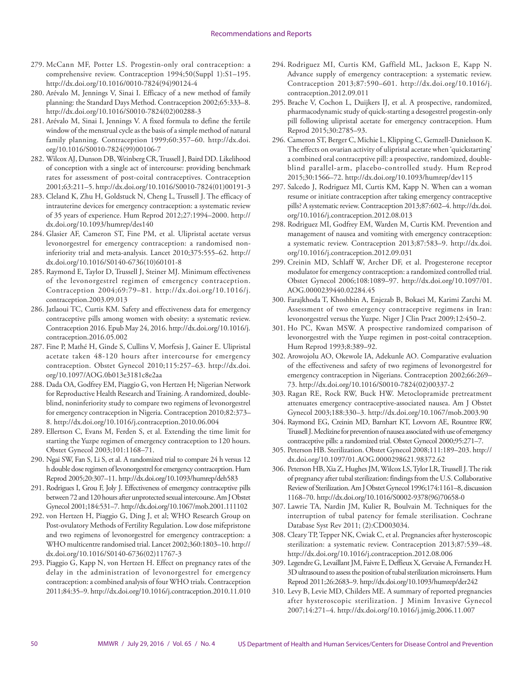- 279. McCann MF, Potter LS. Progestin-only oral contraception: a comprehensive review. Contraception 1994;50(Suppl 1):S1–195. [http://dx.doi.org/10.1016/0010-7824\(94\)90124-4](http://dx.doi.org/10.1016/0010-7824(94)90124-4)
- 280. Arévalo M, Jennings V, Sinai I. Efficacy of a new method of family planning: the Standard Days Method. Contraception 2002;65:333–8. [http://dx.doi.org/10.1016/S0010-7824\(02\)00288-3](http://dx.doi.org/10.1016/S0010-7824(02)00288-3)
- 281. Arévalo M, Sinai I, Jennings V. A fixed formula to define the fertile window of the menstrual cycle as the basis of a simple method of natural family planning. Contraception 1999;60:357–60. [http://dx.doi.](http://dx.doi.org/10.1016/S0010-7824(99)00106-7) [org/10.1016/S0010-7824\(99\)00106-7](http://dx.doi.org/10.1016/S0010-7824(99)00106-7)
- 282. Wilcox AJ, Dunson DB, Weinberg CR, Trussell J, Baird DD. Likelihood of conception with a single act of intercourse: providing benchmark rates for assessment of post-coital contraceptives. Contraception 2001;63:211–5. [http://dx.doi.org/10.1016/S0010-7824\(01\)00191-3](http://dx.doi.org/10.1016/S0010-7824(01)00191-3)
- 283. Cleland K, Zhu H, Goldstuck N, Cheng L, Trussell J. The efficacy of intrauterine devices for emergency contraception: a systematic review of 35 years of experience. Hum Reprod 2012;27:1994–2000. [http://](http://dx.doi.org/10.1093/humrep/des140) [dx.doi.org/10.1093/humrep/des140](http://dx.doi.org/10.1093/humrep/des140)
- 284. Glasier AF, Cameron ST, Fine PM, et al. Ulipristal acetate versus levonorgestrel for emergency contraception: a randomised noninferiority trial and meta-analysis. Lancet 2010;375:555–62. [http://](http://dx.doi.org/10.1016/S0140-6736(10)60101-8) [dx.doi.org/10.1016/S0140-6736\(10\)60101-8](http://dx.doi.org/10.1016/S0140-6736(10)60101-8)
- 285. Raymond E, Taylor D, Trussell J, Steiner MJ. Minimum effectiveness of the levonorgestrel regimen of emergency contraception. Contraception 2004;69:79–81. [http://dx.doi.org/10.1016/j.](http://dx.doi.org/10.1016/j.contraception.2003.09.013) [contraception.2003.09.013](http://dx.doi.org/10.1016/j.contraception.2003.09.013)
- 286. Jatlaoui TC, Curtis KM. Safety and effectiveness data for emergency contraceptive pills among women with obesity: a systematic review. Contraception 2016. Epub May 24, 2016. [http://dx.doi.org/10.1016/j.](http://dx.doi.org/10.1016/j.contraception.2016.05.002) [contraception.2016.05.002](http://dx.doi.org/10.1016/j.contraception.2016.05.002)
- 287. Fine P, Mathé H, Ginde S, Cullins V, Morfesis J, Gainer E. Ulipristal acetate taken 48-120 hours after intercourse for emergency contraception. Obstet Gynecol 2010;115:257–63. [http://dx.doi.](http://dx.doi.org/10.1097/AOG.0b013e3181c8e2aa) [org/10.1097/AOG.0b013e3181c8e2aa](http://dx.doi.org/10.1097/AOG.0b013e3181c8e2aa)
- 288. Dada OA, Godfrey EM, Piaggio G, von Hertzen H; Nigerian Network for Reproductive Health Research and Training. A randomized, doubleblind, noninferiority study to compare two regimens of levonorgestrel for emergency contraception in Nigeria. Contraception 2010;82:373– 8. <http://dx.doi.org/10.1016/j.contraception.2010.06.004>
- 289. Ellertson C, Evans M, Ferden S, et al. Extending the time limit for starting the Yuzpe regimen of emergency contraception to 120 hours. Obstet Gynecol 2003;101:1168–71.
- 290. Ngai SW, Fan S, Li S, et al. A randomized trial to compare 24 h versus 12 h double dose regimen of levonorgestrel for emergency contraception. Hum Reprod 2005;20:307–11.<http://dx.doi.org/10.1093/humrep/deh583>
- 291. Rodrigues I, Grou F, Joly J. Effectiveness of emergency contraceptive pills between 72 and 120 hours after unprotected sexual intercourse. Am J Obstet Gynecol 2001;184:531–7.<http://dx.doi.org/10.1067/mob.2001.111102>
- 292. von Hertzen H, Piaggio G, Ding J, et al; WHO Research Group on Post-ovulatory Methods of Fertility Regulation. Low dose mifepristone and two regimens of levonorgestrel for emergency contraception: a WHO multicentre randomised trial. Lancet 2002;360:1803–10. [http://](http://dx.doi.org/10.1016/S0140-6736(02)11767-3) [dx.doi.org/10.1016/S0140-6736\(02\)11767-3](http://dx.doi.org/10.1016/S0140-6736(02)11767-3)
- 293. Piaggio G, Kapp N, von Hertzen H. Effect on pregnancy rates of the delay in the administration of levonorgestrel for emergency contraception: a combined analysis of four WHO trials. Contraception 2011;84:35–9.<http://dx.doi.org/10.1016/j.contraception.2010.11.010>
- 294. Rodriguez MI, Curtis KM, Gaffield ML, Jackson E, Kapp N. Advance supply of emergency contraception: a systematic review. Contraception 2013;87:590–601. [http://dx.doi.org/10.1016/j.](http://dx.doi.org/10.1016/j.contraception.2012.09.011) [contraception.2012.09.011](http://dx.doi.org/10.1016/j.contraception.2012.09.011)
- 295. Brache V, Cochon L, Duijkers IJ, et al. A prospective, randomized, pharmacodynamic study of quick-starting a desogestrel progestin-only pill following ulipristal acetate for emergency contraception. Hum Reprod 2015;30:2785–93.
- 296. Cameron ST, Berger C, Michie L, Klipping C, Gemzell-Danielsson K. The effects on ovarian activity of ulipristal acetate when 'quickstarting' a combined oral contraceptive pill: a prospective, randomized, doubleblind parallel-arm, placebo-controlled study. Hum Reprod 2015;30:1566–72.<http://dx.doi.org/10.1093/humrep/dev115>
- 297. Salcedo J, Rodriguez MI, Curtis KM, Kapp N. When can a woman resume or initiate contraception after taking emergency contraceptive pills? A systematic review. Contraception 2013;87:602–4. [http://dx.doi.](http://dx.doi.org/10.1016/j.contraception.2012.08.013) [org/10.1016/j.contraception.2012.08.013](http://dx.doi.org/10.1016/j.contraception.2012.08.013)
- 298. Rodriguez MI, Godfrey EM, Warden M, Curtis KM. Prevention and management of nausea and vomiting with emergency contraception: a systematic review. Contraception 2013;87:583–9. [http://dx.doi.](http://dx.doi.org/10.1016/j.contraception.2012.09.031) [org/10.1016/j.contraception.2012.09.031](http://dx.doi.org/10.1016/j.contraception.2012.09.031)
- 299. Creinin MD, Schlaff W, Archer DF, et al. Progesterone receptor modulator for emergency contraception: a randomized controlled trial. Obstet Gynecol 2006;108:1089–97. [http://dx.doi.org/10.1097/01.](http://dx.doi.org/10.1097/01.AOG.0000239440.02284.45) [AOG.0000239440.02284.45](http://dx.doi.org/10.1097/01.AOG.0000239440.02284.45)
- 300. Farajkhoda T, Khoshbin A, Enjezab B, Bokaei M, Karimi Zarchi M. Assessment of two emergency contraceptive regimens in Iran: levonorgestrel versus the Yuzpe. Niger J Clin Pract 2009;12:450–2.
- 301. Ho PC, Kwan MSW. A prospective randomized comparison of levonorgestrel with the Yuzpe regimen in post-coital contraception. Hum Reprod 1993;8:389–92.
- 302. Arowojolu AO, Okewole IA, Adekunle AO. Comparative evaluation of the effectiveness and safety of two regimens of levonorgestrel for emergency contraception in Nigerians. Contraception 2002;66:269– 73. [http://dx.doi.org/10.1016/S0010-7824\(02\)00337-2](http://dx.doi.org/10.1016/S0010-7824(02)00337-2)
- 303. Ragan RE, Rock RW, Buck HW. Metoclopramide pretreatment attenuates emergency contraceptive-associated nausea. Am J Obstet Gynecol 2003;188:330–3. <http://dx.doi.org/10.1067/mob.2003.90>
- 304. Raymond EG, Creinin MD, Barnhart KT, Lovvorn AE, Rountree RW, Trussell J. Meclizine for prevention of nausea associated with use of emergency contraceptive pills: a randomized trial. Obstet Gynecol 2000;95:271–7.
- 305. Peterson HB. Sterilization. Obstet Gynecol 2008;111:189–203. [http://](http://dx.doi.org/10.1097/01.AOG.0000298621.98372.62) [dx.doi.org/10.1097/01.AOG.0000298621.98372.62](http://dx.doi.org/10.1097/01.AOG.0000298621.98372.62)
- 306. Peterson HB, Xia Z, Hughes JM, Wilcox LS, Tylor LR, Trussell J. The risk of pregnancy after tubal sterilization: findings from the U.S. Collaborative Review of Sterilization. Am J Obstet Gynecol 1996;174:1161–8, discussion 1168–70. [http://dx.doi.org/10.1016/S0002-9378\(96\)70658-0](http://dx.doi.org/10.1016/S0002-9378(96)70658-0)
- 307. Lawrie TA, Nardin JM, Kulier R, Boulvain M. Techniques for the interruption of tubal patency for female sterilisation. Cochrane Database Syst Rev 2011; (2):CD003034.
- 308. Cleary TP, Tepper NK, Cwiak C, et al. Pregnancies after hysteroscopic sterilization: a systematic review. Contraception 2013;87:539–48. <http://dx.doi.org/10.1016/j.contraception.2012.08.006>
- 309. Legendre G, Levaillant JM, Faivre E, Deffieux X, Gervaise A, Fernandez H. 3D ultrasound to assess the position of tubal sterilization microinserts. Hum Reprod 2011;26:2683–9.<http://dx.doi.org/10.1093/humrep/der242>
- 310. Levy B, Levie MD, Childers ME. A summary of reported pregnancies after hysteroscopic sterilization. J Minim Invasive Gynecol 2007;14:271–4.<http://dx.doi.org/10.1016/j.jmig.2006.11.007>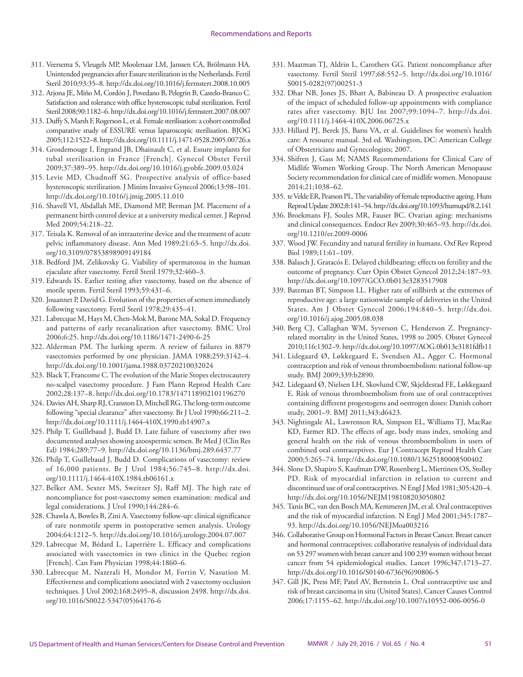- 311. Veersema S, Vleugels MP, Moolenaar LM, Janssen CA, Brölmann HA. Unintended pregnancies after Essure sterilization in the Netherlands. Fertil Steril 2010;93:35–8. <http://dx.doi.org/10.1016/j.fertnstert.2008.10.005>
- 312. Arjona JE, Miño M, Cordón J, Povedano B, Pelegrin B, Castelo-Branco C. Satisfaction and tolerance with office hysteroscopic tubal sterilization. Fertil Steril 2008;90:1182–6.<http://dx.doi.org/10.1016/j.fertnstert.2007.08.007>
- 313. Duffy S, Marsh F, Rogerson L, et al. Female sterilisation: a cohort controlled comparative study of ESSURE versus laparoscopic sterilisation. BJOG 2005;112:1522–8.<http://dx.doi.org/10.1111/j.1471-0528.2005.00726.x>
- 314. Grosdemouge I, Engrand JB, Dhainault C, et al. Essure implants for tubal sterilisation in France [French]. Gynecol Obstet Fertil 2009;37:389–95. <http://dx.doi.org/10.1016/j.gyobfe.2009.03.024>
- 315. Levie MD, Chudnoff SG. Prospective analysis of office-based hysteroscopic sterilization. J Minim Invasive Gynecol 2006;13:98–101. <http://dx.doi.org/10.1016/j.jmig.2005.11.010>
- 316. Shavell VI, Abdallah ME, Diamond MP, Berman JM. Placement of a permanent birth control device at a university medical center. J Reprod Med 2009;54:218–22.
- 317. Teisala K. Removal of an intrauterine device and the treatment of acute pelvic inflammatory disease. Ann Med 1989;21:63–5. [http://dx.doi.](http://dx.doi.org/10.3109/07853898909149184) [org/10.3109/07853898909149184](http://dx.doi.org/10.3109/07853898909149184)
- 318. Bedford JM, Zelikovsky G. Viability of spermatozoa in the human ejaculate after vasectomy. Fertil Steril 1979;32:460–3.
- 319. Edwards IS. Earlier testing after vasectomy, based on the absence of motile sperm. Fertil Steril 1993;59:431–6.
- 320. Jouannet P, David G. Evolution of the properties of semen immediately following vasectomy. Fertil Steril 1978;29:435–41.
- 321. Labrecque M, Hays M, Chen-Mok M, Barone MA, Sokal D. Frequency and patterns of early recanalization after vasectomy. BMC Urol 2006;6:25.<http://dx.doi.org/10.1186/1471-2490-6-25>
- 322. Alderman PM. The lurking sperm. A review of failures in 8879 vasectomies performed by one physician. JAMA 1988;259:3142–4. <http://dx.doi.org/10.1001/jama.1988.03720210032024>
- 323. Black T, Francome C. The evolution of the Marie Stopes electrocautery no-scalpel vasectomy procedure. J Fam Plann Reprod Health Care 2002;28:137–8.<http://dx.doi.org/10.1783/147118902101196270>
- 324. Davies AH, Sharp RJ, Cranston D, Mitchell RG. The long-term outcome following "special clearance" after vasectomy. Br J Urol 1990;66:211–2. <http://dx.doi.org/10.1111/j.1464-410X.1990.tb14907.x>
- 325. Philp T, Guillebaud J, Budd D. Late failure of vasectomy after two documented analyses showing azoospermic semen. Br Med J (Clin Res Ed) 1984;289:77–9.<http://dx.doi.org/10.1136/bmj.289.6437.77>
- 326. Philp T, Guillebaud J, Budd D. Complications of vasectomy: review of 16,000 patients. Br J Urol 1984;56:745–8. [http://dx.doi.](http://dx.doi.org/10.1111/j.1464-410X.1984.tb06161.x) [org/10.1111/j.1464-410X.1984.tb06161.x](http://dx.doi.org/10.1111/j.1464-410X.1984.tb06161.x)
- 327. Belker AM, Sexter MS, Sweitzer SJ, Raff MJ. The high rate of noncompliance for post-vasectomy semen examination: medical and legal considerations. J Urol 1990;144:284–6.
- 328. Chawla A, Bowles B, Zini A. Vasectomy follow-up: clinical significance of rare nonmotile sperm in postoperative semen analysis. Urology 2004;64:1212–5. <http://dx.doi.org/10.1016/j.urology.2004.07.007>
- 329. Labrecque M, Bédard L, Laperrière L. Efficacy and complications associated with vasectomies in two clinics in the Quebec region [French]. Can Fam Physician 1998;44:1860–6.
- 330. Labrecque M, Nazerali H, Mondor M, Fortin V, Nasution M. Effectiveness and complications associated with 2 vasectomy occlusion techniques. J Urol 2002;168:2495–8, discussion 2498. [http://dx.doi.](http://dx.doi.org/10.1016/S0022-5347(05)64176-6) [org/10.1016/S0022-5347\(05\)64176-6](http://dx.doi.org/10.1016/S0022-5347(05)64176-6)
- 331. Maatman TJ, Aldrin L, Carothers GG. Patient noncompliance after vasectomy. Fertil Steril 1997;68:552–5. [http://dx.doi.org/10.1016/](http://dx.doi.org/10.1016/S0015-0282(97)00251-3) [S0015-0282\(97\)00251-3](http://dx.doi.org/10.1016/S0015-0282(97)00251-3)
- 332. Dhar NB, Jones JS, Bhatt A, Babineau D. A prospective evaluation of the impact of scheduled follow-up appointments with compliance rates after vasectomy. BJU Int 2007;99:1094–7. [http://dx.doi.](http://dx.doi.org/10.1111/j.1464-410X.2006.06725.x) [org/10.1111/j.1464-410X.2006.06725.x](http://dx.doi.org/10.1111/j.1464-410X.2006.06725.x)
- 333. Hillard PJ, Berek JS, Barss VA, et al. Guidelines for women's health care: A resource manual. 3rd ed. Washington, DC: American College of Obstetricians and Gynecologists; 2007.
- 334. Shifren J, Gass M; NAMS Recommendations for Clinical Care of Midlife Women Working Group. The North American Menopause Society recommendation for clinical care of midlife women. Menopause 2014;21;1038–62.
- 335. te Velde ER, Pearson PL. The variability of female reproductive ageing. Hum Reprod Update 2002;8:141–54.<http://dx.doi.org/10.1093/humupd/8.2.141>
- 336. Broekmans FJ, Soules MR, Fauser BC. Ovarian aging: mechanisms and clinical consequences. Endocr Rev 2009;30:465–93. [http://dx.doi.](http://dx.doi.org/10.1210/er.2009-0006) [org/10.1210/er.2009-0006](http://dx.doi.org/10.1210/er.2009-0006)
- 337. Wood JW. Fecundity and natural fertility in humans. Oxf Rev Reprod Biol 1989;11:61–109.
- 338. Balasch J, Gratacós E. Delayed childbearing: effects on fertility and the outcome of pregnancy. Curr Opin Obstet Gynecol 2012;24:187–93. <http://dx.doi.org/10.1097/GCO.0b013e3283517908>
- 339. Bateman BT, Simpson LL. Higher rate of stillbirth at the extremes of reproductive age: a large nationwide sample of deliveries in the United States. Am J Obstet Gynecol 2006;194:840–5. [http://dx.doi.](http://dx.doi.org/10.1016/j.ajog.2005.08.038) [org/10.1016/j.ajog.2005.08.038](http://dx.doi.org/10.1016/j.ajog.2005.08.038)
- 340. Berg CJ, Callaghan WM, Syverson C, Henderson Z. Pregnancyrelated mortality in the United States, 1998 to 2005. Obstet Gynecol 2010;116:1302–9.<http://dx.doi.org/10.1097/AOG.0b013e3181fdfb11>
- 341. Lidegaard Ø, Løkkegaard E, Svendsen AL, Agger C. Hormonal contraception and risk of venous thromboembolism: national follow-up study. BMJ 2009;339:b2890.
- 342. Lidegaard Ø, Nielsen LH, Skovlund CW, Skjeldestad FE, Løkkegaard E. Risk of venous thromboembolism from use of oral contraceptives containing different progestogens and oestrogen doses: Danish cohort study, 2001–9. BMJ 2011;343:d6423.
- 343. Nightingale AL, Lawrenson RA, Simpson EL, Williams TJ, MacRae KD, Farmer RD. The effects of age, body mass index, smoking and general health on the risk of venous thromboembolism in users of combined oral contraceptives. Eur J Contracept Reprod Health Care 2000;5:265–74.<http://dx.doi.org/10.1080/13625180008500402>
- 344. Slone D, Shapiro S, Kaufman DW, Rosenberg L, Miettinen OS, Stolley PD. Risk of myocardial infarction in relation to current and discontinued use of oral contraceptives. N Engl J Med 1981;305:420–4. <http://dx.doi.org/10.1056/NEJM198108203050802>
- 345. Tanis BC, van den Bosch MA, Kemmeren JM, et al. Oral contraceptives and the risk of myocardial infarction. N Engl J Med 2001;345:1787– 93.<http://dx.doi.org/10.1056/NEJMoa003216>
- 346. Collaborative Group on Hormonal Factors in Breast Cancer. Breast cancer and hormonal contraceptives: collaborative reanalysis of individual data on 53 297 women with breast cancer and 100 239 women without breast cancer from 54 epidemiological studies. Lancet 1996;347:1713–27. [http://dx.doi.org/10.1016/S0140-6736\(96\)90806-5](http://dx.doi.org/10.1016/S0140-6736(96)90806-5)
- 347. Gill JK, Press MF, Patel AV, Bernstein L. Oral contraceptive use and risk of breast carcinoma in situ (United States). Cancer Causes Control 2006;17:1155–62.<http://dx.doi.org/10.1007/s10552-006-0056-0>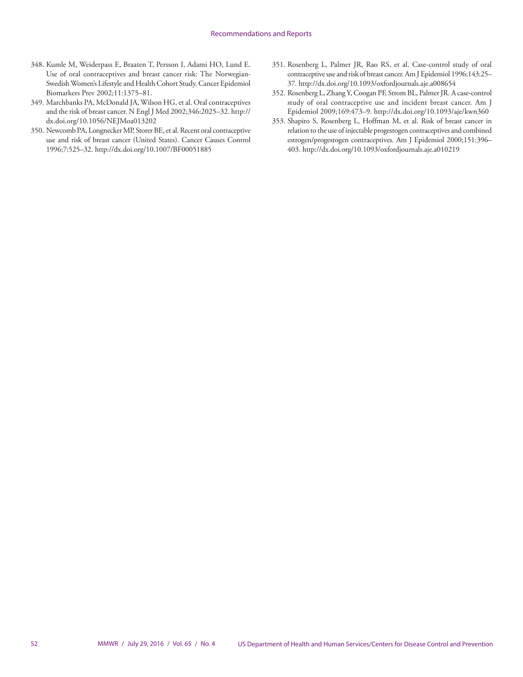- 348. Kumle M, Weiderpass E, Braaten T, Persson I, Adami HO, Lund E. Use of oral contraceptives and breast cancer risk: The Norwegian-Swedish Women's Lifestyle and Health Cohort Study. Cancer Epidemiol Biomarkers Prev 2002;11:1375–81.
- 349. Marchbanks PA, McDonald JA, Wilson HG, et al. Oral contraceptives and the risk of breast cancer. N Engl J Med 2002;346:2025–32. [http://](http://dx.doi.org/10.1056/NEJMoa013202) [dx.doi.org/10.1056/NEJMoa013202](http://dx.doi.org/10.1056/NEJMoa013202)
- 350. Newcomb PA, Longnecker MP, Storer BE, et al. Recent oral contraceptive use and risk of breast cancer (United States). Cancer Causes Control 1996;7:525–32.<http://dx.doi.org/10.1007/BF00051885>
- 351. Rosenberg L, Palmer JR, Rao RS, et al. Case-control study of oral contraceptive use and risk of breast cancer. Am J Epidemiol 1996;143:25– 37. <http://dx.doi.org/10.1093/oxfordjournals.aje.a008654>
- 352. Rosenberg L, Zhang Y, Coogan PF, Strom BL, Palmer JR. A case-control study of oral contraceptive use and incident breast cancer. Am J Epidemiol 2009;169:473–9. <http://dx.doi.org/10.1093/aje/kwn360>
- 353. Shapiro S, Rosenberg L, Hoffman M, et al. Risk of breast cancer in relation to the use of injectable progestogen contraceptives and combined estrogen/progestogen contraceptives. Am J Epidemiol 2000;151:396– 403.<http://dx.doi.org/10.1093/oxfordjournals.aje.a010219>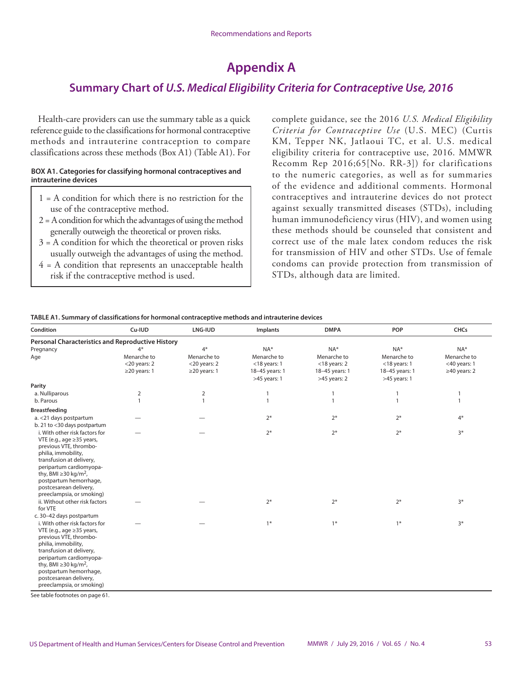# **Appendix A**

# **Summary Chart of** *U.S. Medical Eligibility Criteria for Contraceptive Use, 2016*

Health-care providers can use the summary table as a quick reference guide to the classifications for hormonal contraceptive methods and intrauterine contraception to compare classifications across these methods (Box A1) (Table A1). For

#### **BOX A1. Categories for classifying hormonal contraceptives and intrauterine devices**

- 1 = A condition for which there is no restriction for the use of the contraceptive method.
- 2 = A condition for which the advantages of using the method generally outweigh the theoretical or proven risks.
- $3 = A$  condition for which the theoretical or proven risks usually outweigh the advantages of using the method.
- $4 = A$  condition that represents an unacceptable health risk if the contraceptive method is used.

complete guidance, see the 2016 *U.S. Medical Eligibility Criteria for Contraceptive Use* (U.S. MEC) (Curtis KM, Tepper NK, Jatlaoui TC, et al. U.S. medical eligibility criteria for contraceptive use, 2016. MMWR Recomm Rep 2016;65[No. RR-3]) for clarifications to the numeric categories, as well as for summaries of the evidence and additional comments. Hormonal contraceptives and intrauterine devices do not protect against sexually transmitted diseases (STDs), including human immunodeficiency virus (HIV), and women using these methods should be counseled that consistent and correct use of the male latex condom reduces the risk for transmission of HIV and other STDs. Use of female condoms can provide protection from transmission of STDs, although data are limited.

#### **TABLE A1. Summary of classifications for hormonal contraceptive methods and intrauterine devices**

| Condition                                                                                                                                                                                                                                                                                                                        | Cu-IUD                                                       | <b>LNG-IUD</b><br><b>DMPA</b><br>Implants                    |                                                                           | POP                                                                       | <b>CHCs</b>                                                               |                                                             |
|----------------------------------------------------------------------------------------------------------------------------------------------------------------------------------------------------------------------------------------------------------------------------------------------------------------------------------|--------------------------------------------------------------|--------------------------------------------------------------|---------------------------------------------------------------------------|---------------------------------------------------------------------------|---------------------------------------------------------------------------|-------------------------------------------------------------|
| <b>Personal Characteristics and Reproductive History</b>                                                                                                                                                                                                                                                                         |                                                              |                                                              |                                                                           |                                                                           |                                                                           |                                                             |
| Pregnancy<br>Age                                                                                                                                                                                                                                                                                                                 | $4*$<br>Menarche to<br>$<$ 20 years: 2<br>$\geq$ 20 years: 1 | $4*$<br>Menarche to<br>$<$ 20 years: 2<br>$\geq$ 20 years: 1 | $NA*$<br>Menarche to<br>$<$ 18 years: 1<br>18-45 years: 1<br>>45 years: 1 | $NA*$<br>Menarche to<br>$<$ 18 years: 2<br>18-45 years: 1<br>>45 years: 2 | $NA*$<br>Menarche to<br>$<$ 18 years: 1<br>18-45 years: 1<br>>45 years: 1 | NA*<br>Menarche to<br>$<$ 40 years: 1<br>$\geq$ 40 years: 2 |
| Parity                                                                                                                                                                                                                                                                                                                           |                                                              |                                                              |                                                                           |                                                                           |                                                                           |                                                             |
| a. Nulliparous                                                                                                                                                                                                                                                                                                                   | 2                                                            | $\mathbf 2$                                                  | $\mathbf{1}$                                                              | $\mathbf{1}$                                                              | $\mathbf{1}$                                                              | $\mathbf{1}$                                                |
| b. Parous                                                                                                                                                                                                                                                                                                                        | $\overline{1}$                                               | $\mathbf{1}$                                                 | $\mathbf{1}$                                                              | $\mathbf{1}$                                                              | $\mathbf{1}$                                                              | $\mathbf{1}$                                                |
| <b>Breastfeeding</b>                                                                                                                                                                                                                                                                                                             |                                                              |                                                              |                                                                           |                                                                           |                                                                           |                                                             |
| a. < 21 days postpartum<br>b. 21 to <30 days postpartum                                                                                                                                                                                                                                                                          |                                                              |                                                              | $2*$                                                                      | $2*$                                                                      | $2*$                                                                      | $4*$                                                        |
| i. With other risk factors for<br>VTE (e.g., age $\geq$ 35 years,<br>previous VTE, thrombo-<br>philia, immobility,<br>transfusion at delivery,<br>peripartum cardiomyopa-<br>thy, BMI $\geq$ 30 kg/m <sup>2</sup> ,<br>postpartum hemorrhage,<br>postcesarean delivery,<br>preeclampsia, or smoking)                             |                                                              |                                                              | $2*$                                                                      | $2*$                                                                      | $2*$                                                                      | $3*$                                                        |
| ii. Without other risk factors<br>for VTE                                                                                                                                                                                                                                                                                        |                                                              |                                                              | $2*$                                                                      | $2*$                                                                      | $2*$                                                                      | $3*$                                                        |
| c. 30-42 days postpartum<br>i. With other risk factors for<br>VTE (e.g., age $\geq$ 35 years,<br>previous VTE, thrombo-<br>philia, immobility,<br>transfusion at delivery,<br>peripartum cardiomyopa-<br>thy, BMI $\geq$ 30 kg/m <sup>2</sup> ,<br>postpartum hemorrhage,<br>postcesarean delivery,<br>preeclampsia, or smoking) |                                                              |                                                              | $1*$                                                                      | $1*$                                                                      | $1*$                                                                      | $3*$                                                        |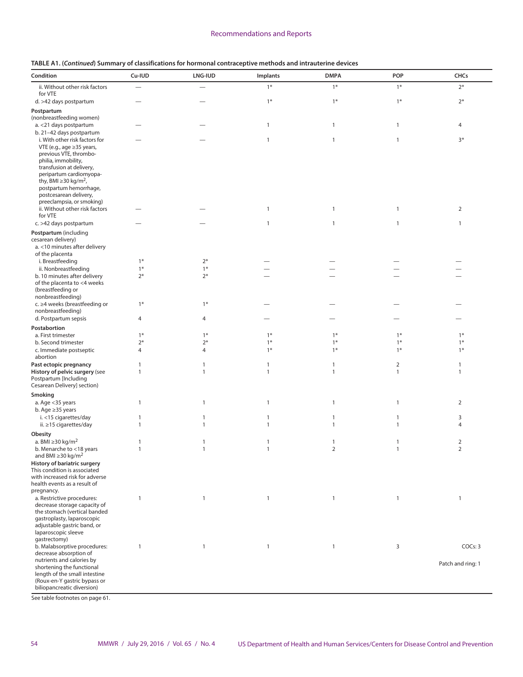| Condition                                                       | Cu-IUD                   | LNG-IUD      | Implants     | <b>DMPA</b>    | POP            | <b>CHCs</b>       |
|-----------------------------------------------------------------|--------------------------|--------------|--------------|----------------|----------------|-------------------|
| ii. Without other risk factors                                  | $\overline{\phantom{0}}$ |              | $1*$         | $1*$           | $1*$           | $2*$              |
| for VTE                                                         |                          |              | $1*$         | $1*$           | $1*$           | $2*$              |
| d. >42 days postpartum<br>Postpartum                            |                          |              |              |                |                |                   |
| (nonbreastfeeding women)                                        |                          |              |              |                |                |                   |
| a. < 21 days postpartum                                         |                          |              | $\mathbf{1}$ | $\mathbf{1}$   | $\mathbf{1}$   | 4                 |
| b. 21-42 days postpartum                                        |                          |              |              |                |                |                   |
| i. With other risk factors for<br>VTE (e.g., age ≥35 years,     |                          |              | $\mathbf{1}$ | $\mathbf{1}$   | $\mathbf{1}$   | $3*$              |
| previous VTE, thrombo-                                          |                          |              |              |                |                |                   |
| philia, immobility,                                             |                          |              |              |                |                |                   |
| transfusion at delivery,<br>peripartum cardiomyopa-             |                          |              |              |                |                |                   |
| thy, BMI $\geq$ 30 kg/m <sup>2</sup> ,                          |                          |              |              |                |                |                   |
| postpartum hemorrhage,                                          |                          |              |              |                |                |                   |
| postcesarean delivery,<br>preeclampsia, or smoking)             |                          |              |              |                |                |                   |
| ii. Without other risk factors                                  |                          |              | $\mathbf{1}$ | $\mathbf{1}$   | $\mathbf{1}$   | $\overline{2}$    |
| for VTE<br>c. >42 days postpartum                               |                          |              | $\mathbf{1}$ | $\mathbf{1}$   | $\mathbf{1}$   | $\mathbf{1}$      |
| Postpartum (including                                           |                          |              |              |                |                |                   |
| cesarean delivery)                                              |                          |              |              |                |                |                   |
| a. <10 minutes after delivery                                   |                          |              |              |                |                |                   |
| of the placenta<br>i. Breastfeeding                             | $1*$                     | $2*$         |              |                |                |                   |
| ii. Nonbreastfeeding                                            | $1*$                     | $1*$         |              |                |                |                   |
| b. 10 minutes after delivery                                    | $2*$                     | $2*$         |              |                |                |                   |
| of the placenta to <4 weeks<br>(breastfeeding or                |                          |              |              |                |                |                   |
| nonbreastfeeding)                                               |                          |              |              |                |                |                   |
| c. ≥4 weeks (breastfeeding or                                   | $1*$                     | $1*$         |              |                |                |                   |
| nonbreastfeeding)<br>d. Postpartum sepsis                       | $\overline{4}$           | 4            |              |                |                |                   |
| Postabortion                                                    |                          |              |              |                |                |                   |
| a. First trimester                                              | $1*$                     | $1*$         | $1*$         | $1*$           | $1*$           | $1*$              |
| b. Second trimester                                             | $2*$                     | $2*$         | $1*$         | $1*$           | $1*$           | $1*$              |
| c. Immediate postseptic<br>abortion                             | $\overline{4}$           | 4            | $1*$         | $1*$           | $1*$           | $1*$              |
| Past ectopic pregnancy                                          | 1                        | 1            | $\mathbf{1}$ | $\mathbf{1}$   | $\overline{2}$ | $\mathbf{1}$      |
| History of pelvic surgery (see                                  | $\mathbf{1}$             | $\mathbf{1}$ | $\mathbf{1}$ | $\mathbf{1}$   | $\mathbf{1}$   | $\mathbf{1}$      |
| Postpartum [Including<br>Cesarean Delivery] section)            |                          |              |              |                |                |                   |
| Smoking                                                         |                          |              |              |                |                |                   |
| a. Age <35 years                                                | $\mathbf{1}$             | $\mathbf{1}$ | $\mathbf{1}$ | $\mathbf{1}$   | $\mathbf{1}$   | $\overline{2}$    |
| b. Age $\geq$ 35 years<br>i. <15 cigarettes/day                 | $\mathbf{1}$             | 1            | $\mathbf{1}$ | $\mathbf{1}$   | $\mathbf{1}$   | 3                 |
| ii. ≥15 cigarettes/day                                          | $\mathbf{1}$             | $\mathbf{1}$ | $\mathbf{1}$ | $\mathbf{1}$   | $\mathbf{1}$   | 4                 |
| Obesity                                                         |                          |              |              |                |                |                   |
| a. BMI $\geq$ 30 kg/m <sup>2</sup>                              | 1                        | $\mathbf{1}$ | $\mathbf{1}$ | $\mathbf{1}$   | $\mathbf{1}$   | $\overline{2}$    |
| b. Menarche to <18 years<br>and BMI $\geq$ 30 kg/m <sup>2</sup> | $\mathbf{1}$             | $\mathbf{1}$ | $\mathbf{1}$ | $\overline{2}$ | $\mathbf{1}$   | $\mathcal{P}$     |
| History of bariatric surgery                                    |                          |              |              |                |                |                   |
| This condition is associated                                    |                          |              |              |                |                |                   |
| with increased risk for adverse<br>health events as a result of |                          |              |              |                |                |                   |
| pregnancy.                                                      |                          |              |              |                |                |                   |
| a. Restrictive procedures:                                      | $\mathbf{1}$             | $\mathbf{1}$ | $\mathbf{1}$ | $\mathbf{1}$   | $\mathbf{1}$   | $\mathbf{1}$      |
| decrease storage capacity of<br>the stomach (vertical banded    |                          |              |              |                |                |                   |
| gastroplasty, laparoscopic                                      |                          |              |              |                |                |                   |
| adjustable gastric band, or<br>laparoscopic sleeve              |                          |              |              |                |                |                   |
| gastrectomy)                                                    |                          |              |              |                |                |                   |
| b. Malabsorptive procedures:                                    | $\mathbf{1}$             | $\mathbf{1}$ | $\mathbf{1}$ | $\mathbf{1}$   | 3              | COCs: 3           |
| decrease absorption of<br>nutrients and calories by             |                          |              |              |                |                |                   |
| shortening the functional                                       |                          |              |              |                |                | Patch and ring: 1 |
| length of the small intestine<br>(Roux-en-Y gastric bypass or   |                          |              |              |                |                |                   |
| biliopancreatic diversion)                                      |                          |              |              |                |                |                   |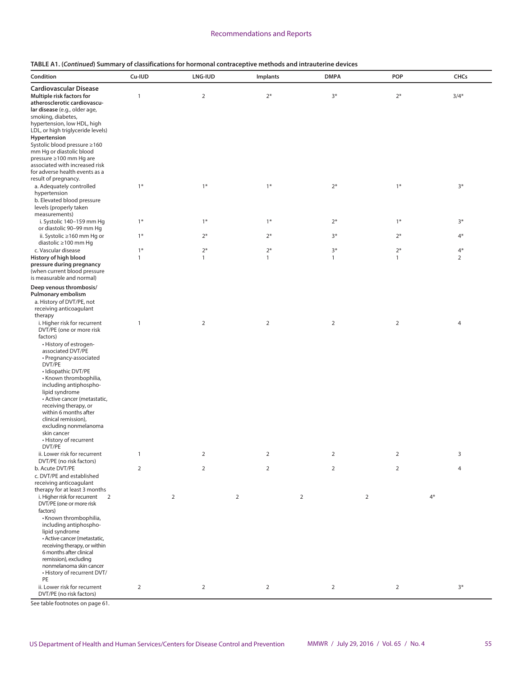#### **TABLE A1. (***Continued***) Summary of classifications for hormonal contraceptive methods and intrauterine devices**

| Condition                                                | Cu-IUD         | <b>LNG-IUD</b> | Implants       | <b>DMPA</b>    | <b>POP</b>     | <b>CHCs</b>    |
|----------------------------------------------------------|----------------|----------------|----------------|----------------|----------------|----------------|
| <b>Cardiovascular Disease</b>                            |                |                |                |                |                |                |
| Multiple risk factors for                                | $\mathbf{1}$   | $\mathbf 2$    | $2*$           | $3*$           | $2*$           | $3/4*$         |
| atherosclerotic cardiovascu-                             |                |                |                |                |                |                |
| lar disease (e.g., older age,<br>smoking, diabetes,      |                |                |                |                |                |                |
| hypertension, low HDL, high                              |                |                |                |                |                |                |
| LDL, or high triglyceride levels)                        |                |                |                |                |                |                |
| Hypertension                                             |                |                |                |                |                |                |
| Systolic blood pressure ≥160                             |                |                |                |                |                |                |
| mm Hg or diastolic blood<br>pressure ≥100 mm Hg are      |                |                |                |                |                |                |
| associated with increased risk                           |                |                |                |                |                |                |
| for adverse health events as a                           |                |                |                |                |                |                |
| result of pregnancy.                                     |                |                |                |                |                |                |
| a. Adequately controlled                                 | $1*$           | $1*$           | $1*$           | $2*$           | $1*$           | $3*$           |
| hypertension<br>b. Elevated blood pressure               |                |                |                |                |                |                |
| levels (properly taken                                   |                |                |                |                |                |                |
| measurements)                                            |                |                |                |                |                |                |
| i. Systolic 140-159 mm Hg                                | $1*$           | $1*$           | $1*$           | $2*$           | $1*$           | $3*$           |
| or diastolic 90-99 mm Hq                                 |                |                |                |                |                |                |
| ii. Systolic ≥160 mm Hg or<br>diastolic ≥100 mm Hg       | $1*$           | $2*$           | $2*$           | $3*$           | $2*$           | $4*$           |
| c. Vascular disease                                      | $1*$           | $2*$           | $2*$           | $3*$           | $2*$           | $4*$           |
| History of high blood                                    | $\mathbf{1}$   | $\mathbf{1}$   | $\mathbf{1}$   | $\mathbf{1}$   | $\mathbf{1}$   | $\overline{2}$ |
| pressure during pregnancy                                |                |                |                |                |                |                |
| (when current blood pressure                             |                |                |                |                |                |                |
| is measurable and normal)                                |                |                |                |                |                |                |
| Deep venous thrombosis/                                  |                |                |                |                |                |                |
| Pulmonary embolism<br>a. History of DVT/PE, not          |                |                |                |                |                |                |
| receiving anticoagulant                                  |                |                |                |                |                |                |
| therapy                                                  |                |                |                |                |                |                |
| i. Higher risk for recurrent                             | $\mathbf{1}$   | $\overline{2}$ | $\overline{2}$ | $\overline{2}$ | $\mathbf 2$    | 4              |
| DVT/PE (one or more risk                                 |                |                |                |                |                |                |
| factors)<br>• History of estrogen-                       |                |                |                |                |                |                |
| associated DVT/PE                                        |                |                |                |                |                |                |
| • Pregnancy-associated                                   |                |                |                |                |                |                |
| DVT/PE                                                   |                |                |                |                |                |                |
| · Idiopathic DVT/PE<br>• Known thrombophilia,            |                |                |                |                |                |                |
| including antiphospho-                                   |                |                |                |                |                |                |
| lipid syndrome                                           |                |                |                |                |                |                |
| • Active cancer (metastatic,                             |                |                |                |                |                |                |
| receiving therapy, or<br>within 6 months after           |                |                |                |                |                |                |
| clinical remission),                                     |                |                |                |                |                |                |
| excluding nonmelanoma                                    |                |                |                |                |                |                |
| skin cancer                                              |                |                |                |                |                |                |
| • History of recurrent<br>DVT/PE                         |                |                |                |                |                |                |
| ii. Lower risk for recurrent                             | $\mathbf{1}$   | $\overline{2}$ | $\sqrt{2}$     | $\overline{2}$ | $\mathbf 2$    | 3              |
| DVT/PE (no risk factors)                                 |                |                |                |                |                |                |
| b. Acute DVT/PE                                          | $\overline{2}$ | $\overline{2}$ | $\sqrt{2}$     | $\overline{2}$ | $\mathbf 2$    | $\overline{4}$ |
| c. DVT/PE and established                                |                |                |                |                |                |                |
| receiving anticoagulant<br>therapy for at least 3 months |                |                |                |                |                |                |
| i. Higher risk for recurrent<br>2                        |                | $\overline{2}$ | $\overline{2}$ | $\overline{2}$ | $\overline{2}$ | $4*$           |
| DVT/PE (one or more risk                                 |                |                |                |                |                |                |
| factors)                                                 |                |                |                |                |                |                |
| «Known thrombophilia,                                    |                |                |                |                |                |                |
| including antiphospho-<br>lipid syndrome                 |                |                |                |                |                |                |
| · Active cancer (metastatic,                             |                |                |                |                |                |                |
| receiving therapy, or within                             |                |                |                |                |                |                |
| 6 months after clinical                                  |                |                |                |                |                |                |
| remission), excluding                                    |                |                |                |                |                |                |
| nonmelanoma skin cancer<br>• History of recurrent DVT/   |                |                |                |                |                |                |
| PE                                                       |                |                |                |                |                |                |
| ii. Lower risk for recurrent                             | $\overline{2}$ | $\overline{2}$ | $\overline{2}$ | 2              | $\overline{2}$ | $3*$           |
| DVT/PE (no risk factors)                                 |                |                |                |                |                |                |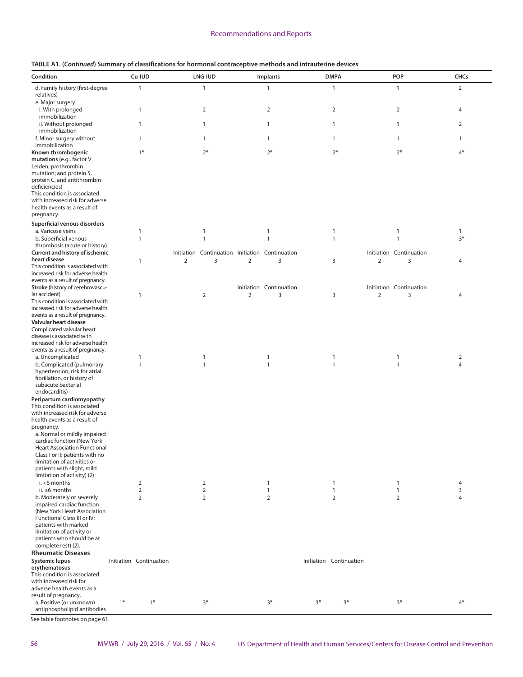|  | TABLE A1. (Continued) Summary of classifications for hormonal contraceptive methods and intrauterine devices |  |
|--|--------------------------------------------------------------------------------------------------------------|--|
|--|--------------------------------------------------------------------------------------------------------------|--|

| Condition                                                                                                                                    |      | Cu-IUD                         |                | LNG-IUD                                         |                | Implants                |      | <b>DMPA</b>                  |                | POP                          | <b>CHCs</b>                      |  |
|----------------------------------------------------------------------------------------------------------------------------------------------|------|--------------------------------|----------------|-------------------------------------------------|----------------|-------------------------|------|------------------------------|----------------|------------------------------|----------------------------------|--|
|                                                                                                                                              |      |                                |                |                                                 |                |                         |      |                              |                |                              |                                  |  |
| d. Family history (first-degree<br>relatives)<br>e. Major surgery                                                                            |      | $\mathbf{1}$                   |                | $\mathbf{1}$                                    |                | $\mathbf{1}$            |      | $\mathbf{1}$                 |                | $\mathbf{1}$                 | $\overline{2}$                   |  |
| i. With prolonged<br>immobilization                                                                                                          |      | $\mathbf{1}$                   |                | $\overline{2}$                                  |                | $\overline{2}$          |      | $\overline{2}$               |                | $\overline{2}$               | 4                                |  |
| ii. Without prolonged<br>immobilization                                                                                                      |      | $\overline{1}$                 |                | 1                                               |                | 1                       |      | $\mathbf{1}$                 |                | $\mathbf{1}$                 | $\overline{2}$                   |  |
| f. Minor surgery without<br>immobilization                                                                                                   |      | $\mathbf{1}$                   |                | 1                                               |                | 1                       |      | $\mathbf{1}$                 |                | $\mathbf{1}$                 | $\mathbf{1}$                     |  |
| Known thrombogenic<br>mutations (e.g., factor V<br>Leiden; prothrombin                                                                       |      | $1*$                           |                | $2*$                                            |                | $2*$                    |      | $2*$                         |                | $2*$                         | $4*$                             |  |
| mutation; and protein S,<br>protein C, and antithrombin<br>deficiencies)<br>This condition is associated                                     |      |                                |                |                                                 |                |                         |      |                              |                |                              |                                  |  |
| with increased risk for adverse<br>health events as a result of<br>pregnancy.                                                                |      |                                |                |                                                 |                |                         |      |                              |                |                              |                                  |  |
| Superficial venous disorders                                                                                                                 |      |                                |                |                                                 |                |                         |      |                              |                |                              |                                  |  |
| a. Varicose veins                                                                                                                            |      | $\overline{1}$                 |                | 1                                               |                | $\mathbf{1}$            |      | 1                            |                | $\mathbf{1}$                 | $\mathbf{1}$                     |  |
| b. Superficial venous<br>thrombosis (acute or history)                                                                                       |      | $\overline{1}$                 |                | $\mathbf{1}$                                    |                | $\mathbf{1}$            |      | $\mathbf{1}$                 |                | $\mathbf{1}$                 | $3*$                             |  |
| Current and history of ischemic                                                                                                              |      |                                |                | Initiation Continuation Initiation Continuation |                |                         |      |                              |                | Initiation Continuation      |                                  |  |
| heart disease<br>This condition is associated with<br>increased risk for adverse health                                                      |      | $\mathbf{1}$                   | $\overline{2}$ | 3                                               | $\overline{2}$ | 3                       |      | 3                            | $\overline{2}$ | 3                            | 4                                |  |
| events as a result of pregnancy.<br>Stroke (history of cerebrovascu-                                                                         |      |                                |                |                                                 |                | Initiation Continuation |      |                              |                | Initiation Continuation      |                                  |  |
| lar accident)<br>This condition is associated with                                                                                           |      | $\overline{1}$                 |                | $\overline{2}$                                  | 2              | 3                       |      | 3                            | 2              | 3                            | $\overline{4}$                   |  |
| increased risk for adverse health<br>events as a result of pregnancy.                                                                        |      |                                |                |                                                 |                |                         |      |                              |                |                              |                                  |  |
| Valvular heart disease<br>Complicated valvular heart                                                                                         |      |                                |                |                                                 |                |                         |      |                              |                |                              |                                  |  |
| disease is associated with<br>increased risk for adverse health                                                                              |      |                                |                |                                                 |                |                         |      |                              |                |                              |                                  |  |
| events as a result of pregnancy.                                                                                                             |      |                                |                |                                                 |                |                         |      |                              |                |                              |                                  |  |
| a. Uncomplicated<br>b. Complicated (pulmonary<br>hypertension, risk for atrial                                                               |      | $\overline{1}$<br>$\mathbf{1}$ |                | 1<br>$\mathbf{1}$                               |                | 1<br>$\mathbf{1}$       |      | $\mathbf{1}$<br>$\mathbf{1}$ |                | $\mathbf{1}$<br>$\mathbf{1}$ | $\overline{2}$<br>$\overline{4}$ |  |
| fibrillation, or history of<br>subacute bacterial<br>endocarditis)                                                                           |      |                                |                |                                                 |                |                         |      |                              |                |                              |                                  |  |
| Peripartum cardiomyopathy<br>This condition is associated                                                                                    |      |                                |                |                                                 |                |                         |      |                              |                |                              |                                  |  |
| with increased risk for adverse<br>health events as a result of                                                                              |      |                                |                |                                                 |                |                         |      |                              |                |                              |                                  |  |
| pregnancy.<br>a. Normal or mildly impaired                                                                                                   |      |                                |                |                                                 |                |                         |      |                              |                |                              |                                  |  |
| cardiac function (New York<br><b>Heart Association Functional</b>                                                                            |      |                                |                |                                                 |                |                         |      |                              |                |                              |                                  |  |
| Class I or II: patients with no<br>limitation of activities or<br>patients with slight, mild                                                 |      |                                |                |                                                 |                |                         |      |                              |                |                              |                                  |  |
| limitation of activity) (2)<br>$i. < 6$ months                                                                                               |      | $\overline{2}$                 |                | 2                                               |                | $\mathbf{1}$            |      | $\mathbf{1}$                 |                | $\mathbf{1}$                 | 4                                |  |
| ii. $\geq 6$ months                                                                                                                          |      | 2                              |                | 2                                               |                | $\mathbf{1}$            |      | $\mathbf{1}$                 |                | $\mathbf{1}$                 | 3                                |  |
| b. Moderately or severely<br>impaired cardiac function                                                                                       |      | 2                              |                | $\overline{2}$                                  |                | 2                       |      | $\overline{2}$               |                | $\overline{2}$               | $\overline{4}$                   |  |
| (New York Heart Association<br>Functional Class III or IV:<br>patients with marked<br>limitation of activity or<br>patients who should be at |      |                                |                |                                                 |                |                         |      |                              |                |                              |                                  |  |
| complete rest) (2).                                                                                                                          |      |                                |                |                                                 |                |                         |      |                              |                |                              |                                  |  |
| <b>Rheumatic Diseases</b><br><b>Systemic lupus</b>                                                                                           |      | Initiation Continuation        |                |                                                 |                |                         |      | Initiation Continuation      |                |                              |                                  |  |
| erythematosus<br>This condition is associated                                                                                                |      |                                |                |                                                 |                |                         |      |                              |                |                              |                                  |  |
| with increased risk for<br>adverse health events as a<br>result of pregnancy.                                                                |      |                                |                |                                                 |                |                         |      |                              |                |                              |                                  |  |
| a. Positive (or unknown)<br>antiphospholipid antibodies                                                                                      | $1*$ | $1*$                           |                | $3*$                                            |                | $3*$                    | $3*$ | $3*$                         |                | $3*$                         | $4*$                             |  |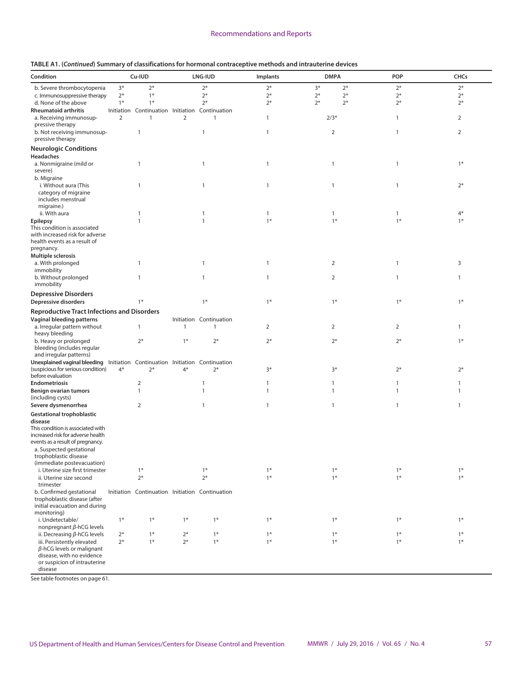| Condition                                                                                                          |                | Cu-IUD                                             |                | <b>LNG-IUD</b>               | Implants     | <b>DMPA</b>  |      | <b>POP</b>     | CHCs           |
|--------------------------------------------------------------------------------------------------------------------|----------------|----------------------------------------------------|----------------|------------------------------|--------------|--------------|------|----------------|----------------|
| b. Severe thrombocytopenia                                                                                         | $3*$           | $2*$                                               |                | $2*$                         | $2*$         | $3*$         | $2*$ | $2*$           | $2*$           |
| c. Immunosuppressive therapy                                                                                       | $2*$           | $1*$                                               |                | $2*$                         | $2*$         | $2*$         | $2*$ | $2*$           | $2*$           |
| d. None of the above                                                                                               | $1*$           | $1*$                                               |                | $2*$                         | $2*$         | $2*$         | $2*$ | $2*$           | $2*$           |
| <b>Rheumatoid arthritis</b><br>a. Receiving immunosup-                                                             | $\overline{2}$ | Initiation Continuation Initiation<br>$\mathbf{1}$ | $\overline{2}$ | Continuation<br>$\mathbf{1}$ | $\mathbf{1}$ | $2/3*$       |      | $\mathbf{1}$   | $\overline{2}$ |
| pressive therapy<br>b. Not receiving immunosup-                                                                    |                | $\mathbf{1}$                                       |                | $\mathbf{1}$                 | $\mathbf{1}$ | 2            |      | $\mathbf{1}$   | 2              |
| pressive therapy                                                                                                   |                |                                                    |                |                              |              |              |      |                |                |
| <b>Neurologic Conditions</b>                                                                                       |                |                                                    |                |                              |              |              |      |                |                |
| Headaches                                                                                                          |                |                                                    |                |                              |              |              |      |                |                |
| a. Nonmigraine (mild or<br>severe)                                                                                 |                | $\mathbf{1}$                                       |                | 1                            | $\mathbf{1}$ | $\mathbf{1}$ |      | $\mathbf{1}$   | $1*$           |
| b. Migraine<br>i. Without aura (This                                                                               |                | $\mathbf{1}$                                       |                |                              |              |              |      |                | $2*$           |
| category of migraine<br>includes menstrual<br>migraine.)                                                           |                |                                                    |                | $\mathbf{1}$                 | $\mathbf{1}$ | $\mathbf{1}$ |      | $\mathbf{1}$   |                |
| ii. With aura                                                                                                      |                | $\mathbf{1}$                                       |                | $\mathbf{1}$                 | $\mathbf{1}$ | $\mathbf{1}$ |      | $\mathbf{1}$   | $4*$           |
| <b>Epilepsy</b>                                                                                                    |                | $\mathbf{1}$                                       |                | $\mathbf{1}$                 | $1*$         | $1*$         |      | $1*$           | $1*$           |
| This condition is associated<br>with increased risk for adverse<br>health events as a result of                    |                |                                                    |                |                              |              |              |      |                |                |
| pregnancy.<br>Multiple sclerosis                                                                                   |                |                                                    |                |                              |              |              |      |                |                |
| a. With prolonged                                                                                                  |                | $\mathbf{1}$                                       |                | $\mathbf{1}$                 | $\mathbf{1}$ | 2            |      | $\mathbf{1}$   | 3              |
| immobility<br>b. Without prolonged                                                                                 |                | $\mathbf{1}$                                       |                | 1                            | $\mathbf{1}$ | 2            |      | $\mathbf{1}$   | $\mathbf{1}$   |
| immobility                                                                                                         |                |                                                    |                |                              |              |              |      |                |                |
| <b>Depressive Disorders</b><br>Depressive disorders                                                                |                | $1*$                                               |                | $1*$                         | $1*$         | $1*$         |      | $1*$           | $1*$           |
|                                                                                                                    |                |                                                    |                |                              |              |              |      |                |                |
| <b>Reproductive Tract Infections and Disorders</b>                                                                 |                |                                                    |                |                              |              |              |      |                |                |
| <b>Vaginal bleeding patterns</b>                                                                                   |                |                                                    |                | Initiation Continuation      |              |              |      |                |                |
| a. Irregular pattern without<br>heavy bleeding                                                                     |                | $\mathbf{1}$                                       | 1              | $\mathbf{1}$                 | 2            | 2            |      | $\overline{2}$ | 1              |
| b. Heavy or prolonged<br>bleeding (includes regular                                                                |                | $2*$                                               | $1*$           | $2*$                         | $2*$         | $2*$         |      | $2*$           | $1*$           |
| and irregular patterns)                                                                                            |                |                                                    |                |                              |              |              |      |                |                |
| Unexplained vaginal bleeding Initiation Continuation Initiation Continuation<br>(suspicious for serious condition) | $4*$           | $2*$                                               | $4*$           | $2*$                         | $3*$         | $3*$         |      | $2*$           | $2*$           |
| before evaluation                                                                                                  |                |                                                    |                |                              |              |              |      |                |                |
| <b>Endometriosis</b>                                                                                               |                | $\overline{2}$                                     |                | 1                            | 1            | $\mathbf{1}$ |      | 1              | 1              |
| <b>Benign ovarian tumors</b><br>(including cysts)                                                                  |                | $\mathbf{1}$                                       |                | $\mathbf{1}$                 | $\mathbf{1}$ | $\mathbf{1}$ |      | $\mathbf{1}$   | $\mathbf{1}$   |
| Severe dysmenorrhea                                                                                                |                | $\overline{2}$                                     |                | 1                            | $\mathbf{1}$ | $\mathbf{1}$ |      | $\mathbf{1}$   | $\mathbf{1}$   |
| <b>Gestational trophoblastic</b><br>disease                                                                        |                |                                                    |                |                              |              |              |      |                |                |
| This condition is associated with<br>increased risk for adverse health                                             |                |                                                    |                |                              |              |              |      |                |                |
| events as a result of pregnancy.                                                                                   |                |                                                    |                |                              |              |              |      |                |                |
| a. Suspected gestational<br>trophoblastic disease                                                                  |                |                                                    |                |                              |              |              |      |                |                |
| (immediate postevacuation)                                                                                         |                |                                                    |                |                              |              |              |      |                |                |
| i. Uterine size first trimester                                                                                    |                | $1*$                                               |                | $1*$                         | $1*$         | $1*$         |      | $1*$           | $1*$           |
| ii. Uterine size second<br>trimester                                                                               |                | $2*$                                               |                | $2*$                         | $1*$         | $1*$         |      | $1*$           | $1*$           |
| b. Confirmed gestational<br>trophoblastic disease (after<br>initial evacuation and during                          |                | Initiation Continuation Initiation Continuation    |                |                              |              |              |      |                |                |
| monitoring)                                                                                                        |                |                                                    |                |                              |              |              |      |                |                |
| i. Undetectable/                                                                                                   | $1*$           | $1*$                                               | $1*$           | $1*$                         | $1*$         | $1*$         |      | $1*$           | $1*$           |
| nonpregnant $\beta$ -hCG levels                                                                                    |                |                                                    |                |                              |              |              |      |                |                |
| ii. Decreasing $\beta$ -hCG levels                                                                                 | $2*$           | $1*$                                               | $2*$           | $1*$                         | $1*$         | $1*$         |      | $1*$           | $1*$           |
| iii. Persistently elevated<br>$\beta$ -hCG levels or malignant<br>disease, with no evidence                        | $2*$           | $1*$                                               | $2*$           | $1*$                         | $1*$         | $1*$         |      | $1*$           | $1*$           |
| or suspicion of intrauterine<br>disease                                                                            |                |                                                    |                |                              |              |              |      |                |                |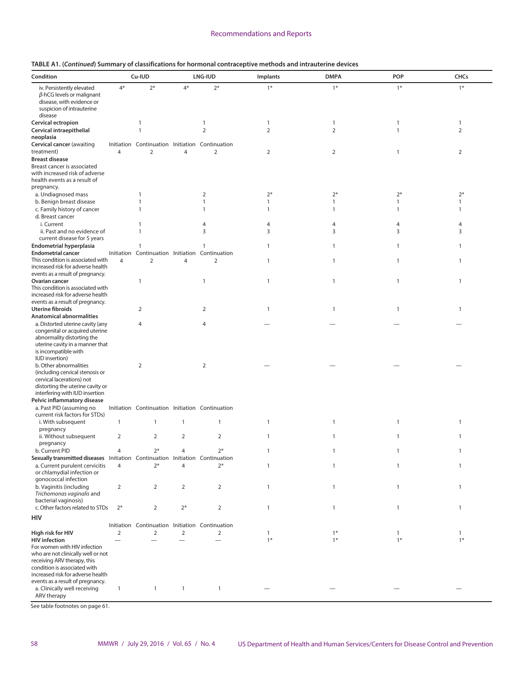| Condition                                                                                                       | Cu-IUD         |                                                                   | LNG-IUD        |                | Implants       | <b>DMPA</b>         | POP                  | <b>CHCs</b>         |
|-----------------------------------------------------------------------------------------------------------------|----------------|-------------------------------------------------------------------|----------------|----------------|----------------|---------------------|----------------------|---------------------|
| iv. Persistently elevated<br>$\beta$ -hCG levels or malignant<br>disease, with evidence or                      | $4*$           | $2*$                                                              | $4*$           | $2*$           | $1*$           | $1*$                | $1*$                 | $1*$                |
| suspicion of intrauterine<br>disease                                                                            |                |                                                                   |                |                |                |                     |                      |                     |
| Cervical ectropion                                                                                              |                | $\mathbf{1}$                                                      |                | 1              | $\mathbf{1}$   | $\mathbf{1}$        | 1                    | $\mathbf{1}$        |
| Cervical intraepithelial                                                                                        |                | $\mathbf{1}$                                                      |                | $\overline{2}$ | $\overline{2}$ | $\overline{2}$      | $\mathbf{1}$         | 2                   |
| neoplasia                                                                                                       |                |                                                                   |                |                |                |                     |                      |                     |
| Cervical cancer (awaiting                                                                                       |                | Initiation Continuation Initiation Continuation                   |                |                |                |                     |                      |                     |
| treatment)                                                                                                      | $\overline{4}$ | $\overline{2}$                                                    | $\overline{4}$ | $\overline{2}$ | $\overline{2}$ | $\overline{2}$      | $\mathbf{1}$         | 2                   |
| <b>Breast disease</b>                                                                                           |                |                                                                   |                |                |                |                     |                      |                     |
| Breast cancer is associated<br>with increased risk of adverse                                                   |                |                                                                   |                |                |                |                     |                      |                     |
| health events as a result of                                                                                    |                |                                                                   |                |                |                |                     |                      |                     |
| pregnancy.                                                                                                      |                |                                                                   |                |                |                |                     |                      |                     |
| a. Undiagnosed mass                                                                                             |                | 1                                                                 |                | $\overline{2}$ | $2*$           | $2*$                | $2*$                 | $2*$                |
| b. Benign breast disease                                                                                        |                | $\mathbf{1}$                                                      |                | $\mathbf{1}$   | 1              | $\mathbf{1}$        | 1                    | $\mathbf{1}$        |
| c. Family history of cancer                                                                                     |                | $\mathbf{1}$                                                      |                | 1              | 1              | $\mathbf{1}$        | $\mathbf{1}$         | 1                   |
| d. Breast cancer                                                                                                |                |                                                                   |                |                |                |                     |                      |                     |
| i. Current<br>ii. Past and no evidence of                                                                       |                | $\mathbf{1}$<br>$\mathbf{1}$                                      |                | 4<br>3         | 4<br>3         | $\overline{4}$<br>3 | 4<br>3               | $\overline{4}$<br>3 |
| current disease for 5 years                                                                                     |                |                                                                   |                |                |                |                     |                      |                     |
| <b>Endometrial hyperplasia</b>                                                                                  |                | $\mathbf{1}$                                                      |                | 1              | 1              | $\mathbf{1}$        | 1                    | $\mathbf{1}$        |
| <b>Endometrial cancer</b>                                                                                       |                | Initiation Continuation Initiation Continuation                   |                |                |                |                     |                      |                     |
| This condition is associated with                                                                               | $\overline{4}$ | $\overline{2}$                                                    | $\overline{4}$ | $\overline{2}$ | $\mathbf{1}$   | $\mathbf{1}$        | $\mathbf{1}$         | $\mathbf{1}$        |
| increased risk for adverse health                                                                               |                |                                                                   |                |                |                |                     |                      |                     |
| events as a result of pregnancy.<br>Ovarian cancer                                                              |                | $\mathbf{1}$                                                      |                |                | $\mathbf{1}$   | $\mathbf{1}$        | $\mathbf{1}$         | $\mathbf{1}$        |
| This condition is associated with                                                                               |                |                                                                   |                | 1              |                |                     |                      |                     |
| increased risk for adverse health                                                                               |                |                                                                   |                |                |                |                     |                      |                     |
| events as a result of pregnancy.                                                                                |                |                                                                   |                |                |                |                     |                      |                     |
| <b>Uterine fibroids</b>                                                                                         |                | 2                                                                 |                | 2              | $\mathbf{1}$   | 1                   | 1                    | $\mathbf{1}$        |
| <b>Anatomical abnormalities</b>                                                                                 |                |                                                                   |                |                |                |                     |                      |                     |
| a. Distorted uterine cavity (any<br>congenital or acquired uterine                                              |                | $\overline{4}$                                                    |                | 4              |                |                     |                      |                     |
| abnormality distorting the                                                                                      |                |                                                                   |                |                |                |                     |                      |                     |
| uterine cavity in a manner that                                                                                 |                |                                                                   |                |                |                |                     |                      |                     |
| is incompatible with                                                                                            |                |                                                                   |                |                |                |                     |                      |                     |
| <b>IUD</b> insertion)                                                                                           |                |                                                                   |                |                |                |                     |                      |                     |
| b. Other abnormalities<br>(including cervical stenosis or                                                       |                | $\overline{2}$                                                    |                | $\overline{2}$ |                |                     |                      |                     |
| cervical lacerations) not                                                                                       |                |                                                                   |                |                |                |                     |                      |                     |
| distorting the uterine cavity or                                                                                |                |                                                                   |                |                |                |                     |                      |                     |
| interfering with IUD insertion                                                                                  |                |                                                                   |                |                |                |                     |                      |                     |
| Pelvic inflammatory disease                                                                                     |                |                                                                   |                |                |                |                     |                      |                     |
| a. Past PID (assuming no<br>current risk factors for STDs)                                                      |                | Initiation Continuation Initiation Continuation                   |                |                |                |                     |                      |                     |
| i. With subsequent                                                                                              | $\mathbf{1}$   | $\mathbf{1}$                                                      | $\mathbf{1}$   | 1              | $\mathbf{1}$   | 1                   | 1                    | $\mathbf{1}$        |
| pregnancy                                                                                                       |                |                                                                   |                |                |                |                     |                      |                     |
| ii. Without subsequent                                                                                          | $\overline{2}$ | $\overline{2}$                                                    | $\overline{2}$ | $\overline{2}$ | $\mathbf{1}$   | $\mathbf{1}$        | $\mathbf{1}$         | $\mathbf{1}$        |
| pregnancy                                                                                                       |                |                                                                   |                |                |                |                     |                      |                     |
| b. Current PID                                                                                                  |                | $2*$                                                              |                | $2*$           | 1              | 1                   |                      | 1                   |
| Sexually transmitted diseases Initiation Continuation Initiation Continuation<br>a. Current purulent cervicitis | $\overline{4}$ | $2*$                                                              | 4              | $2*$           | $\mathbf{1}$   | 1                   | 1                    | $\mathbf{1}$        |
| or chlamydial infection or                                                                                      |                |                                                                   |                |                |                |                     |                      |                     |
| gonococcal infection                                                                                            |                |                                                                   |                |                |                |                     |                      |                     |
| b. Vaginitis (including                                                                                         | $\overline{2}$ | $\overline{2}$                                                    | $\overline{2}$ | $\overline{2}$ | $\mathbf{1}$   | $\mathbf{1}$        | 1                    | $\mathbf{1}$        |
| Trichomonas vaginalis and                                                                                       |                |                                                                   |                |                |                |                     |                      |                     |
| bacterial vaginosis)                                                                                            |                |                                                                   |                |                |                |                     |                      |                     |
| c. Other factors related to STDs                                                                                | $2*$           | 2                                                                 | $2*$           | $\overline{2}$ | $\mathbf{1}$   | $\mathbf{1}$        | 1                    | $\mathbf{1}$        |
| HIV                                                                                                             |                |                                                                   |                |                |                |                     |                      |                     |
|                                                                                                                 | $\overline{2}$ | Initiation Continuation Initiation Continuation<br>$\overline{2}$ | $\overline{2}$ | $\overline{2}$ |                | $1*$                |                      |                     |
| High risk for HIV<br><b>HIV</b> infection                                                                       |                |                                                                   |                |                | 1<br>$1*$      | $1*$                | $\mathbf{1}$<br>$1*$ | 1<br>$1*$           |
| For women with HIV infection                                                                                    |                |                                                                   |                |                |                |                     |                      |                     |
| who are not clinically well or not                                                                              |                |                                                                   |                |                |                |                     |                      |                     |
| receiving ARV therapy, this                                                                                     |                |                                                                   |                |                |                |                     |                      |                     |
| condition is associated with                                                                                    |                |                                                                   |                |                |                |                     |                      |                     |
| increased risk for adverse health<br>events as a result of pregnancy.                                           |                |                                                                   |                |                |                |                     |                      |                     |
| a. Clinically well receiving                                                                                    | $\mathbf{1}$   | $\mathbf{1}$                                                      | $\mathbf{1}$   | $\mathbf{1}$   |                |                     |                      |                     |
| ARV therapy                                                                                                     |                |                                                                   |                |                |                |                     |                      |                     |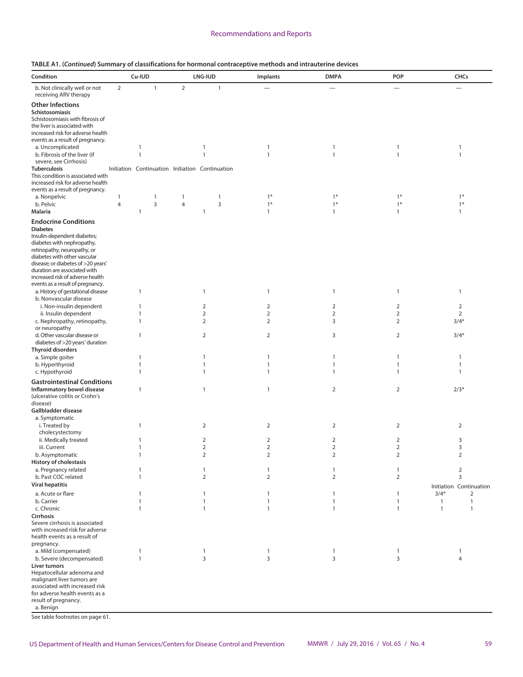| TABLE A1. (Continued) Summary of classifications for hormonal contraceptive methods and intrauterine devices |  |  |  |
|--------------------------------------------------------------------------------------------------------------|--|--|--|
|--------------------------------------------------------------------------------------------------------------|--|--|--|

| Condition                                                                                                                                                                                                                                                                            |                                | Cu-IUD                                          |                | LNG-IUD                          | Implants                         | <b>DMPA</b>                  | POP                              | CHCs                                                         |
|--------------------------------------------------------------------------------------------------------------------------------------------------------------------------------------------------------------------------------------------------------------------------------------|--------------------------------|-------------------------------------------------|----------------|----------------------------------|----------------------------------|------------------------------|----------------------------------|--------------------------------------------------------------|
| b. Not clinically well or not<br>receiving ARV therapy                                                                                                                                                                                                                               | $\overline{2}$                 | $\mathbf{1}$                                    | $\overline{2}$ | $\mathbf{1}$                     |                                  |                              | $\overline{\phantom{0}}$         | $\overline{\phantom{0}}$                                     |
| <b>Other Infections</b><br>Schistosomiasis<br>Schistosomiasis with fibrosis of<br>the liver is associated with<br>increased risk for adverse health                                                                                                                                  |                                |                                                 |                |                                  |                                  |                              |                                  |                                                              |
| events as a result of pregnancy.                                                                                                                                                                                                                                                     |                                |                                                 |                |                                  |                                  |                              |                                  |                                                              |
| a. Uncomplicated                                                                                                                                                                                                                                                                     |                                | $\mathbf{1}$                                    |                | $\mathbf{1}$                     | $\mathbf{1}$                     | $\mathbf{1}$                 | $\mathbf{1}$                     | $\mathbf{1}$                                                 |
| b. Fibrosis of the liver (if<br>severe, see Cirrhosis)                                                                                                                                                                                                                               |                                | $\mathbf{1}$                                    |                | $\mathbf{1}$                     | $\mathbf{1}$                     | $\mathbf{1}$                 | $\mathbf{1}$                     | $\mathbf{1}$                                                 |
| <b>Tuberculosis</b>                                                                                                                                                                                                                                                                  |                                | Initiation Continuation Initiation Continuation |                |                                  |                                  |                              |                                  |                                                              |
| This condition is associated with<br>increased risk for adverse health<br>events as a result of pregnancy.                                                                                                                                                                           |                                |                                                 |                |                                  |                                  |                              |                                  |                                                              |
| a. Nonpelvic                                                                                                                                                                                                                                                                         | $\mathbf{1}$<br>$\overline{4}$ | $\mathbf{1}$                                    | $\mathbf{1}$   | $\mathbf{1}$                     | $1*$                             | $1*$<br>$1*$                 | $1*$                             | $1*$                                                         |
| b. Pelvic<br><b>Malaria</b>                                                                                                                                                                                                                                                          |                                | 3<br>1                                          | $\overline{4}$ | 3<br>1                           | $1*$<br>$\mathbf{1}$             | $\mathbf{1}$                 | $1*$<br>$\mathbf{1}$             | $1*$<br>$\mathbf{1}$                                         |
|                                                                                                                                                                                                                                                                                      |                                |                                                 |                |                                  |                                  |                              |                                  |                                                              |
| <b>Endocrine Conditions</b><br><b>Diabetes</b><br>Insulin-dependent diabetes;<br>diabetes with nephropathy,<br>retinopathy, neuropathy, or<br>diabetes with other vascular<br>disease; or diabetes of >20 years'<br>duration are associated with<br>increased risk of adverse health |                                |                                                 |                |                                  |                                  |                              |                                  |                                                              |
| events as a result of pregnancy.                                                                                                                                                                                                                                                     |                                |                                                 |                |                                  |                                  |                              |                                  |                                                              |
| a. History of gestational disease                                                                                                                                                                                                                                                    |                                | $\mathbf{1}$                                    |                | 1                                | $\mathbf{1}$                     | $\mathbf{1}$                 | $\mathbf{1}$                     | $\mathbf{1}$                                                 |
| b. Nonvascular disease                                                                                                                                                                                                                                                               |                                |                                                 |                |                                  |                                  |                              |                                  |                                                              |
| i. Non-insulin dependent<br>ii. Insulin dependent                                                                                                                                                                                                                                    |                                | $\mathbf{1}$<br>$\mathbf{1}$                    |                | $\overline{2}$<br>$\overline{2}$ | $\overline{2}$<br>$\overline{2}$ | 2<br>$\overline{2}$          | $\overline{2}$<br>$\overline{2}$ | $\overline{2}$<br>$\overline{2}$                             |
| c. Nephropathy, retinopathy,<br>or neuropathy                                                                                                                                                                                                                                        |                                | $\mathbf{1}$                                    |                | $\overline{2}$                   | $\overline{2}$                   | 3                            | $\overline{2}$                   | $3/4*$                                                       |
| d. Other vascular disease or<br>diabetes of >20 years' duration<br><b>Thyroid disorders</b>                                                                                                                                                                                          |                                | $\mathbf{1}$                                    |                | $\overline{2}$                   | $\overline{2}$                   | 3                            | $\overline{2}$                   | $3/4*$                                                       |
| a. Simple goiter                                                                                                                                                                                                                                                                     |                                | $\mathbf{1}$                                    |                | 1                                | $\mathbf{1}$                     | $\mathbf{1}$                 | $\mathbf{1}$                     | $\mathbf{1}$                                                 |
| b. Hyperthyroid                                                                                                                                                                                                                                                                      |                                | $\mathbf{1}$                                    |                | $\mathbf{1}$                     | $\mathbf{1}$                     | $\mathbf{1}$                 | $\mathbf{1}$                     | $\mathbf{1}$                                                 |
| c. Hypothyroid                                                                                                                                                                                                                                                                       |                                | $\mathbf{1}$                                    |                | 1                                | 1                                | $\mathbf{1}$                 | $\mathbf{1}$                     | 1                                                            |
| <b>Gastrointestinal Conditions</b>                                                                                                                                                                                                                                                   |                                |                                                 |                |                                  |                                  |                              |                                  |                                                              |
| Inflammatory bowel disease<br>(ulcerative colitis or Crohn's<br>disease)<br>Gallbladder disease                                                                                                                                                                                      |                                | 1                                               |                | $\mathbf{1}$                     | $\mathbf{1}$                     | 2                            | $\overline{2}$                   | $2/3*$                                                       |
| a. Symptomatic<br>i. Treated by<br>cholecystectomy                                                                                                                                                                                                                                   |                                | $\mathbf{1}$                                    |                | 2                                | $\overline{2}$                   | 2                            | $\overline{2}$                   | $\overline{2}$                                               |
| ii. Medically treated                                                                                                                                                                                                                                                                |                                | 1                                               |                | 2                                | 2                                | 2                            | 2                                | 3                                                            |
| iii. Current                                                                                                                                                                                                                                                                         |                                | 1                                               |                | $\overline{2}$                   | $\overline{2}$                   | $\overline{2}$               | $\overline{2}$                   | 3                                                            |
| b. Asymptomatic                                                                                                                                                                                                                                                                      |                                | $\mathbf{1}$                                    |                | $\overline{2}$                   |                                  | $\overline{2}$               | 2                                | $\overline{2}$                                               |
| <b>History of cholestasis</b>                                                                                                                                                                                                                                                        |                                |                                                 |                |                                  |                                  |                              |                                  |                                                              |
| a. Pregnancy related                                                                                                                                                                                                                                                                 |                                | 1                                               |                | $\mathbf{1}$                     | $\mathbf{1}$                     | 1                            | $\mathbf{1}$                     | $\overline{2}$                                               |
| b. Past COC related                                                                                                                                                                                                                                                                  |                                | $\mathbf{1}$                                    |                | $\overline{2}$                   | $\overline{2}$                   | $\overline{2}$               | $\overline{2}$                   | 3                                                            |
| <b>Viral hepatitis</b>                                                                                                                                                                                                                                                               |                                |                                                 |                |                                  |                                  |                              |                                  | Initiation Continuation                                      |
| a. Acute or flare                                                                                                                                                                                                                                                                    |                                | 1                                               |                | 1                                | $\mathbf{1}$                     | 1                            | $\mathbf{1}$                     | $3/4*$<br>2                                                  |
| b. Carrier<br>c. Chronic                                                                                                                                                                                                                                                             |                                | 1<br>$\mathbf{1}$                               |                | 1<br>$\mathbf{1}$                | -1<br>$\mathbf{1}$               | $\mathbf{1}$<br>$\mathbf{1}$ | $\mathbf{1}$<br>$\mathbf{1}$     | $\mathbf{1}$<br>$\mathbf{1}$<br>$\mathbf{1}$<br>$\mathbf{1}$ |
| Cirrhosis                                                                                                                                                                                                                                                                            |                                |                                                 |                |                                  |                                  |                              |                                  |                                                              |
| Severe cirrhosis is associated<br>with increased risk for adverse<br>health events as a result of<br>pregnancy.                                                                                                                                                                      |                                |                                                 |                |                                  |                                  |                              |                                  |                                                              |
| a. Mild (compensated)                                                                                                                                                                                                                                                                |                                | $\mathbf{1}$                                    |                | $\mathbf{1}$                     | $\mathbf{1}$                     | 1                            | $\mathbf{1}$                     | $\mathbf{1}$                                                 |
| b. Severe (decompensated)                                                                                                                                                                                                                                                            |                                | $\mathbf{1}$                                    |                | 3                                | 3                                | 3                            | 3                                | $\overline{4}$                                               |
| Liver tumors<br>Hepatocellular adenoma and<br>malignant liver tumors are<br>associated with increased risk<br>for adverse health events as a<br>result of pregnancy.<br>a. Benign                                                                                                    |                                |                                                 |                |                                  |                                  |                              |                                  |                                                              |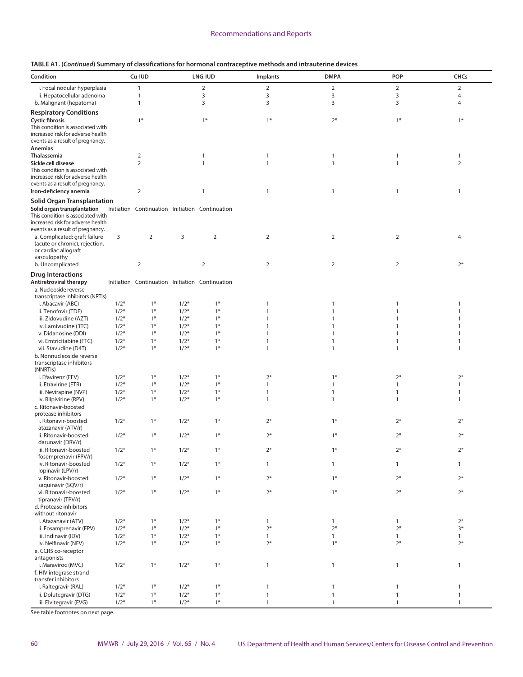|  |  | TABLE A1. (Continued) Summary of classifications for hormonal contraceptive methods and intrauterine devices |
|--|--|--------------------------------------------------------------------------------------------------------------|
|--|--|--------------------------------------------------------------------------------------------------------------|

| Condition                                                              |        | Cu-IUD                                          |        | LNG-IUD        | Implants       | <b>DMPA</b>    | POP            | CHCs           |
|------------------------------------------------------------------------|--------|-------------------------------------------------|--------|----------------|----------------|----------------|----------------|----------------|
| i. Focal nodular hyperplasia                                           |        | $\mathbf{1}$                                    |        | $\overline{2}$ | $\overline{2}$ | $\overline{2}$ | $\overline{2}$ | $\overline{2}$ |
| ii. Hepatocellular adenoma                                             |        | $\mathbf{1}$                                    |        | 3              | $\mathsf 3$    | 3              | 3              | 4              |
| b. Malignant (hepatoma)                                                |        | $\mathbf{1}$                                    |        | 3              | 3              | 3              | 3              | 4              |
| <b>Respiratory Conditions</b>                                          |        |                                                 |        |                |                |                |                |                |
| <b>Cystic fibrosis</b>                                                 |        | $1*$                                            |        | $1*$           | $1*$           | $2*$           | $1*$           | $1*$           |
| This condition is associated with                                      |        |                                                 |        |                |                |                |                |                |
| increased risk for adverse health                                      |        |                                                 |        |                |                |                |                |                |
| events as a result of pregnancy.                                       |        |                                                 |        |                |                |                |                |                |
| Anemias                                                                |        |                                                 |        |                |                |                |                |                |
| Thalassemia                                                            |        | $\overline{2}$                                  |        | 1              | $\mathbf{1}$   | 1              | $\mathbf{1}$   | $\mathbf{1}$   |
| Sickle cell disease                                                    |        | $\overline{2}$                                  |        | $\mathbf{1}$   | $\mathbf{1}$   | $\mathbf{1}$   | $\mathbf{1}$   | $\overline{2}$ |
| This condition is associated with                                      |        |                                                 |        |                |                |                |                |                |
| increased risk for adverse health                                      |        |                                                 |        |                |                |                |                |                |
| events as a result of pregnancy.                                       |        |                                                 |        |                |                |                |                |                |
| Iron-deficiency anemia                                                 |        | $\overline{2}$                                  |        | 1              | $\mathbf{1}$   | $\mathbf{1}$   | $\mathbf{1}$   | 1              |
| <b>Solid Organ Transplantation</b>                                     |        |                                                 |        |                |                |                |                |                |
| Solid organ transplantation                                            |        | Initiation Continuation Initiation Continuation |        |                |                |                |                |                |
| This condition is associated with<br>increased risk for adverse health |        |                                                 |        |                |                |                |                |                |
| events as a result of pregnancy.                                       |        |                                                 |        |                |                |                |                |                |
| a. Complicated: graft failure                                          | 3      | $\overline{2}$                                  | 3      | $\overline{2}$ | $\overline{2}$ | $\overline{2}$ | $\overline{2}$ | $\overline{4}$ |
| (acute or chronic), rejection,                                         |        |                                                 |        |                |                |                |                |                |
| or cardiac allograft                                                   |        |                                                 |        |                |                |                |                |                |
| vasculopathy                                                           |        |                                                 |        |                |                |                | $\overline{2}$ | $2*$           |
| b. Uncomplicated                                                       |        | 2                                               |        | $\overline{2}$ | 2              | $\overline{2}$ |                |                |
| <b>Drug Interactions</b>                                               |        |                                                 |        |                |                |                |                |                |
| <b>Antiretroviral therapy</b>                                          |        | Initiation Continuation Initiation Continuation |        |                |                |                |                |                |
| a. Nucleoside reverse                                                  |        |                                                 |        |                |                |                |                |                |
| transcriptase inhibitors (NRTIs)                                       |        |                                                 |        |                |                |                |                |                |
| i. Abacavir (ABC)                                                      | $1/2*$ | $1*$                                            | $1/2*$ | $1*$           | $\mathbf{1}$   | 1              | 1              | 1              |
| ii. Tenofovir (TDF)                                                    | $1/2*$ | $1*$                                            | $1/2*$ | $1*$           | $\mathbf{1}$   | $\mathbf{1}$   | $\mathbf{1}$   | $\mathbf{1}$   |
| iii. Zidovudine (AZT)                                                  | $1/2*$ | $1*$                                            | $1/2*$ | $1*$           | $\mathbf{1}$   | 1              | 1              | $\mathbf{1}$   |
| iv. Lamivudine (3TC)                                                   | $1/2*$ | $1*$                                            | $1/2*$ | $1*$           | $\mathbf{1}$   | 1              | 1              | $\mathbf{1}$   |
| v. Didanosine (DDI)                                                    | $1/2*$ | $1*$                                            | $1/2*$ | $1*$           | $\mathbf{1}$   | 1              | $\mathbf{1}$   | 1              |
| vi. Emtricitabine (FTC)                                                | $1/2*$ | $1*$                                            | $1/2*$ | $1*$           | $\mathbf{1}$   | 1              | $\mathbf{1}$   | $\mathbf{1}$   |
| vii. Stavudine (D4T)                                                   | $1/2*$ | $1*$                                            | $1/2*$ | $1*$           | $\mathbf{1}$   | $\mathbf{1}$   | $\mathbf{1}$   | $\mathbf{1}$   |
| b. Nonnucleoside reverse                                               |        |                                                 |        |                |                |                |                |                |
| transcriptase inhibitors                                               |        |                                                 |        |                |                |                |                |                |
| (NNRTIs)                                                               |        |                                                 |        |                |                |                |                |                |
| i. Efavirenz (EFV)                                                     | $1/2*$ | $1*$                                            | $1/2*$ | $1*$           | $2*$           | $1*$           | $2*$           | $2*$           |
| ii. Etravirine (ETR)                                                   | $1/2*$ | $1*$                                            | $1/2*$ | $1*$           | $\mathbf{1}$   | $\mathbf{1}$   | $\mathbf{1}$   | $\mathbf{1}$   |
| iii. Nevirapine (NVP)                                                  | $1/2*$ | $1*$                                            | $1/2*$ | $1*$           | $\mathbf{1}$   | $\mathbf{1}$   | $\mathbf{1}$   | $\mathbf{1}$   |
| iv. Rilpivirine (RPV)                                                  | $1/2*$ | $1*$                                            | $1/2*$ | $1*$           | $\mathbf{1}$   | $\mathbf{1}$   | $\mathbf{1}$   | $\mathbf{1}$   |
| c. Ritonavir-boosted                                                   |        |                                                 |        |                |                |                |                |                |
| protease inhibitors                                                    |        |                                                 |        |                |                |                |                |                |
| i. Ritonavir-boosted                                                   | $1/2*$ | $1*$                                            | $1/2*$ | $1*$           | $2*$           | $1*$           | $2*$           | $2*$           |
| atazanavir (ATV/r)                                                     |        |                                                 |        |                |                |                |                |                |
| ii. Ritonavir-boosted                                                  | $1/2*$ | $1*$                                            | $1/2*$ | $1*$           | $2*$           | $1*$           | $2*$           | $2*$           |
| darunavir (DRV/r)                                                      |        |                                                 |        |                |                |                |                |                |
| iii. Ritonavir-boosted<br>fosemprenavir (FPV/r)                        | $1/2*$ | $1*$                                            | $1/2*$ | $1*$           | $2*$           | $1*$           | $2*$           | $2*$           |
| iv. Ritonavir-boosted                                                  |        | $1*$                                            |        | $1*$           | $\mathbf{1}$   | $\mathbf{1}$   |                |                |
| lopinavir (LPV/r)                                                      | $1/2*$ |                                                 | $1/2*$ |                |                |                | $\mathbf{1}$   | $\mathbf{1}$   |
| v. Ritonavir-boosted                                                   | $1/2*$ | $1*$                                            | $1/2*$ | $1*$           | $2*$           | $1*$           | $2*$           | $2*$           |
| saquinavir (SQV/r)                                                     |        |                                                 |        |                |                |                |                |                |
| vi. Ritonavir-boosted                                                  | $1/2*$ | $1*$                                            | $1/2*$ | $1*$           | $2*$           | $1*$           | $2*$           | $2*$           |
| tipranavir (TPV/r)                                                     |        |                                                 |        |                |                |                |                |                |
| d. Protease inhibitors                                                 |        |                                                 |        |                |                |                |                |                |
| without ritonavir                                                      |        |                                                 |        |                |                |                |                |                |
| i. Atazanavir (ATV)                                                    | $1/2*$ | $1*$                                            | $1/2*$ | $1*$           | $\mathbf{1}$   | $\mathbf{1}$   | $\mathbf{1}$   | $2*$           |
| ii. Fosamprenavir (FPV)                                                | $1/2*$ | $1*$                                            | $1/2*$ | $1*$           | $2*$           | $2*$           | $2*$           | $3*$           |
| iii. Indinavir (IDV)                                                   | $1/2*$ | $1*$                                            | $1/2*$ | $1*$           | $\mathbf{1}$   | $\mathbf{1}$   | $\mathbf{1}$   | $\mathbf{1}$   |
| iv. Nelfinavir (NFV)                                                   | $1/2*$ | $1*$                                            | $1/2*$ | $1*$           | $2*$           | $1*$           | $2*$           | $2*$           |
| e. CCR5 co-receptor                                                    |        |                                                 |        |                |                |                |                |                |
| antagonists                                                            |        |                                                 |        |                |                |                |                |                |
| i. Maraviroc (MVC)                                                     | $1/2*$ | $1*$                                            | $1/2*$ | $1*$           | $\mathbf{1}$   | $\mathbf{1}$   | $\mathbf{1}$   | $\mathbf{1}$   |
| f. HIV integrase strand                                                |        |                                                 |        |                |                |                |                |                |
| transfer inhibitors                                                    |        |                                                 |        |                |                |                |                |                |
| i. Raltegravir (RAL)                                                   | $1/2*$ | $1*$                                            | $1/2*$ | $1*$           | $\mathbf{1}$   | $\mathbf{1}$   | $\mathbf{1}$   | $\mathbf{1}$   |
| ii. Dolutegravir (DTG)                                                 | $1/2*$ | $1*$                                            | $1/2*$ | $1*$           | $\mathbf{1}$   | $\mathbf{1}$   | $\mathbf{1}$   | $\mathbf{1}$   |
| iii. Elvitegravir (EVG)                                                | $1/2*$ | $1*$                                            | $1/2*$ | $1*$           | $\mathbf{1}$   | $\mathbf{1}$   | $\mathbf{1}$   | $\mathbf{1}$   |
|                                                                        |        |                                                 |        |                |                |                |                |                |

See table footnotes on next page.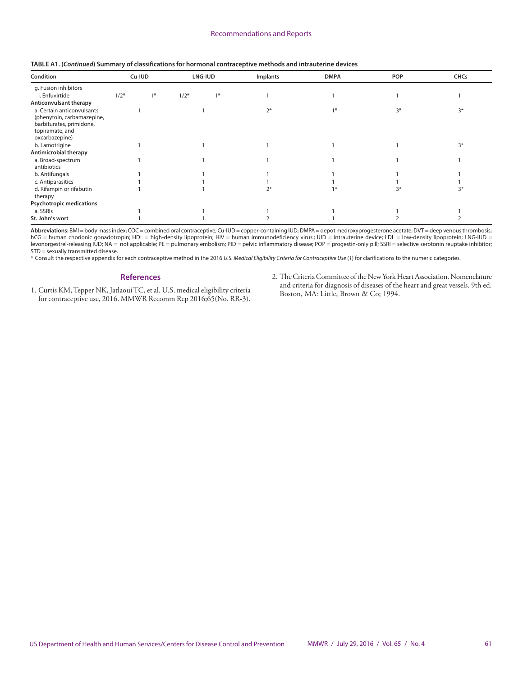|  |  | TABLE A1. (Continued) Summary of classifications for hormonal contraceptive methods and intrauterine devices |
|--|--|--------------------------------------------------------------------------------------------------------------|
|--|--|--------------------------------------------------------------------------------------------------------------|

| Condition                                                                                                                 |        | Cu-IUD |        | LNG-IUD | Implants | <b>DMPA</b> | <b>POP</b> | <b>CHCs</b> |
|---------------------------------------------------------------------------------------------------------------------------|--------|--------|--------|---------|----------|-------------|------------|-------------|
| g. Fusion inhibitors                                                                                                      |        |        |        |         |          |             |            |             |
| i. Enfuvirtide                                                                                                            | $1/2*$ | $1*$   | $1/2*$ | $1*$    |          |             |            |             |
| Anticonvulsant therapy                                                                                                    |        |        |        |         |          |             |            |             |
| a. Certain anticonvulsants<br>(phenytoin, carbamazepine,<br>barbiturates, primidone,<br>topiramate, and<br>oxcarbazepine) |        |        |        |         | $2*$     | $1*$        | $3*$       | $3*$        |
| b. Lamotrigine                                                                                                            |        |        |        |         |          |             |            | $3*$        |
| Antimicrobial therapy                                                                                                     |        |        |        |         |          |             |            |             |
| a. Broad-spectrum<br>antibiotics                                                                                          |        |        |        |         |          |             |            |             |
| b. Antifungals                                                                                                            |        |        |        |         |          |             |            |             |
| c. Antiparasitics                                                                                                         |        |        |        |         |          |             |            |             |
| d. Rifampin or rifabutin<br>therapy                                                                                       |        |        |        |         |          |             |            | 3*          |
| <b>Psychotropic medications</b>                                                                                           |        |        |        |         |          |             |            |             |
| a. SSRIs                                                                                                                  |        |        |        |         |          |             |            |             |
| St. John's wort                                                                                                           |        |        |        |         |          |             |            |             |

Abbreviations: BMI = body mass index; COC = combined oral contraceptive; Cu-IUD = copper-containing IUD; DMPA = depot medroxyprogesterone acetate; DVT = deep venous thrombosis; hCG = human chorionic gonadotropin; HDL = high-density lipoprotein; HIV = human immunodeficiency virus.; IUD = intrauterine device; LDL = low-density lipoprotein; LNG-IUD = levonorgestrel-releasing IUD; NA = not applicable; PE = pulmonary embolism; PID = pelvic inflammatory disease; POP = progestin-only pill; SSRI = selective serotonin reuptake inhibitor; STD = sexually transmitted disease.

\* Consult the respective appendix for each contraceptive method in the 2016 *U.S. Medical Eligibility Criteria for Contraceptive Use* (*1*) for clarifications to the numeric categories.

#### **References**

- 1. Curtis KM, Tepper NK, Jatlaoui TC, et al. U.S. medical eligibility criteria for contraceptive use, 2016. MMWR Recomm Rep 2016;65(No. RR-3).
- 2. The Criteria Committee of the New York Heart Association. Nomenclature and criteria for diagnosis of diseases of the heart and great vessels. 9th ed. Boston, MA: Little, Brown & Co; 1994.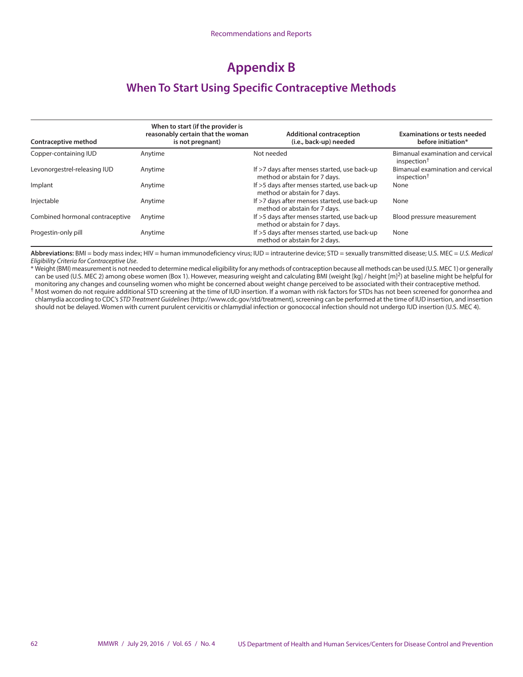# **Appendix B**

## **When To Start Using Specific Contraceptive Methods**

| Contraceptive method            | When to start (if the provider is<br>reasonably certain that the woman<br>is not pregnant) | <b>Additional contraception</b><br>(i.e., back-up) needed                     | <b>Examinations or tests needed</b><br>before initiation*    |
|---------------------------------|--------------------------------------------------------------------------------------------|-------------------------------------------------------------------------------|--------------------------------------------------------------|
| Copper-containing IUD           | Anytime                                                                                    | Not needed                                                                    | Bimanual examination and cervical<br>inspection <sup>†</sup> |
| Levonorgestrel-releasing IUD    | Anytime                                                                                    | If >7 days after menses started, use back-up<br>method or abstain for 7 days. | Bimanual examination and cervical<br>inspection <sup>†</sup> |
| Implant                         | Anytime                                                                                    | If >5 days after menses started, use back-up<br>method or abstain for 7 days. | None                                                         |
| Injectable                      | Anytime                                                                                    | If >7 days after menses started, use back-up<br>method or abstain for 7 days. | None                                                         |
| Combined hormonal contraceptive | Anytime                                                                                    | If >5 days after menses started, use back-up<br>method or abstain for 7 days. | Blood pressure measurement                                   |
| Progestin-only pill             | Anytime                                                                                    | If >5 days after menses started, use back-up<br>method or abstain for 2 days. | None                                                         |

**Abbreviations:** BMI = body mass index; HIV = human immunodeficiency virus; IUD = intrauterine device; STD = sexually transmitted disease; U.S. MEC = *U.S. Medical Eligibility Criteria for Contraceptive Use*.

\* Weight (BMI) measurement is not needed to determine medical eligibility for any methods of contraception because all methods can be used (U.S. MEC 1) or generally can be used (U.S. MEC 2) among obese women (Box 1). However, measuring weight and calculating BMI (weight [kg] / height [m]<sup>2</sup>) at baseline might be helpful for monitoring any changes and counseling women who might be concerned about weight change perceived to be associated with their contraceptive method.

† Most women do not require additional STD screening at the time of IUD insertion. If a woman with risk factors for STDs has not been screened for gonorrhea and chlamydia according to CDC's *STD Treatment Guidelines* (http://www.cdc.gov/std/treatment), screening can be performed at the time of IUD insertion, and insertion should not be delayed. Women with current purulent cervicitis or chlamydial infection or gonococcal infection should not undergo IUD insertion (U.S. MEC 4).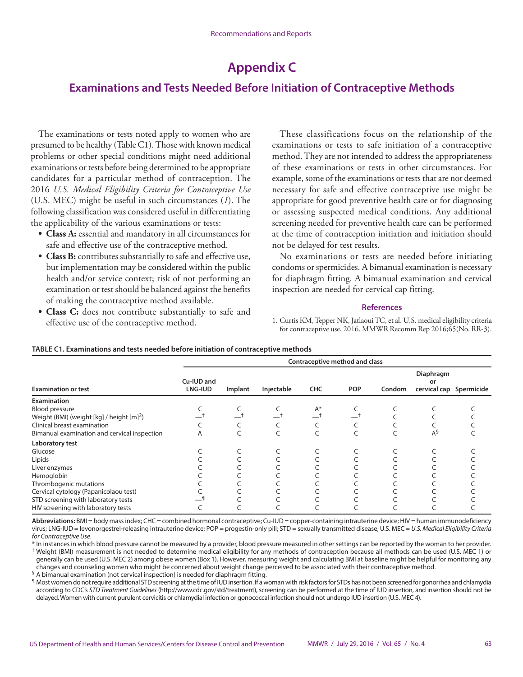# **Appendix C**

## **Examinations and Tests Needed Before Initiation of Contraceptive Methods**

The examinations or tests noted apply to women who are presumed to be healthy (Table C1). Those with known medical problems or other special conditions might need additional examinations or tests before being determined to be appropriate candidates for a particular method of contraception. The 2016 *U.S. Medical Eligibility Criteria for Contraceptive Use* (U.S. MEC) might be useful in such circumstances (*1*). The following classification was considered useful in differentiating the applicability of the various examinations or tests:

- **• Class A:** essential and mandatory in all circumstances for safe and effective use of the contraceptive method.
- **• Class B:** contributes substantially to safe and effective use, but implementation may be considered within the public health and/or service context; risk of not performing an examination or test should be balanced against the benefits of making the contraceptive method available.
- **• Class C:** does not contribute substantially to safe and effective use of the contraceptive method.

These classifications focus on the relationship of the examinations or tests to safe initiation of a contraceptive method. They are not intended to address the appropriateness of these examinations or tests in other circumstances. For example, some of the examinations or tests that are not deemed necessary for safe and effective contraceptive use might be appropriate for good preventive health care or for diagnosing or assessing suspected medical conditions. Any additional screening needed for preventive health care can be performed at the time of contraception initiation and initiation should not be delayed for test results.

No examinations or tests are needed before initiating condoms or spermicides. A bimanual examination is necessary for diaphragm fitting. A bimanual examination and cervical inspection are needed for cervical cap fitting.

#### **References**

1. Curtis KM, Tepper NK, Jatlaoui TC, et al. U.S. medical eligibility criteria for contraceptive use, 2016. MMWR Recomm Rep 2016;65(No. RR-3).

|                                                       | Contraceptive method and class |         |            |            |            |        |                                            |  |  |  |
|-------------------------------------------------------|--------------------------------|---------|------------|------------|------------|--------|--------------------------------------------|--|--|--|
| <b>Examination or test</b>                            | Cu-IUD and<br>LNG-IUD          | Implant | Injectable | <b>CHC</b> | <b>POP</b> | Condom | Diaphragm<br>o۳<br>cervical cap Spermicide |  |  |  |
| <b>Examination</b>                                    |                                |         |            |            |            |        |                                            |  |  |  |
| Blood pressure                                        |                                |         |            | $A^*$      |            |        |                                            |  |  |  |
| Weight (BMI) (weight [kg] / height [m] <sup>2</sup> ) |                                |         |            |            |            |        |                                            |  |  |  |
| Clinical breast examination                           |                                |         |            |            |            |        |                                            |  |  |  |
| Bimanual examination and cervical inspection          | Α                              |         |            |            |            |        | $A^{\S}$                                   |  |  |  |
| Laboratory test                                       |                                |         |            |            |            |        |                                            |  |  |  |
| Glucose                                               |                                |         |            |            |            |        |                                            |  |  |  |
| Lipids                                                |                                |         |            |            |            |        |                                            |  |  |  |
| Liver enzymes                                         |                                |         |            |            |            |        |                                            |  |  |  |
| Hemoglobin                                            |                                |         |            |            |            |        |                                            |  |  |  |
| Thrombogenic mutations                                |                                |         |            |            |            |        |                                            |  |  |  |
| Cervical cytology (Papanicolaou test)                 |                                |         |            |            |            |        |                                            |  |  |  |
| STD screening with laboratory tests                   |                                |         |            |            |            |        |                                            |  |  |  |
| HIV screening with laboratory tests                   |                                |         |            |            |            |        |                                            |  |  |  |

#### **TABLE C1. Examinations and tests needed before initiation of contraceptive methods**

**Abbreviations:** BMI = body mass index; CHC = combined hormonal contraceptive; Cu-IUD = copper-containing intrauterine device; HIV = human immunodeficiency virus; LNG-IUD = levonorgestrel-releasing intrauterine device; POP = progestin-only pill; STD = sexually transmitted disease; U.S. MEC = *U.S. Medical Eligibility Criteria for Contraceptive Use*.

\* In instances in which blood pressure cannot be measured by a provider, blood pressure measured in other settings can be reported by the woman to her provider. † Weight (BMI) measurement is not needed to determine medical eligibility for any methods of contraception because all methods can be used (U.S. MEC 1) or generally can be used (U.S. MEC 2) among obese women (Box 1). However, measuring weight and calculating BMI at baseline might be helpful for monitoring any changes and counseling women who might be concerned about weight change perceived to be associated with their contraceptive method.

§ A bimanual examination (not cervical inspection) is needed for diaphragm fitting.

¶ Most women do not require additional STD screening at the time of IUD insertion. If a woman with risk factors for STDs has not been screened for gonorrhea and chlamydia according to CDC's *STD Treatment Guidelines* (http://www.cdc.gov/std/treatment), screening can be performed at the time of IUD insertion, and insertion should not be delayed. Women with current purulent cervicitis or chlamydial infection or gonococcal infection should not undergo IUD insertion (U.S. MEC 4).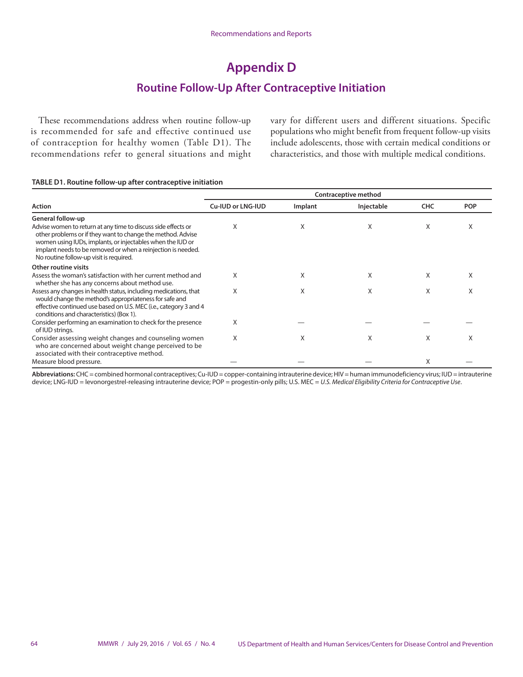# **Appendix D**

## **Routine Follow-Up After Contraceptive Initiation**

These recommendations address when routine follow-up is recommended for safe and effective continued use of contraception for healthy women (Table D1). The recommendations refer to general situations and might vary for different users and different situations. Specific populations who might benefit from frequent follow-up visits include adolescents, those with certain medical conditions or characteristics, and those with multiple medical conditions.

#### **TABLE D1. Routine follow-up after contraceptive initiation**

| Contraceptive method                                                                                                                                                                                                                                                                                  |                   |         |            |            |            |  |
|-------------------------------------------------------------------------------------------------------------------------------------------------------------------------------------------------------------------------------------------------------------------------------------------------------|-------------------|---------|------------|------------|------------|--|
| <b>Action</b>                                                                                                                                                                                                                                                                                         | Cu-IUD or LNG-IUD | Implant | Injectable | <b>CHC</b> | <b>POP</b> |  |
| General follow-up                                                                                                                                                                                                                                                                                     |                   |         |            |            |            |  |
| Advise women to return at any time to discuss side effects or<br>other problems or if they want to change the method. Advise<br>women using IUDs, implants, or injectables when the IUD or<br>implant needs to be removed or when a reinjection is needed.<br>No routine follow-up visit is required. | Х                 | X       | X          | X          | X          |  |
| Other routine visits                                                                                                                                                                                                                                                                                  |                   |         |            |            |            |  |
| Assess the woman's satisfaction with her current method and<br>whether she has any concerns about method use.                                                                                                                                                                                         | X                 | X       | X          | X          | X          |  |
| Assess any changes in health status, including medications, that<br>would change the method's appropriateness for safe and<br>effective continued use based on U.S. MEC (i.e., category 3 and 4<br>conditions and characteristics) (Box 1).                                                           | X                 | X       | X          | X          | X          |  |
| Consider performing an examination to check for the presence<br>of IUD strings.                                                                                                                                                                                                                       | X                 |         |            |            |            |  |
| Consider assessing weight changes and counseling women<br>who are concerned about weight change perceived to be<br>associated with their contraceptive method.                                                                                                                                        | X                 | X       | X          | X          | X          |  |
| Measure blood pressure.                                                                                                                                                                                                                                                                               |                   |         |            | X          |            |  |

**Abbreviations:** CHC = combined hormonal contraceptives; Cu-IUD = copper-containing intrauterine device; HIV = human immunodeficiency virus; IUD = intrauterine device; LNG-IUD = levonorgestrel-releasing intrauterine device; POP = progestin-only pills; U.S. MEC = *U.S. Medical Eligibility Criteria for Contraceptive Use*.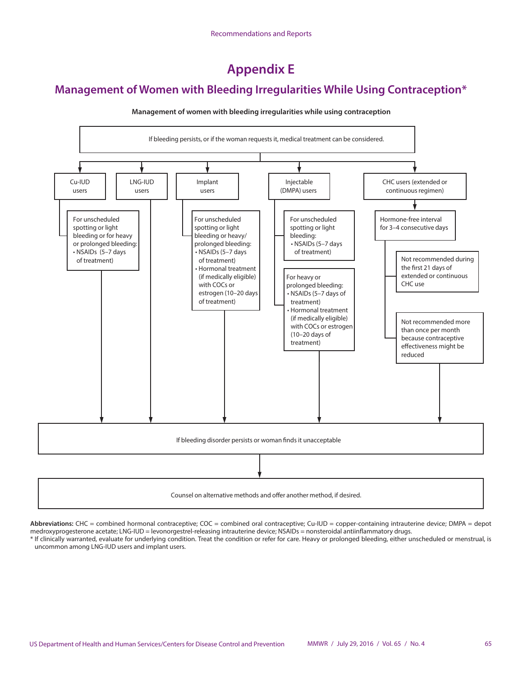**Appendix E**

## **Management of Women with Bleeding Irregularities While Using Contraception\***



#### **Management of women with bleeding irregularities while using contraception**

Counsel on alternative methods and offer another method, if desired.

Abbreviations: CHC = combined hormonal contraceptive; COC = combined oral contraceptive; Cu-IUD = copper-containing intrauterine device; DMPA = depot medroxyprogesterone acetate; LNG-IUD = levonorgestrel-releasing intrauterine device; NSAIDs = nonsteroidal antiinflammatory drugs.

\* If clinically warranted, evaluate for underlying condition. Treat the condition or refer for care. Heavy or prolonged bleeding, either unscheduled or menstrual, is uncommon among LNG-IUD users and implant users.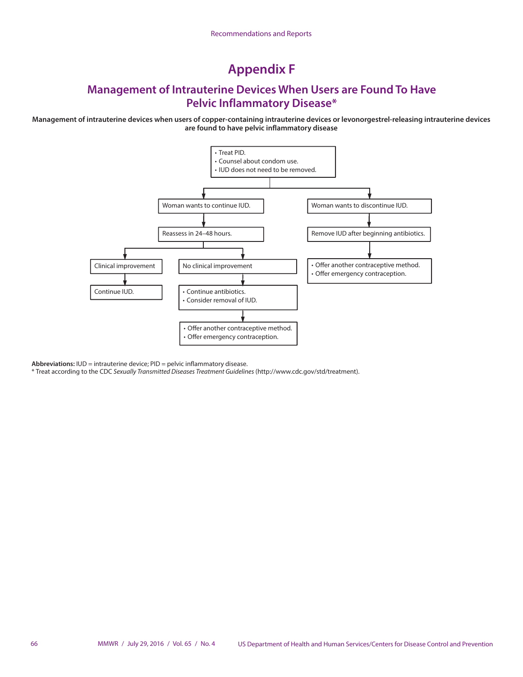# **Appendix F**

## **Management of Intrauterine Devices When Users are Found To Have Pelvic Inflammatory Disease\***

**Management of intrauterine devices when users of copper-containing intrauterine devices or levonorgestrel-releasing intrauterine devices are found to have pelvic inflammatory disease**



**Abbreviations:** IUD = intrauterine device; PID = pelvic inflammatory disease.

\* Treat according to the CDC *Sexually Transmitted Diseases Treatment Guidelines* [\(http://www.cdc.gov/std/treatment](http://www.cdc.gov/std/treatment)).